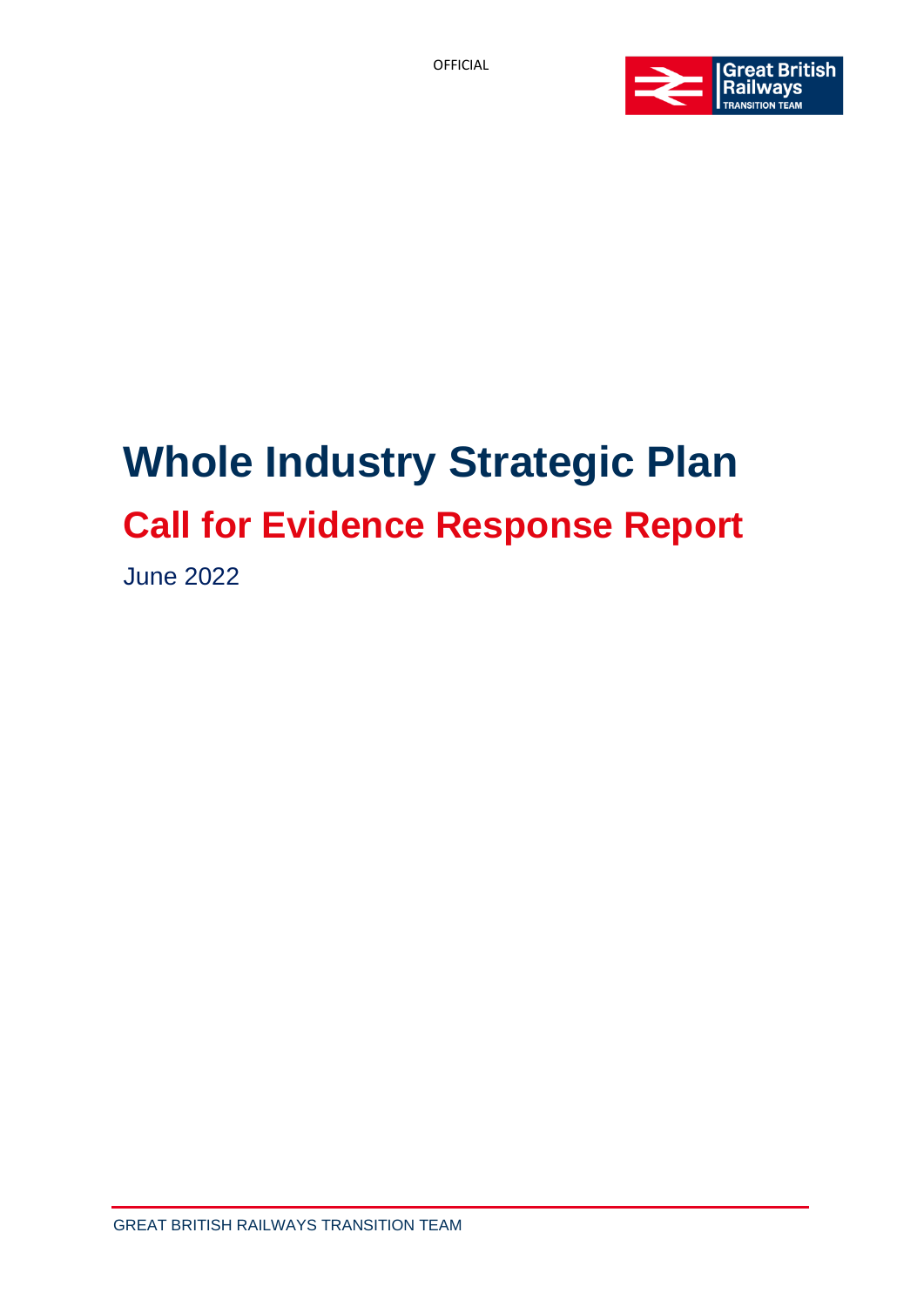

# **Whole Industry Strategic Plan Call for Evidence Response Report**

June 2022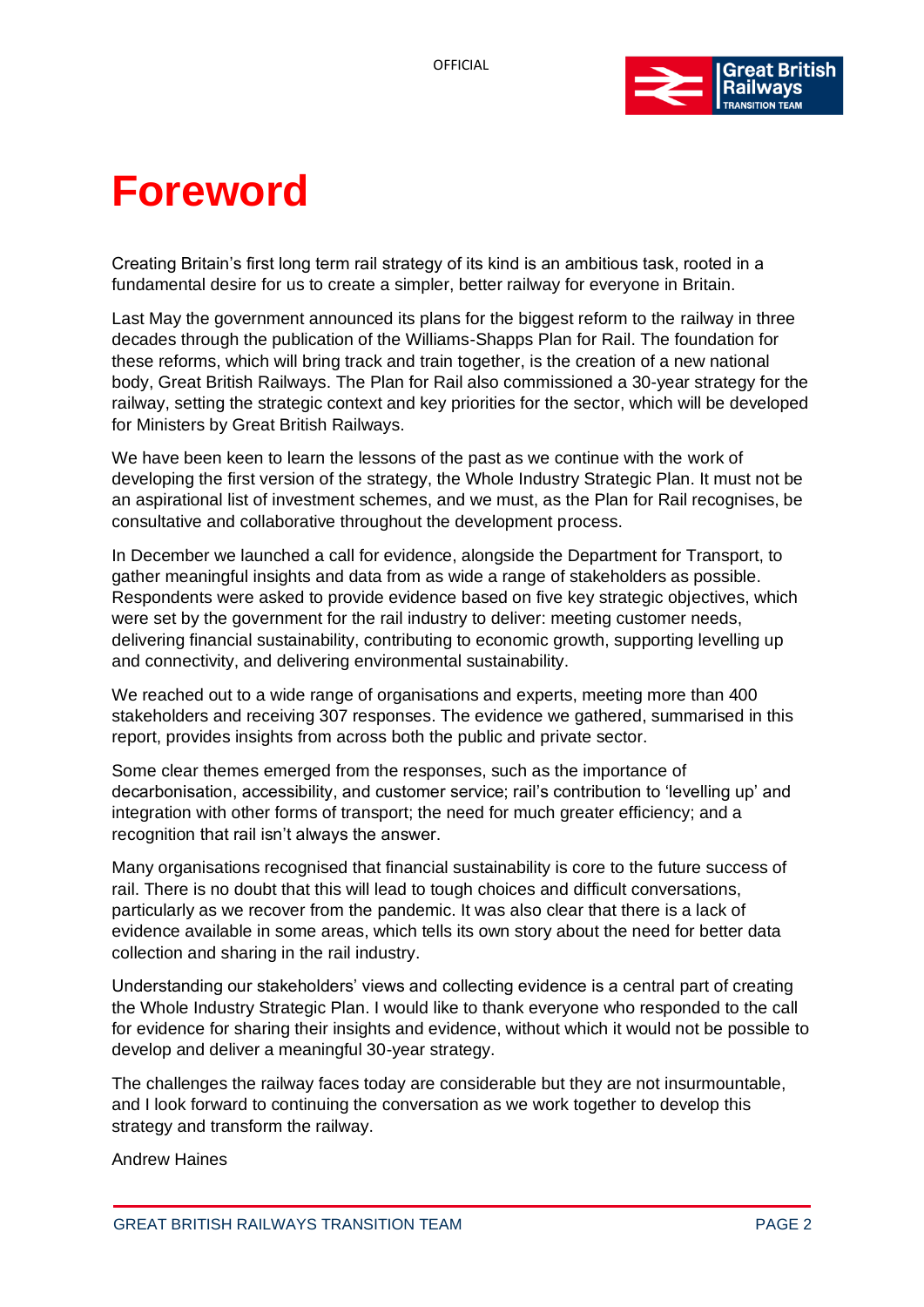

# **Foreword**

Creating Britain's first long term rail strategy of its kind is an ambitious task, rooted in a fundamental desire for us to create a simpler, better railway for everyone in Britain.

Last May the government announced its plans for the biggest reform to the railway in three decades through the publication of the Williams-Shapps Plan for Rail. The foundation for these reforms, which will bring track and train together, is the creation of a new national body, Great British Railways. The Plan for Rail also commissioned a 30-year strategy for the railway, setting the strategic context and key priorities for the sector, which will be developed for Ministers by Great British Railways.

We have been keen to learn the lessons of the past as we continue with the work of developing the first version of the strategy, the Whole Industry Strategic Plan. It must not be an aspirational list of investment schemes, and we must, as the Plan for Rail recognises, be consultative and collaborative throughout the development process.

In December we launched a call for evidence, alongside the Department for Transport, to gather meaningful insights and data from as wide a range of stakeholders as possible. Respondents were asked to provide evidence based on five key strategic objectives, which were set by the government for the rail industry to deliver: meeting customer needs, delivering financial sustainability, contributing to economic growth, supporting levelling up and connectivity, and delivering environmental sustainability.

We reached out to a wide range of organisations and experts, meeting more than 400 stakeholders and receiving 307 responses. The evidence we gathered, summarised in this report, provides insights from across both the public and private sector.

Some clear themes emerged from the responses, such as the importance of decarbonisation, accessibility, and customer service; rail's contribution to 'levelling up' and integration with other forms of transport; the need for much greater efficiency; and a recognition that rail isn't always the answer.

Many organisations recognised that financial sustainability is core to the future success of rail. There is no doubt that this will lead to tough choices and difficult conversations, particularly as we recover from the pandemic. It was also clear that there is a lack of evidence available in some areas, which tells its own story about the need for better data collection and sharing in the rail industry.

Understanding our stakeholders' views and collecting evidence is a central part of creating the Whole Industry Strategic Plan. I would like to thank everyone who responded to the call for evidence for sharing their insights and evidence, without which it would not be possible to develop and deliver a meaningful 30-year strategy.

The challenges the railway faces today are considerable but they are not insurmountable, and I look forward to continuing the conversation as we work together to develop this strategy and transform the railway.

Andrew Haines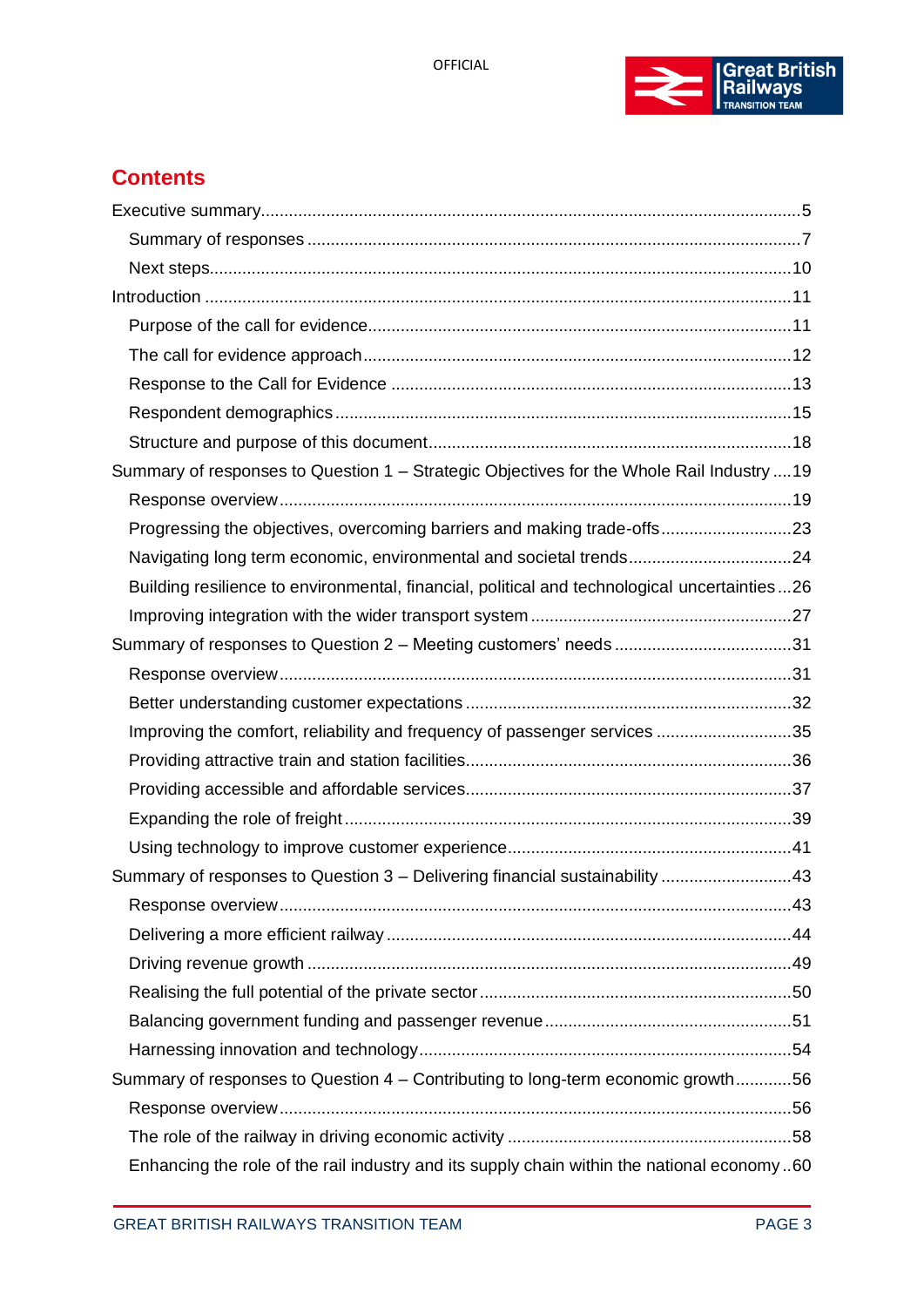

# **Contents**

| Summary of responses to Question 1 – Strategic Objectives for the Whole Rail Industry  19    |  |
|----------------------------------------------------------------------------------------------|--|
|                                                                                              |  |
| Progressing the objectives, overcoming barriers and making trade-offs23                      |  |
|                                                                                              |  |
| Building resilience to environmental, financial, political and technological uncertainties26 |  |
|                                                                                              |  |
|                                                                                              |  |
|                                                                                              |  |
|                                                                                              |  |
| Improving the comfort, reliability and frequency of passenger services 35                    |  |
|                                                                                              |  |
|                                                                                              |  |
|                                                                                              |  |
|                                                                                              |  |
| Summary of responses to Question 3 - Delivering financial sustainability 43                  |  |
|                                                                                              |  |
|                                                                                              |  |
|                                                                                              |  |
|                                                                                              |  |
|                                                                                              |  |
|                                                                                              |  |
| Summary of responses to Question 4 – Contributing to long-term economic growth56             |  |
|                                                                                              |  |
|                                                                                              |  |
| Enhancing the role of the rail industry and its supply chain within the national economy60   |  |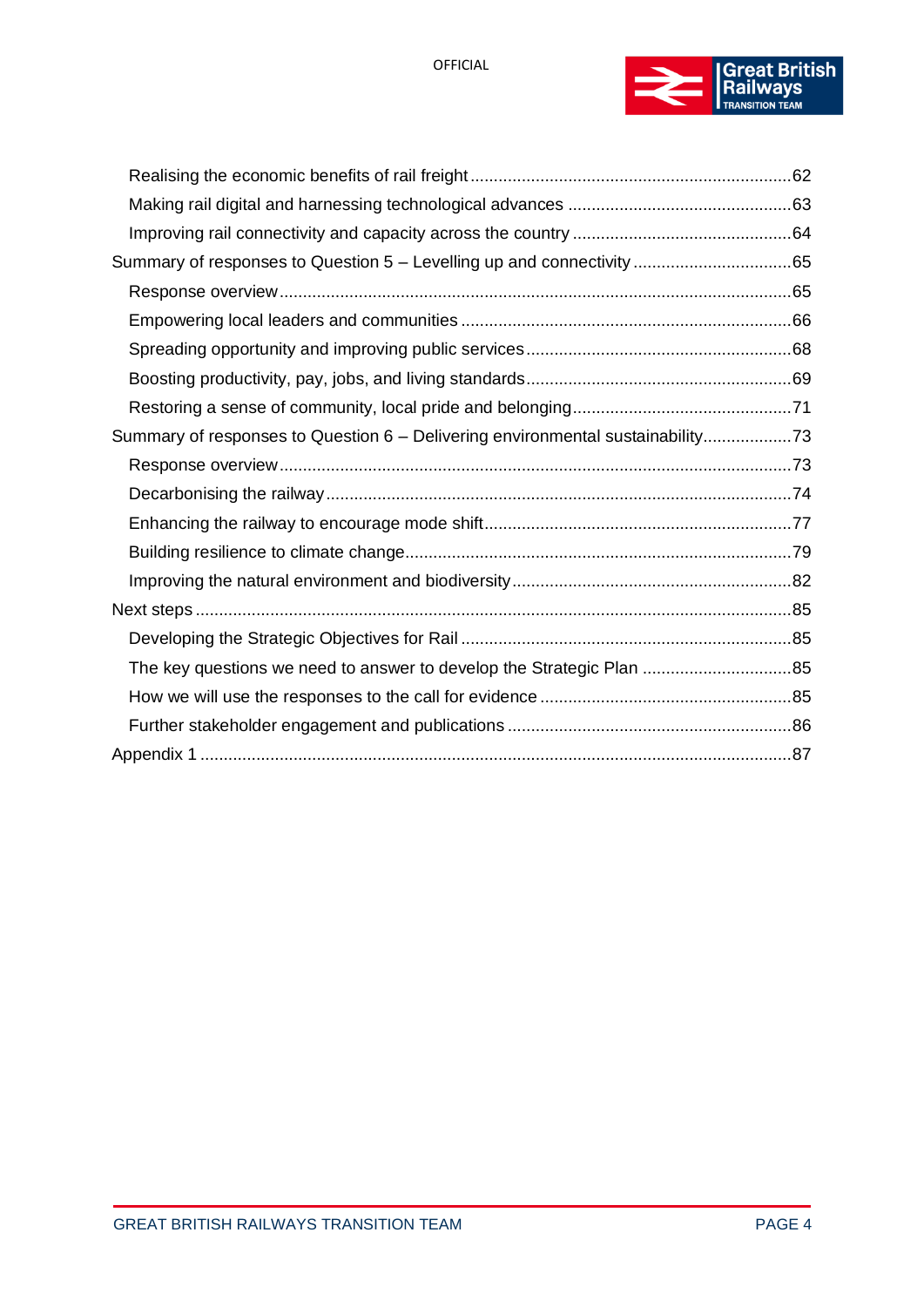

| Summary of responses to Question 6 - Delivering environmental sustainability73 |  |
|--------------------------------------------------------------------------------|--|
|                                                                                |  |
|                                                                                |  |
|                                                                                |  |
|                                                                                |  |
|                                                                                |  |
|                                                                                |  |
|                                                                                |  |
| The key questions we need to answer to develop the Strategic Plan 85           |  |
|                                                                                |  |
|                                                                                |  |
|                                                                                |  |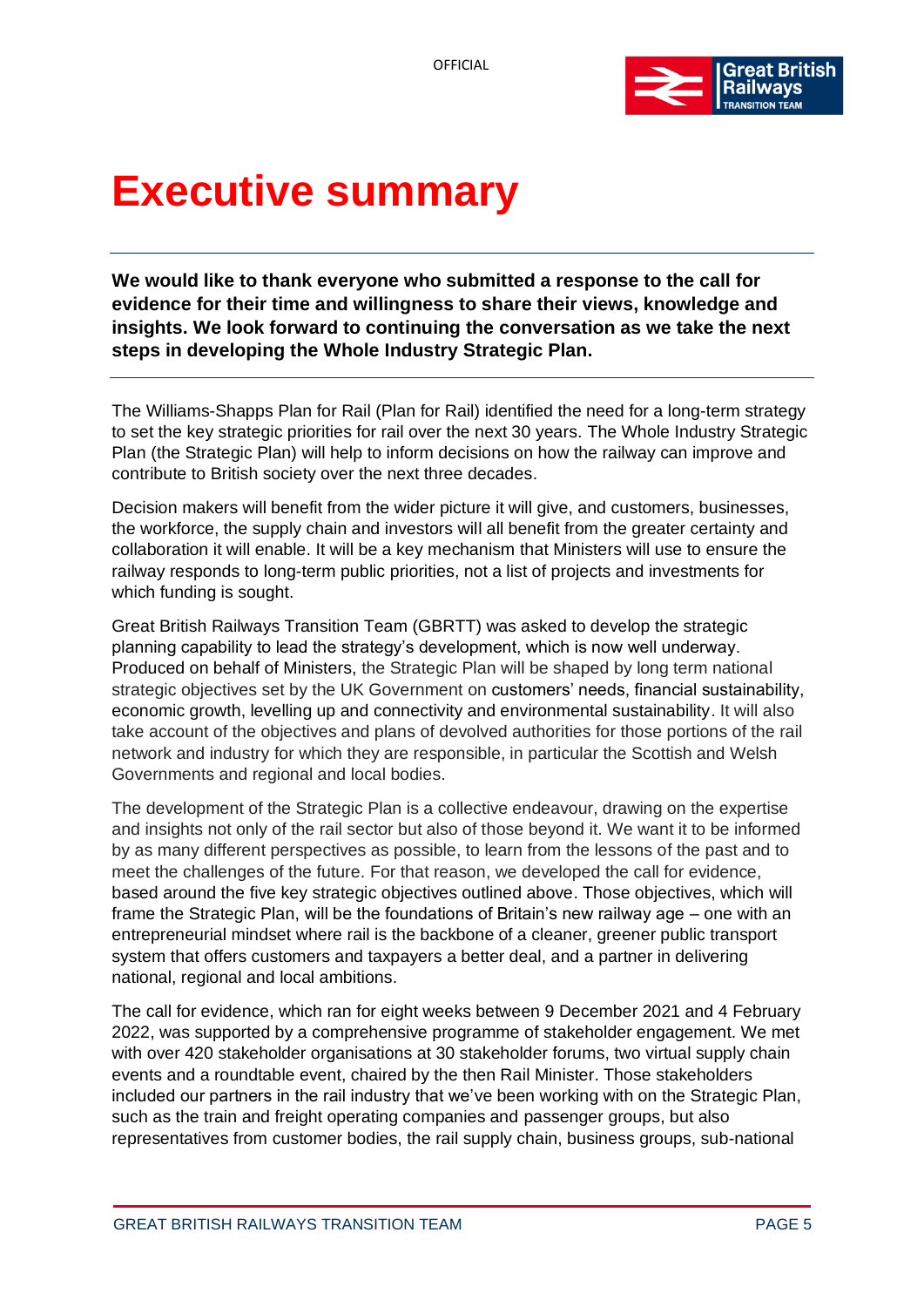

# <span id="page-4-0"></span>**Executive summary**

**We would like to thank everyone who submitted a response to the call for evidence for their time and willingness to share their views, knowledge and insights. We look forward to continuing the conversation as we take the next steps in developing the Whole Industry Strategic Plan.**

The Williams-Shapps Plan for Rail (Plan for Rail) identified the need for a long-term strategy to set the key strategic priorities for rail over the next 30 years. The Whole Industry Strategic Plan (the Strategic Plan) will help to inform decisions on how the railway can improve and contribute to British society over the next three decades.

Decision makers will benefit from the wider picture it will give, and customers, businesses, the workforce, the supply chain and investors will all benefit from the greater certainty and collaboration it will enable. It will be a key mechanism that Ministers will use to ensure the railway responds to long-term public priorities, not a list of projects and investments for which funding is sought.

Great British Railways Transition Team (GBRTT) was asked to develop the strategic planning capability to lead the strategy's development, which is now well underway. Produced on behalf of Ministers, the Strategic Plan will be shaped by long term national strategic objectives set by the UK Government on customers' needs, financial sustainability, economic growth, levelling up and connectivity and environmental sustainability. It will also take account of the objectives and plans of devolved authorities for those portions of the rail network and industry for which they are responsible, in particular the Scottish and Welsh Governments and regional and local bodies.

The development of the Strategic Plan is a collective endeavour, drawing on the expertise and insights not only of the rail sector but also of those beyond it. We want it to be informed by as many different perspectives as possible, to learn from the lessons of the past and to meet the challenges of the future. For that reason, we developed the call for evidence, based around the five key strategic objectives outlined above. Those objectives, which will frame the Strategic Plan, will be the foundations of Britain's new railway age – one with an entrepreneurial mindset where rail is the backbone of a cleaner, greener public transport system that offers customers and taxpayers a better deal, and a partner in delivering national, regional and local ambitions.

The call for evidence, which ran for eight weeks between 9 December 2021 and 4 February 2022, was supported by a comprehensive programme of stakeholder engagement. We met with over 420 stakeholder organisations at 30 stakeholder forums, two virtual supply chain events and a roundtable event, chaired by the then Rail Minister. Those stakeholders included our partners in the rail industry that we've been working with on the Strategic Plan, such as the train and freight operating companies and passenger groups, but also representatives from customer bodies, the rail supply chain, business groups, sub-national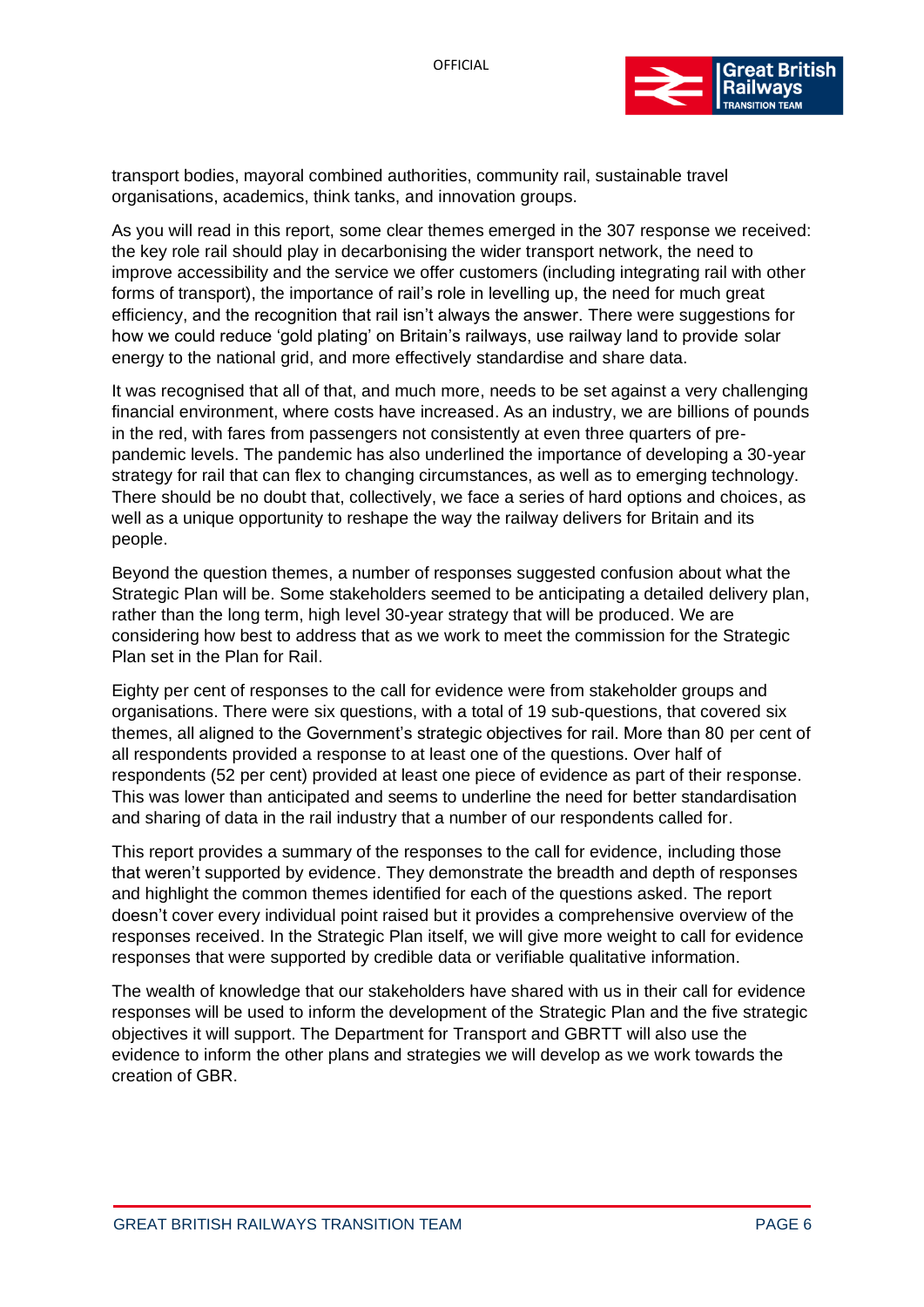

transport bodies, mayoral combined authorities, community rail, sustainable travel organisations, academics, think tanks, and innovation groups.

As you will read in this report, some clear themes emerged in the 307 response we received: the key role rail should play in decarbonising the wider transport network, the need to improve accessibility and the service we offer customers (including integrating rail with other forms of transport), the importance of rail's role in levelling up, the need for much great efficiency, and the recognition that rail isn't always the answer. There were suggestions for how we could reduce 'gold plating' on Britain's railways, use railway land to provide solar energy to the national grid, and more effectively standardise and share data.

It was recognised that all of that, and much more, needs to be set against a very challenging financial environment, where costs have increased. As an industry, we are billions of pounds in the red, with fares from passengers not consistently at even three quarters of prepandemic levels. The pandemic has also underlined the importance of developing a 30-year strategy for rail that can flex to changing circumstances, as well as to emerging technology. There should be no doubt that, collectively, we face a series of hard options and choices, as well as a unique opportunity to reshape the way the railway delivers for Britain and its people.

Beyond the question themes, a number of responses suggested confusion about what the Strategic Plan will be. Some stakeholders seemed to be anticipating a detailed delivery plan, rather than the long term, high level 30-year strategy that will be produced. We are considering how best to address that as we work to meet the commission for the Strategic Plan set in the Plan for Rail.

Eighty per cent of responses to the call for evidence were from stakeholder groups and organisations. There were six questions, with a total of 19 sub-questions, that covered six themes, all aligned to the Government's strategic objectives for rail. More than 80 per cent of all respondents provided a response to at least one of the questions. Over half of respondents (52 per cent) provided at least one piece of evidence as part of their response. This was lower than anticipated and seems to underline the need for better standardisation and sharing of data in the rail industry that a number of our respondents called for.

This report provides a summary of the responses to the call for evidence, including those that weren't supported by evidence. They demonstrate the breadth and depth of responses and highlight the common themes identified for each of the questions asked. The report doesn't cover every individual point raised but it provides a comprehensive overview of the responses received. In the Strategic Plan itself, we will give more weight to call for evidence responses that were supported by credible data or verifiable qualitative information.

The wealth of knowledge that our stakeholders have shared with us in their call for evidence responses will be used to inform the development of the Strategic Plan and the five strategic objectives it will support. The Department for Transport and GBRTT will also use the evidence to inform the other plans and strategies we will develop as we work towards the creation of GBR.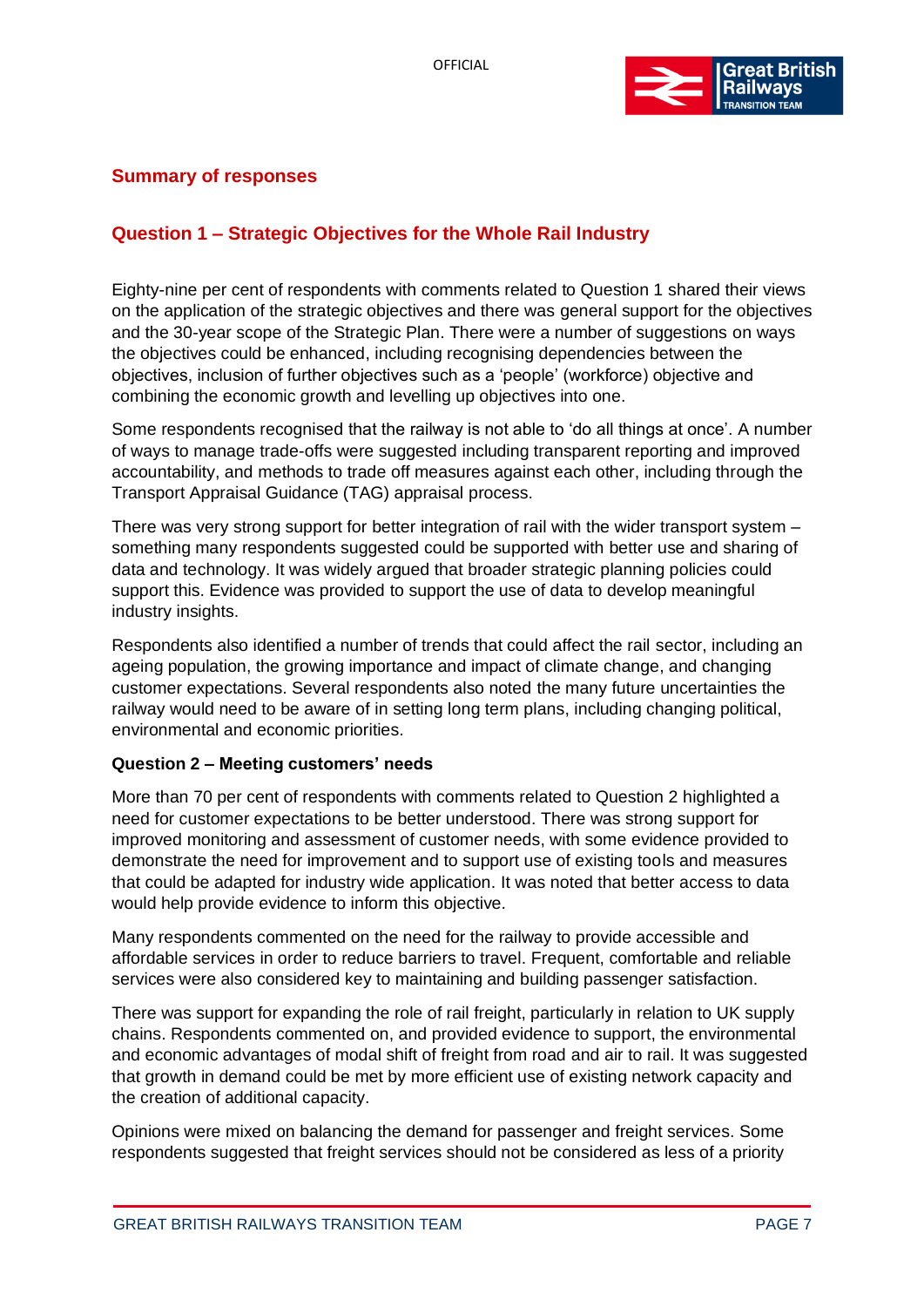

# <span id="page-6-0"></span>**Summary of responses**

# **Question 1 – Strategic Objectives for the Whole Rail Industry**

Eighty-nine per cent of respondents with comments related to Question 1 shared their views on the application of the strategic objectives and there was general support for the objectives and the 30-year scope of the Strategic Plan. There were a number of suggestions on ways the objectives could be enhanced, including recognising dependencies between the objectives, inclusion of further objectives such as a 'people' (workforce) objective and combining the economic growth and levelling up objectives into one.

Some respondents recognised that the railway is not able to 'do all things at once'. A number of ways to manage trade-offs were suggested including transparent reporting and improved accountability, and methods to trade off measures against each other, including through the Transport Appraisal Guidance (TAG) appraisal process.

There was very strong support for better integration of rail with the wider transport system – something many respondents suggested could be supported with better use and sharing of data and technology. It was widely argued that broader strategic planning policies could support this. Evidence was provided to support the use of data to develop meaningful industry insights.

Respondents also identified a number of trends that could affect the rail sector, including an ageing population, the growing importance and impact of climate change, and changing customer expectations. Several respondents also noted the many future uncertainties the railway would need to be aware of in setting long term plans, including changing political, environmental and economic priorities.

#### **Question 2 – Meeting customers' needs**

More than 70 per cent of respondents with comments related to Question 2 highlighted a need for customer expectations to be better understood. There was strong support for improved monitoring and assessment of customer needs, with some evidence provided to demonstrate the need for improvement and to support use of existing tools and measures that could be adapted for industry wide application. It was noted that better access to data would help provide evidence to inform this objective.

Many respondents commented on the need for the railway to provide accessible and affordable services in order to reduce barriers to travel. Frequent, comfortable and reliable services were also considered key to maintaining and building passenger satisfaction.

There was support for expanding the role of rail freight, particularly in relation to UK supply chains. Respondents commented on, and provided evidence to support, the environmental and economic advantages of modal shift of freight from road and air to rail. It was suggested that growth in demand could be met by more efficient use of existing network capacity and the creation of additional capacity.

Opinions were mixed on balancing the demand for passenger and freight services. Some respondents suggested that freight services should not be considered as less of a priority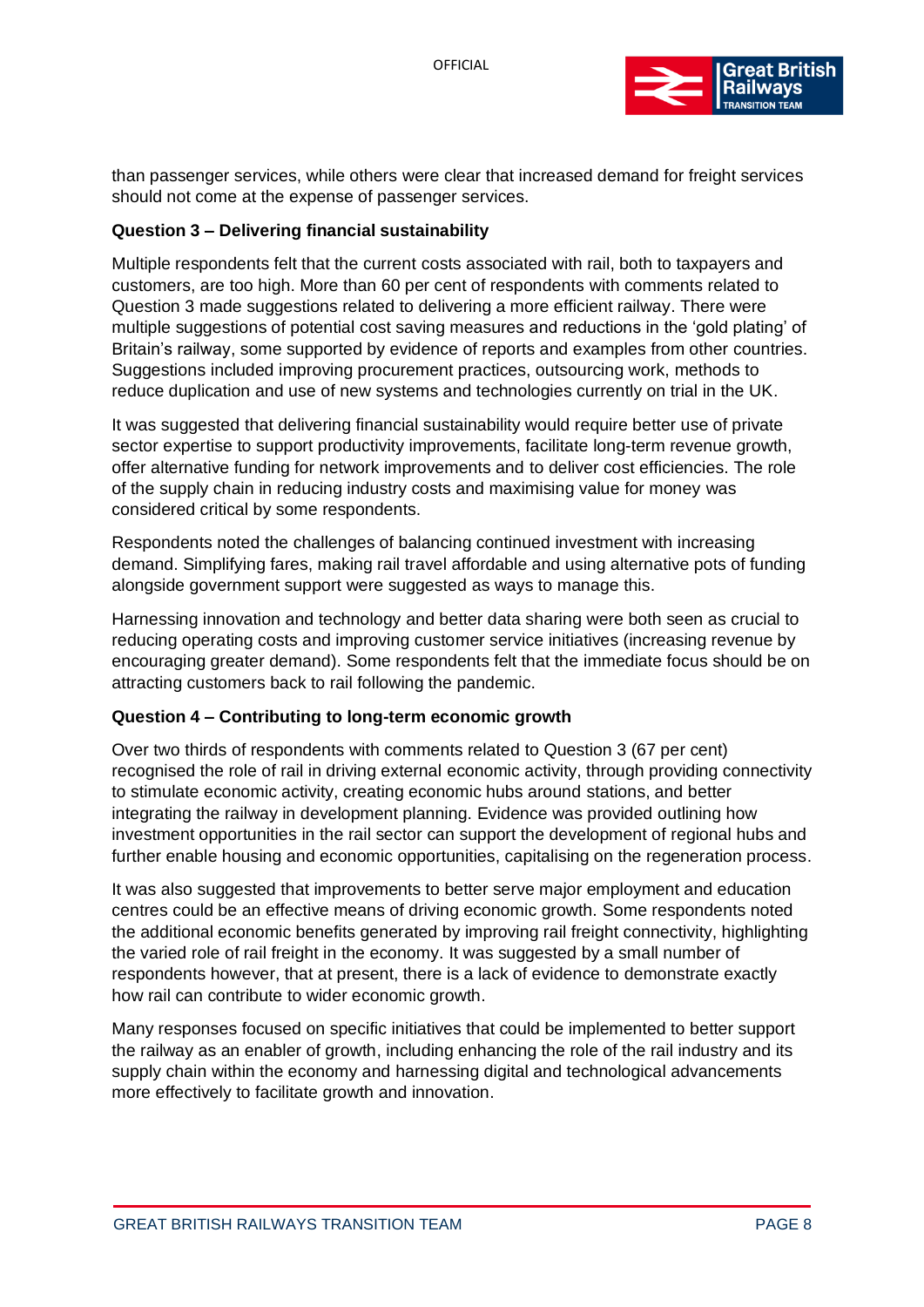

than passenger services, while others were clear that increased demand for freight services should not come at the expense of passenger services.

#### **Question 3 – Delivering financial sustainability**

Multiple respondents felt that the current costs associated with rail, both to taxpayers and customers, are too high. More than 60 per cent of respondents with comments related to Question 3 made suggestions related to delivering a more efficient railway. There were multiple suggestions of potential cost saving measures and reductions in the 'gold plating' of Britain's railway, some supported by evidence of reports and examples from other countries. Suggestions included improving procurement practices, outsourcing work, methods to reduce duplication and use of new systems and technologies currently on trial in the UK.

It was suggested that delivering financial sustainability would require better use of private sector expertise to support productivity improvements, facilitate long-term revenue growth, offer alternative funding for network improvements and to deliver cost efficiencies. The role of the supply chain in reducing industry costs and maximising value for money was considered critical by some respondents.

Respondents noted the challenges of balancing continued investment with increasing demand. Simplifying fares, making rail travel affordable and using alternative pots of funding alongside government support were suggested as ways to manage this.

Harnessing innovation and technology and better data sharing were both seen as crucial to reducing operating costs and improving customer service initiatives (increasing revenue by encouraging greater demand). Some respondents felt that the immediate focus should be on attracting customers back to rail following the pandemic.

#### **Question 4 – Contributing to long-term economic growth**

Over two thirds of respondents with comments related to Question 3 (67 per cent) recognised the role of rail in driving external economic activity, through providing connectivity to stimulate economic activity, creating economic hubs around stations, and better integrating the railway in development planning. Evidence was provided outlining how investment opportunities in the rail sector can support the development of regional hubs and further enable housing and economic opportunities, capitalising on the regeneration process.

It was also suggested that improvements to better serve major employment and education centres could be an effective means of driving economic growth. Some respondents noted the additional economic benefits generated by improving rail freight connectivity, highlighting the varied role of rail freight in the economy. It was suggested by a small number of respondents however, that at present, there is a lack of evidence to demonstrate exactly how rail can contribute to wider economic growth.

Many responses focused on specific initiatives that could be implemented to better support the railway as an enabler of growth, including enhancing the role of the rail industry and its supply chain within the economy and harnessing digital and technological advancements more effectively to facilitate growth and innovation.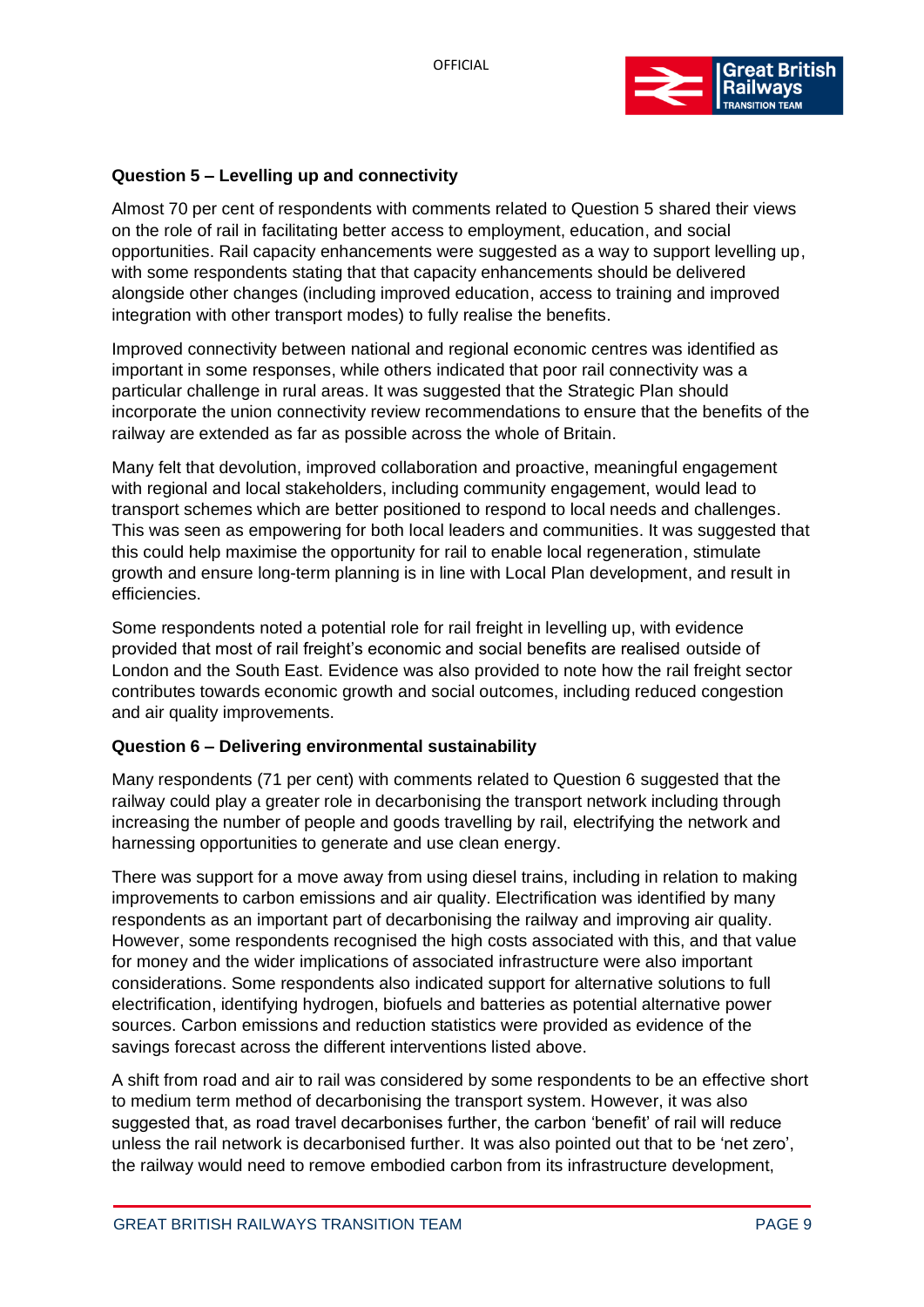

### **Question 5 – Levelling up and connectivity**

Almost 70 per cent of respondents with comments related to Question 5 shared their views on the role of rail in facilitating better access to employment, education, and social opportunities. Rail capacity enhancements were suggested as a way to support levelling up, with some respondents stating that that capacity enhancements should be delivered alongside other changes (including improved education, access to training and improved integration with other transport modes) to fully realise the benefits.

Improved connectivity between national and regional economic centres was identified as important in some responses, while others indicated that poor rail connectivity was a particular challenge in rural areas. It was suggested that the Strategic Plan should incorporate the union connectivity review recommendations to ensure that the benefits of the railway are extended as far as possible across the whole of Britain.

Many felt that devolution, improved collaboration and proactive, meaningful engagement with regional and local stakeholders, including community engagement, would lead to transport schemes which are better positioned to respond to local needs and challenges. This was seen as empowering for both local leaders and communities. It was suggested that this could help maximise the opportunity for rail to enable local regeneration, stimulate growth and ensure long-term planning is in line with Local Plan development, and result in efficiencies.

Some respondents noted a potential role for rail freight in levelling up, with evidence provided that most of rail freight's economic and social benefits are realised outside of London and the South East. Evidence was also provided to note how the rail freight sector contributes towards economic growth and social outcomes, including reduced congestion and air quality improvements.

#### **Question 6 – Delivering environmental sustainability**

Many respondents (71 per cent) with comments related to Question 6 suggested that the railway could play a greater role in decarbonising the transport network including through increasing the number of people and goods travelling by rail, electrifying the network and harnessing opportunities to generate and use clean energy.

There was support for a move away from using diesel trains, including in relation to making improvements to carbon emissions and air quality. Electrification was identified by many respondents as an important part of decarbonising the railway and improving air quality. However, some respondents recognised the high costs associated with this, and that value for money and the wider implications of associated infrastructure were also important considerations. Some respondents also indicated support for alternative solutions to full electrification, identifying hydrogen, biofuels and batteries as potential alternative power sources. Carbon emissions and reduction statistics were provided as evidence of the savings forecast across the different interventions listed above.

A shift from road and air to rail was considered by some respondents to be an effective short to medium term method of decarbonising the transport system. However, it was also suggested that, as road travel decarbonises further, the carbon 'benefit' of rail will reduce unless the rail network is decarbonised further. It was also pointed out that to be 'net zero', the railway would need to remove embodied carbon from its infrastructure development,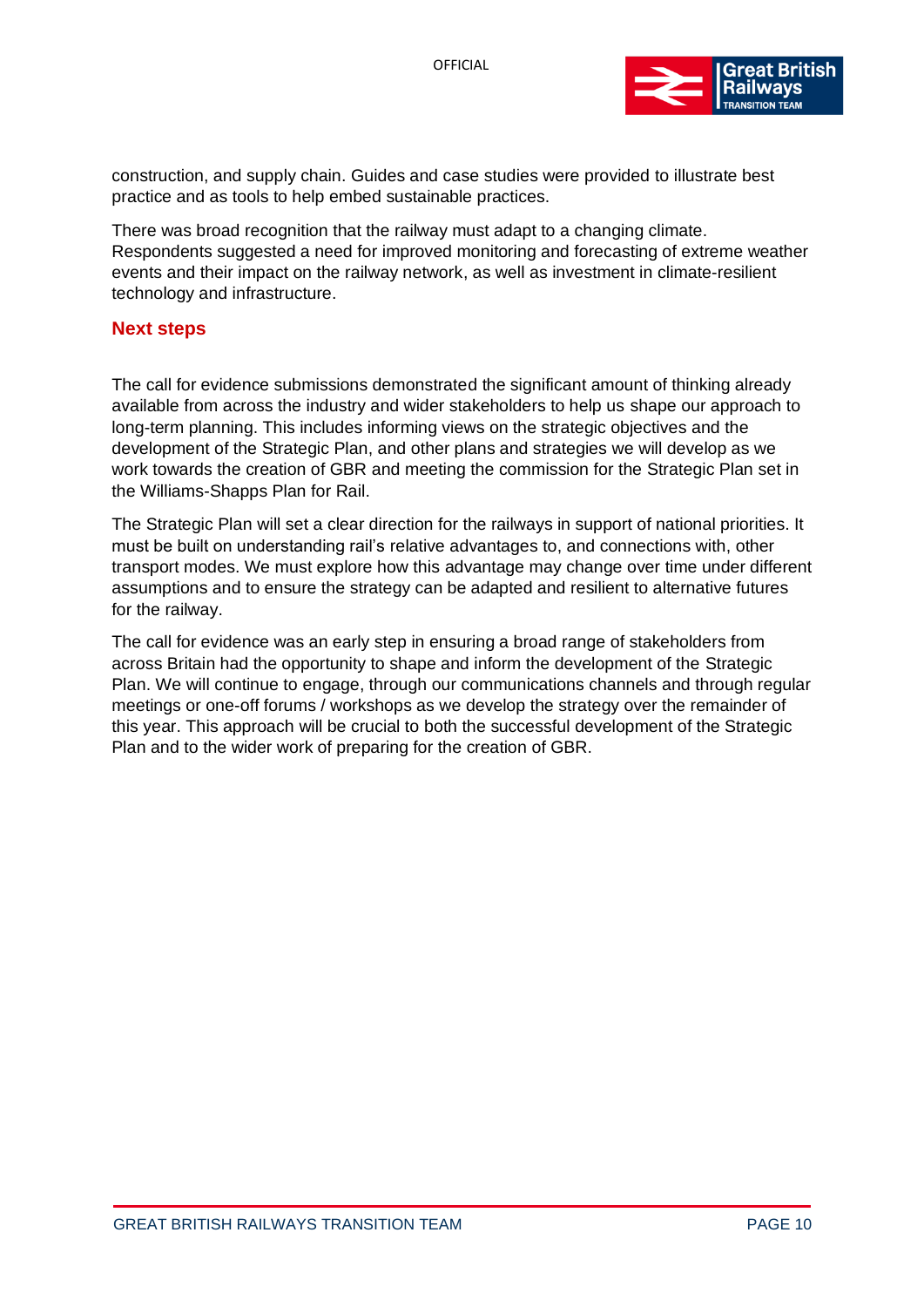

construction, and supply chain. Guides and case studies were provided to illustrate best practice and as tools to help embed sustainable practices.

There was broad recognition that the railway must adapt to a changing climate. Respondents suggested a need for improved monitoring and forecasting of extreme weather events and their impact on the railway network, as well as investment in climate-resilient technology and infrastructure.

#### <span id="page-9-0"></span>**Next steps**

The call for evidence submissions demonstrated the significant amount of thinking already available from across the industry and wider stakeholders to help us shape our approach to long-term planning. This includes informing views on the strategic objectives and the development of the Strategic Plan, and other plans and strategies we will develop as we work towards the creation of GBR and meeting the commission for the Strategic Plan set in the Williams-Shapps Plan for Rail.

The Strategic Plan will set a clear direction for the railways in support of national priorities. It must be built on understanding rail's relative advantages to, and connections with, other transport modes. We must explore how this advantage may change over time under different assumptions and to ensure the strategy can be adapted and resilient to alternative futures for the railway.

The call for evidence was an early step in ensuring a broad range of stakeholders from across Britain had the opportunity to shape and inform the development of the Strategic Plan. We will continue to engage, through our communications channels and through regular meetings or one-off forums / workshops as we develop the strategy over the remainder of this year. This approach will be crucial to both the successful development of the Strategic Plan and to the wider work of preparing for the creation of GBR.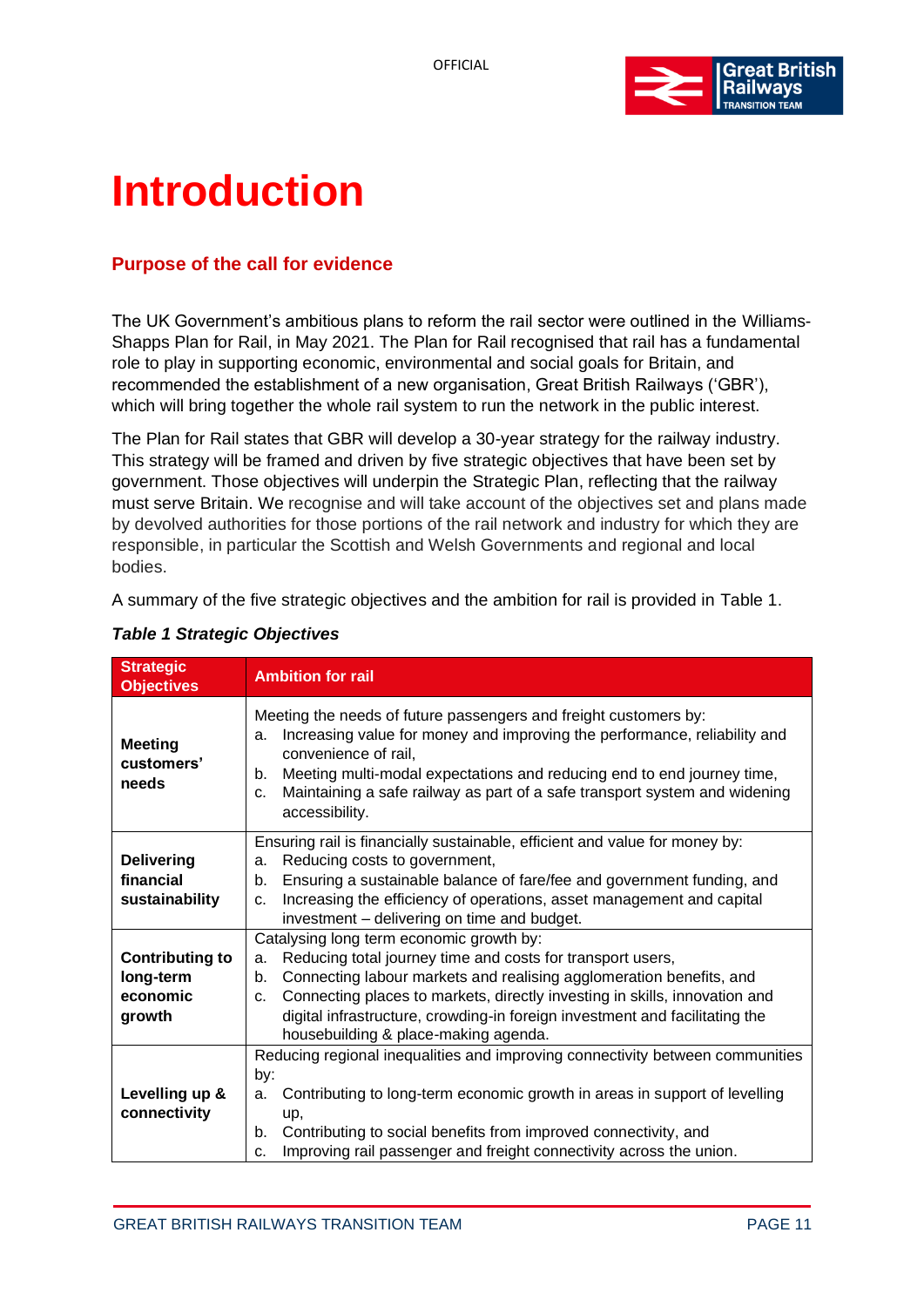

# <span id="page-10-0"></span>**Introduction**

# <span id="page-10-1"></span>**Purpose of the call for evidence**

The UK Government's ambitious plans to reform the rail sector were outlined in the [Williams-](https://www.gov.uk/government/publications/great-british-railways-williams-shapps-plan-for-rail)[Shapps Plan for Rail,](https://www.gov.uk/government/publications/great-british-railways-williams-shapps-plan-for-rail) in May 2021. The Plan for Rail recognised that rail has a fundamental role to play in supporting economic, environmental and social goals for Britain, and recommended the establishment of a new organisation, Great British Railways ('GBR'), which will bring together the whole rail system to run the network in the public interest.

The Plan for Rail states that GBR will develop a 30-year strategy for the railway industry. This strategy will be framed and driven by five strategic objectives that have been set by government. Those objectives will underpin the Strategic Plan, reflecting that the railway must serve Britain. We recognise and will take account of the objectives set and plans made by devolved authorities for those portions of the rail network and industry for which they are responsible, in particular the Scottish and Welsh Governments and regional and local bodies.

A summary of the five strategic objectives and the ambition for rail is provided in [Table 1.](#page-10-2)

| <b>Strategic</b><br><b>Objectives</b>                     | <b>Ambition for rail</b>                                                                                                                                                                                                                                                                                                                                                                             |  |
|-----------------------------------------------------------|------------------------------------------------------------------------------------------------------------------------------------------------------------------------------------------------------------------------------------------------------------------------------------------------------------------------------------------------------------------------------------------------------|--|
| <b>Meeting</b><br>customers'<br>needs                     | Meeting the needs of future passengers and freight customers by:<br>Increasing value for money and improving the performance, reliability and<br>a.<br>convenience of rail,<br>Meeting multi-modal expectations and reducing end to end journey time,<br>b.<br>Maintaining a safe railway as part of a safe transport system and widening<br>C.<br>accessibility.                                    |  |
| <b>Delivering</b><br>financial<br>sustainability          | Ensuring rail is financially sustainable, efficient and value for money by:<br>Reducing costs to government,<br>a.<br>Ensuring a sustainable balance of fare/fee and government funding, and<br>b.<br>Increasing the efficiency of operations, asset management and capital<br>C <sub>1</sub><br>investment - delivering on time and budget.                                                         |  |
| <b>Contributing to</b><br>long-term<br>economic<br>growth | Catalysing long term economic growth by:<br>Reducing total journey time and costs for transport users,<br>a.<br>Connecting labour markets and realising agglomeration benefits, and<br>b.<br>Connecting places to markets, directly investing in skills, innovation and<br>C.<br>digital infrastructure, crowding-in foreign investment and facilitating the<br>housebuilding & place-making agenda. |  |
| Levelling up &<br>connectivity                            | Reducing regional inequalities and improving connectivity between communities<br>by:<br>Contributing to long-term economic growth in areas in support of levelling<br>a.<br>up,<br>Contributing to social benefits from improved connectivity, and<br>b.<br>Improving rail passenger and freight connectivity across the union.<br>C.                                                                |  |

# <span id="page-10-2"></span>*Table 1 Strategic Objectives*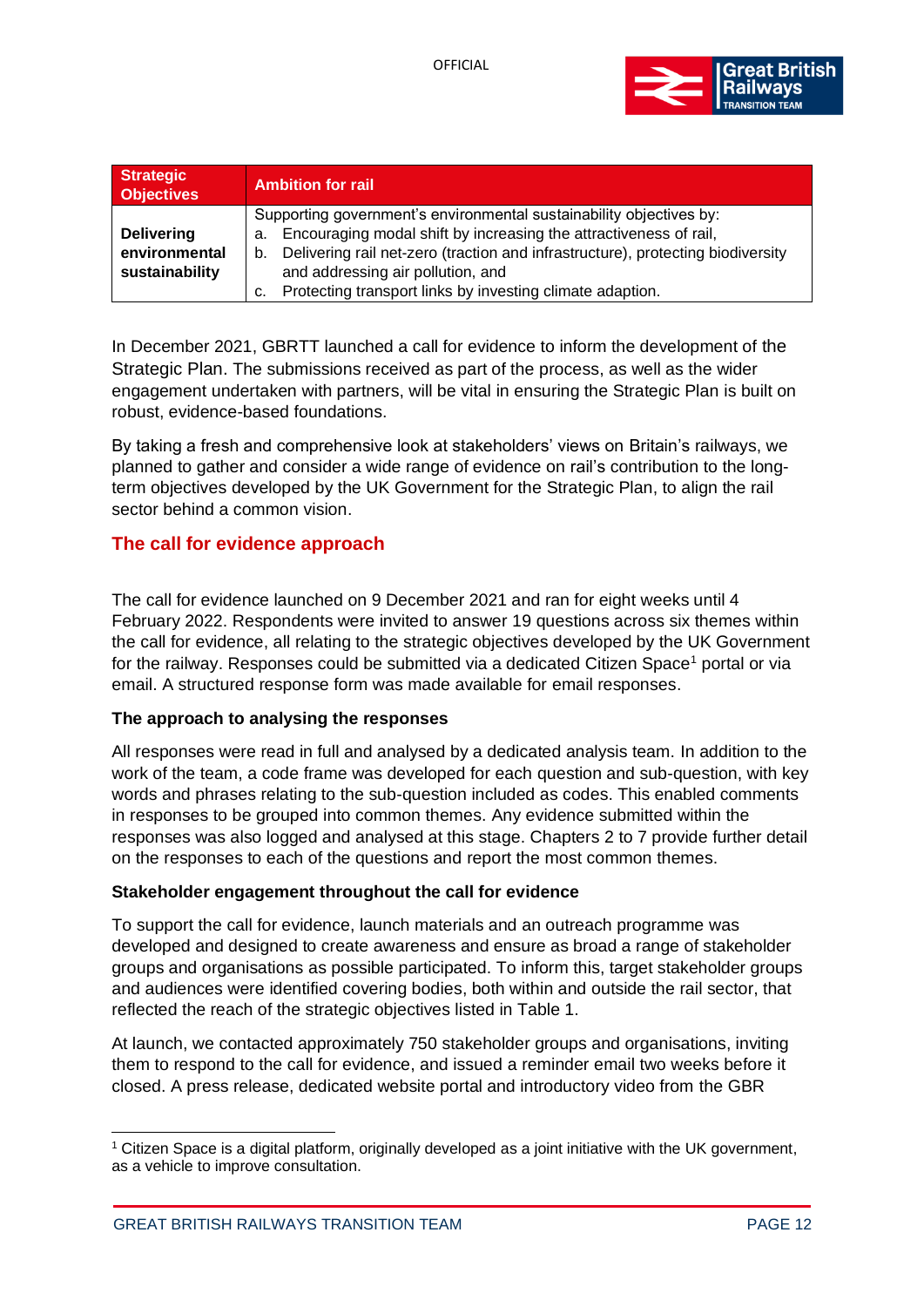

| <b>Strategic</b><br><b>Objectives</b>                | <b>Ambition for rail</b>                                                                                                                                                                                                                                                                                                                        |
|------------------------------------------------------|-------------------------------------------------------------------------------------------------------------------------------------------------------------------------------------------------------------------------------------------------------------------------------------------------------------------------------------------------|
| <b>Delivering</b><br>environmental<br>sustainability | Supporting government's environmental sustainability objectives by:<br>Encouraging modal shift by increasing the attractiveness of rail,<br>a.<br>Delivering rail net-zero (traction and infrastructure), protecting biodiversity<br>b.<br>and addressing air pollution, and<br>Protecting transport links by investing climate adaption.<br>c. |

In December 2021, GBRTT launched a call for evidence to inform the development of the Strategic Plan. The submissions received as part of the process, as well as the wider engagement undertaken with partners, will be vital in ensuring the Strategic Plan is built on robust, evidence-based foundations.

By taking a fresh and comprehensive look at stakeholders' views on Britain's railways, we planned to gather and consider a wide range of evidence on rail's contribution to the longterm objectives developed by the UK Government for the Strategic Plan, to align the rail sector behind a common vision.

### <span id="page-11-0"></span>**The call for evidence approach**

The call for evidence launched on 9 December 2021 and ran for eight weeks until 4 February 2022. Respondents were invited to answer 19 questions across six themes within the call for evidence, all relating to the strategic objectives developed by the UK Government for the railway. Responses could be submitted via a dedicated Citizen Space<sup>1</sup> portal or via email. A structured response form was made available for email responses.

#### **The approach to analysing the responses**

All responses were read in full and analysed by a dedicated analysis team. In addition to the work of the team, a code frame was developed for each question and sub-question, with key words and phrases relating to the sub-question included as codes. This enabled comments in responses to be grouped into common themes. Any evidence submitted within the responses was also logged and analysed at this stage. Chapters 2 to 7 provide further detail on the responses to each of the questions and report the most common themes.

#### **Stakeholder engagement throughout the call for evidence**

To support the call for evidence, launch materials and an outreach programme was developed and designed to create awareness and ensure as broad a range of stakeholder groups and organisations as possible participated. To inform this, target stakeholder groups and audiences were identified covering bodies, both within and outside the rail sector, that reflected the reach of the strategic objectives listed in Table 1.

At launch, we contacted approximately 750 stakeholder groups and organisations, inviting them to respond to the call for evidence, and issued a reminder email two weeks before it closed. A press release, dedicated website portal and introductory video from the GBR

<sup>1</sup> Citizen Space is a digital platform, originally developed as a joint initiative with the UK government, as a vehicle to improve consultation.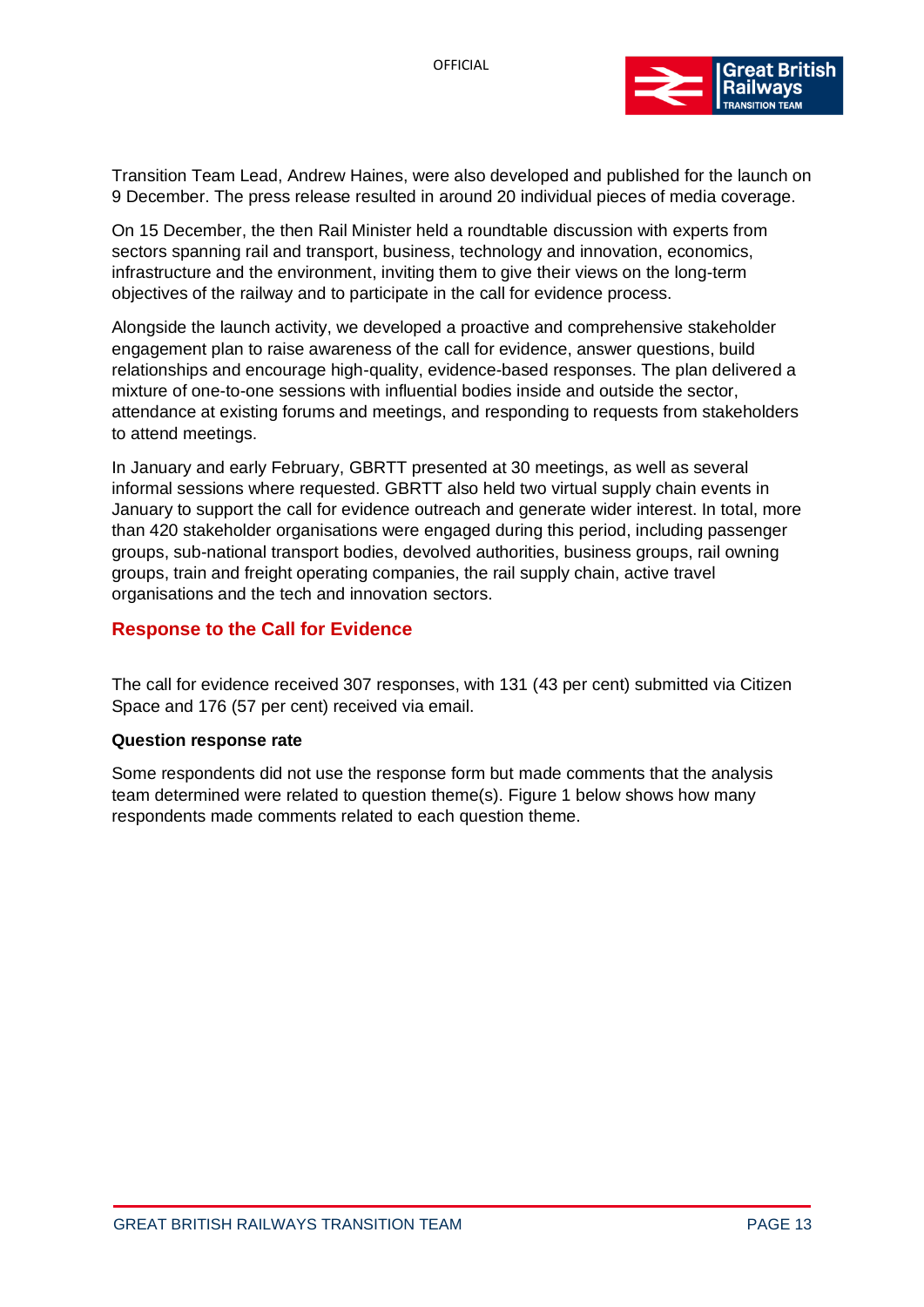

Transition Team Lead, Andrew Haines, were also developed and published for the launch on 9 December. The press release resulted in around 20 individual pieces of media coverage.

On 15 December, the then Rail Minister held a roundtable discussion with experts from sectors spanning rail and transport, business, technology and innovation, economics, infrastructure and the environment, inviting them to give their views on the long-term objectives of the railway and to participate in the call for evidence process.

Alongside the launch activity, we developed a proactive and comprehensive stakeholder engagement plan to raise awareness of the call for evidence, answer questions, build relationships and encourage high-quality, evidence-based responses. The plan delivered a mixture of one-to-one sessions with influential bodies inside and outside the sector, attendance at existing forums and meetings, and responding to requests from stakeholders to attend meetings.

In January and early February, GBRTT presented at 30 meetings, as well as several informal sessions where requested. GBRTT also held two virtual supply chain events in January to support the call for evidence outreach and generate wider interest. In total, more than 420 stakeholder organisations were engaged during this period, including passenger groups, sub-national transport bodies, devolved authorities, business groups, rail owning groups, train and freight operating companies, the rail supply chain, active travel organisations and the tech and innovation sectors.

#### <span id="page-12-0"></span>**Response to the Call for Evidence**

The call for evidence received 307 responses, with 131 (43 per cent) submitted via Citizen Space and 176 (57 per cent) received via email.

#### **Question response rate**

Some respondents did not use the response form but made comments that the analysis team determined were related to question theme(s). Figure 1 below shows how many respondents made comments related to each question theme.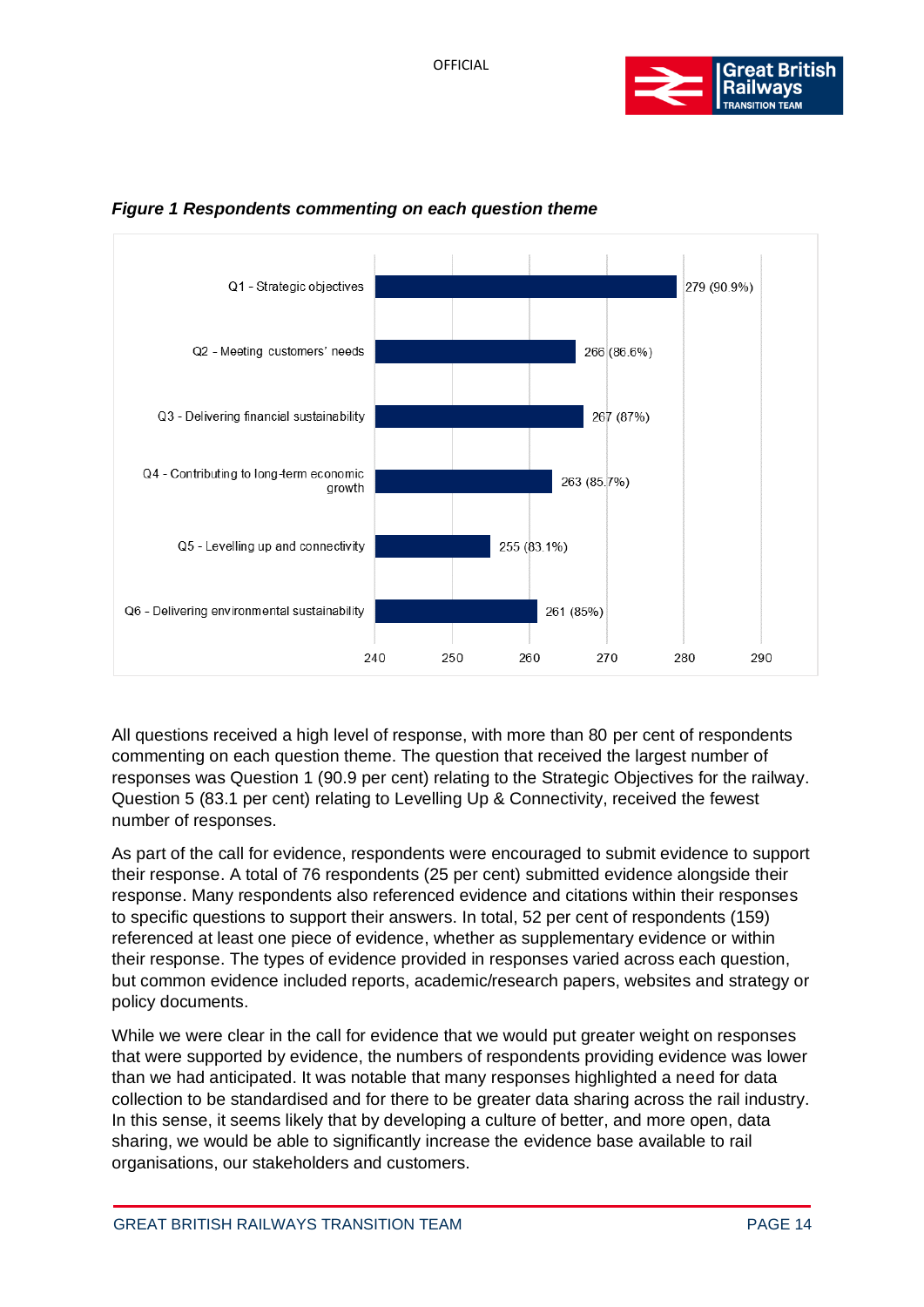





All questions received a high level of response, with more than 80 per cent of respondents commenting on each question theme. The question that received the largest number of responses was Question 1 (90.9 per cent) relating to the Strategic Objectives for the railway. Question 5 (83.1 per cent) relating to Levelling Up & Connectivity, received the fewest number of responses.

As part of the call for evidence, respondents were encouraged to submit evidence to support their response. A total of 76 respondents (25 per cent) submitted evidence alongside their response. Many respondents also referenced evidence and citations within their responses to specific questions to support their answers. In total, 52 per cent of respondents (159) referenced at least one piece of evidence, whether as supplementary evidence or within their response. The types of evidence provided in responses varied across each question, but common evidence included reports, academic/research papers, websites and strategy or policy documents.

While we were clear in the call for evidence that we would put greater weight on responses that were supported by evidence, the numbers of respondents providing evidence was lower than we had anticipated. It was notable that many responses highlighted a need for data collection to be standardised and for there to be greater data sharing across the rail industry. In this sense, it seems likely that by developing a culture of better, and more open, data sharing, we would be able to significantly increase the evidence base available to rail organisations, our stakeholders and customers.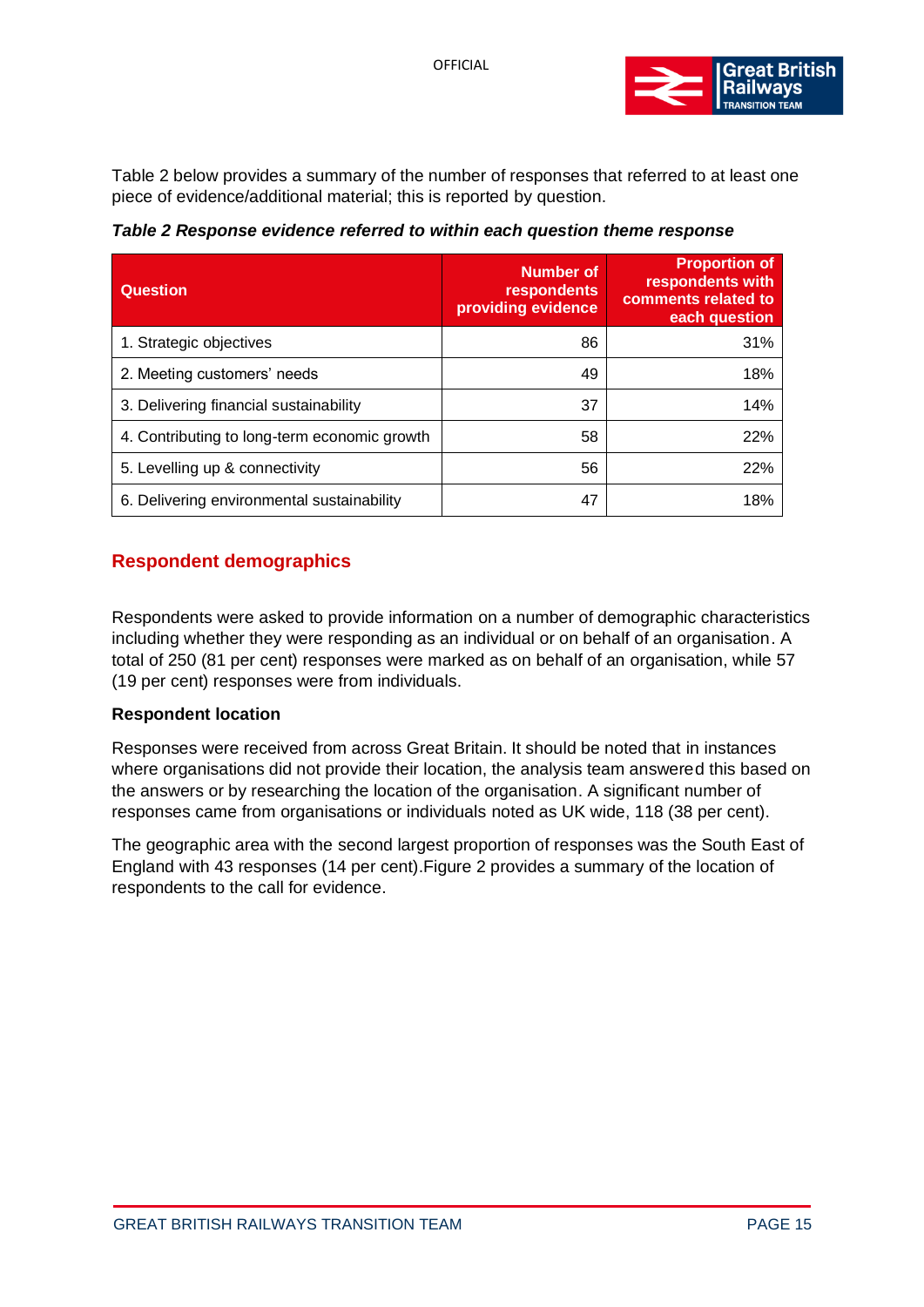

Table 2 below provides a summary of the number of responses that referred to at least one piece of evidence/additional material; this is reported by question.

*Table 2 Response evidence referred to within each question theme response*

| <b>Question</b>                              | Number of<br>respondents<br>providing evidence | <b>Proportion of</b><br>respondents with<br>comments related to<br>each question |
|----------------------------------------------|------------------------------------------------|----------------------------------------------------------------------------------|
| 1. Strategic objectives                      | 86                                             | 31%                                                                              |
| 2. Meeting customers' needs                  | 49                                             | 18%                                                                              |
| 3. Delivering financial sustainability       | 37                                             | 14%                                                                              |
| 4. Contributing to long-term economic growth | 58                                             | 22%                                                                              |
| 5. Levelling up & connectivity               | 56                                             | 22%                                                                              |
| 6. Delivering environmental sustainability   | 47                                             | 18%                                                                              |

# <span id="page-14-0"></span>**Respondent demographics**

Respondents were asked to provide information on a number of demographic characteristics including whether they were responding as an individual or on behalf of an organisation. A total of 250 (81 per cent) responses were marked as on behalf of an organisation, while 57 (19 per cent) responses were from individuals.

#### **Respondent location**

Responses were received from across Great Britain. It should be noted that in instances where organisations did not provide their location, the analysis team answered this based on the answers or by researching the location of the organisation. A significant number of responses came from organisations or individuals noted as UK wide, 118 (38 per cent).

The geographic area with the second largest proportion of responses was the South East of England with 43 responses (14 per cent)[.Figure 2](#page-15-0) provides a summary of the location of respondents to the call for evidence.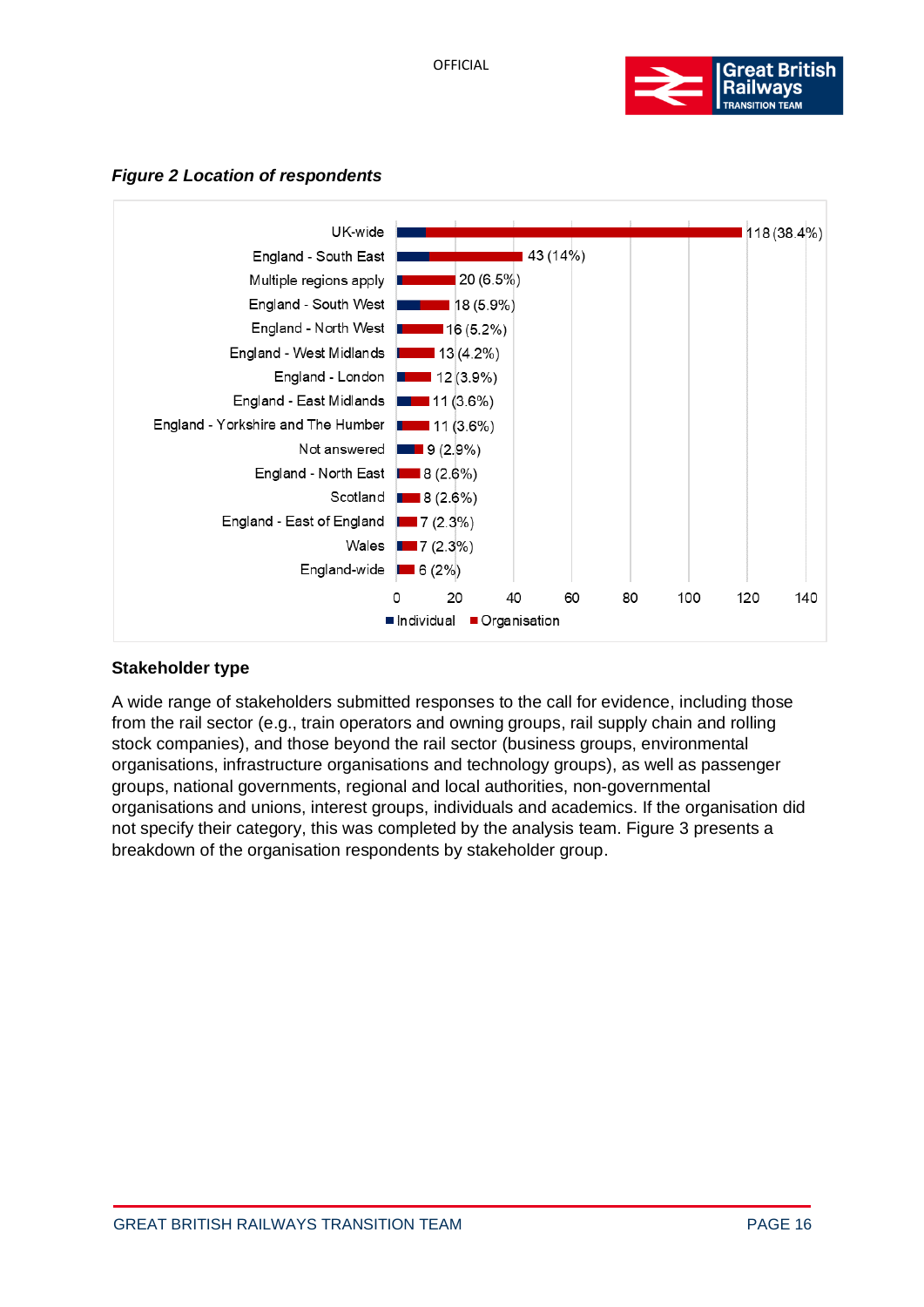

<span id="page-15-0"></span>



#### **Stakeholder type**

A wide range of stakeholders submitted responses to the call for evidence, including those from the rail sector (e.g., train operators and owning groups, rail supply chain and rolling stock companies), and those beyond the rail sector (business groups, environmental organisations, infrastructure organisations and technology groups), as well as passenger groups, national governments, regional and local authorities, non-governmental organisations and unions, interest groups, individuals and academics. If the organisation did not specify their category, this was completed by the analysis team. [Figure 3](#page-16-0) presents a breakdown of the organisation respondents by stakeholder group.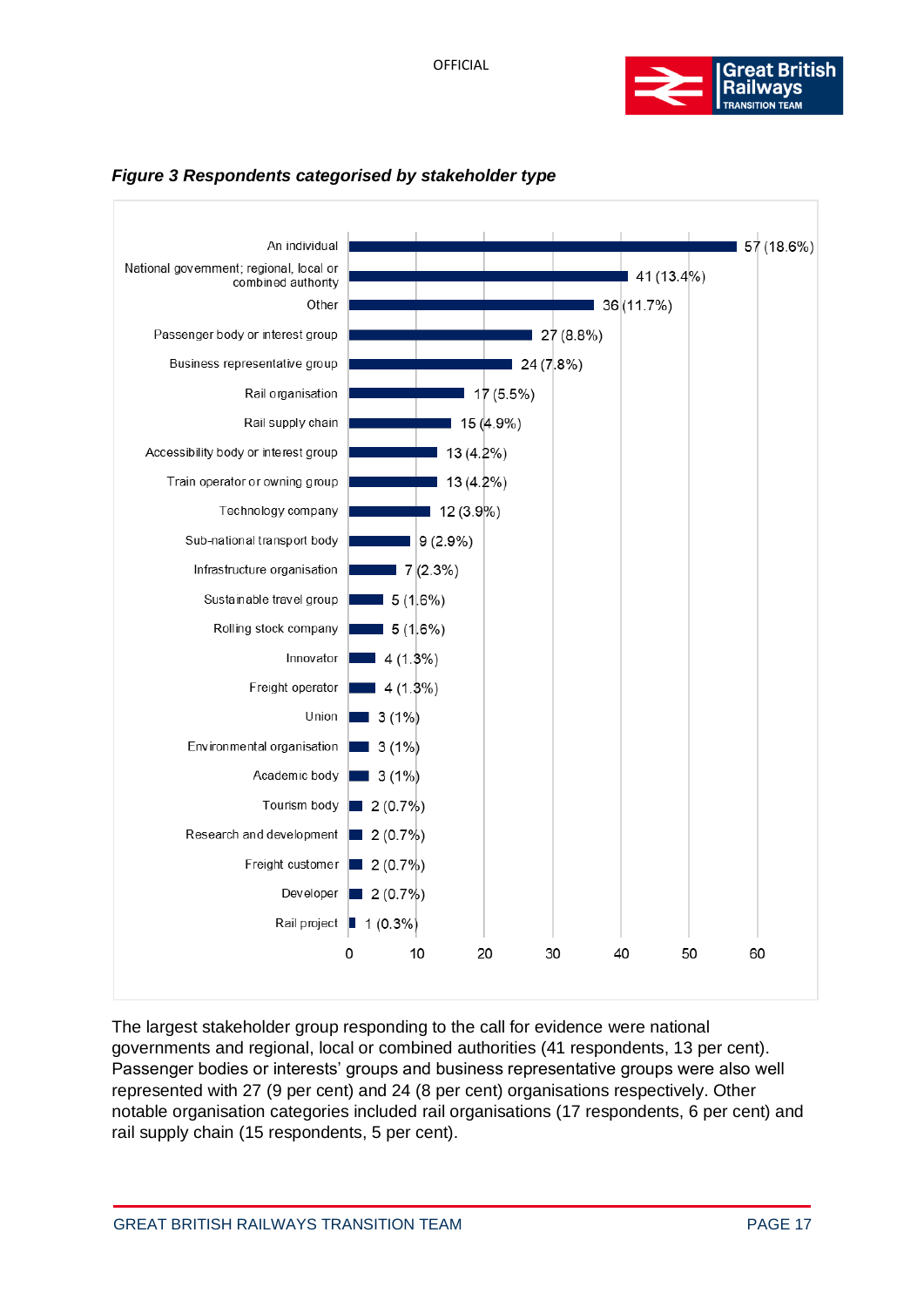



<span id="page-16-0"></span>

The largest stakeholder group responding to the call for evidence were national governments and regional, local or combined authorities (41 respondents, 13 per cent). Passenger bodies or interests' groups and business representative groups were also well represented with 27 (9 per cent) and 24 (8 per cent) organisations respectively. Other notable organisation categories included rail organisations (17 respondents, 6 per cent) and rail supply chain (15 respondents, 5 per cent).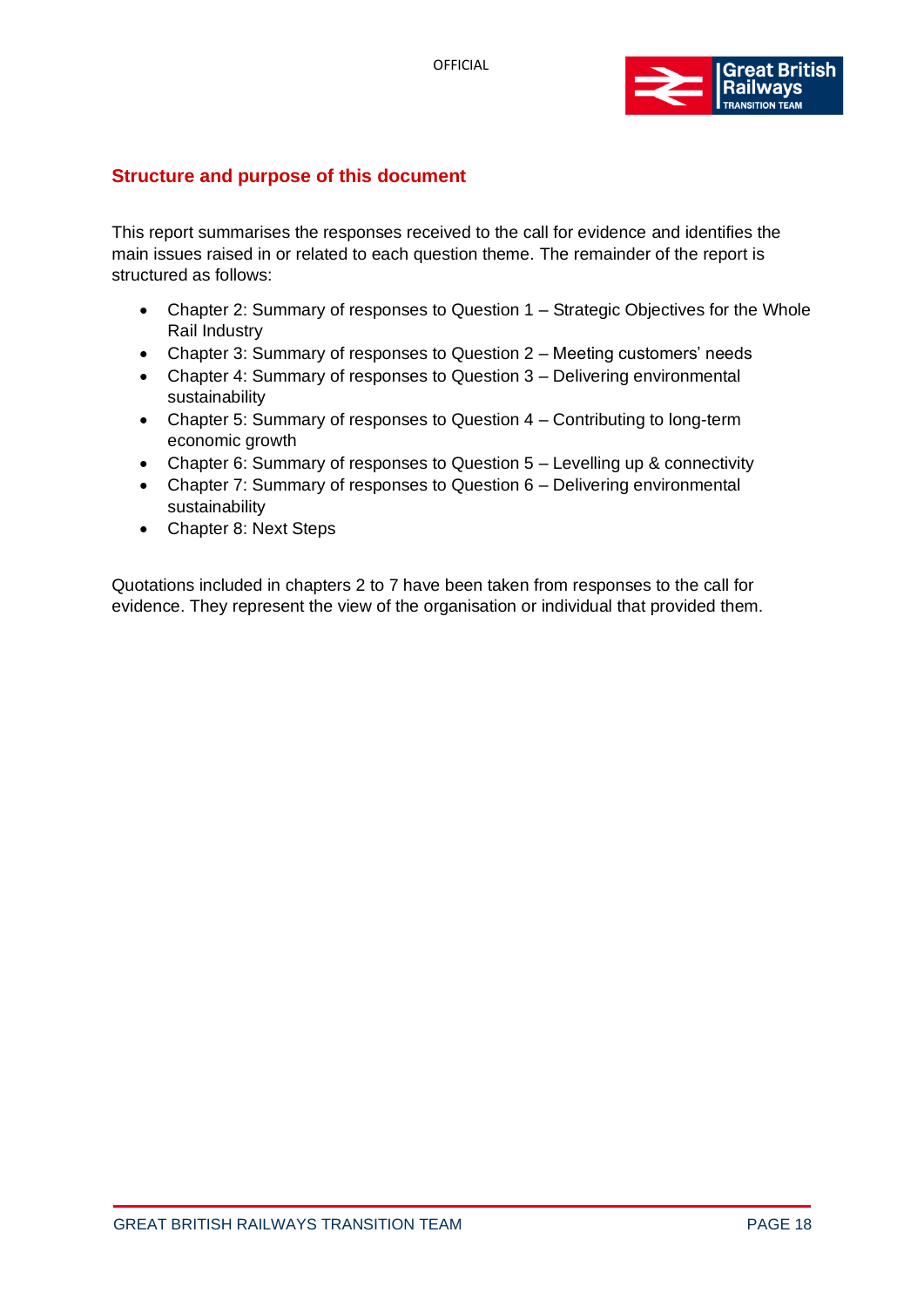

# <span id="page-17-0"></span>**Structure and purpose of this document**

This report summarises the responses received to the call for evidence and identifies the main issues raised in or related to each question theme. The remainder of the report is structured as follows:

- Chapter 2: Summary of responses to Question 1 Strategic Objectives for the Whole Rail Industry
- Chapter 3: Summary of responses to Question 2 Meeting customers' needs
- Chapter 4: Summary of responses to Question 3 Delivering environmental sustainability
- Chapter 5: Summary of responses to Question 4 Contributing to long-term economic growth
- Chapter 6: Summary of responses to Question 5 Levelling up & connectivity
- Chapter 7: Summary of responses to Question 6 Delivering environmental sustainability
- Chapter 8: Next Steps

Quotations included in chapters 2 to 7 have been taken from responses to the call for evidence. They represent the view of the organisation or individual that provided them.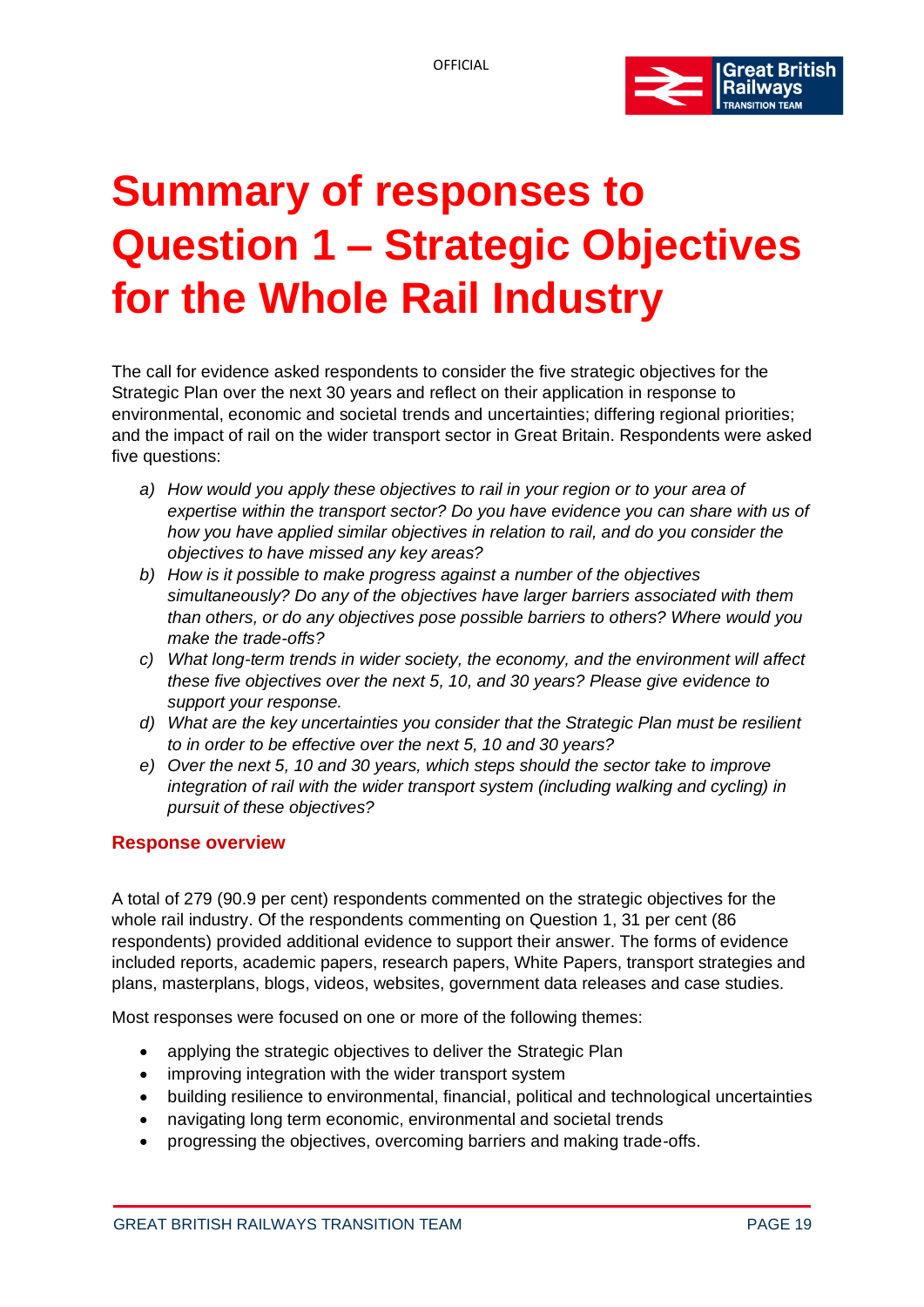

# <span id="page-18-0"></span>**Summary of responses to Question 1 – Strategic Objectives for the Whole Rail Industry**

The call for evidence asked respondents to consider the five strategic objectives for the Strategic Plan over the next 30 years and reflect on their application in response to environmental, economic and societal trends and uncertainties; differing regional priorities; and the impact of rail on the wider transport sector in Great Britain. Respondents were asked five questions:

- *a) How would you apply these objectives to rail in your region or to your area of expertise within the transport sector? Do you have evidence you can share with us of how you have applied similar objectives in relation to rail, and do you consider the objectives to have missed any key areas?*
- *b) How is it possible to make progress against a number of the objectives simultaneously? Do any of the objectives have larger barriers associated with them than others, or do any objectives pose possible barriers to others? Where would you make the trade-offs?*
- *c) What long-term trends in wider society, the economy, and the environment will affect these five objectives over the next 5, 10, and 30 years? Please give evidence to support your response.*
- *d) What are the key uncertainties you consider that the Strategic Plan must be resilient to in order to be effective over the next 5, 10 and 30 years?*
- *e) Over the next 5, 10 and 30 years, which steps should the sector take to improve integration of rail with the wider transport system (including walking and cycling) in pursuit of these objectives?*

# <span id="page-18-1"></span>**Response overview**

A total of 279 (90.9 per cent) respondents commented on the strategic objectives for the whole rail industry. Of the respondents commenting on Question 1, 31 per cent (86 respondents) provided additional evidence to support their answer. The forms of evidence included reports, academic papers, research papers, White Papers, transport strategies and plans, masterplans, blogs, videos, websites, government data releases and case studies.

Most responses were focused on one or more of the following themes:

- applying the strategic objectives to deliver the Strategic Plan
- improving integration with the wider transport system
- building resilience to environmental, financial, political and technological uncertainties
- navigating long term economic, environmental and societal trends
- progressing the objectives, overcoming barriers and making trade-offs.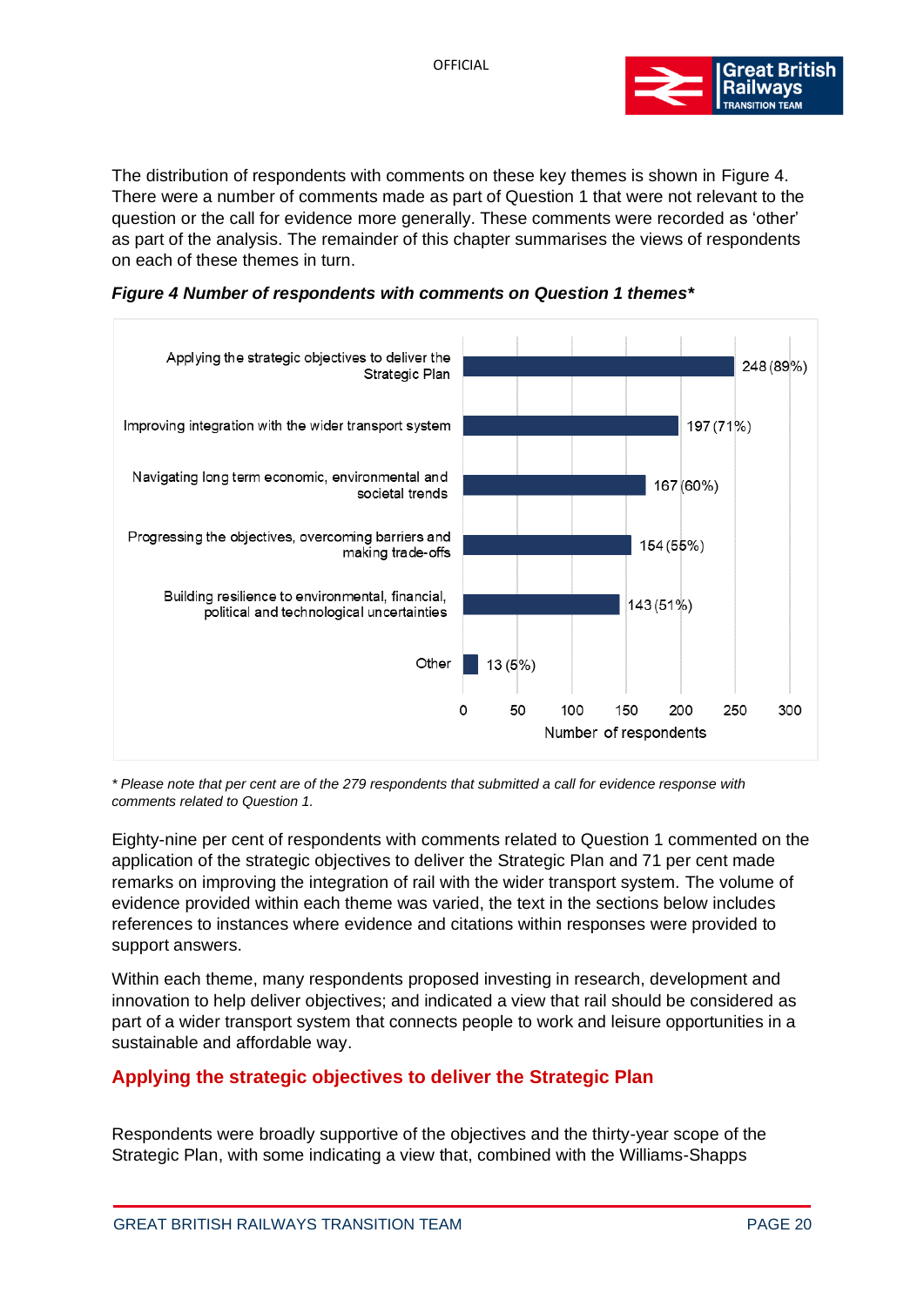

The distribution of respondents with comments on these key themes is shown in Figure 4. There were a number of comments made as part of Question 1 that were not relevant to the question or the call for evidence more generally. These comments were recorded as 'other' as part of the analysis. The remainder of this chapter summarises the views of respondents on each of these themes in turn.

*Figure 4 Number of respondents with comments on Question 1 themes\**



*\* Please note that per cent are of the 279 respondents that submitted a call for evidence response with comments related to Question 1.*

Eighty-nine per cent of respondents with comments related to Question 1 commented on the application of the strategic objectives to deliver the Strategic Plan and 71 per cent made remarks on improving the integration of rail with the wider transport system. The volume of evidence provided within each theme was varied, the text in the sections below includes references to instances where evidence and citations within responses were provided to support answers.

Within each theme, many respondents proposed investing in research, development and innovation to help deliver objectives; and indicated a view that rail should be considered as part of a wider transport system that connects people to work and leisure opportunities in a sustainable and affordable way.

# **Applying the strategic objectives to deliver the Strategic Plan**

Respondents were broadly supportive of the objectives and the thirty-year scope of the Strategic Plan, with some indicating a view that, combined with the Williams-Shapps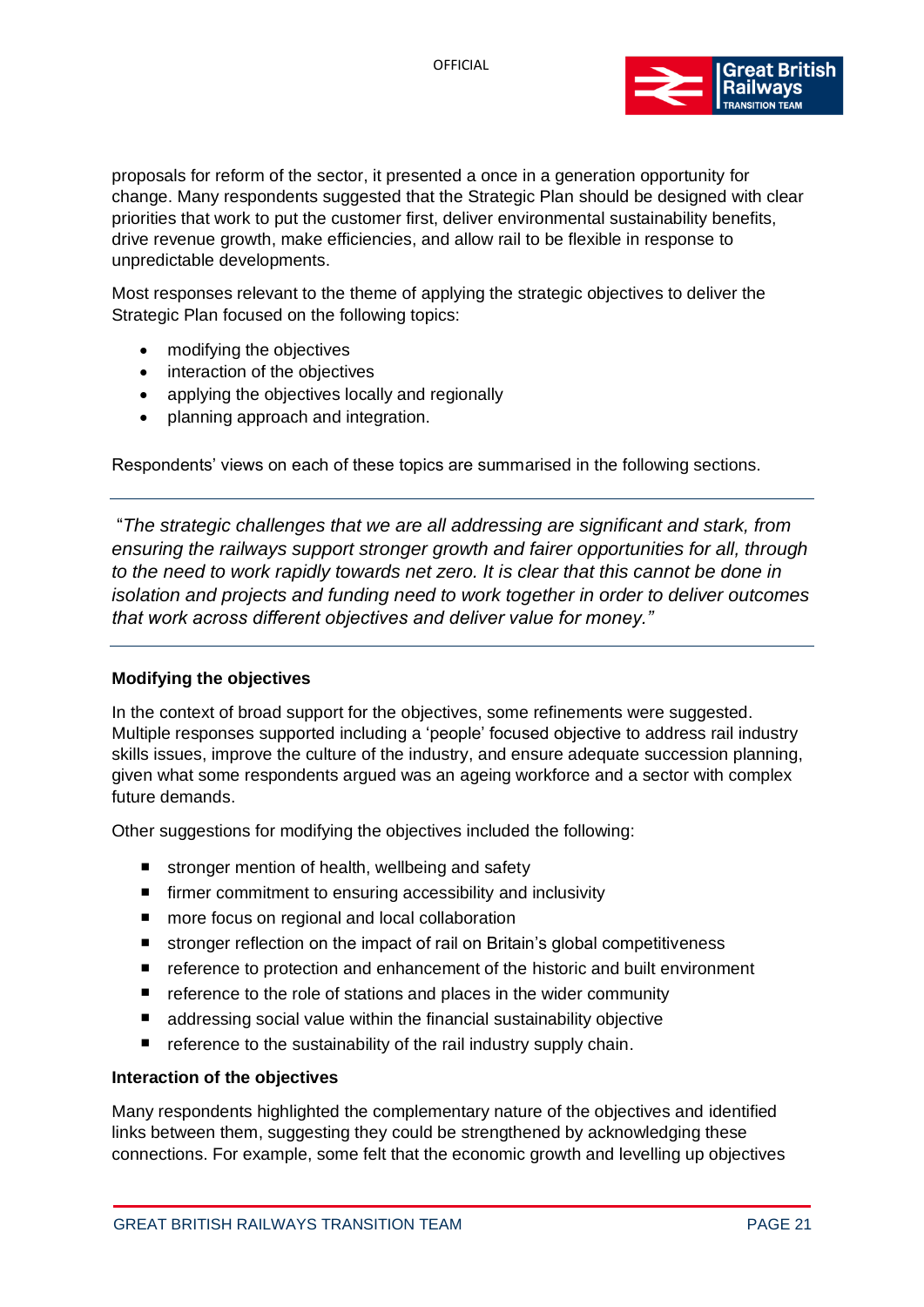

proposals for reform of the sector, it presented a once in a generation opportunity for change. Many respondents suggested that the Strategic Plan should be designed with clear priorities that work to put the customer first, deliver environmental sustainability benefits, drive revenue growth, make efficiencies, and allow rail to be flexible in response to unpredictable developments.

Most responses relevant to the theme of applying the strategic objectives to deliver the Strategic Plan focused on the following topics:

- modifying the objectives
- interaction of the objectives
- applying the objectives locally and regionally
- planning approach and integration.

Respondents' views on each of these topics are summarised in the following sections.

"*The strategic challenges that we are all addressing are significant and stark, from ensuring the railways support stronger growth and fairer opportunities for all, through to the need to work rapidly towards net zero. It is clear that this cannot be done in isolation and projects and funding need to work together in order to deliver outcomes that work across different objectives and deliver value for money."*

#### **Modifying the objectives**

In the context of broad support for the objectives, some refinements were suggested. Multiple responses supported including a 'people' focused objective to address rail industry skills issues, improve the culture of the industry, and ensure adequate succession planning, given what some respondents argued was an ageing workforce and a sector with complex future demands.

Other suggestions for modifying the objectives included the following:

- stronger mention of health, wellbeing and safety
- firmer commitment to ensuring accessibility and inclusivity
- more focus on regional and local collaboration
- stronger reflection on the impact of rail on Britain's global competitiveness
- reference to protection and enhancement of the historic and built environment
- reference to the role of stations and places in the wider community
- addressing social value within the financial sustainability objective
- $\blacksquare$  reference to the sustainability of the rail industry supply chain.

#### **Interaction of the objectives**

Many respondents highlighted the complementary nature of the objectives and identified links between them, suggesting they could be strengthened by acknowledging these connections. For example, some felt that the economic growth and levelling up objectives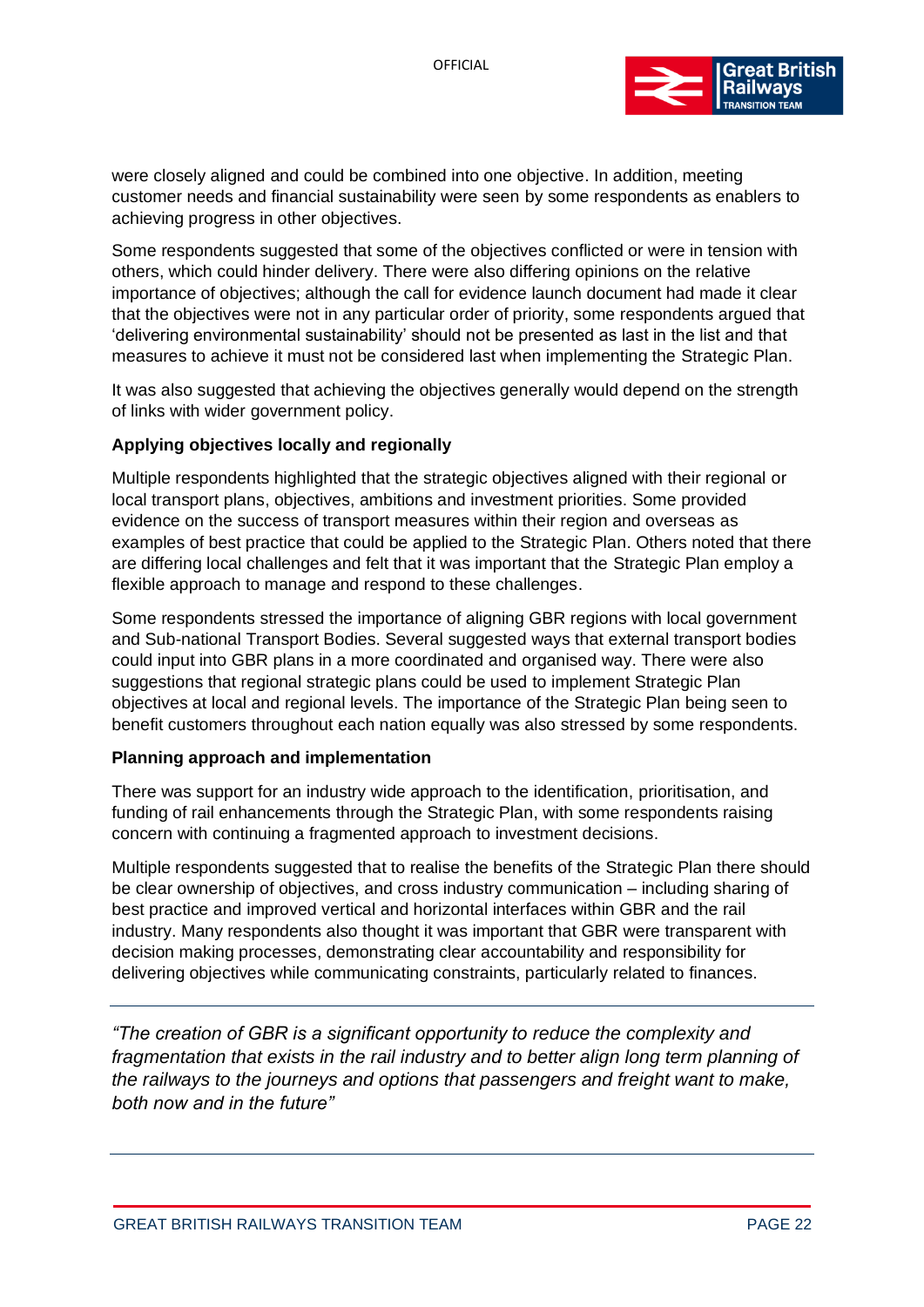

were closely aligned and could be combined into one objective. In addition, meeting customer needs and financial sustainability were seen by some respondents as enablers to achieving progress in other objectives.

Some respondents suggested that some of the objectives conflicted or were in tension with others, which could hinder delivery. There were also differing opinions on the relative importance of objectives; although the call for evidence launch document had made it clear that the objectives were not in any particular order of priority, some respondents argued that 'delivering environmental sustainability' should not be presented as last in the list and that measures to achieve it must not be considered last when implementing the Strategic Plan.

It was also suggested that achieving the objectives generally would depend on the strength of links with wider government policy.

#### **Applying objectives locally and regionally**

Multiple respondents highlighted that the strategic objectives aligned with their regional or local transport plans, objectives, ambitions and investment priorities. Some provided evidence on the success of transport measures within their region and overseas as examples of best practice that could be applied to the Strategic Plan. Others noted that there are differing local challenges and felt that it was important that the Strategic Plan employ a flexible approach to manage and respond to these challenges.

Some respondents stressed the importance of aligning GBR regions with local government and Sub-national Transport Bodies. Several suggested ways that external transport bodies could input into GBR plans in a more coordinated and organised way. There were also suggestions that regional strategic plans could be used to implement Strategic Plan objectives at local and regional levels. The importance of the Strategic Plan being seen to benefit customers throughout each nation equally was also stressed by some respondents.

#### **Planning approach and implementation**

There was support for an industry wide approach to the identification, prioritisation, and funding of rail enhancements through the Strategic Plan, with some respondents raising concern with continuing a fragmented approach to investment decisions.

Multiple respondents suggested that to realise the benefits of the Strategic Plan there should be clear ownership of objectives, and cross industry communication – including sharing of best practice and improved vertical and horizontal interfaces within GBR and the rail industry. Many respondents also thought it was important that GBR were transparent with decision making processes, demonstrating clear accountability and responsibility for delivering objectives while communicating constraints, particularly related to finances.

*"The creation of GBR is a significant opportunity to reduce the complexity and fragmentation that exists in the rail industry and to better align long term planning of the railways to the journeys and options that passengers and freight want to make, both now and in the future"*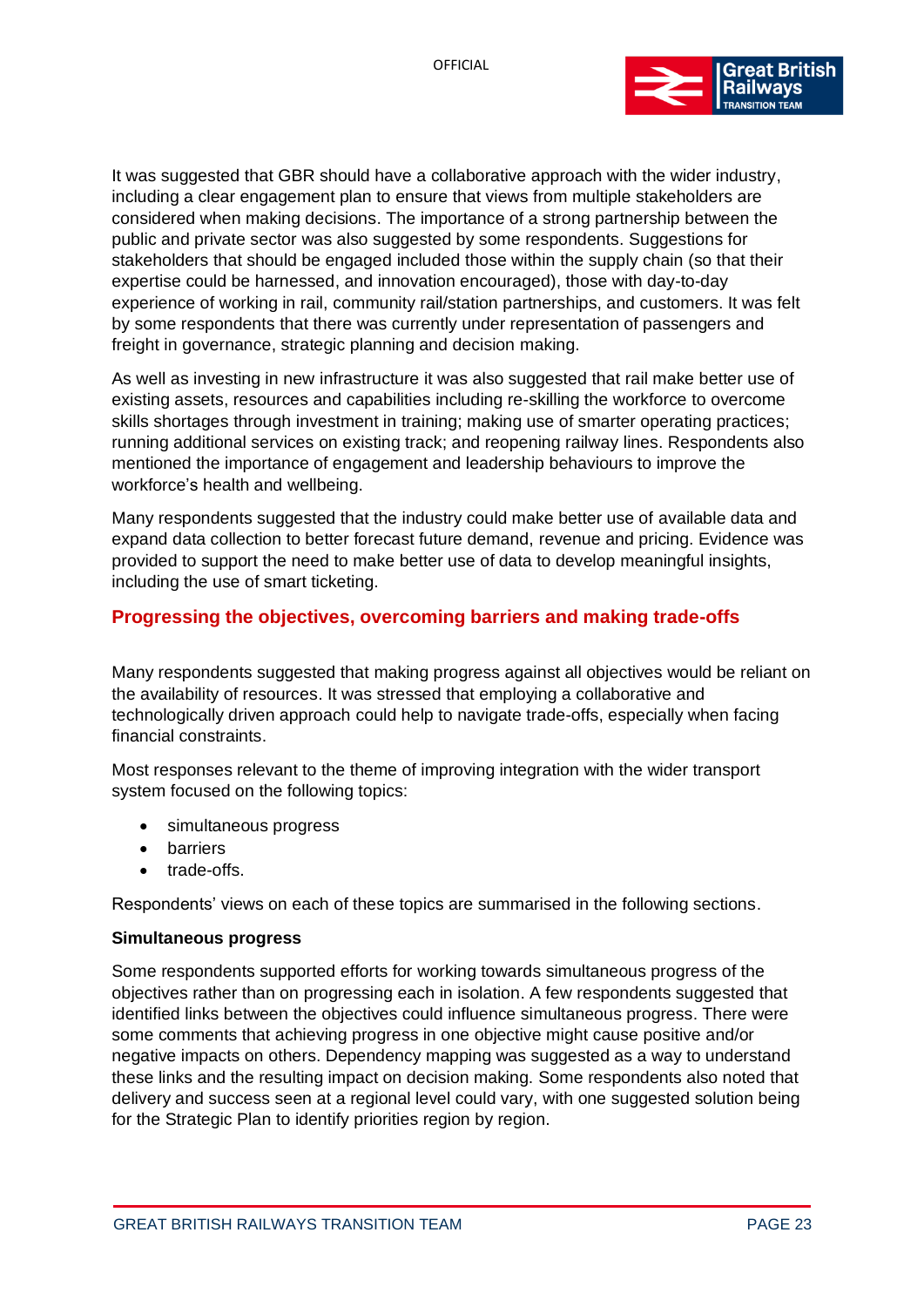

It was suggested that GBR should have a collaborative approach with the wider industry, including a clear engagement plan to ensure that views from multiple stakeholders are considered when making decisions. The importance of a strong partnership between the public and private sector was also suggested by some respondents. Suggestions for stakeholders that should be engaged included those within the supply chain (so that their expertise could be harnessed, and innovation encouraged), those with day-to-day experience of working in rail, community rail/station partnerships, and customers. It was felt by some respondents that there was currently under representation of passengers and freight in governance, strategic planning and decision making.

As well as investing in new infrastructure it was also suggested that rail make better use of existing assets, resources and capabilities including re-skilling the workforce to overcome skills shortages through investment in training; making use of smarter operating practices; running additional services on existing track; and reopening railway lines. Respondents also mentioned the importance of engagement and leadership behaviours to improve the workforce's health and wellbeing.

Many respondents suggested that the industry could make better use of available data and expand data collection to better forecast future demand, revenue and pricing. Evidence was provided to support the need to make better use of data to develop meaningful insights, including the use of smart ticketing.

# <span id="page-22-0"></span>**Progressing the objectives, overcoming barriers and making trade-offs**

Many respondents suggested that making progress against all objectives would be reliant on the availability of resources. It was stressed that employing a collaborative and technologically driven approach could help to navigate trade-offs, especially when facing financial constraints.

Most responses relevant to the theme of improving integration with the wider transport system focused on the following topics:

- simultaneous progress
- barriers
- trade-offs.

Respondents' views on each of these topics are summarised in the following sections.

#### **Simultaneous progress**

Some respondents supported efforts for working towards simultaneous progress of the objectives rather than on progressing each in isolation. A few respondents suggested that identified links between the objectives could influence simultaneous progress. There were some comments that achieving progress in one objective might cause positive and/or negative impacts on others. Dependency mapping was suggested as a way to understand these links and the resulting impact on decision making. Some respondents also noted that delivery and success seen at a regional level could vary, with one suggested solution being for the Strategic Plan to identify priorities region by region.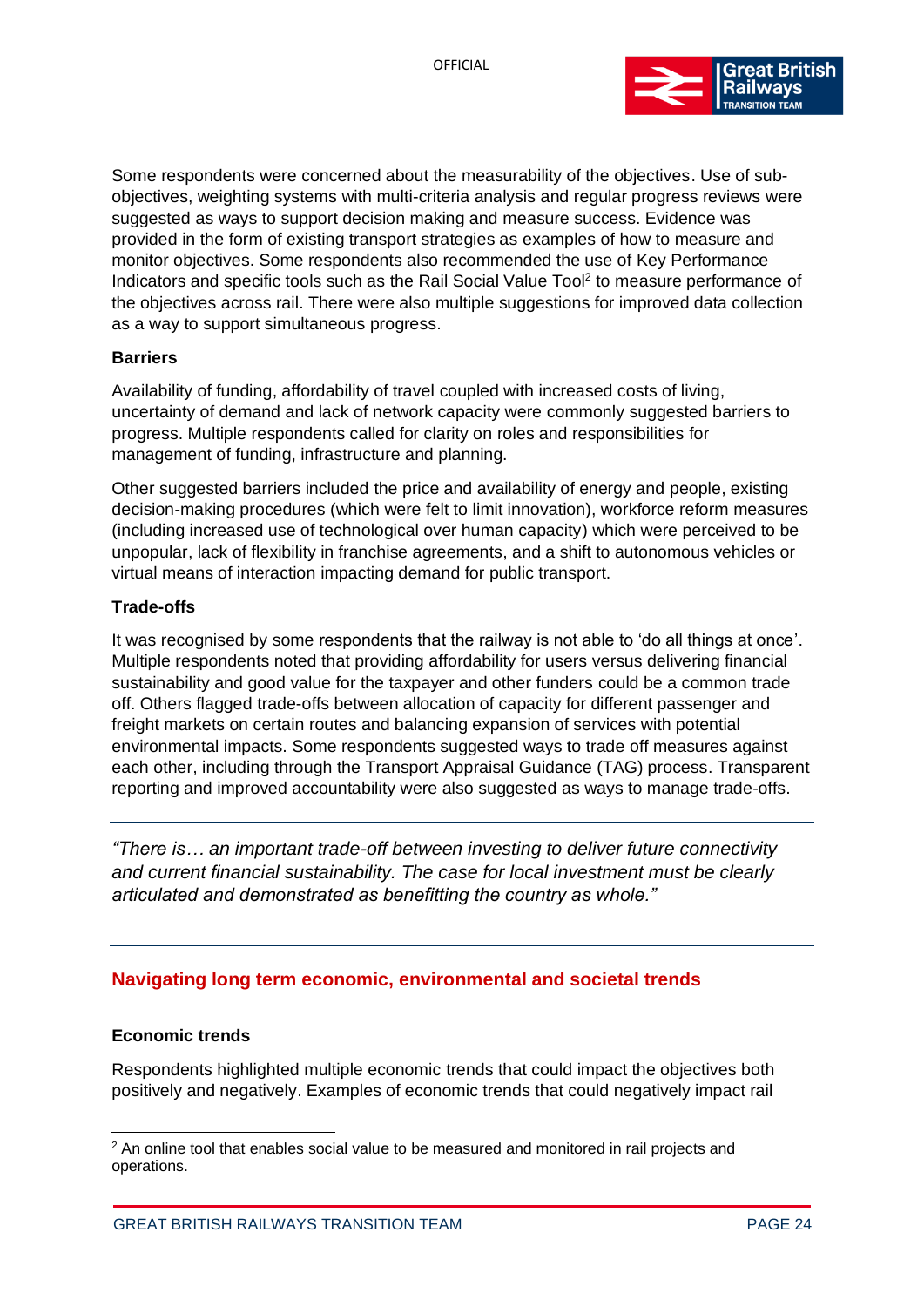

Some respondents were concerned about the measurability of the objectives. Use of subobjectives, weighting systems with multi-criteria analysis and regular progress reviews were suggested as ways to support decision making and measure success. Evidence was provided in the form of existing transport strategies as examples of how to measure and monitor objectives. Some respondents also recommended the use of Key Performance Indicators and specific tools such as the Rail Social Value Tool<sup>2</sup> to measure performance of the objectives across rail. There were also multiple suggestions for improved data collection as a way to support simultaneous progress.

#### **Barriers**

Availability of funding, affordability of travel coupled with increased costs of living, uncertainty of demand and lack of network capacity were commonly suggested barriers to progress. Multiple respondents called for clarity on roles and responsibilities for management of funding, infrastructure and planning.

Other suggested barriers included the price and availability of energy and people, existing decision-making procedures (which were felt to limit innovation), workforce reform measures (including increased use of technological over human capacity) which were perceived to be unpopular, lack of flexibility in franchise agreements, and a shift to autonomous vehicles or virtual means of interaction impacting demand for public transport.

#### **Trade-offs**

It was recognised by some respondents that the railway is not able to 'do all things at once'. Multiple respondents noted that providing affordability for users versus delivering financial sustainability and good value for the taxpayer and other funders could be a common trade off. Others flagged trade-offs between allocation of capacity for different passenger and freight markets on certain routes and balancing expansion of services with potential environmental impacts. Some respondents suggested ways to trade off measures against each other, including through the Transport Appraisal Guidance (TAG) process. Transparent reporting and improved accountability were also suggested as ways to manage trade-offs.

*"There is… an important trade-off between investing to deliver future connectivity and current financial sustainability. The case for local investment must be clearly articulated and demonstrated as benefitting the country as whole."*

# <span id="page-23-0"></span>**Navigating long term economic, environmental and societal trends**

#### **Economic trends**

Respondents highlighted multiple economic trends that could impact the objectives both positively and negatively. Examples of economic trends that could negatively impact rail

 $2$  An online tool that enables social value to be measured and monitored in rail projects and operations.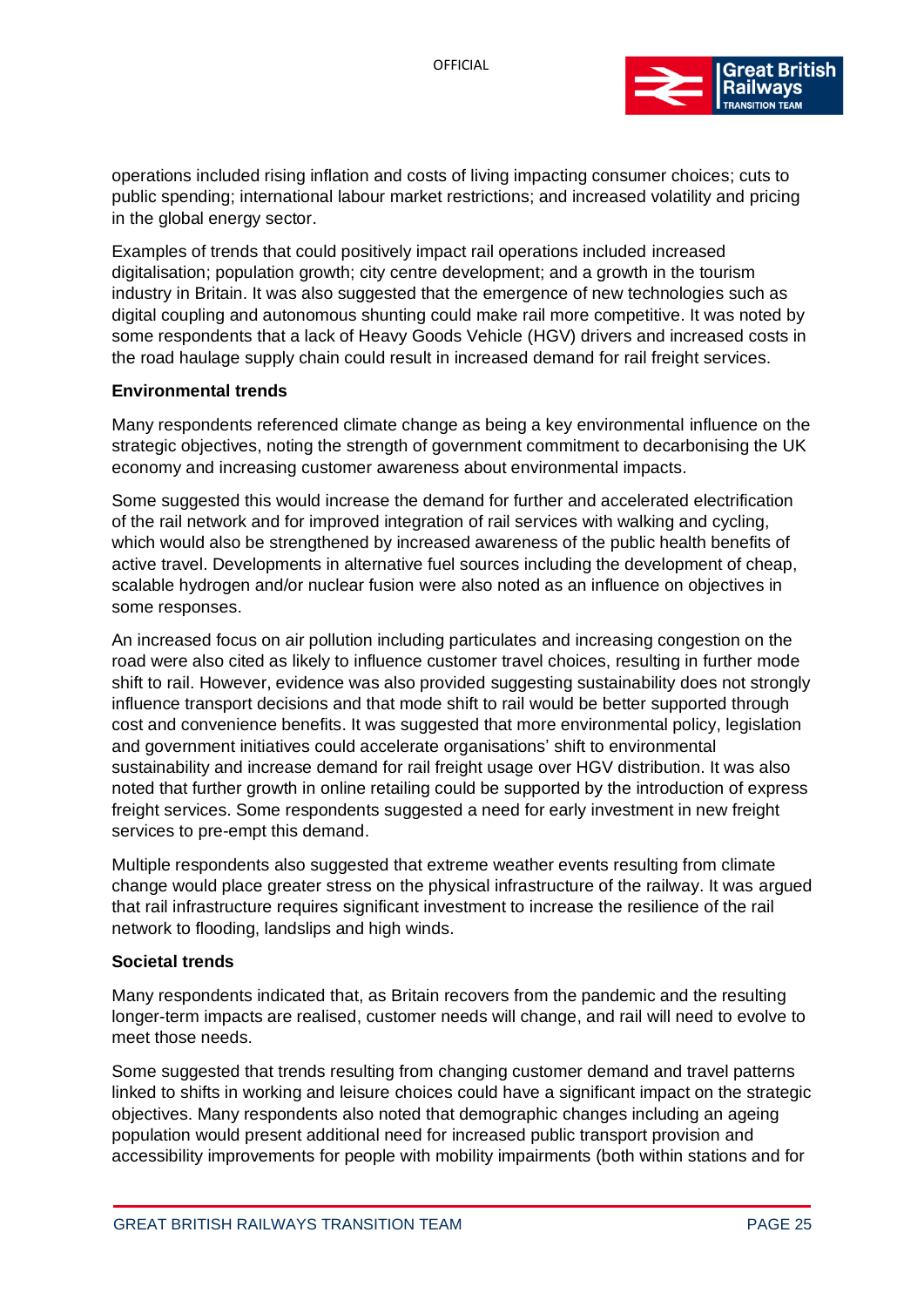

operations included rising inflation and costs of living impacting consumer choices; cuts to public spending; international labour market restrictions; and increased volatility and pricing in the global energy sector.

Examples of trends that could positively impact rail operations included increased digitalisation; population growth; city centre development; and a growth in the tourism industry in Britain. It was also suggested that the emergence of new technologies such as digital coupling and autonomous shunting could make rail more competitive. It was noted by some respondents that a lack of Heavy Goods Vehicle (HGV) drivers and increased costs in the road haulage supply chain could result in increased demand for rail freight services.

#### **Environmental trends**

Many respondents referenced climate change as being a key environmental influence on the strategic objectives, noting the strength of government commitment to decarbonising the UK economy and increasing customer awareness about environmental impacts.

Some suggested this would increase the demand for further and accelerated electrification of the rail network and for improved integration of rail services with walking and cycling, which would also be strengthened by increased awareness of the public health benefits of active travel. Developments in alternative fuel sources including the development of cheap, scalable hydrogen and/or nuclear fusion were also noted as an influence on objectives in some responses.

An increased focus on air pollution including particulates and increasing congestion on the road were also cited as likely to influence customer travel choices, resulting in further mode shift to rail. However, evidence was also provided suggesting sustainability does not strongly influence transport decisions and that mode shift to rail would be better supported through cost and convenience benefits. It was suggested that more environmental policy, legislation and government initiatives could accelerate organisations' shift to environmental sustainability and increase demand for rail freight usage over HGV distribution. It was also noted that further growth in online retailing could be supported by the introduction of express freight services. Some respondents suggested a need for early investment in new freight services to pre-empt this demand.

Multiple respondents also suggested that extreme weather events resulting from climate change would place greater stress on the physical infrastructure of the railway. It was argued that rail infrastructure requires significant investment to increase the resilience of the rail network to flooding, landslips and high winds.

#### **Societal trends**

Many respondents indicated that, as Britain recovers from the pandemic and the resulting longer-term impacts are realised, customer needs will change, and rail will need to evolve to meet those needs.

Some suggested that trends resulting from changing customer demand and travel patterns linked to shifts in working and leisure choices could have a significant impact on the strategic objectives. Many respondents also noted that demographic changes including an ageing population would present additional need for increased public transport provision and accessibility improvements for people with mobility impairments (both within stations and for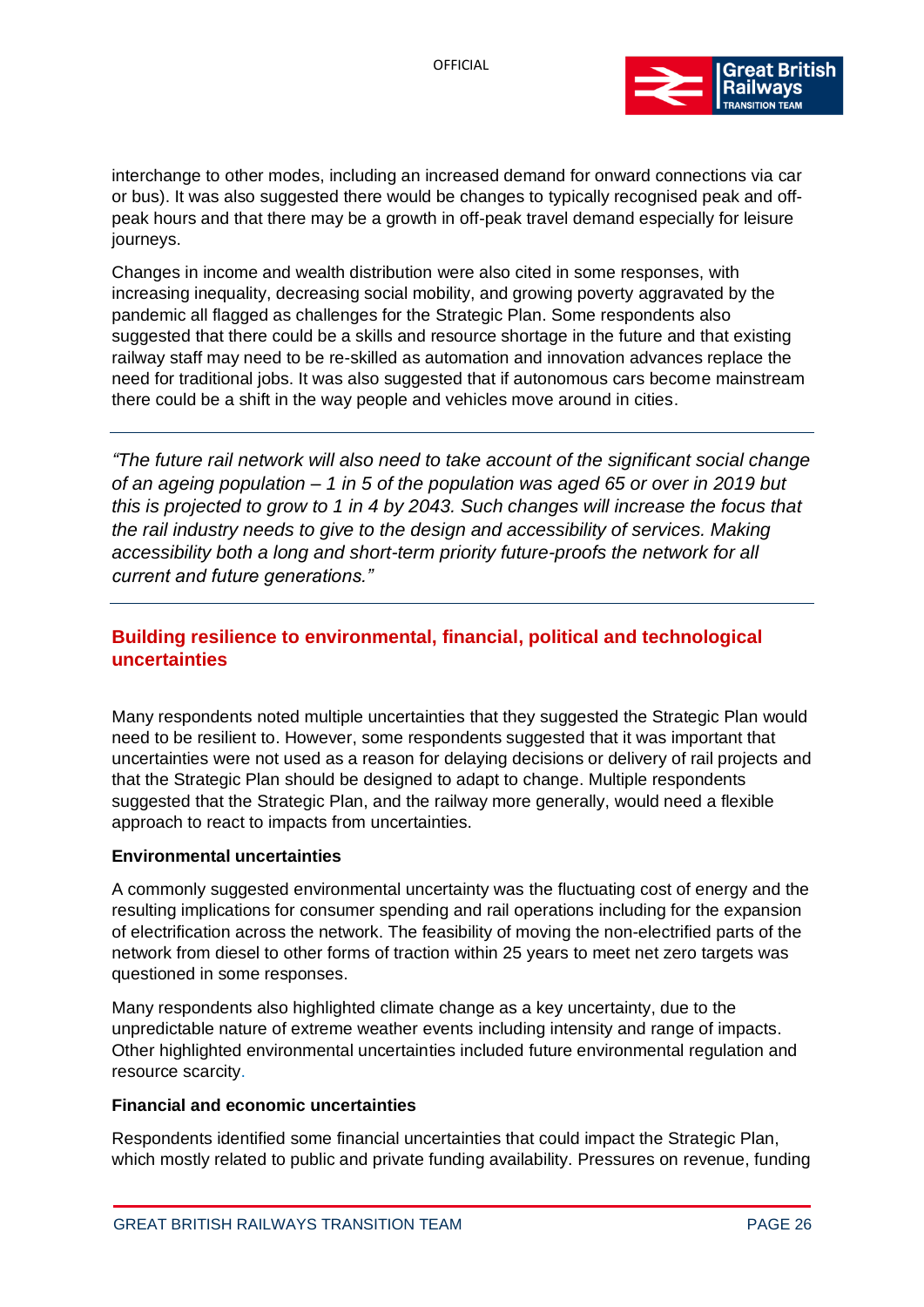

interchange to other modes, including an increased demand for onward connections via car or bus). It was also suggested there would be changes to typically recognised peak and offpeak hours and that there may be a growth in off-peak travel demand especially for leisure journeys.

Changes in income and wealth distribution were also cited in some responses, with increasing inequality, decreasing social mobility, and growing poverty aggravated by the pandemic all flagged as challenges for the Strategic Plan. Some respondents also suggested that there could be a skills and resource shortage in the future and that existing railway staff may need to be re-skilled as automation and innovation advances replace the need for traditional jobs. It was also suggested that if autonomous cars become mainstream there could be a shift in the way people and vehicles move around in cities.

*"The future rail network will also need to take account of the significant social change of an ageing population – 1 in 5 of the population was aged 65 or over in 2019 but this is projected to grow to 1 in 4 by 2043. Such changes will increase the focus that the rail industry needs to give to the design and accessibility of services. Making accessibility both a long and short-term priority future-proofs the network for all current and future generations."*

# <span id="page-25-0"></span>**Building resilience to environmental, financial, political and technological uncertainties**

Many respondents noted multiple uncertainties that they suggested the Strategic Plan would need to be resilient to. However, some respondents suggested that it was important that uncertainties were not used as a reason for delaying decisions or delivery of rail projects and that the Strategic Plan should be designed to adapt to change. Multiple respondents suggested that the Strategic Plan, and the railway more generally, would need a flexible approach to react to impacts from uncertainties.

#### **Environmental uncertainties**

A commonly suggested environmental uncertainty was the fluctuating cost of energy and the resulting implications for consumer spending and rail operations including for the expansion of electrification across the network. The feasibility of moving the non-electrified parts of the network from diesel to other forms of traction within 25 years to meet net zero targets was questioned in some responses.

Many respondents also highlighted climate change as a key uncertainty, due to the unpredictable nature of extreme weather events including intensity and range of impacts. Other highlighted environmental uncertainties included future environmental regulation and resource scarcity.

#### **Financial and economic uncertainties**

Respondents identified some financial uncertainties that could impact the Strategic Plan, which mostly related to public and private funding availability. Pressures on revenue, funding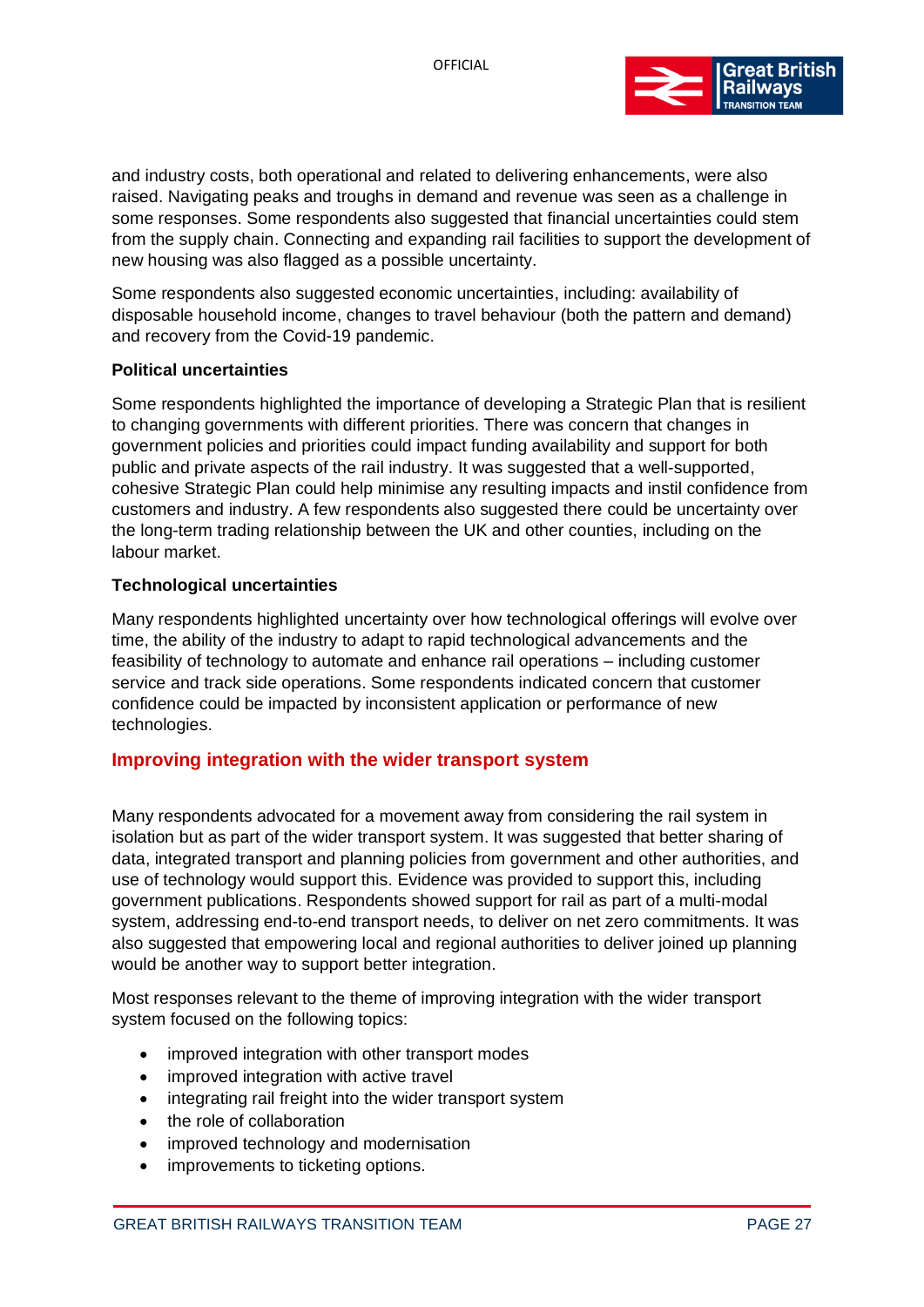

and industry costs, both operational and related to delivering enhancements, were also raised. Navigating peaks and troughs in demand and revenue was seen as a challenge in some responses. Some respondents also suggested that financial uncertainties could stem from the supply chain. Connecting and expanding rail facilities to support the development of new housing was also flagged as a possible uncertainty.

Some respondents also suggested economic uncertainties, including: availability of disposable household income, changes to travel behaviour (both the pattern and demand) and recovery from the Covid-19 pandemic.

#### **Political uncertainties**

Some respondents highlighted the importance of developing a Strategic Plan that is resilient to changing governments with different priorities. There was concern that changes in government policies and priorities could impact funding availability and support for both public and private aspects of the rail industry. It was suggested that a well-supported, cohesive Strategic Plan could help minimise any resulting impacts and instil confidence from customers and industry. A few respondents also suggested there could be uncertainty over the long-term trading relationship between the UK and other counties, including on the labour market.

#### **Technological uncertainties**

Many respondents highlighted uncertainty over how technological offerings will evolve over time, the ability of the industry to adapt to rapid technological advancements and the feasibility of technology to automate and enhance rail operations – including customer service and track side operations. Some respondents indicated concern that customer confidence could be impacted by inconsistent application or performance of new technologies.

### <span id="page-26-0"></span>**Improving integration with the wider transport system**

Many respondents advocated for a movement away from considering the rail system in isolation but as part of the wider transport system. It was suggested that better sharing of data, integrated transport and planning policies from government and other authorities, and use of technology would support this. Evidence was provided to support this, including government publications. Respondents showed support for rail as part of a multi-modal system, addressing end-to-end transport needs, to deliver on net zero commitments. It was also suggested that empowering local and regional authorities to deliver joined up planning would be another way to support better integration.

Most responses relevant to the theme of improving integration with the wider transport system focused on the following topics:

- improved integration with other transport modes
- improved integration with active travel
- integrating rail freight into the wider transport system
- the role of collaboration
- improved technology and modernisation
- improvements to ticketing options.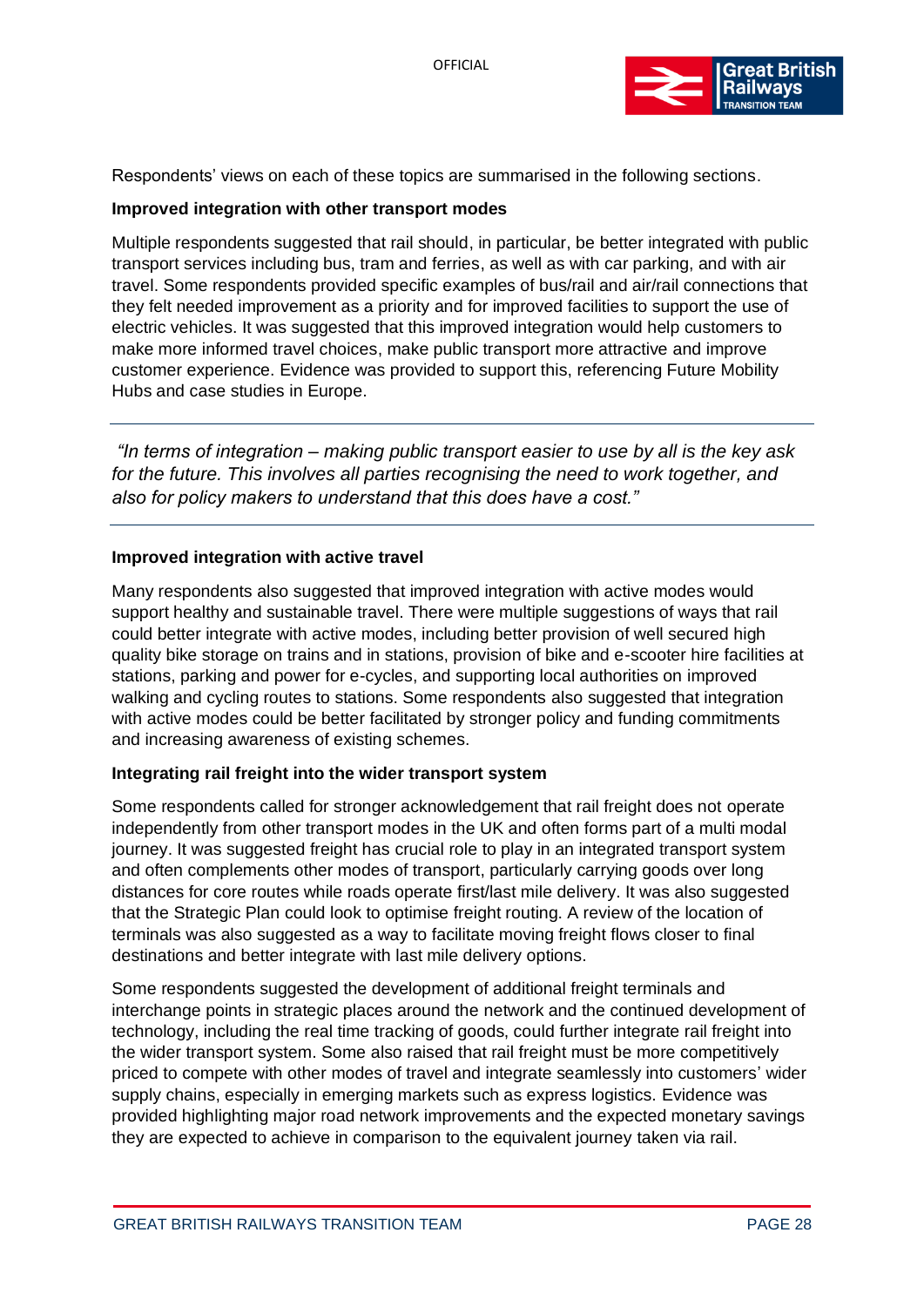

Respondents' views on each of these topics are summarised in the following sections.

#### **Improved integration with other transport modes**

Multiple respondents suggested that rail should, in particular, be better integrated with public transport services including bus, tram and ferries, as well as with car parking, and with air travel. Some respondents provided specific examples of bus/rail and air/rail connections that they felt needed improvement as a priority and for improved facilities to support the use of electric vehicles. It was suggested that this improved integration would help customers to make more informed travel choices, make public transport more attractive and improve customer experience. Evidence was provided to support this, referencing Future Mobility Hubs and case studies in Europe.

*"In terms of integration – making public transport easier to use by all is the key ask for the future. This involves all parties recognising the need to work together, and also for policy makers to understand that this does have a cost."*

#### **Improved integration with active travel**

Many respondents also suggested that improved integration with active modes would support healthy and sustainable travel. There were multiple suggestions of ways that rail could better integrate with active modes, including better provision of well secured high quality bike storage on trains and in stations, provision of bike and e-scooter hire facilities at stations, parking and power for e-cycles, and supporting local authorities on improved walking and cycling routes to stations. Some respondents also suggested that integration with active modes could be better facilitated by stronger policy and funding commitments and increasing awareness of existing schemes.

#### **Integrating rail freight into the wider transport system**

Some respondents called for stronger acknowledgement that rail freight does not operate independently from other transport modes in the UK and often forms part of a multi modal journey. It was suggested freight has crucial role to play in an integrated transport system and often complements other modes of transport, particularly carrying goods over long distances for core routes while roads operate first/last mile delivery. It was also suggested that the Strategic Plan could look to optimise freight routing. A review of the location of terminals was also suggested as a way to facilitate moving freight flows closer to final destinations and better integrate with last mile delivery options.

Some respondents suggested the development of additional freight terminals and interchange points in strategic places around the network and the continued development of technology, including the real time tracking of goods, could further integrate rail freight into the wider transport system. Some also raised that rail freight must be more competitively priced to compete with other modes of travel and integrate seamlessly into customers' wider supply chains, especially in emerging markets such as express logistics. Evidence was provided highlighting major road network improvements and the expected monetary savings they are expected to achieve in comparison to the equivalent journey taken via rail.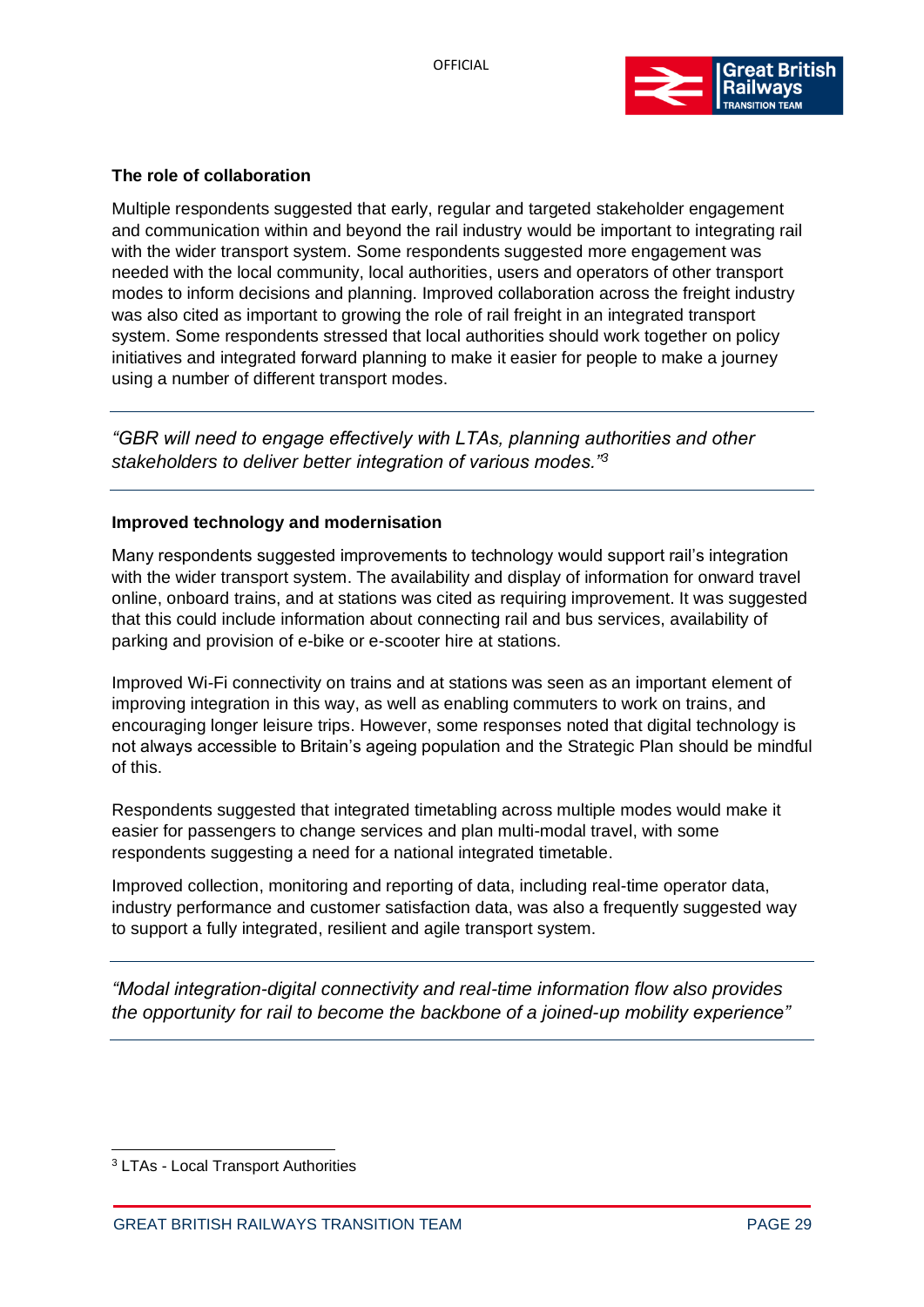

### **The role of collaboration**

Multiple respondents suggested that early, regular and targeted stakeholder engagement and communication within and beyond the rail industry would be important to integrating rail with the wider transport system. Some respondents suggested more engagement was needed with the local community, local authorities, users and operators of other transport modes to inform decisions and planning. Improved collaboration across the freight industry was also cited as important to growing the role of rail freight in an integrated transport system. Some respondents stressed that local authorities should work together on policy initiatives and integrated forward planning to make it easier for people to make a journey using a number of different transport modes.

*"GBR will need to engage effectively with LTAs, planning authorities and other stakeholders to deliver better integration of various modes."<sup>3</sup>*

#### **Improved technology and modernisation**

Many respondents suggested improvements to technology would support rail's integration with the wider transport system. The availability and display of information for onward travel online, onboard trains, and at stations was cited as requiring improvement. It was suggested that this could include information about connecting rail and bus services, availability of parking and provision of e-bike or e-scooter hire at stations.

Improved Wi-Fi connectivity on trains and at stations was seen as an important element of improving integration in this way, as well as enabling commuters to work on trains, and encouraging longer leisure trips. However, some responses noted that digital technology is not always accessible to Britain's ageing population and the Strategic Plan should be mindful of this.

Respondents suggested that integrated timetabling across multiple modes would make it easier for passengers to change services and plan multi-modal travel, with some respondents suggesting a need for a national integrated timetable.

Improved collection, monitoring and reporting of data, including real-time operator data, industry performance and customer satisfaction data, was also a frequently suggested way to support a fully integrated, resilient and agile transport system.

*"Modal integration-digital connectivity and real-time information flow also provides the opportunity for rail to become the backbone of a joined-up mobility experience"*

<sup>3</sup> LTAs - Local Transport Authorities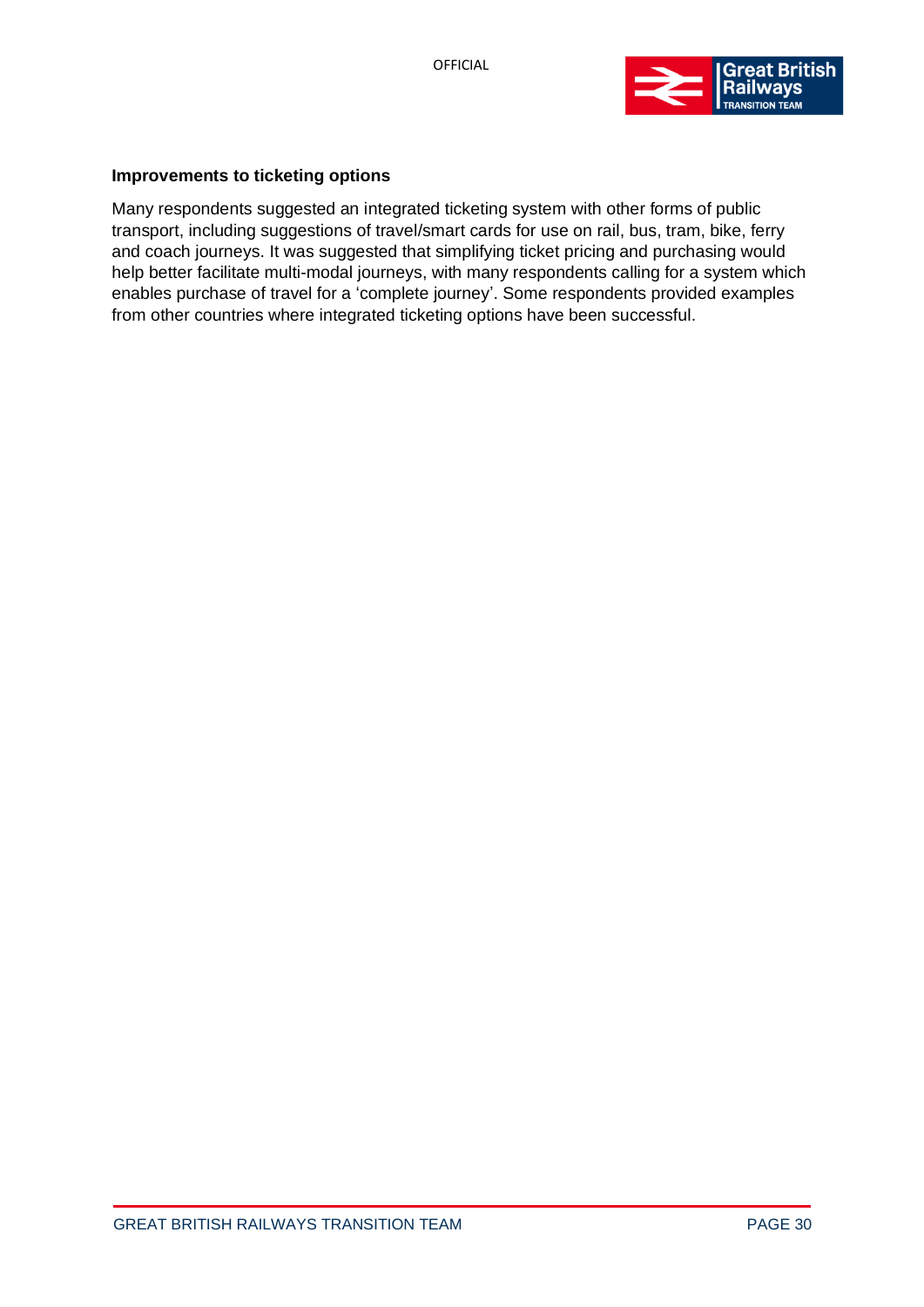

#### **Improvements to ticketing options**

Many respondents suggested an integrated ticketing system with other forms of public transport, including suggestions of travel/smart cards for use on rail, bus, tram, bike, ferry and coach journeys. It was suggested that simplifying ticket pricing and purchasing would help better facilitate multi-modal journeys, with many respondents calling for a system which enables purchase of travel for a 'complete journey'. Some respondents provided examples from other countries where integrated ticketing options have been successful.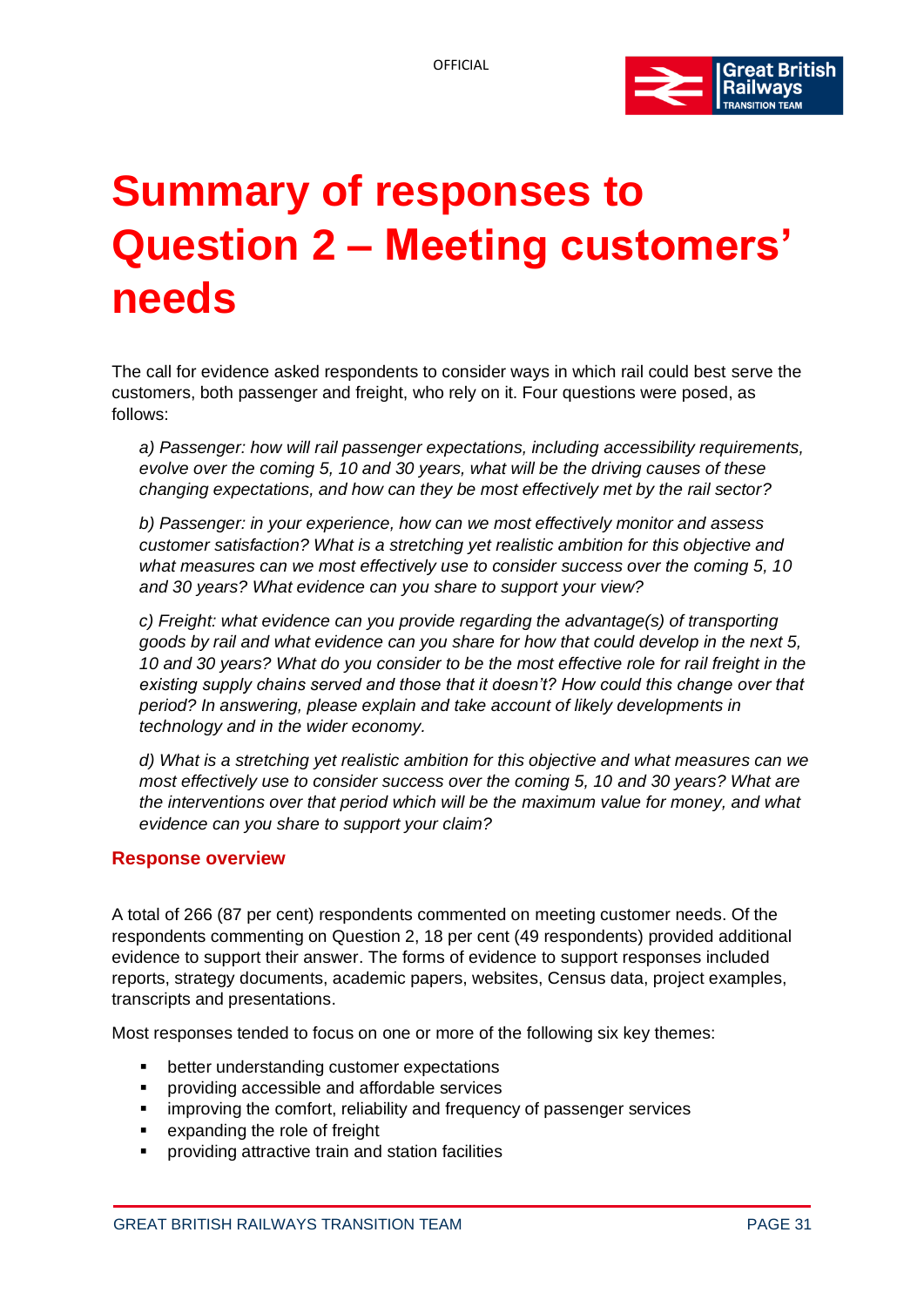

# <span id="page-30-0"></span>**Summary of responses to Question 2 – Meeting customers' needs**

The call for evidence asked respondents to consider ways in which rail could best serve the customers, both passenger and freight, who rely on it. Four questions were posed, as follows:

*a) Passenger: how will rail passenger expectations, including accessibility requirements, evolve over the coming 5, 10 and 30 years, what will be the driving causes of these changing expectations, and how can they be most effectively met by the rail sector?* 

*b) Passenger: in your experience, how can we most effectively monitor and assess customer satisfaction? What is a stretching yet realistic ambition for this objective and what measures can we most effectively use to consider success over the coming 5, 10 and 30 years? What evidence can you share to support your view?* 

*c) Freight: what evidence can you provide regarding the advantage(s) of transporting goods by rail and what evidence can you share for how that could develop in the next 5, 10 and 30 years? What do you consider to be the most effective role for rail freight in the existing supply chains served and those that it doesn't? How could this change over that period? In answering, please explain and take account of likely developments in technology and in the wider economy.*

*d) What is a stretching yet realistic ambition for this objective and what measures can we most effectively use to consider success over the coming 5, 10 and 30 years? What are the interventions over that period which will be the maximum value for money, and what evidence can you share to support your claim?*

# <span id="page-30-1"></span>**Response overview**

A total of 266 (87 per cent) respondents commented on meeting customer needs. Of the respondents commenting on Question 2, 18 per cent (49 respondents) provided additional evidence to support their answer. The forms of evidence to support responses included reports, strategy documents, academic papers, websites, Census data, project examples, transcripts and presentations.

Most responses tended to focus on one or more of the following six key themes:

- better understanding customer expectations
- providing accessible and affordable services
- **EXEDENT** improving the comfort, reliability and frequency of passenger services
- expanding the role of freight
- providing attractive train and station facilities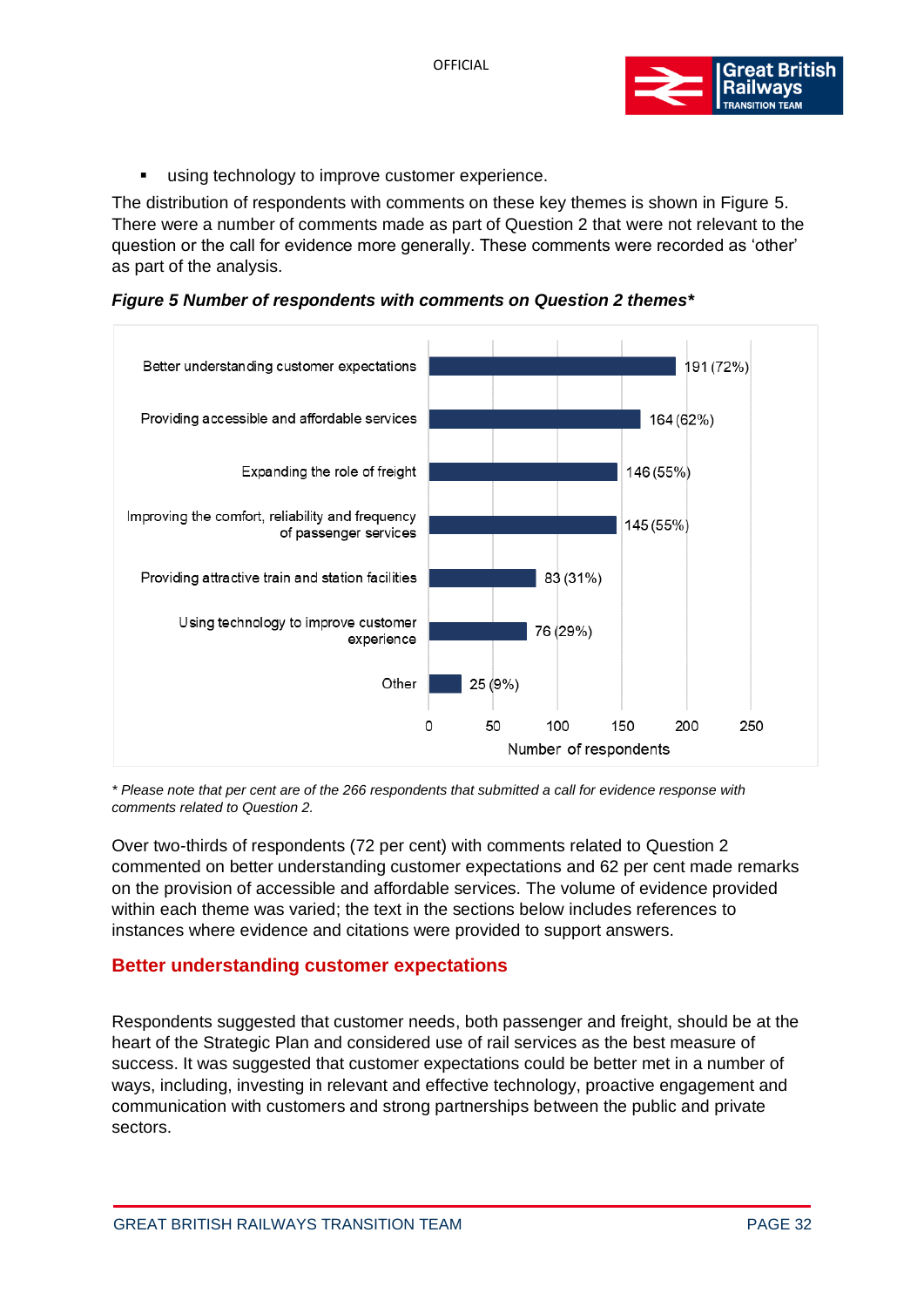

■ using technology to improve customer experience.

The distribution of respondents with comments on these key themes is shown in Figure 5. There were a number of comments made as part of Question 2 that were not relevant to the question or the call for evidence more generally. These comments were recorded as 'other' as part of the analysis.

*Figure 5 Number of respondents with comments on Question 2 themes\**



*\* Please note that per cent are of the 266 respondents that submitted a call for evidence response with comments related to Question 2.*

Over two-thirds of respondents (72 per cent) with comments related to Question 2 commented on better understanding customer expectations and 62 per cent made remarks on the provision of accessible and affordable services. The volume of evidence provided within each theme was varied; the text in the sections below includes references to instances where evidence and citations were provided to support answers.

# <span id="page-31-0"></span>**Better understanding customer expectations**

Respondents suggested that customer needs, both passenger and freight, should be at the heart of the Strategic Plan and considered use of rail services as the best measure of success. It was suggested that customer expectations could be better met in a number of ways, including, investing in relevant and effective technology, proactive engagement and communication with customers and strong partnerships between the public and private sectors.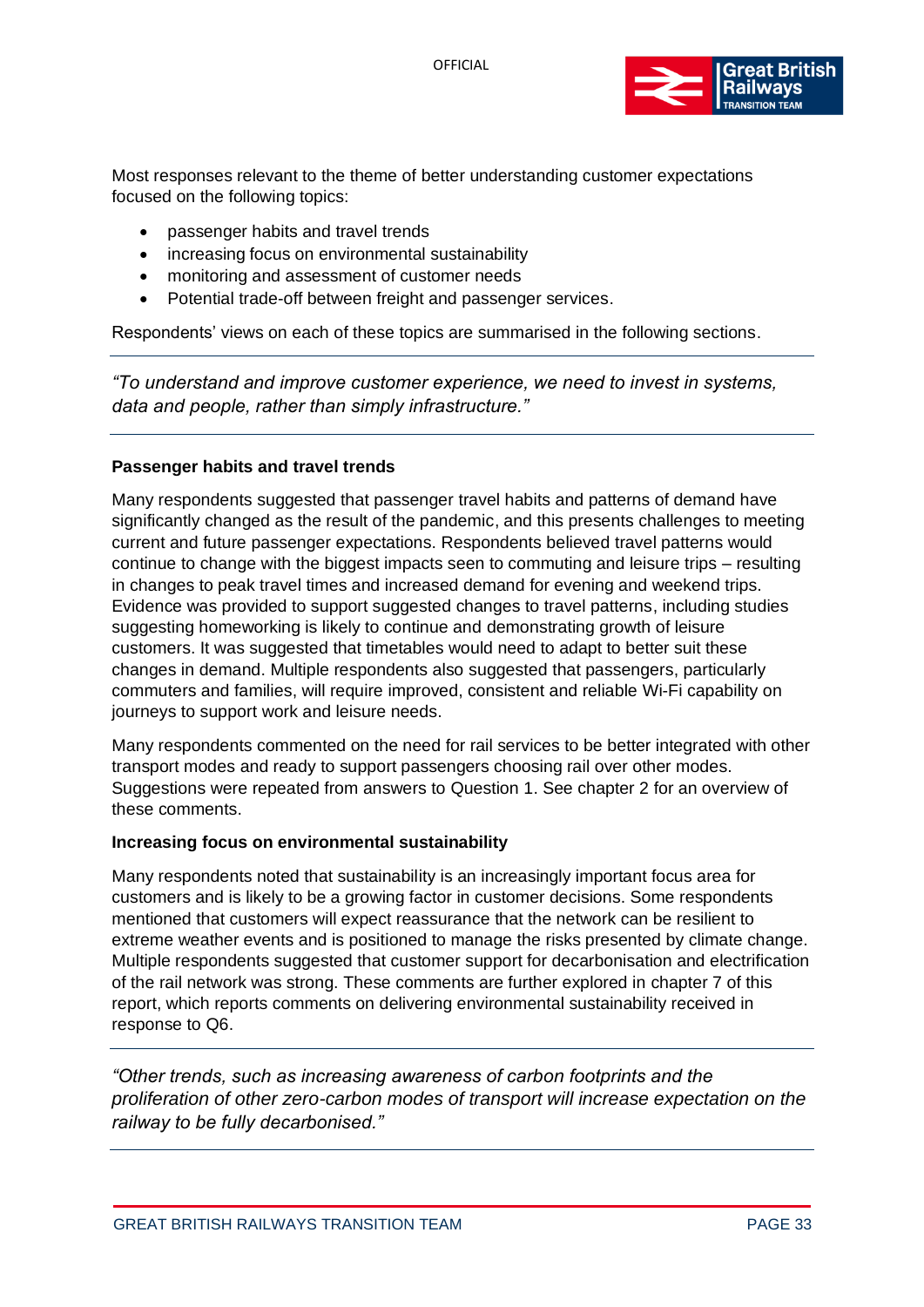

Most responses relevant to the theme of better understanding customer expectations focused on the following topics:

- passenger habits and travel trends
- increasing focus on environmental sustainability
- monitoring and assessment of customer needs
- Potential trade-off between freight and passenger services.

Respondents' views on each of these topics are summarised in the following sections.

*"To understand and improve customer experience, we need to invest in systems, data and people, rather than simply infrastructure."*

#### **Passenger habits and travel trends**

Many respondents suggested that passenger travel habits and patterns of demand have significantly changed as the result of the pandemic, and this presents challenges to meeting current and future passenger expectations. Respondents believed travel patterns would continue to change with the biggest impacts seen to commuting and leisure trips – resulting in changes to peak travel times and increased demand for evening and weekend trips. Evidence was provided to support suggested changes to travel patterns, including studies suggesting homeworking is likely to continue and demonstrating growth of leisure customers. It was suggested that timetables would need to adapt to better suit these changes in demand. Multiple respondents also suggested that passengers, particularly commuters and families, will require improved, consistent and reliable Wi-Fi capability on journeys to support work and leisure needs.

Many respondents commented on the need for rail services to be better integrated with other transport modes and ready to support passengers choosing rail over other modes. Suggestions were repeated from answers to Question 1. See chapter 2 for an overview of these comments.

#### **Increasing focus on environmental sustainability**

Many respondents noted that sustainability is an increasingly important focus area for customers and is likely to be a growing factor in customer decisions. Some respondents mentioned that customers will expect reassurance that the network can be resilient to extreme weather events and is positioned to manage the risks presented by climate change. Multiple respondents suggested that customer support for decarbonisation and electrification of the rail network was strong. These comments are further explored in chapter 7 of this report, which reports comments on delivering environmental sustainability received in response to Q6.

*"Other trends, such as increasing awareness of carbon footprints and the proliferation of other zero-carbon modes of transport will increase expectation on the railway to be fully decarbonised."*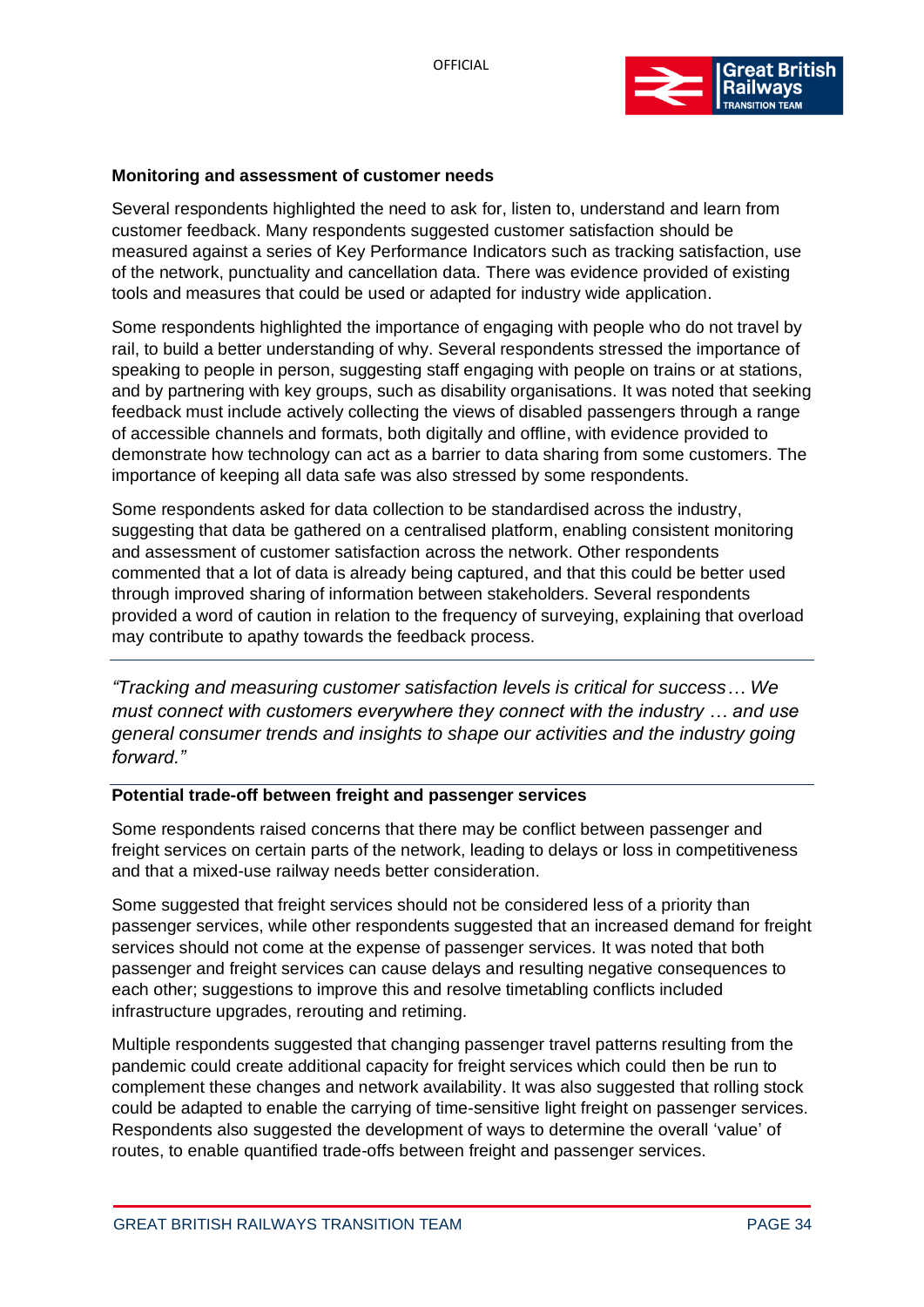

#### **Monitoring and assessment of customer needs**

Several respondents highlighted the need to ask for, listen to, understand and learn from customer feedback. Many respondents suggested customer satisfaction should be measured against a series of Key Performance Indicators such as tracking satisfaction, use of the network, punctuality and cancellation data. There was evidence provided of existing tools and measures that could be used or adapted for industry wide application.

Some respondents highlighted the importance of engaging with people who do not travel by rail, to build a better understanding of why. Several respondents stressed the importance of speaking to people in person, suggesting staff engaging with people on trains or at stations, and by partnering with key groups, such as disability organisations. It was noted that seeking feedback must include actively collecting the views of disabled passengers through a range of accessible channels and formats, both digitally and offline, with evidence provided to demonstrate how technology can act as a barrier to data sharing from some customers. The importance of keeping all data safe was also stressed by some respondents.

Some respondents asked for data collection to be standardised across the industry, suggesting that data be gathered on a centralised platform, enabling consistent monitoring and assessment of customer satisfaction across the network. Other respondents commented that a lot of data is already being captured, and that this could be better used through improved sharing of information between stakeholders. Several respondents provided a word of caution in relation to the frequency of surveying, explaining that overload may contribute to apathy towards the feedback process.

*"Tracking and measuring customer satisfaction levels is critical for success… We must connect with customers everywhere they connect with the industry … and use general consumer trends and insights to shape our activities and the industry going forward."*

#### **Potential trade-off between freight and passenger services**

Some respondents raised concerns that there may be conflict between passenger and freight services on certain parts of the network, leading to delays or loss in competitiveness and that a mixed-use railway needs better consideration.

Some suggested that freight services should not be considered less of a priority than passenger services, while other respondents suggested that an increased demand for freight services should not come at the expense of passenger services. It was noted that both passenger and freight services can cause delays and resulting negative consequences to each other; suggestions to improve this and resolve timetabling conflicts included infrastructure upgrades, rerouting and retiming.

Multiple respondents suggested that changing passenger travel patterns resulting from the pandemic could create additional capacity for freight services which could then be run to complement these changes and network availability. It was also suggested that rolling stock could be adapted to enable the carrying of time-sensitive light freight on passenger services. Respondents also suggested the development of ways to determine the overall 'value' of routes, to enable quantified trade-offs between freight and passenger services.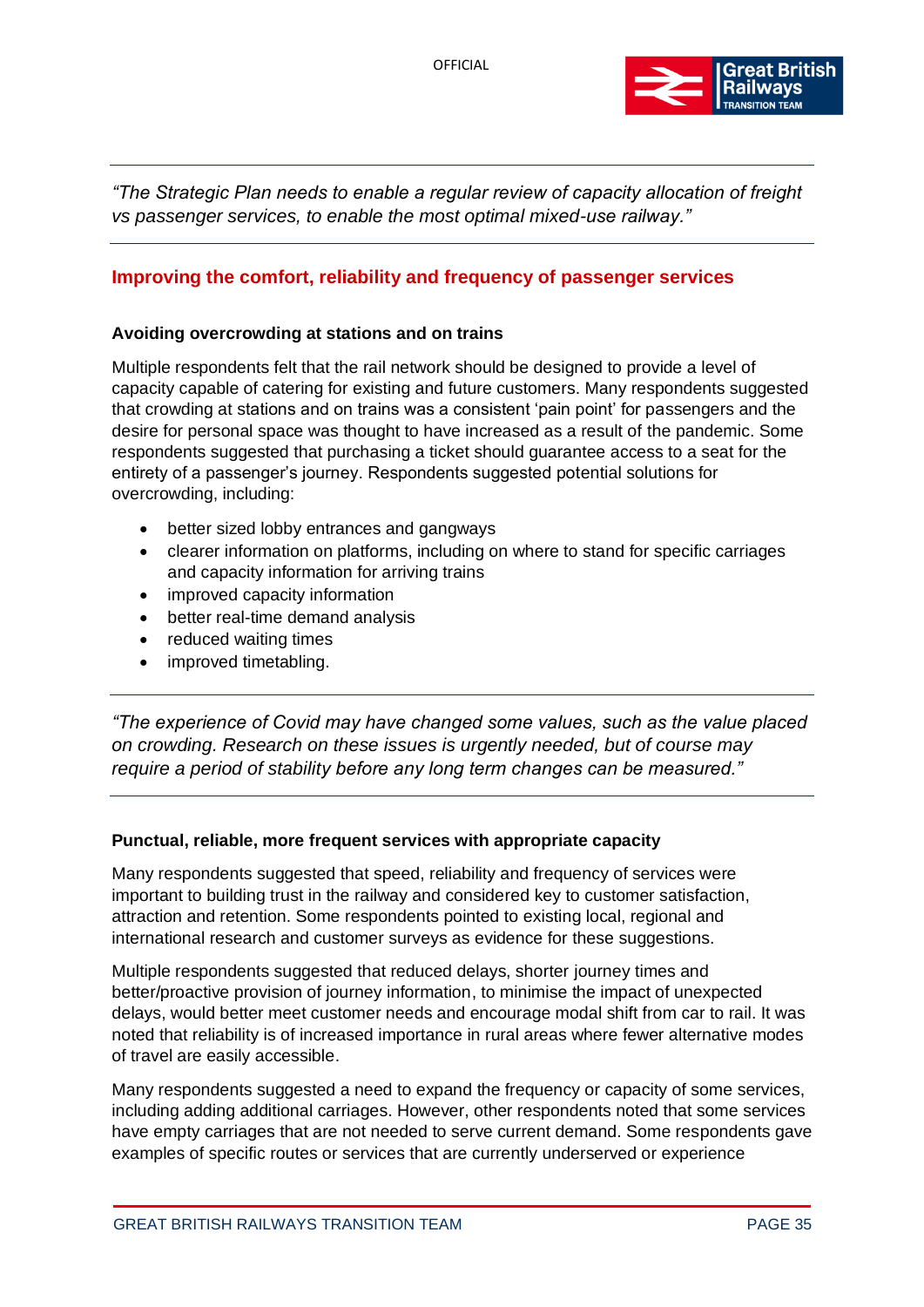

*"The Strategic Plan needs to enable a regular review of capacity allocation of freight vs passenger services, to enable the most optimal mixed-use railway."*

### <span id="page-34-0"></span>**Improving the comfort, reliability and frequency of passenger services**

#### **Avoiding overcrowding at stations and on trains**

Multiple respondents felt that the rail network should be designed to provide a level of capacity capable of catering for existing and future customers. Many respondents suggested that crowding at stations and on trains was a consistent 'pain point' for passengers and the desire for personal space was thought to have increased as a result of the pandemic. Some respondents suggested that purchasing a ticket should guarantee access to a seat for the entirety of a passenger's journey. Respondents suggested potential solutions for overcrowding, including:

- better sized lobby entrances and gangways
- clearer information on platforms, including on where to stand for specific carriages and capacity information for arriving trains
- improved capacity information
- better real-time demand analysis
- reduced waiting times
- improved timetabling.

*"The experience of Covid may have changed some values, such as the value placed on crowding. Research on these issues is urgently needed, but of course may require a period of stability before any long term changes can be measured."*

#### **Punctual, reliable, more frequent services with appropriate capacity**

Many respondents suggested that speed, reliability and frequency of services were important to building trust in the railway and considered key to customer satisfaction, attraction and retention. Some respondents pointed to existing local, regional and international research and customer surveys as evidence for these suggestions.

Multiple respondents suggested that reduced delays, shorter journey times and better/proactive provision of journey information, to minimise the impact of unexpected delays, would better meet customer needs and encourage modal shift from car to rail. It was noted that reliability is of increased importance in rural areas where fewer alternative modes of travel are easily accessible.

Many respondents suggested a need to expand the frequency or capacity of some services, including adding additional carriages. However, other respondents noted that some services have empty carriages that are not needed to serve current demand. Some respondents gave examples of specific routes or services that are currently underserved or experience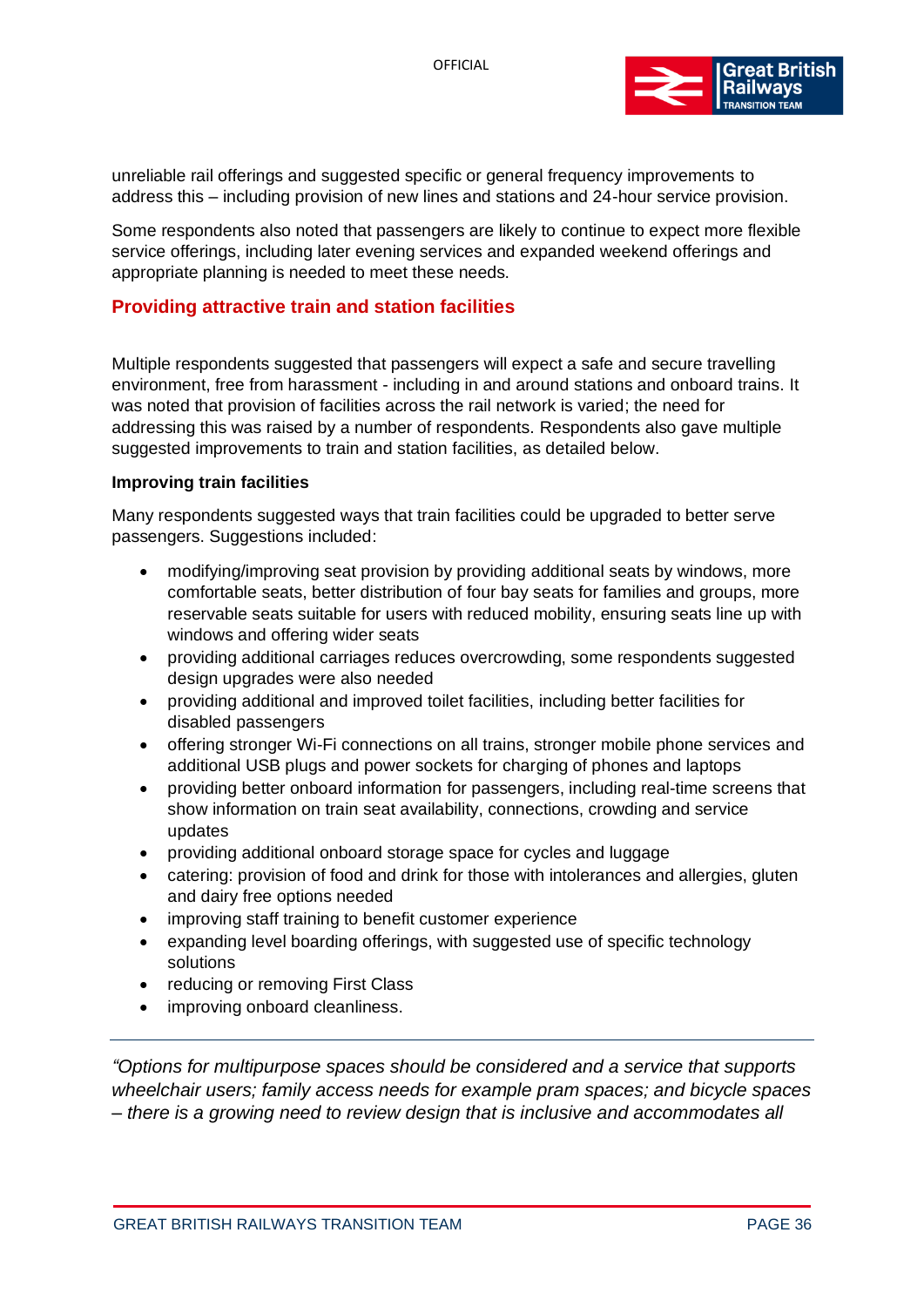

unreliable rail offerings and suggested specific or general frequency improvements to address this – including provision of new lines and stations and 24-hour service provision.

Some respondents also noted that passengers are likely to continue to expect more flexible service offerings, including later evening services and expanded weekend offerings and appropriate planning is needed to meet these needs.

### <span id="page-35-0"></span>**Providing attractive train and station facilities**

Multiple respondents suggested that passengers will expect a safe and secure travelling environment, free from harassment - including in and around stations and onboard trains. It was noted that provision of facilities across the rail network is varied; the need for addressing this was raised by a number of respondents. Respondents also gave multiple suggested improvements to train and station facilities, as detailed below.

#### **Improving train facilities**

Many respondents suggested ways that train facilities could be upgraded to better serve passengers. Suggestions included:

- modifying/improving seat provision by providing additional seats by windows, more comfortable seats, better distribution of four bay seats for families and groups, more reservable seats suitable for users with reduced mobility, ensuring seats line up with windows and offering wider seats
- providing additional carriages reduces overcrowding, some respondents suggested design upgrades were also needed
- providing additional and improved toilet facilities, including better facilities for disabled passengers
- offering stronger Wi-Fi connections on all trains, stronger mobile phone services and additional USB plugs and power sockets for charging of phones and laptops
- providing better onboard information for passengers, including real-time screens that show information on train seat availability, connections, crowding and service updates
- providing additional onboard storage space for cycles and luggage
- catering: provision of food and drink for those with intolerances and allergies, gluten and dairy free options needed
- improving staff training to benefit customer experience
- expanding level boarding offerings, with suggested use of specific technology solutions
- reducing or removing First Class
- improving onboard cleanliness.

*"Options for multipurpose spaces should be considered and a service that supports wheelchair users; family access needs for example pram spaces; and bicycle spaces – there is a growing need to review design that is inclusive and accommodates all*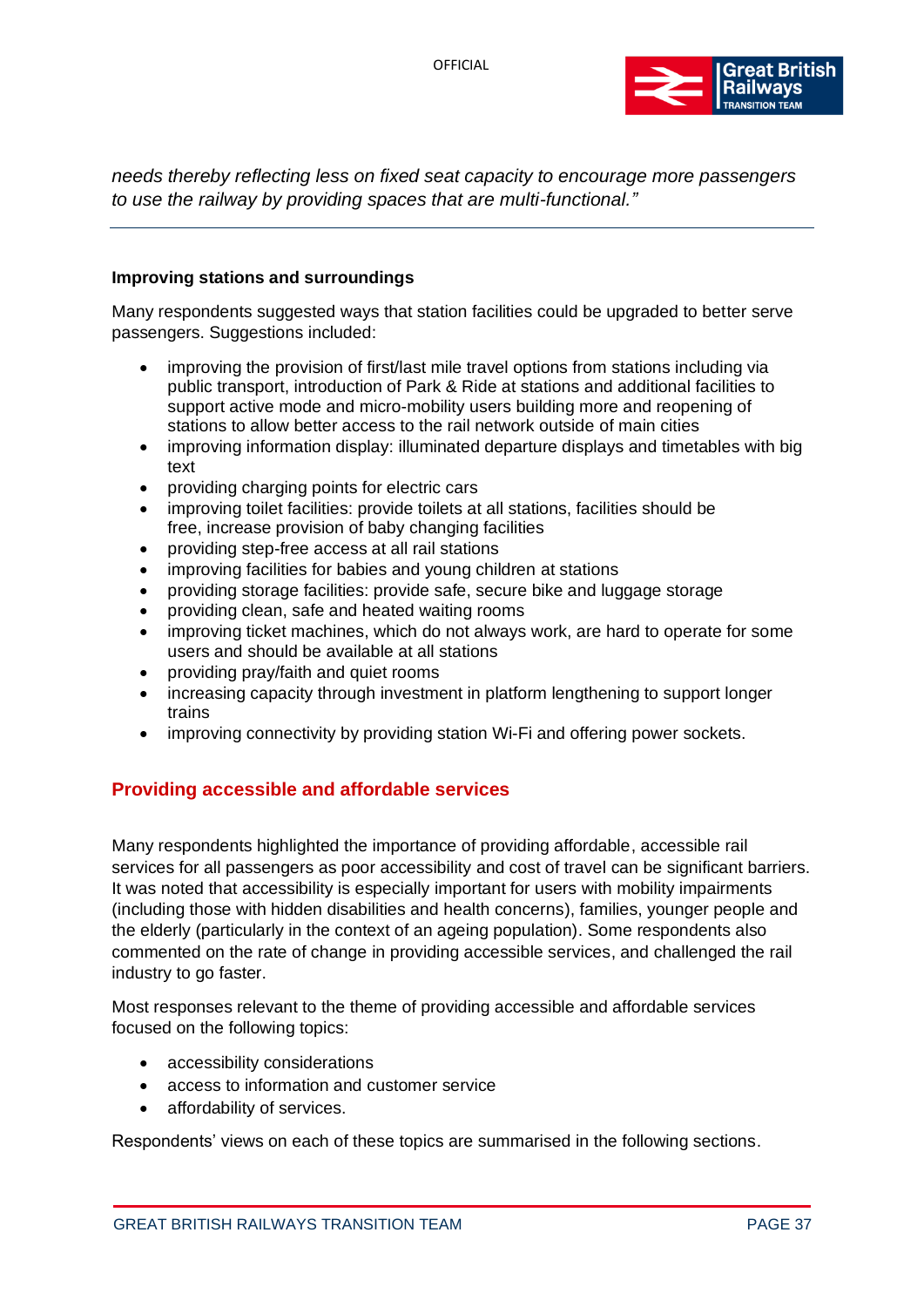

*needs thereby reflecting less on fixed seat capacity to encourage more passengers to use the railway by providing spaces that are multi-functional."*

#### **Improving stations and surroundings**

Many respondents suggested ways that station facilities could be upgraded to better serve passengers. Suggestions included:

- improving the provision of first/last mile travel options from stations including via public transport, introduction of Park & Ride at stations and additional facilities to support active mode and micro-mobility users building more and reopening of stations to allow better access to the rail network outside of main cities
- improving information display: illuminated departure displays and timetables with big text
- providing charging points for electric cars
- improving toilet facilities: provide toilets at all stations, facilities should be free, increase provision of baby changing facilities
- providing step-free access at all rail stations
- improving facilities for babies and young children at stations
- providing storage facilities: provide safe, secure bike and luggage storage
- providing clean, safe and heated waiting rooms
- improving ticket machines, which do not always work, are hard to operate for some users and should be available at all stations
- providing pray/faith and quiet rooms
- increasing capacity through investment in platform lengthening to support longer trains
- improving connectivity by providing station Wi-Fi and offering power sockets.

# **Providing accessible and affordable services**

Many respondents highlighted the importance of providing affordable, accessible rail services for all passengers as poor accessibility and cost of travel can be significant barriers. It was noted that accessibility is especially important for users with mobility impairments (including those with hidden disabilities and health concerns), families, younger people and the elderly (particularly in the context of an ageing population). Some respondents also commented on the rate of change in providing accessible services, and challenged the rail industry to go faster.

Most responses relevant to the theme of providing accessible and affordable services focused on the following topics:

- accessibility considerations
- access to information and customer service
- affordability of services.

Respondents' views on each of these topics are summarised in the following sections.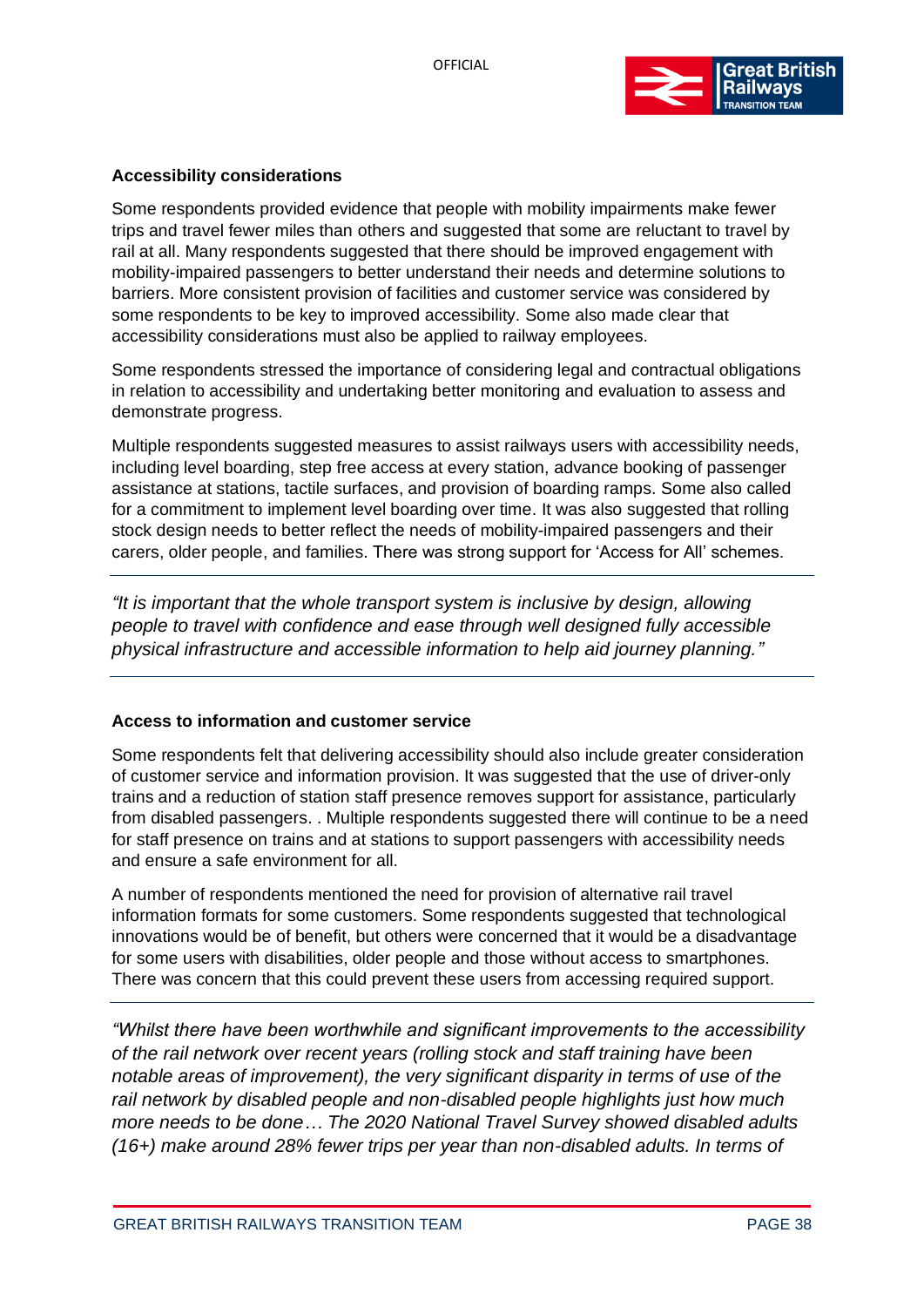

# **Accessibility considerations**

Some respondents provided evidence that people with mobility impairments make fewer trips and travel fewer miles than others and suggested that some are reluctant to travel by rail at all. Many respondents suggested that there should be improved engagement with mobility-impaired passengers to better understand their needs and determine solutions to barriers. More consistent provision of facilities and customer service was considered by some respondents to be key to improved accessibility. Some also made clear that accessibility considerations must also be applied to railway employees.

Some respondents stressed the importance of considering legal and contractual obligations in relation to accessibility and undertaking better monitoring and evaluation to assess and demonstrate progress.

Multiple respondents suggested measures to assist railways users with accessibility needs, including level boarding, step free access at every station, advance booking of passenger assistance at stations, tactile surfaces, and provision of boarding ramps. Some also called for a commitment to implement level boarding over time. It was also suggested that rolling stock design needs to better reflect the needs of mobility-impaired passengers and their carers, older people, and families. There was strong support for 'Access for All' schemes.

*"It is important that the whole transport system is inclusive by design, allowing people to travel with confidence and ease through well designed fully accessible physical infrastructure and accessible information to help aid journey planning."*

## **Access to information and customer service**

Some respondents felt that delivering accessibility should also include greater consideration of customer service and information provision. It was suggested that the use of driver-only trains and a reduction of station staff presence removes support for assistance, particularly from disabled passengers. . Multiple respondents suggested there will continue to be a need for staff presence on trains and at stations to support passengers with accessibility needs and ensure a safe environment for all.

A number of respondents mentioned the need for provision of alternative rail travel information formats for some customers. Some respondents suggested that technological innovations would be of benefit, but others were concerned that it would be a disadvantage for some users with disabilities, older people and those without access to smartphones. There was concern that this could prevent these users from accessing required support.

*"Whilst there have been worthwhile and significant improvements to the accessibility of the rail network over recent years (rolling stock and staff training have been notable areas of improvement), the very significant disparity in terms of use of the rail network by disabled people and non-disabled people highlights just how much more needs to be done… The 2020 National Travel Survey showed disabled adults (16+) make around 28% fewer trips per year than non-disabled adults. In terms of*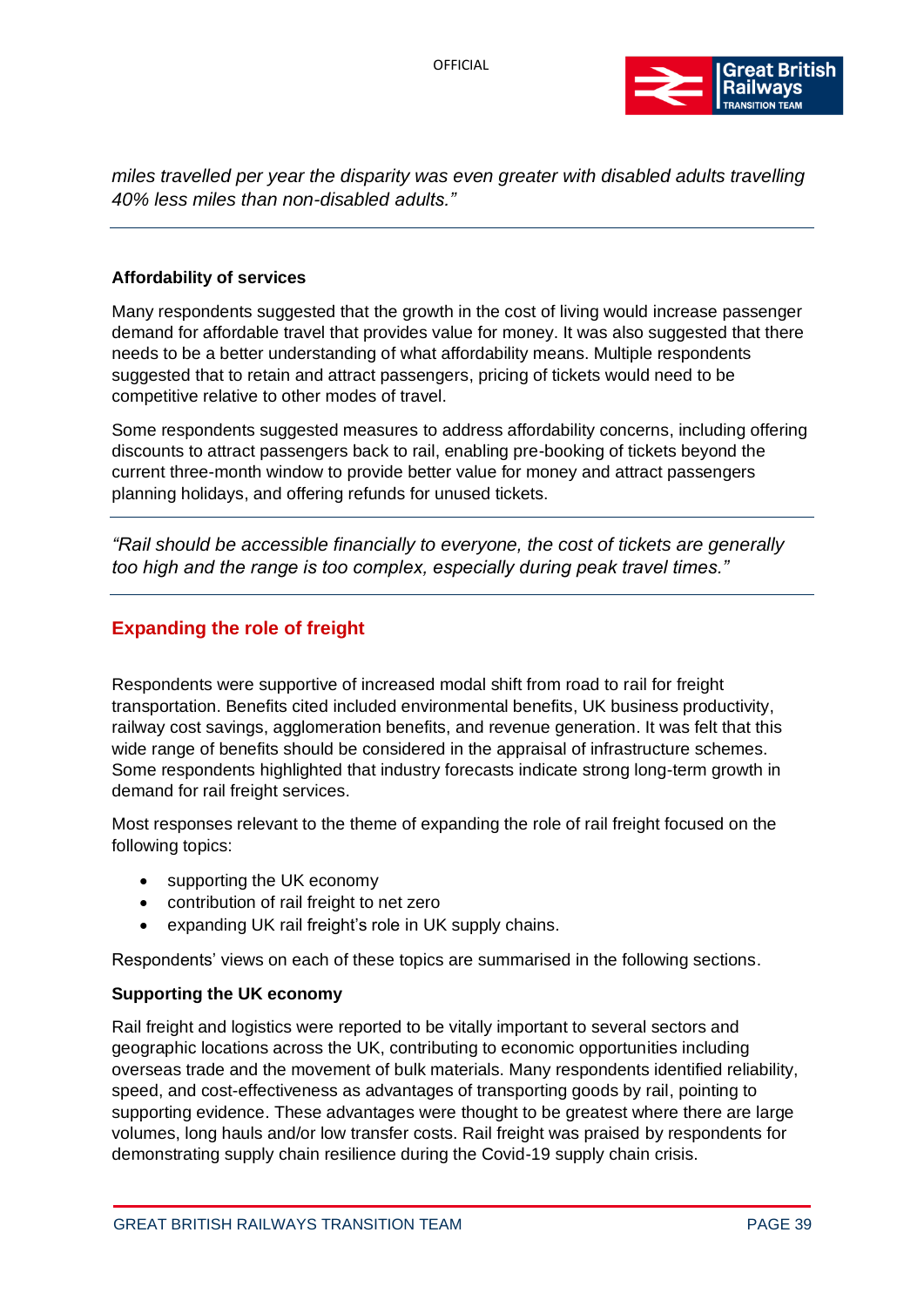

*miles travelled per year the disparity was even greater with disabled adults travelling 40% less miles than non-disabled adults."*

#### **Affordability of services**

Many respondents suggested that the growth in the cost of living would increase passenger demand for affordable travel that provides value for money. It was also suggested that there needs to be a better understanding of what affordability means. Multiple respondents suggested that to retain and attract passengers, pricing of tickets would need to be competitive relative to other modes of travel.

Some respondents suggested measures to address affordability concerns, including offering discounts to attract passengers back to rail, enabling pre-booking of tickets beyond the current three-month window to provide better value for money and attract passengers planning holidays, and offering refunds for unused tickets.

*"Rail should be accessible financially to everyone, the cost of tickets are generally too high and the range is too complex, especially during peak travel times."*

# **Expanding the role of freight**

Respondents were supportive of increased modal shift from road to rail for freight transportation. Benefits cited included environmental benefits, UK business productivity, railway cost savings, agglomeration benefits, and revenue generation. It was felt that this wide range of benefits should be considered in the appraisal of infrastructure schemes. Some respondents highlighted that industry forecasts indicate strong long-term growth in demand for rail freight services.

Most responses relevant to the theme of expanding the role of rail freight focused on the following topics:

- supporting the UK economy
- contribution of rail freight to net zero
- expanding UK rail freight's role in UK supply chains.

Respondents' views on each of these topics are summarised in the following sections.

#### **Supporting the UK economy**

Rail freight and logistics were reported to be vitally important to several sectors and geographic locations across the UK, contributing to economic opportunities including overseas trade and the movement of bulk materials. Many respondents identified reliability, speed, and cost-effectiveness as advantages of transporting goods by rail, pointing to supporting evidence. These advantages were thought to be greatest where there are large volumes, long hauls and/or low transfer costs. Rail freight was praised by respondents for demonstrating supply chain resilience during the Covid-19 supply chain crisis.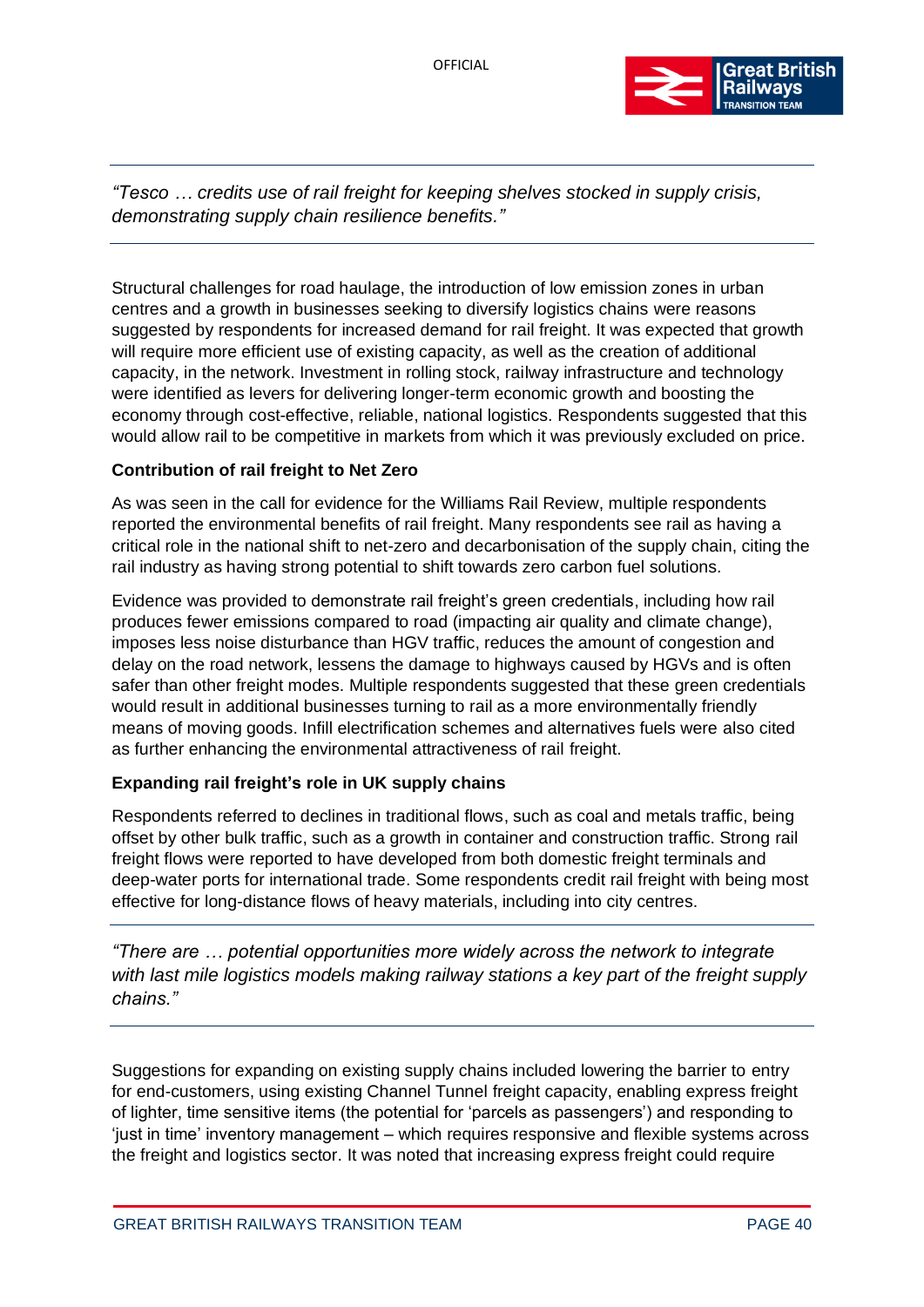

*"Tesco … credits use of rail freight for keeping shelves stocked in supply crisis, demonstrating supply chain resilience benefits."*

Structural challenges for road haulage, the introduction of low emission zones in urban centres and a growth in businesses seeking to diversify logistics chains were reasons suggested by respondents for increased demand for rail freight. It was expected that growth will require more efficient use of existing capacity, as well as the creation of additional capacity, in the network. Investment in rolling stock, railway infrastructure and technology were identified as levers for delivering longer-term economic growth and boosting the economy through cost-effective, reliable, national logistics. Respondents suggested that this would allow rail to be competitive in markets from which it was previously excluded on price.

# **Contribution of rail freight to Net Zero**

As was seen in the call for evidence for the Williams Rail Review, multiple respondents reported the environmental benefits of rail freight. Many respondents see rail as having a critical role in the national shift to net-zero and decarbonisation of the supply chain, citing the rail industry as having strong potential to shift towards zero carbon fuel solutions.

Evidence was provided to demonstrate rail freight's green credentials, including how rail produces fewer emissions compared to road (impacting air quality and climate change), imposes less noise disturbance than HGV traffic, reduces the amount of congestion and delay on the road network, lessens the damage to highways caused by HGVs and is often safer than other freight modes. Multiple respondents suggested that these green credentials would result in additional businesses turning to rail as a more environmentally friendly means of moving goods. Infill electrification schemes and alternatives fuels were also cited as further enhancing the environmental attractiveness of rail freight.

# **Expanding rail freight's role in UK supply chains**

Respondents referred to declines in traditional flows, such as coal and metals traffic, being offset by other bulk traffic, such as a growth in container and construction traffic. Strong rail freight flows were reported to have developed from both domestic freight terminals and deep-water ports for international trade. Some respondents credit rail freight with being most effective for long-distance flows of heavy materials, including into city centres.

*"There are … potential opportunities more widely across the network to integrate with last mile logistics models making railway stations a key part of the freight supply chains."*

Suggestions for expanding on existing supply chains included lowering the barrier to entry for end-customers, using existing Channel Tunnel freight capacity, enabling express freight of lighter, time sensitive items (the potential for 'parcels as passengers') and responding to 'just in time' inventory management – which requires responsive and flexible systems across the freight and logistics sector. It was noted that increasing express freight could require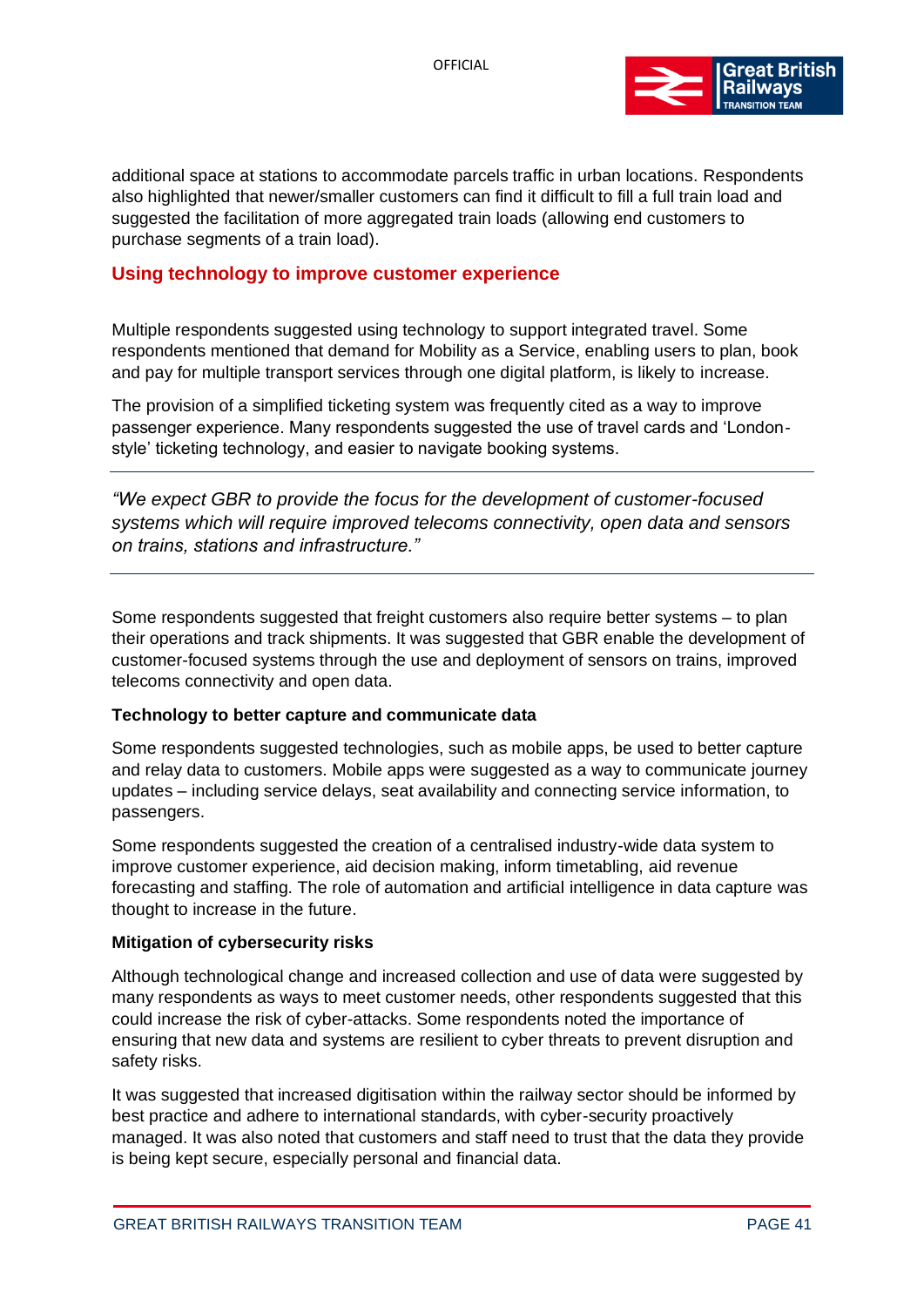

additional space at stations to accommodate parcels traffic in urban locations. Respondents also highlighted that newer/smaller customers can find it difficult to fill a full train load and suggested the facilitation of more aggregated train loads (allowing end customers to purchase segments of a train load).

#### **Using technology to improve customer experience**

Multiple respondents suggested using technology to support integrated travel. Some respondents mentioned that demand for Mobility as a Service, enabling users to plan, book and pay for multiple transport services through one digital platform, is likely to increase.

The provision of a simplified ticketing system was frequently cited as a way to improve passenger experience. Many respondents suggested the use of travel cards and 'Londonstyle' ticketing technology, and easier to navigate booking systems.

*"We expect GBR to provide the focus for the development of customer-focused systems which will require improved telecoms connectivity, open data and sensors on trains, stations and infrastructure."*

Some respondents suggested that freight customers also require better systems – to plan their operations and track shipments. It was suggested that GBR enable the development of customer-focused systems through the use and deployment of sensors on trains, improved telecoms connectivity and open data.

#### **Technology to better capture and communicate data**

Some respondents suggested technologies, such as mobile apps, be used to better capture and relay data to customers. Mobile apps were suggested as a way to communicate journey updates – including service delays, seat availability and connecting service information, to passengers.

Some respondents suggested the creation of a centralised industry-wide data system to improve customer experience, aid decision making, inform timetabling, aid revenue forecasting and staffing. The role of automation and artificial intelligence in data capture was thought to increase in the future.

#### **Mitigation of cybersecurity risks**

Although technological change and increased collection and use of data were suggested by many respondents as ways to meet customer needs, other respondents suggested that this could increase the risk of cyber-attacks. Some respondents noted the importance of ensuring that new data and systems are resilient to cyber threats to prevent disruption and safety risks.

It was suggested that increased digitisation within the railway sector should be informed by best practice and adhere to international standards, with cyber-security proactively managed. It was also noted that customers and staff need to trust that the data they provide is being kept secure, especially personal and financial data.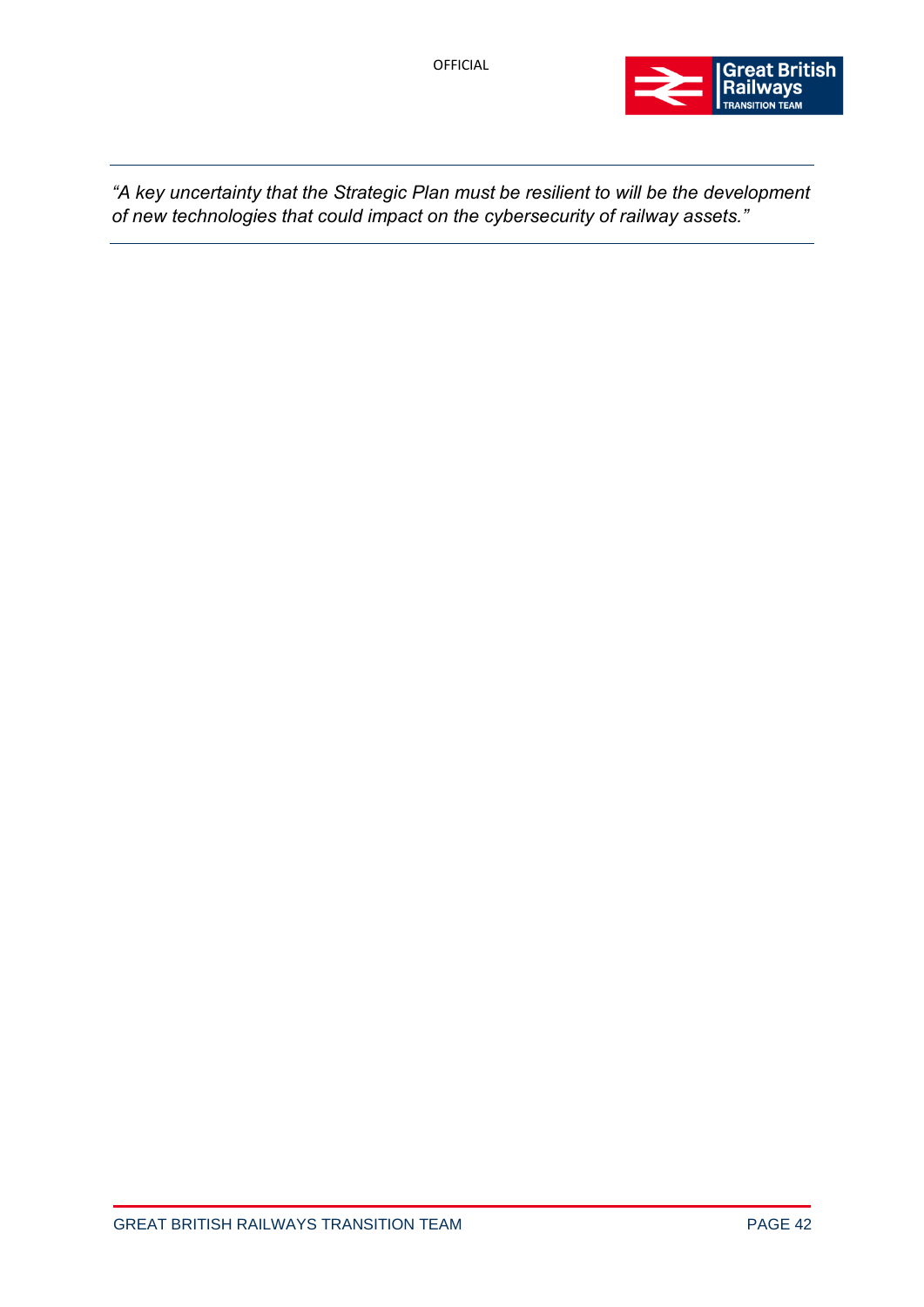

*"A key uncertainty that the Strategic Plan must be resilient to will be the development of new technologies that could impact on the cybersecurity of railway assets."*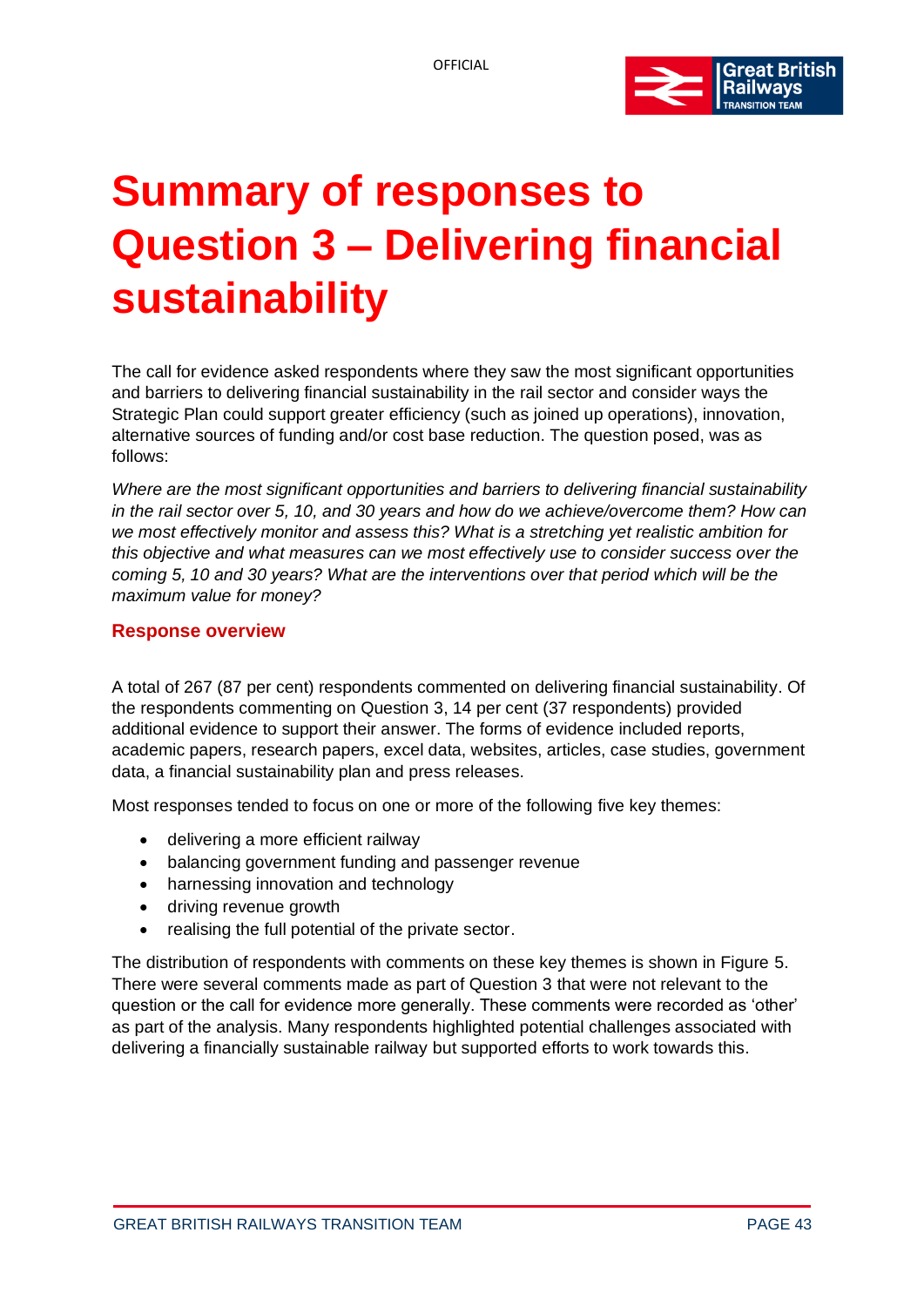

# **Summary of responses to Question 3 – Delivering financial sustainability**

The call for evidence asked respondents where they saw the most significant opportunities and barriers to delivering financial sustainability in the rail sector and consider ways the Strategic Plan could support greater efficiency (such as joined up operations), innovation, alternative sources of funding and/or cost base reduction. The question posed, was as follows:

*Where are the most significant opportunities and barriers to delivering financial sustainability in the rail sector over 5, 10, and 30 years and how do we achieve/overcome them? How can we most effectively monitor and assess this? What is a stretching yet realistic ambition for this objective and what measures can we most effectively use to consider success over the coming 5, 10 and 30 years? What are the interventions over that period which will be the maximum value for money?*

## **Response overview**

A total of 267 (87 per cent) respondents commented on delivering financial sustainability. Of the respondents commenting on Question 3, 14 per cent (37 respondents) provided additional evidence to support their answer. The forms of evidence included reports, academic papers, research papers, excel data, websites, articles, case studies, government data, a financial sustainability plan and press releases.

Most responses tended to focus on one or more of the following five key themes:

- delivering a more efficient railway
- balancing government funding and passenger revenue
- harnessing innovation and technology
- driving revenue growth
- realising the full potential of the private sector.

The distribution of respondents with comments on these key themes is shown in Figure 5. There were several comments made as part of Question 3 that were not relevant to the question or the call for evidence more generally. These comments were recorded as 'other' as part of the analysis. Many respondents highlighted potential challenges associated with delivering a financially sustainable railway but supported efforts to work towards this.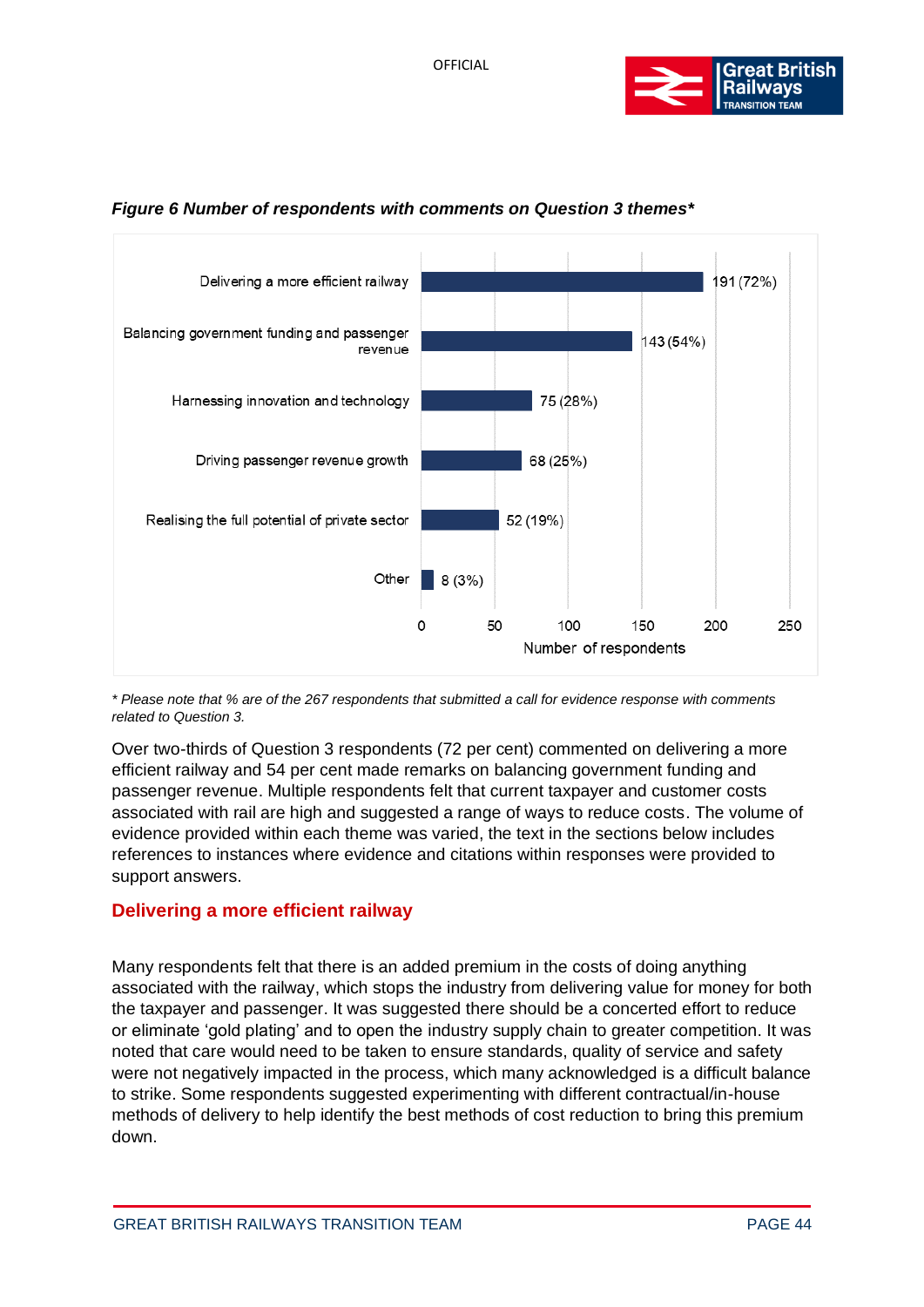



## *Figure 6 Number of respondents with comments on Question 3 themes\**

*\* Please note that % are of the 267 respondents that submitted a call for evidence response with comments related to Question 3.*

Over two-thirds of Question 3 respondents (72 per cent) commented on delivering a more efficient railway and 54 per cent made remarks on balancing government funding and passenger revenue. Multiple respondents felt that current taxpayer and customer costs associated with rail are high and suggested a range of ways to reduce costs. The volume of evidence provided within each theme was varied, the text in the sections below includes references to instances where evidence and citations within responses were provided to support answers.

# **Delivering a more efficient railway**

Many respondents felt that there is an added premium in the costs of doing anything associated with the railway, which stops the industry from delivering value for money for both the taxpayer and passenger. It was suggested there should be a concerted effort to reduce or eliminate 'gold plating' and to open the industry supply chain to greater competition. It was noted that care would need to be taken to ensure standards, quality of service and safety were not negatively impacted in the process, which many acknowledged is a difficult balance to strike. Some respondents suggested experimenting with different contractual/in-house methods of delivery to help identify the best methods of cost reduction to bring this premium down.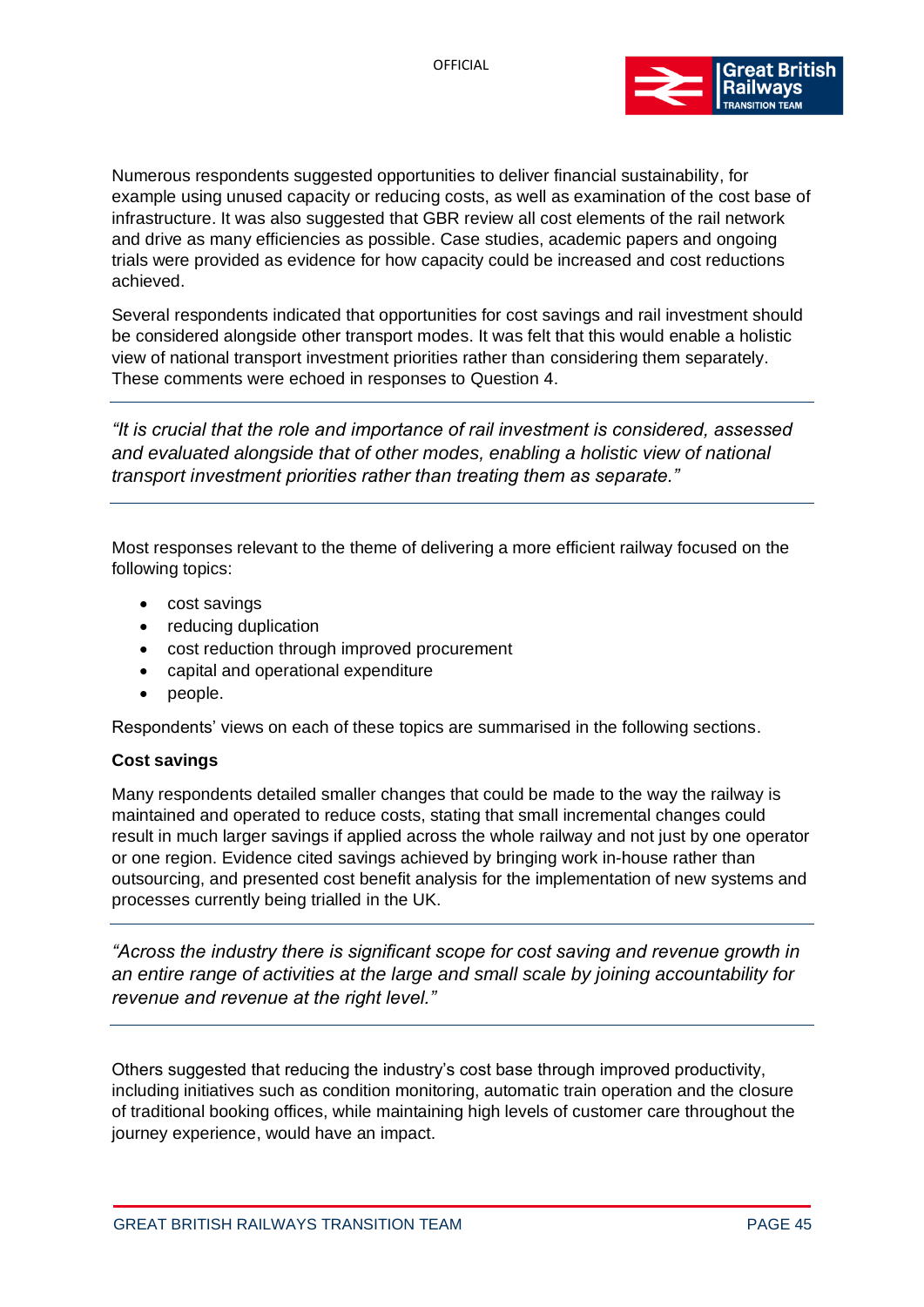

Numerous respondents suggested opportunities to deliver financial sustainability, for example using unused capacity or reducing costs, as well as examination of the cost base of infrastructure. It was also suggested that GBR review all cost elements of the rail network and drive as many efficiencies as possible. Case studies, academic papers and ongoing trials were provided as evidence for how capacity could be increased and cost reductions achieved.

Several respondents indicated that opportunities for cost savings and rail investment should be considered alongside other transport modes. It was felt that this would enable a holistic view of national transport investment priorities rather than considering them separately. These comments were echoed in responses to Question 4.

*"It is crucial that the role and importance of rail investment is considered, assessed and evaluated alongside that of other modes, enabling a holistic view of national transport investment priorities rather than treating them as separate."*

Most responses relevant to the theme of delivering a more efficient railway focused on the following topics:

- cost savings
- reducing duplication
- cost reduction through improved procurement
- capital and operational expenditure
- people.

Respondents' views on each of these topics are summarised in the following sections.

#### **Cost savings**

Many respondents detailed smaller changes that could be made to the way the railway is maintained and operated to reduce costs, stating that small incremental changes could result in much larger savings if applied across the whole railway and not just by one operator or one region. Evidence cited savings achieved by bringing work in-house rather than outsourcing, and presented cost benefit analysis for the implementation of new systems and processes currently being trialled in the UK.

*"Across the industry there is significant scope for cost saving and revenue growth in an entire range of activities at the large and small scale by joining accountability for revenue and revenue at the right level."*

Others suggested that reducing the industry's cost base through improved productivity, including initiatives such as condition monitoring, automatic train operation and the closure of traditional booking offices, while maintaining high levels of customer care throughout the journey experience, would have an impact.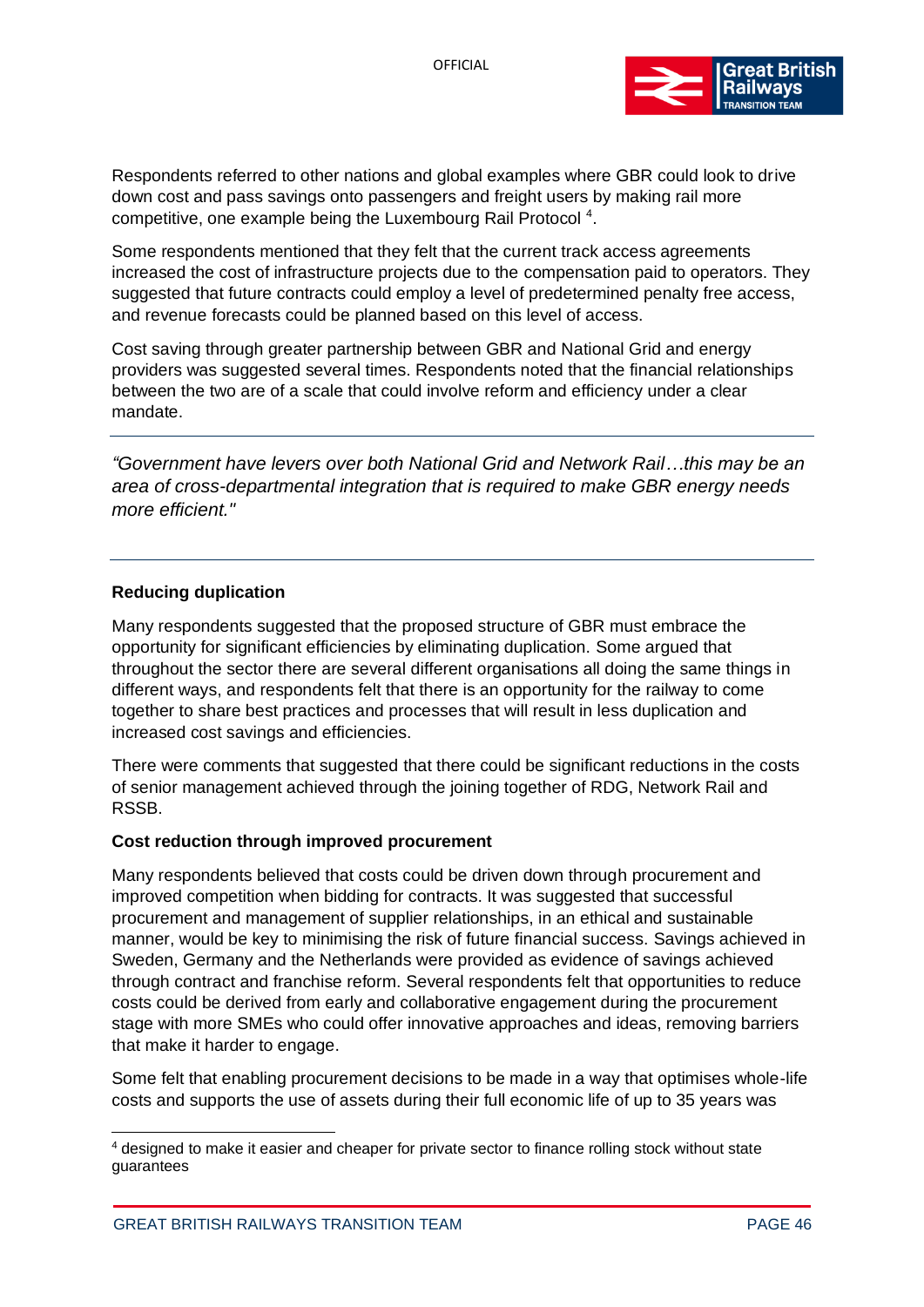

Respondents referred to other nations and global examples where GBR could look to drive down cost and pass savings onto passengers and freight users by making rail more competitive, one example being the Luxembourg Rail Protocol<sup>4</sup>.

Some respondents mentioned that they felt that the current track access agreements increased the cost of infrastructure projects due to the compensation paid to operators. They suggested that future contracts could employ a level of predetermined penalty free access, and revenue forecasts could be planned based on this level of access.

Cost saving through greater partnership between GBR and National Grid and energy providers was suggested several times. Respondents noted that the financial relationships between the two are of a scale that could involve reform and efficiency under a clear mandate.

*"Government have levers over both National Grid and Network Rail…this may be an area of cross-departmental integration that is required to make GBR energy needs more efficient."*

#### **Reducing duplication**

Many respondents suggested that the proposed structure of GBR must embrace the opportunity for significant efficiencies by eliminating duplication. Some argued that throughout the sector there are several different organisations all doing the same things in different ways, and respondents felt that there is an opportunity for the railway to come together to share best practices and processes that will result in less duplication and increased cost savings and efficiencies.

There were comments that suggested that there could be significant reductions in the costs of senior management achieved through the joining together of RDG, Network Rail and RSSB.

## **Cost reduction through improved procurement**

Many respondents believed that costs could be driven down through procurement and improved competition when bidding for contracts. It was suggested that successful procurement and management of supplier relationships, in an ethical and sustainable manner, would be key to minimising the risk of future financial success. Savings achieved in Sweden, Germany and the Netherlands were provided as evidence of savings achieved through contract and franchise reform. Several respondents felt that opportunities to reduce costs could be derived from early and collaborative engagement during the procurement stage with more SMEs who could offer innovative approaches and ideas, removing barriers that make it harder to engage.

Some felt that enabling procurement decisions to be made in a way that optimises whole-life costs and supports the use of assets during their full economic life of up to 35 years was

<sup>4</sup> designed to make it easier and cheaper for private sector to finance rolling stock without state guarantees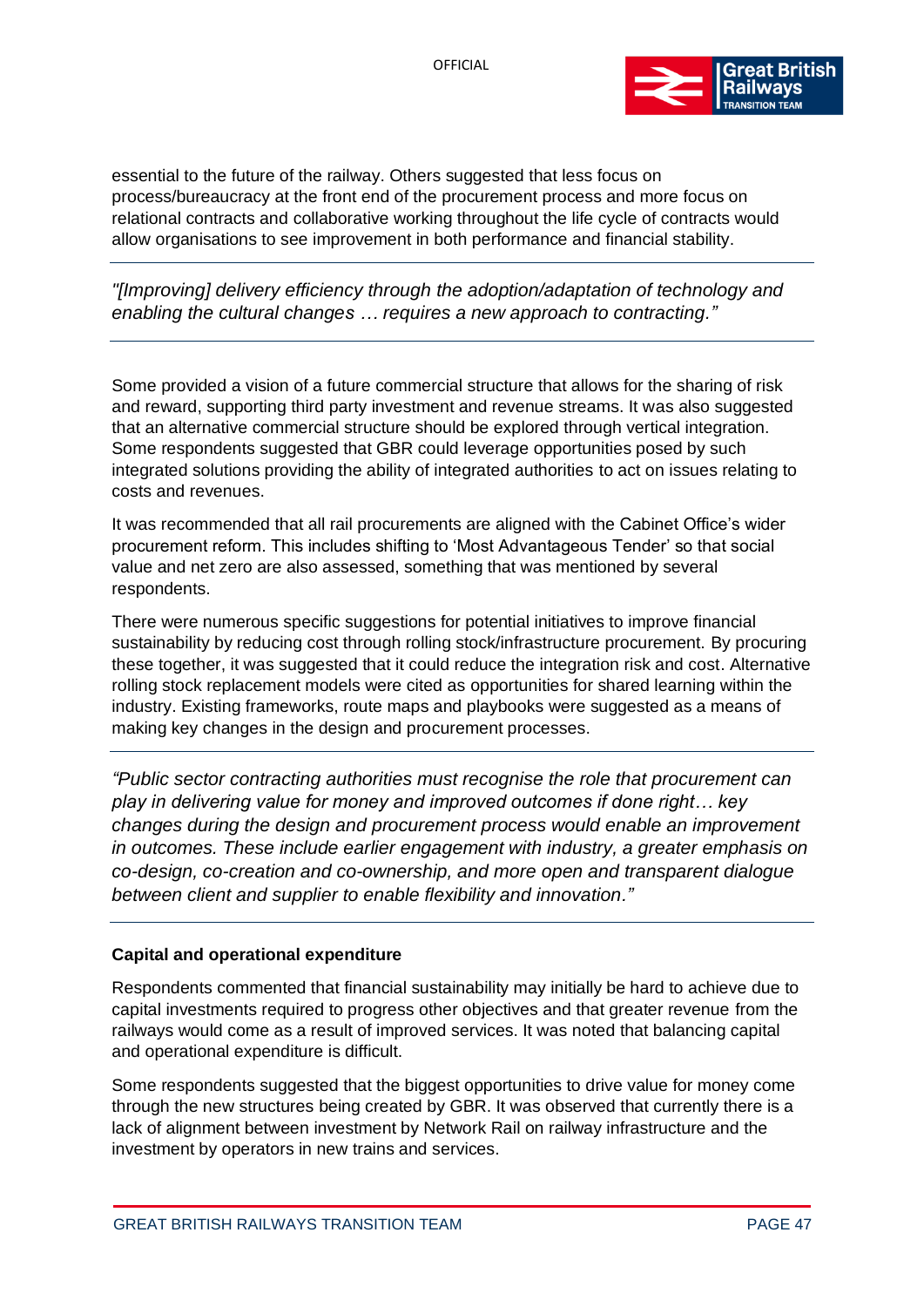

essential to the future of the railway. Others suggested that less focus on process/bureaucracy at the front end of the procurement process and more focus on relational contracts and collaborative working throughout the life cycle of contracts would allow organisations to see improvement in both performance and financial stability.

*"[Improving] delivery efficiency through the adoption/adaptation of technology and enabling the cultural changes … requires a new approach to contracting."*

Some provided a vision of a future commercial structure that allows for the sharing of risk and reward, supporting third party investment and revenue streams. It was also suggested that an alternative commercial structure should be explored through vertical integration. Some respondents suggested that GBR could leverage opportunities posed by such integrated solutions providing the ability of integrated authorities to act on issues relating to costs and revenues.

It was recommended that all rail procurements are aligned with the Cabinet Office's wider procurement reform. This includes shifting to 'Most Advantageous Tender' so that social value and net zero are also assessed, something that was mentioned by several respondents.

There were numerous specific suggestions for potential initiatives to improve financial sustainability by reducing cost through rolling stock/infrastructure procurement. By procuring these together, it was suggested that it could reduce the integration risk and cost. Alternative rolling stock replacement models were cited as opportunities for shared learning within the industry. Existing frameworks, route maps and playbooks were suggested as a means of making key changes in the design and procurement processes.

*"Public sector contracting authorities must recognise the role that procurement can play in delivering value for money and improved outcomes if done right… key changes during the design and procurement process would enable an improvement in outcomes. These include earlier engagement with industry, a greater emphasis on co-design, co-creation and co-ownership, and more open and transparent dialogue between client and supplier to enable flexibility and innovation."*

## **Capital and operational expenditure**

Respondents commented that financial sustainability may initially be hard to achieve due to capital investments required to progress other objectives and that greater revenue from the railways would come as a result of improved services. It was noted that balancing capital and operational expenditure is difficult.

Some respondents suggested that the biggest opportunities to drive value for money come through the new structures being created by GBR. It was observed that currently there is a lack of alignment between investment by Network Rail on railway infrastructure and the investment by operators in new trains and services.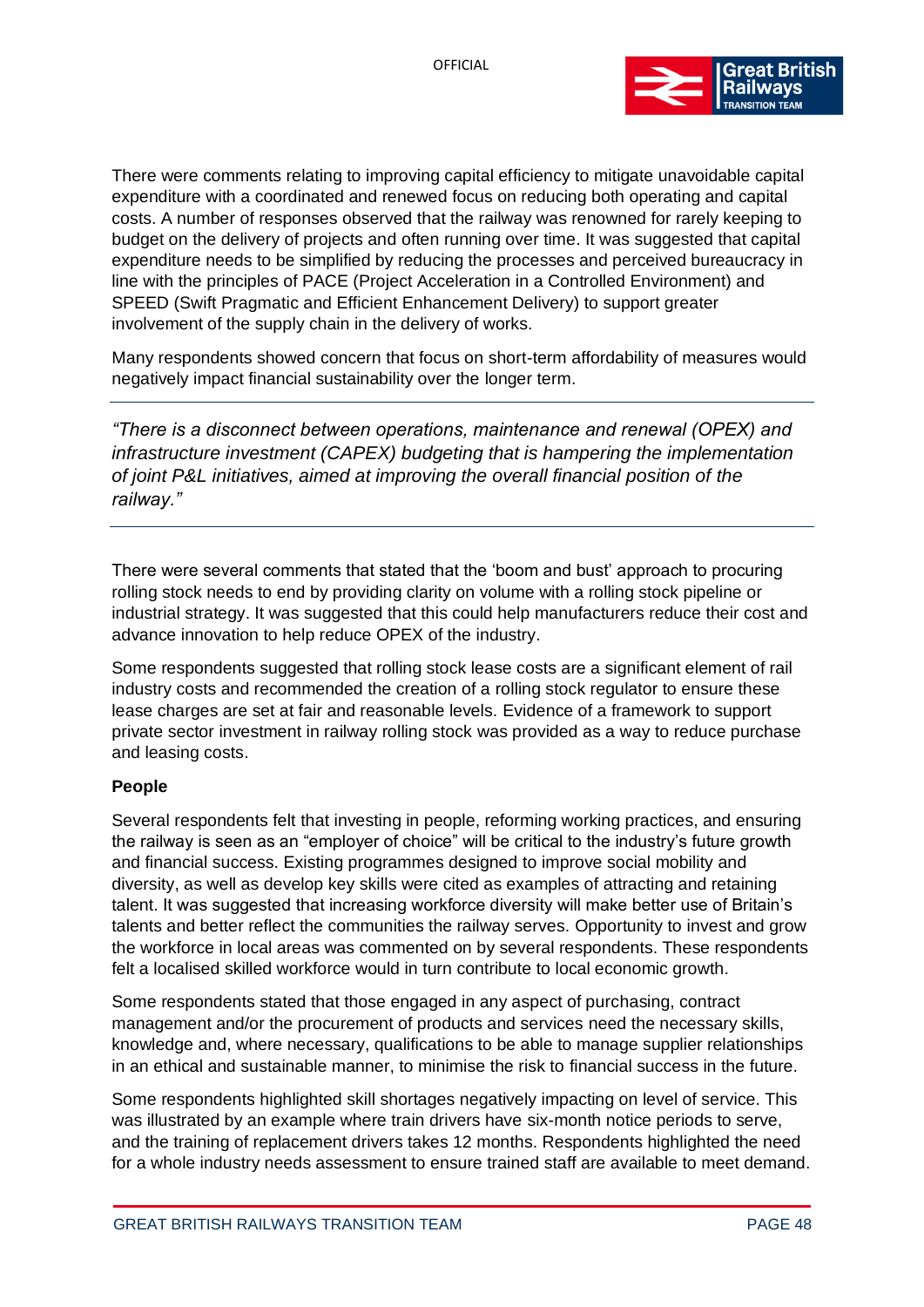

There were comments relating to improving capital efficiency to mitigate unavoidable capital expenditure with a coordinated and renewed focus on reducing both operating and capital costs. A number of responses observed that the railway was renowned for rarely keeping to budget on the delivery of projects and often running over time. It was suggested that capital expenditure needs to be simplified by reducing the processes and perceived bureaucracy in line with the principles of PACE (Project Acceleration in a Controlled Environment) and SPEED (Swift Pragmatic and Efficient Enhancement Delivery) to support greater involvement of the supply chain in the delivery of works.

Many respondents showed concern that focus on short-term affordability of measures would negatively impact financial sustainability over the longer term.

*"There is a disconnect between operations, maintenance and renewal (OPEX) and infrastructure investment (CAPEX) budgeting that is hampering the implementation of joint P&L initiatives, aimed at improving the overall financial position of the railway."*

There were several comments that stated that the 'boom and bust' approach to procuring rolling stock needs to end by providing clarity on volume with a rolling stock pipeline or industrial strategy. It was suggested that this could help manufacturers reduce their cost and advance innovation to help reduce OPEX of the industry.

Some respondents suggested that rolling stock lease costs are a significant element of rail industry costs and recommended the creation of a rolling stock regulator to ensure these lease charges are set at fair and reasonable levels. Evidence of a framework to support private sector investment in railway rolling stock was provided as a way to reduce purchase and leasing costs.

#### **People**

Several respondents felt that investing in people, reforming working practices, and ensuring the railway is seen as an "employer of choice" will be critical to the industry's future growth and financial success. Existing programmes designed to improve social mobility and diversity, as well as develop key skills were cited as examples of attracting and retaining talent. It was suggested that increasing workforce diversity will make better use of Britain's talents and better reflect the communities the railway serves. Opportunity to invest and grow the workforce in local areas was commented on by several respondents. These respondents felt a localised skilled workforce would in turn contribute to local economic growth.

Some respondents stated that those engaged in any aspect of purchasing, contract management and/or the procurement of products and services need the necessary skills, knowledge and, where necessary, qualifications to be able to manage supplier relationships in an ethical and sustainable manner, to minimise the risk to financial success in the future.

Some respondents highlighted skill shortages negatively impacting on level of service. This was illustrated by an example where train drivers have six-month notice periods to serve, and the training of replacement drivers takes 12 months. Respondents highlighted the need for a whole industry needs assessment to ensure trained staff are available to meet demand.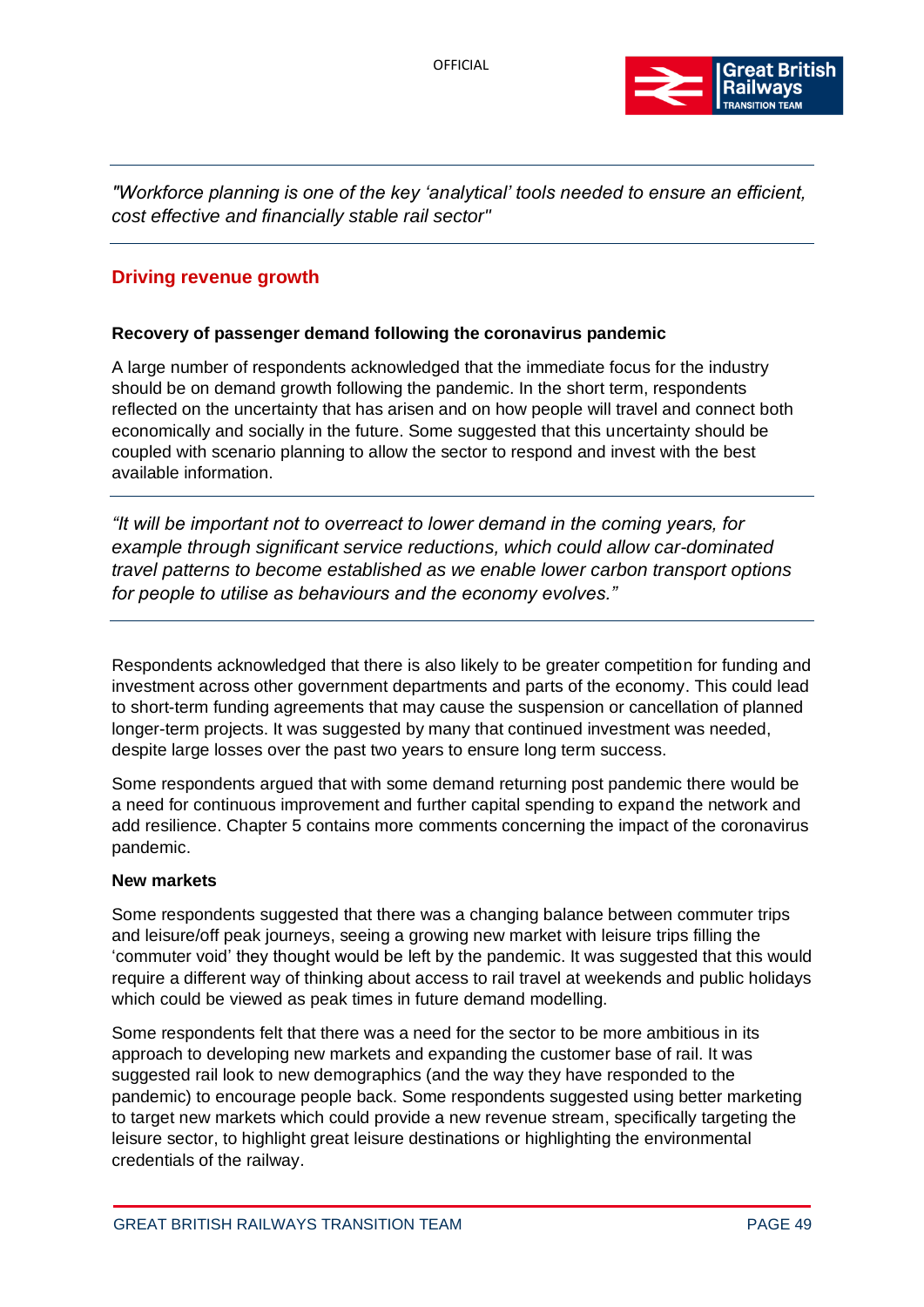

*"Workforce planning is one of the key 'analytical' tools needed to ensure an efficient, cost effective and financially stable rail sector"*

# **Driving revenue growth**

## **Recovery of passenger demand following the coronavirus pandemic**

A large number of respondents acknowledged that the immediate focus for the industry should be on demand growth following the pandemic. In the short term, respondents reflected on the uncertainty that has arisen and on how people will travel and connect both economically and socially in the future. Some suggested that this uncertainty should be coupled with scenario planning to allow the sector to respond and invest with the best available information.

*"It will be important not to overreact to lower demand in the coming years, for example through significant service reductions, which could allow car-dominated travel patterns to become established as we enable lower carbon transport options for people to utilise as behaviours and the economy evolves."*

Respondents acknowledged that there is also likely to be greater competition for funding and investment across other government departments and parts of the economy. This could lead to short-term funding agreements that may cause the suspension or cancellation of planned longer-term projects. It was suggested by many that continued investment was needed, despite large losses over the past two years to ensure long term success.

Some respondents argued that with some demand returning post pandemic there would be a need for continuous improvement and further capital spending to expand the network and add resilience. Chapter 5 contains more comments concerning the impact of the coronavirus pandemic.

#### **New markets**

Some respondents suggested that there was a changing balance between commuter trips and leisure/off peak journeys, seeing a growing new market with leisure trips filling the 'commuter void' they thought would be left by the pandemic. It was suggested that this would require a different way of thinking about access to rail travel at weekends and public holidays which could be viewed as peak times in future demand modelling.

Some respondents felt that there was a need for the sector to be more ambitious in its approach to developing new markets and expanding the customer base of rail. It was suggested rail look to new demographics (and the way they have responded to the pandemic) to encourage people back. Some respondents suggested using better marketing to target new markets which could provide a new revenue stream, specifically targeting the leisure sector, to highlight great leisure destinations or highlighting the environmental credentials of the railway.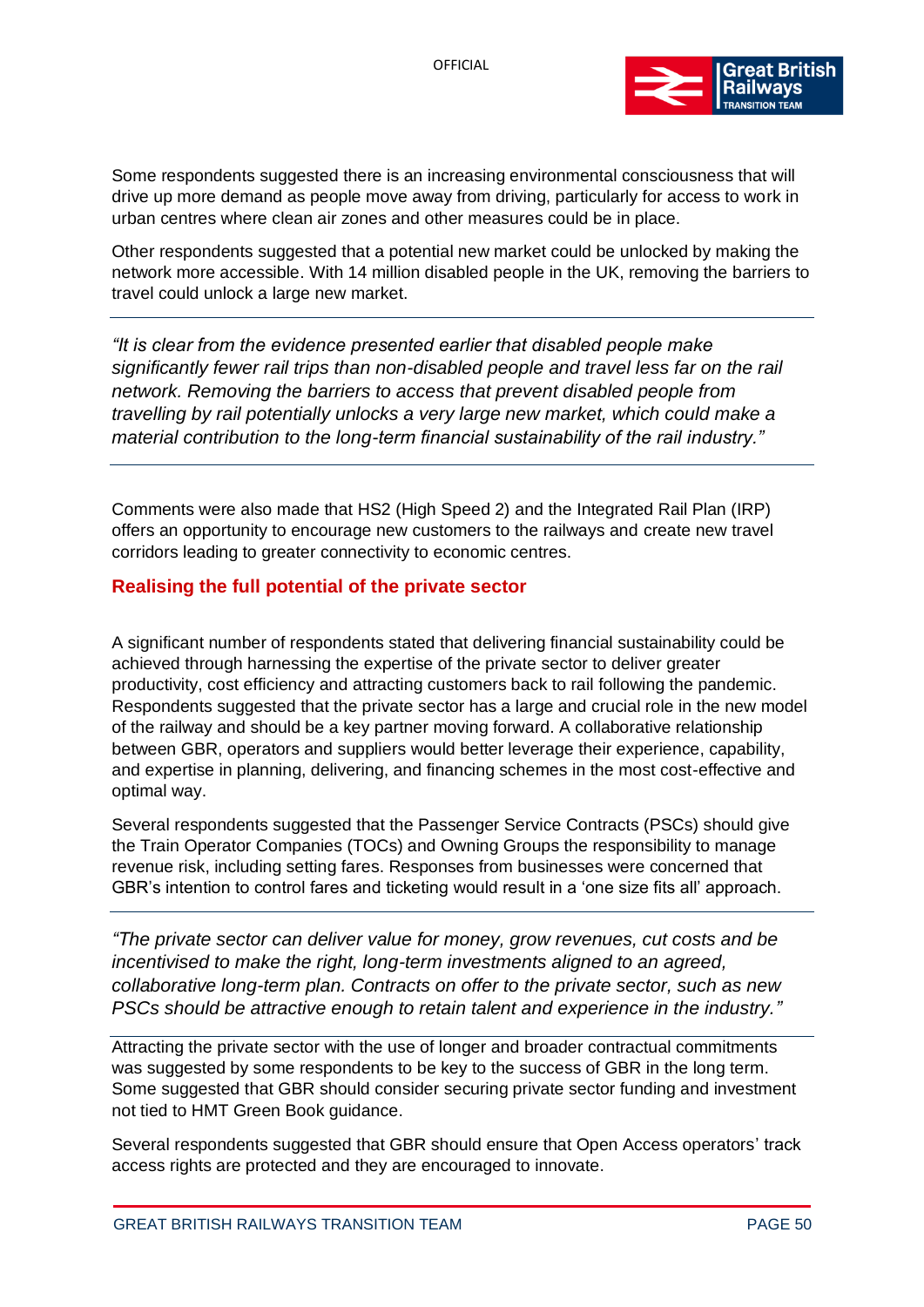

Some respondents suggested there is an increasing environmental consciousness that will drive up more demand as people move away from driving, particularly for access to work in urban centres where clean air zones and other measures could be in place.

Other respondents suggested that a potential new market could be unlocked by making the network more accessible. With 14 million disabled people in the UK, removing the barriers to travel could unlock a large new market.

*"It is clear from the evidence presented earlier that disabled people make significantly fewer rail trips than non-disabled people and travel less far on the rail network. Removing the barriers to access that prevent disabled people from travelling by rail potentially unlocks a very large new market, which could make a material contribution to the long-term financial sustainability of the rail industry."*

Comments were also made that HS2 (High Speed 2) and the Integrated Rail Plan (IRP) offers an opportunity to encourage new customers to the railways and create new travel corridors leading to greater connectivity to economic centres.

# **Realising the full potential of the private sector**

A significant number of respondents stated that delivering financial sustainability could be achieved through harnessing the expertise of the private sector to deliver greater productivity, cost efficiency and attracting customers back to rail following the pandemic. Respondents suggested that the private sector has a large and crucial role in the new model of the railway and should be a key partner moving forward. A collaborative relationship between GBR, operators and suppliers would better leverage their experience, capability, and expertise in planning, delivering, and financing schemes in the most cost-effective and optimal way.

Several respondents suggested that the Passenger Service Contracts (PSCs) should give the Train Operator Companies (TOCs) and Owning Groups the responsibility to manage revenue risk, including setting fares. Responses from businesses were concerned that GBR's intention to control fares and ticketing would result in a 'one size fits all' approach.

*"The private sector can deliver value for money, grow revenues, cut costs and be incentivised to make the right, long-term investments aligned to an agreed, collaborative long-term plan. Contracts on offer to the private sector, such as new PSCs should be attractive enough to retain talent and experience in the industry."*

Attracting the private sector with the use of longer and broader contractual commitments was suggested by some respondents to be key to the success of GBR in the long term. Some suggested that GBR should consider securing private sector funding and investment not tied to HMT Green Book guidance.

Several respondents suggested that GBR should ensure that Open Access operators' track access rights are protected and they are encouraged to innovate.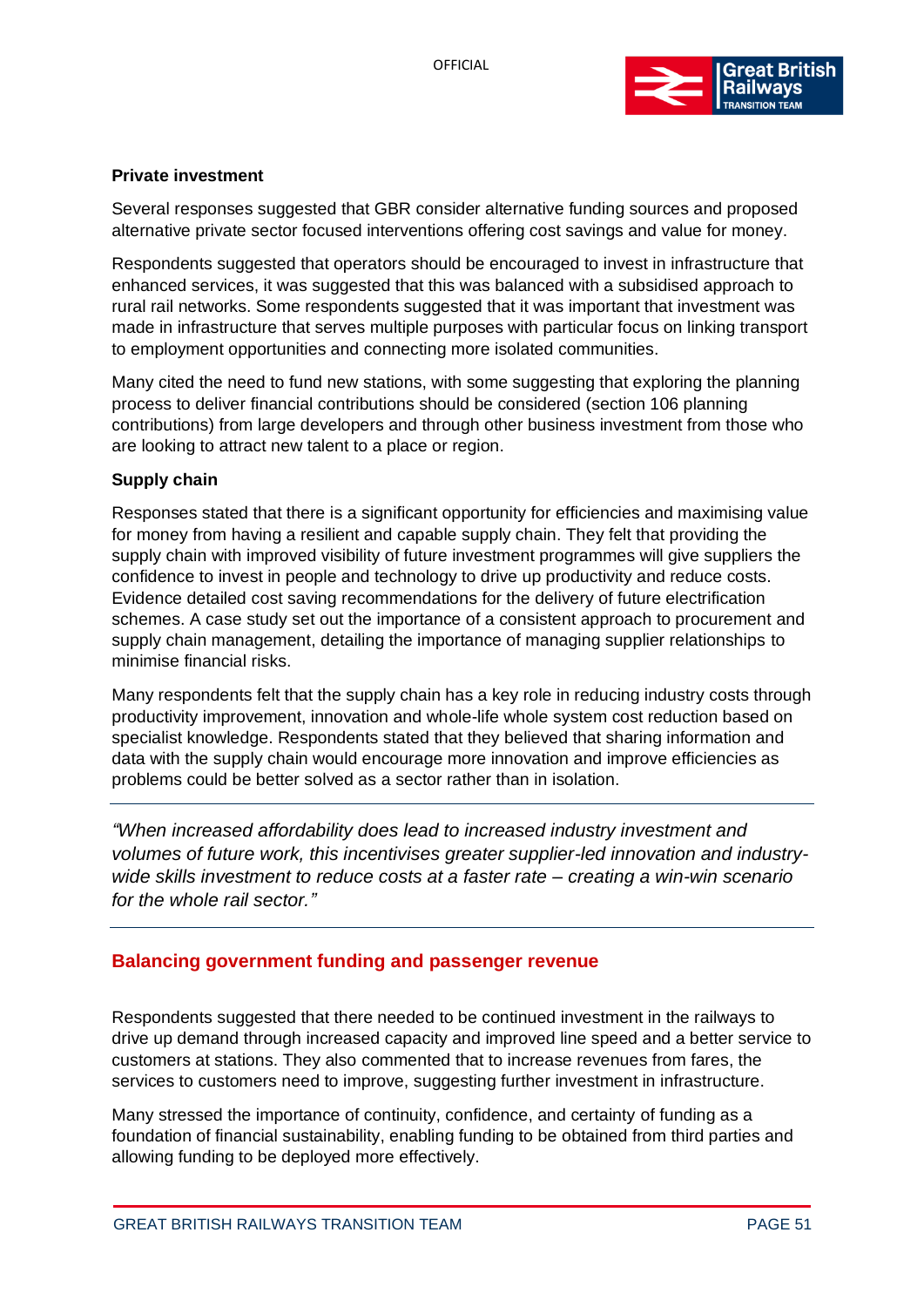

## **Private investment**

Several responses suggested that GBR consider alternative funding sources and proposed alternative private sector focused interventions offering cost savings and value for money.

Respondents suggested that operators should be encouraged to invest in infrastructure that enhanced services, it was suggested that this was balanced with a subsidised approach to rural rail networks. Some respondents suggested that it was important that investment was made in infrastructure that serves multiple purposes with particular focus on linking transport to employment opportunities and connecting more isolated communities.

Many cited the need to fund new stations, with some suggesting that exploring the planning process to deliver financial contributions should be considered (section 106 planning contributions) from large developers and through other business investment from those who are looking to attract new talent to a place or region.

#### **Supply chain**

Responses stated that there is a significant opportunity for efficiencies and maximising value for money from having a resilient and capable supply chain. They felt that providing the supply chain with improved visibility of future investment programmes will give suppliers the confidence to invest in people and technology to drive up productivity and reduce costs. Evidence detailed cost saving recommendations for the delivery of future electrification schemes. A case study set out the importance of a consistent approach to procurement and supply chain management, detailing the importance of managing supplier relationships to minimise financial risks.

Many respondents felt that the supply chain has a key role in reducing industry costs through productivity improvement, innovation and whole-life whole system cost reduction based on specialist knowledge. Respondents stated that they believed that sharing information and data with the supply chain would encourage more innovation and improve efficiencies as problems could be better solved as a sector rather than in isolation.

*"When increased affordability does lead to increased industry investment and volumes of future work, this incentivises greater supplier-led innovation and industrywide skills investment to reduce costs at a faster rate – creating a win-win scenario for the whole rail sector."*

# **Balancing government funding and passenger revenue**

Respondents suggested that there needed to be continued investment in the railways to drive up demand through increased capacity and improved line speed and a better service to customers at stations. They also commented that to increase revenues from fares, the services to customers need to improve, suggesting further investment in infrastructure.

Many stressed the importance of continuity, confidence, and certainty of funding as a foundation of financial sustainability, enabling funding to be obtained from third parties and allowing funding to be deployed more effectively.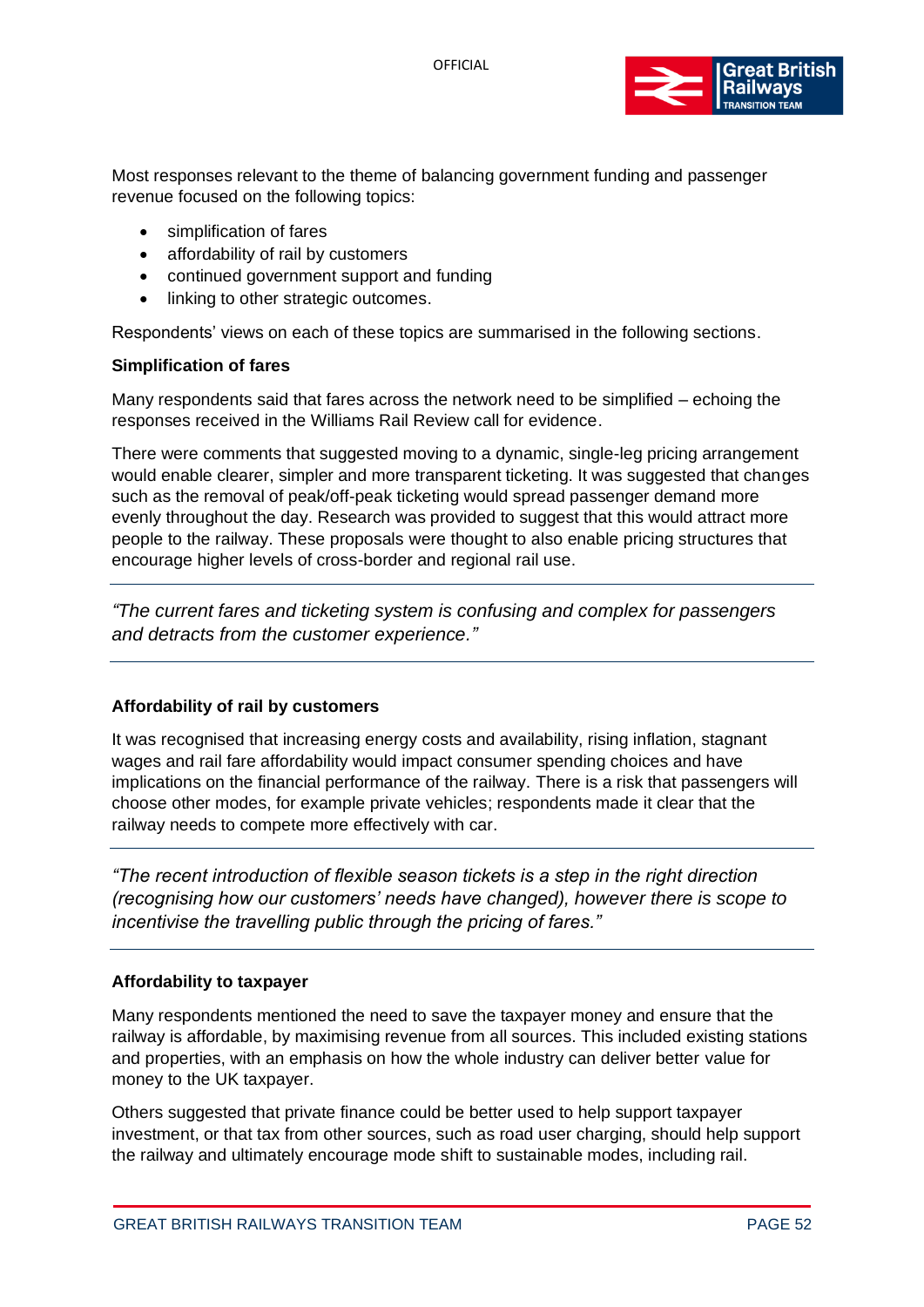

Most responses relevant to the theme of balancing government funding and passenger revenue focused on the following topics:

- simplification of fares
- affordability of rail by customers
- continued government support and funding
- linking to other strategic outcomes.

Respondents' views on each of these topics are summarised in the following sections.

#### **Simplification of fares**

Many respondents said that fares across the network need to be simplified – echoing the responses received in the Williams Rail Review call for evidence.

There were comments that suggested moving to a dynamic, single-leg pricing arrangement would enable clearer, simpler and more transparent ticketing. It was suggested that changes such as the removal of peak/off-peak ticketing would spread passenger demand more evenly throughout the day. Research was provided to suggest that this would attract more people to the railway. These proposals were thought to also enable pricing structures that encourage higher levels of cross-border and regional rail use.

*"The current fares and ticketing system is confusing and complex for passengers and detracts from the customer experience."*

## **Affordability of rail by customers**

It was recognised that increasing energy costs and availability, rising inflation, stagnant wages and rail fare affordability would impact consumer spending choices and have implications on the financial performance of the railway. There is a risk that passengers will choose other modes, for example private vehicles; respondents made it clear that the railway needs to compete more effectively with car.

*"The recent introduction of flexible season tickets is a step in the right direction (recognising how our customers' needs have changed), however there is scope to incentivise the travelling public through the pricing of fares."*

#### **Affordability to taxpayer**

Many respondents mentioned the need to save the taxpayer money and ensure that the railway is affordable, by maximising revenue from all sources. This included existing stations and properties, with an emphasis on how the whole industry can deliver better value for money to the UK taxpayer.

Others suggested that private finance could be better used to help support taxpayer investment, or that tax from other sources, such as road user charging, should help support the railway and ultimately encourage mode shift to sustainable modes, including rail.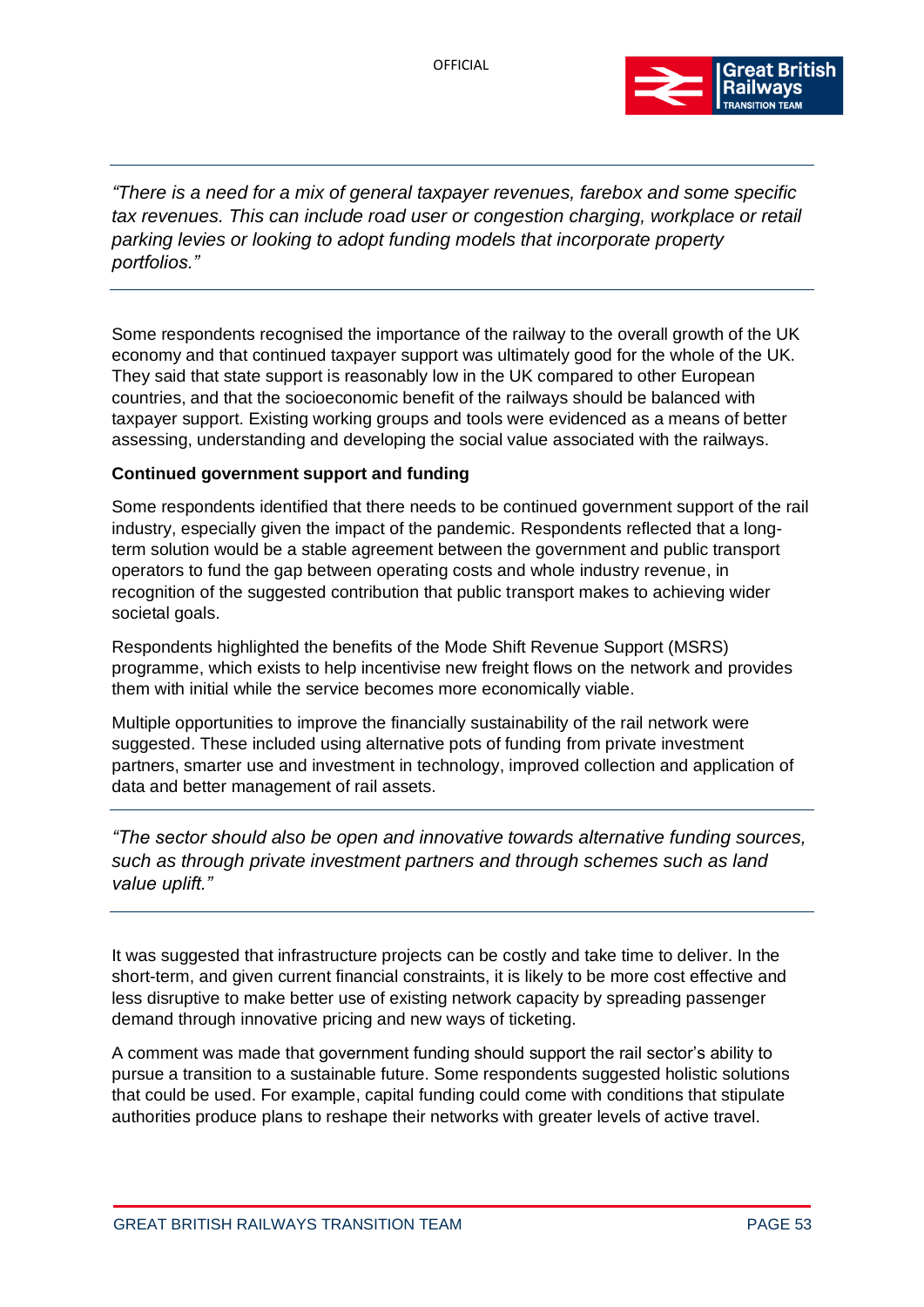

*"There is a need for a mix of general taxpayer revenues, farebox and some specific tax revenues. This can include road user or congestion charging, workplace or retail parking levies or looking to adopt funding models that incorporate property portfolios."*

Some respondents recognised the importance of the railway to the overall growth of the UK economy and that continued taxpayer support was ultimately good for the whole of the UK. They said that state support is reasonably low in the UK compared to other European countries, and that the socioeconomic benefit of the railways should be balanced with taxpayer support. Existing working groups and tools were evidenced as a means of better assessing, understanding and developing the social value associated with the railways.

## **Continued government support and funding**

Some respondents identified that there needs to be continued government support of the rail industry, especially given the impact of the pandemic. Respondents reflected that a longterm solution would be a stable agreement between the government and public transport operators to fund the gap between operating costs and whole industry revenue, in recognition of the suggested contribution that public transport makes to achieving wider societal goals.

Respondents highlighted the benefits of the Mode Shift Revenue Support (MSRS) programme, which exists to help incentivise new freight flows on the network and provides them with initial while the service becomes more economically viable.

Multiple opportunities to improve the financially sustainability of the rail network were suggested. These included using alternative pots of funding from private investment partners, smarter use and investment in technology, improved collection and application of data and better management of rail assets.

*"The sector should also be open and innovative towards alternative funding sources, such as through private investment partners and through schemes such as land value uplift."*

It was suggested that infrastructure projects can be costly and take time to deliver. In the short-term, and given current financial constraints, it is likely to be more cost effective and less disruptive to make better use of existing network capacity by spreading passenger demand through innovative pricing and new ways of ticketing.

A comment was made that government funding should support the rail sector's ability to pursue a transition to a sustainable future. Some respondents suggested holistic solutions that could be used. For example, capital funding could come with conditions that stipulate authorities produce plans to reshape their networks with greater levels of active travel.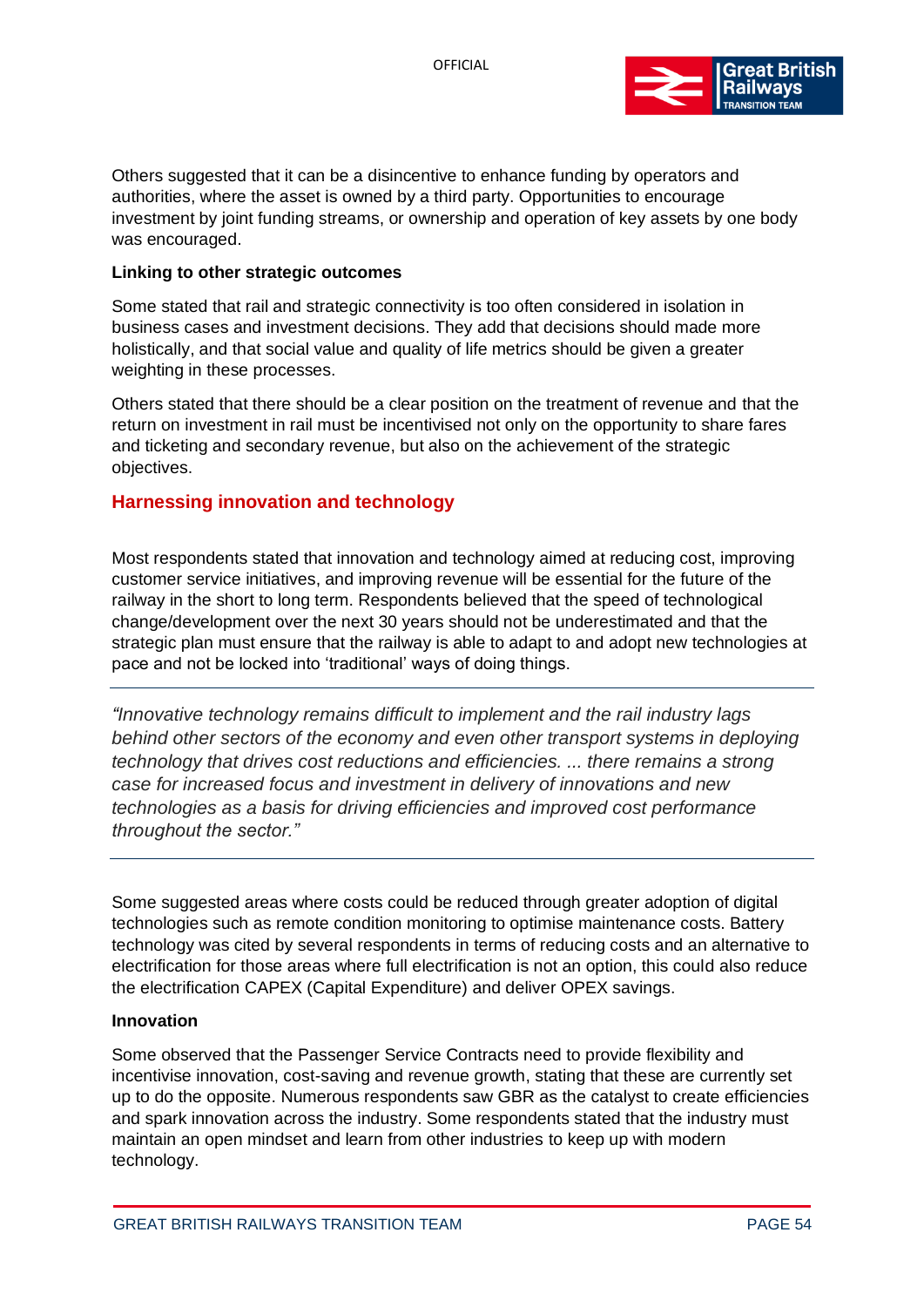

Others suggested that it can be a disincentive to enhance funding by operators and authorities, where the asset is owned by a third party. Opportunities to encourage investment by joint funding streams, or ownership and operation of key assets by one body was encouraged.

#### **Linking to other strategic outcomes**

Some stated that rail and strategic connectivity is too often considered in isolation in business cases and investment decisions. They add that decisions should made more holistically, and that social value and quality of life metrics should be given a greater weighting in these processes.

Others stated that there should be a clear position on the treatment of revenue and that the return on investment in rail must be incentivised not only on the opportunity to share fares and ticketing and secondary revenue, but also on the achievement of the strategic objectives.

# **Harnessing innovation and technology**

Most respondents stated that innovation and technology aimed at reducing cost, improving customer service initiatives, and improving revenue will be essential for the future of the railway in the short to long term. Respondents believed that the speed of technological change/development over the next 30 years should not be underestimated and that the strategic plan must ensure that the railway is able to adapt to and adopt new technologies at pace and not be locked into 'traditional' ways of doing things.

*"Innovative technology remains difficult to implement and the rail industry lags behind other sectors of the economy and even other transport systems in deploying technology that drives cost reductions and efficiencies. ... there remains a strong case for increased focus and investment in delivery of innovations and new technologies as a basis for driving efficiencies and improved cost performance throughout the sector."*

Some suggested areas where costs could be reduced through greater adoption of digital technologies such as remote condition monitoring to optimise maintenance costs. Battery technology was cited by several respondents in terms of reducing costs and an alternative to electrification for those areas where full electrification is not an option, this could also reduce the electrification CAPEX (Capital Expenditure) and deliver OPEX savings.

#### **Innovation**

Some observed that the Passenger Service Contracts need to provide flexibility and incentivise innovation, cost-saving and revenue growth, stating that these are currently set up to do the opposite. Numerous respondents saw GBR as the catalyst to create efficiencies and spark innovation across the industry. Some respondents stated that the industry must maintain an open mindset and learn from other industries to keep up with modern technology.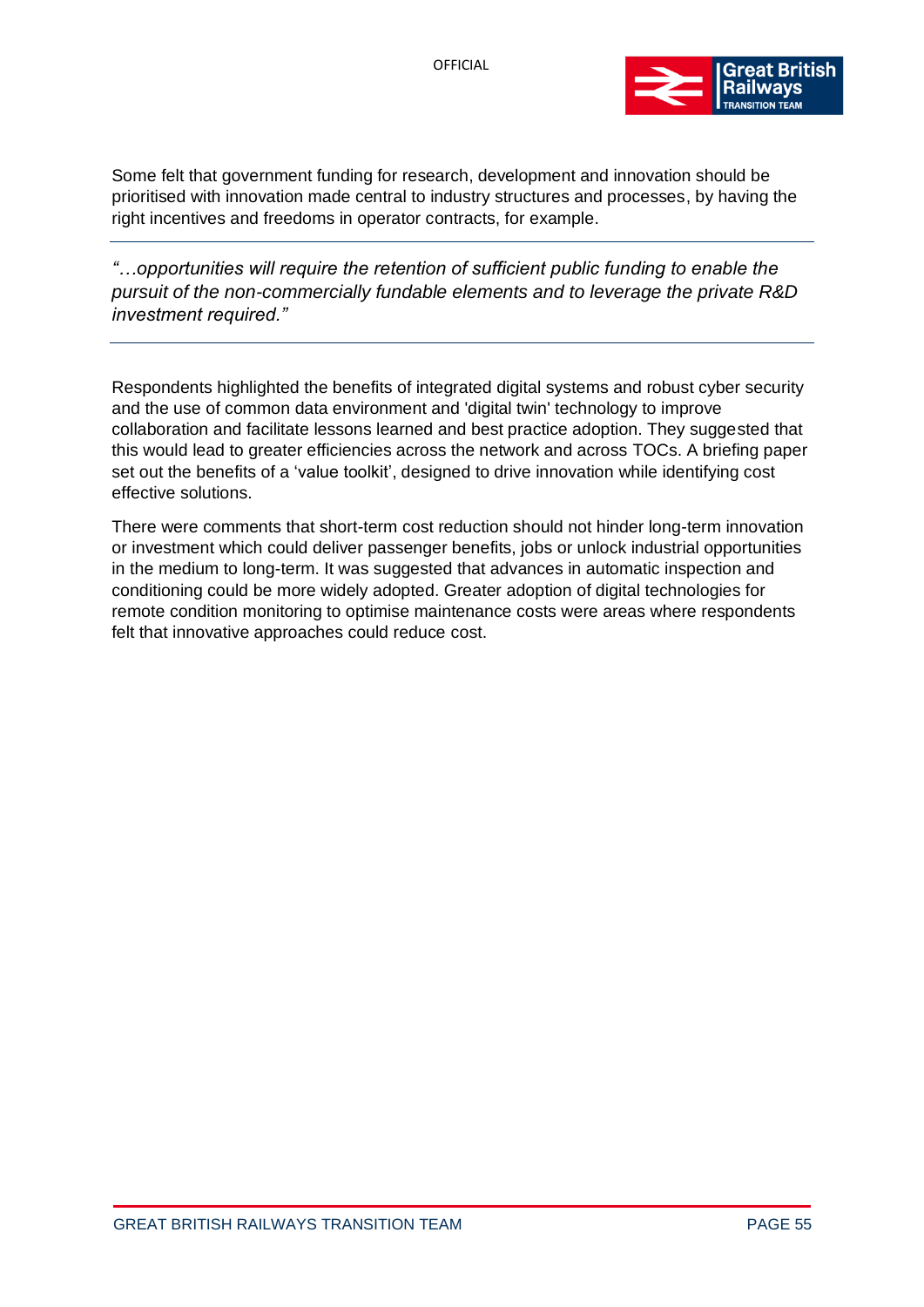

Some felt that government funding for research, development and innovation should be prioritised with innovation made central to industry structures and processes, by having the right incentives and freedoms in operator contracts, for example.

*"…opportunities will require the retention of sufficient public funding to enable the pursuit of the non-commercially fundable elements and to leverage the private R&D investment required."*

Respondents highlighted the benefits of integrated digital systems and robust cyber security and the use of common data environment and 'digital twin' technology to improve collaboration and facilitate lessons learned and best practice adoption. They suggested that this would lead to greater efficiencies across the network and across TOCs. A briefing paper set out the benefits of a 'value toolkit', designed to drive innovation while identifying cost effective solutions.

There were comments that short-term cost reduction should not hinder long-term innovation or investment which could deliver passenger benefits, jobs or unlock industrial opportunities in the medium to long-term. It was suggested that advances in automatic inspection and conditioning could be more widely adopted. Greater adoption of digital technologies for remote condition monitoring to optimise maintenance costs were areas where respondents felt that innovative approaches could reduce cost.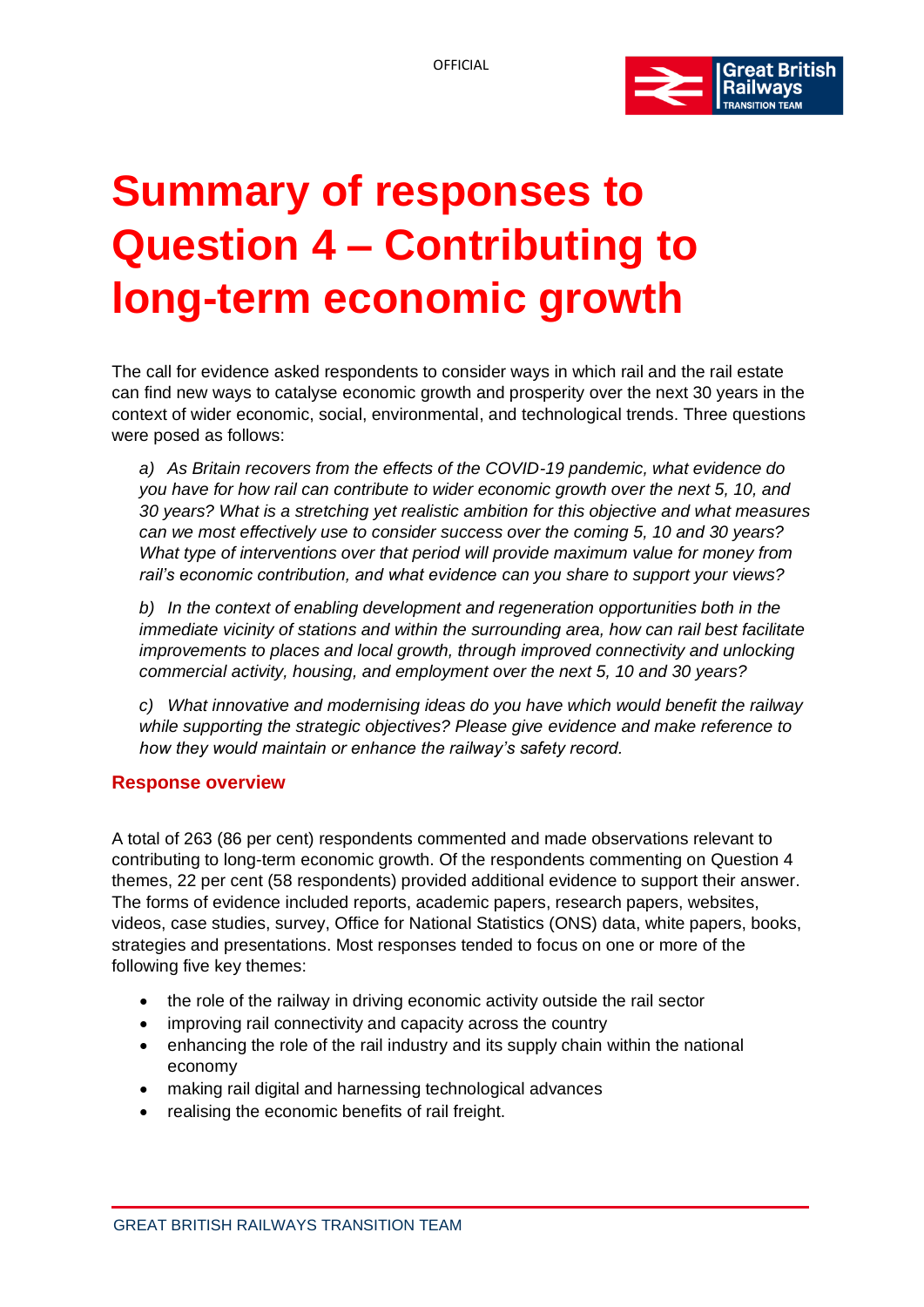

# **Summary of responses to Question 4 – Contributing to long-term economic growth**

The call for evidence asked respondents to consider ways in which rail and the rail estate can find new ways to catalyse economic growth and prosperity over the next 30 years in the context of wider economic, social, environmental, and technological trends. Three questions were posed as follows:

*a) As Britain recovers from the effects of the COVID-19 pandemic, what evidence do you have for how rail can contribute to wider economic growth over the next 5, 10, and 30 years? What is a stretching yet realistic ambition for this objective and what measures can we most effectively use to consider success over the coming 5, 10 and 30 years? What type of interventions over that period will provide maximum value for money from rail's economic contribution, and what evidence can you share to support your views?*

*b) In the context of enabling development and regeneration opportunities both in the immediate vicinity of stations and within the surrounding area, how can rail best facilitate improvements to places and local growth, through improved connectivity and unlocking commercial activity, housing, and employment over the next 5, 10 and 30 years?*

*c) What innovative and modernising ideas do you have which would benefit the railway while supporting the strategic objectives? Please give evidence and make reference to how they would maintain or enhance the railway's safety record.*

## **Response overview**

A total of 263 (86 per cent) respondents commented and made observations relevant to contributing to long-term economic growth. Of the respondents commenting on Question 4 themes, 22 per cent (58 respondents) provided additional evidence to support their answer. The forms of evidence included reports, academic papers, research papers, websites, videos, case studies, survey, Office for National Statistics (ONS) data, white papers, books, strategies and presentations. Most responses tended to focus on one or more of the following five key themes:

- the role of the railway in driving economic activity outside the rail sector
- improving rail connectivity and capacity across the country
- enhancing the role of the rail industry and its supply chain within the national economy
- making rail digital and harnessing technological advances
- realising the economic benefits of rail freight.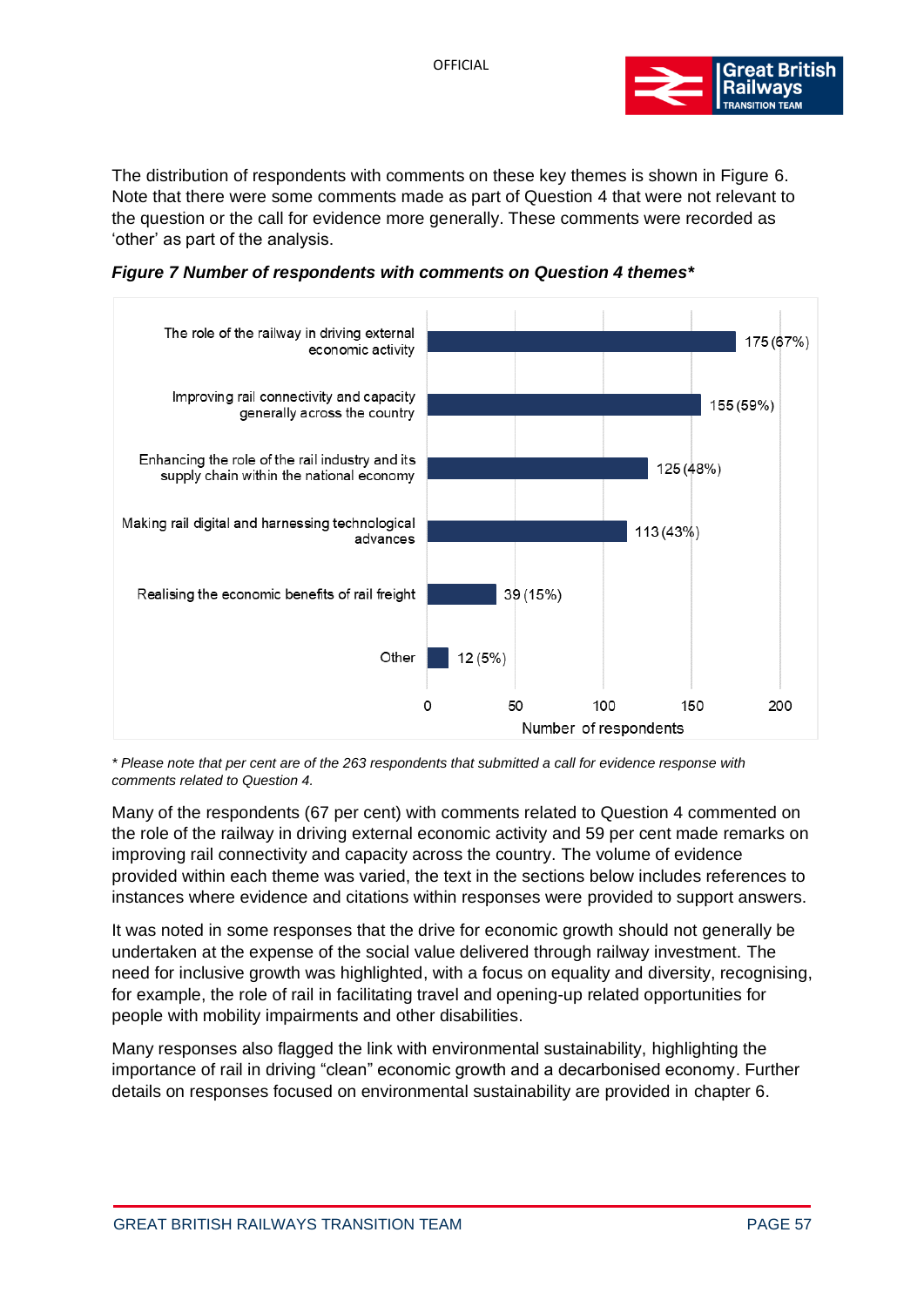

The distribution of respondents with comments on these key themes is shown in Figure 6. Note that there were some comments made as part of Question 4 that were not relevant to the question or the call for evidence more generally. These comments were recorded as 'other' as part of the analysis.

*Figure 7 Number of respondents with comments on Question 4 themes\**



*\* Please note that per cent are of the 263 respondents that submitted a call for evidence response with comments related to Question 4.*

Many of the respondents (67 per cent) with comments related to Question 4 commented on the role of the railway in driving external economic activity and 59 per cent made remarks on improving rail connectivity and capacity across the country. The volume of evidence provided within each theme was varied, the text in the sections below includes references to instances where evidence and citations within responses were provided to support answers.

It was noted in some responses that the drive for economic growth should not generally be undertaken at the expense of the social value delivered through railway investment. The need for inclusive growth was highlighted, with a focus on equality and diversity, recognising, for example, the role of rail in facilitating travel and opening-up related opportunities for people with mobility impairments and other disabilities.

Many responses also flagged the link with environmental sustainability, highlighting the importance of rail in driving "clean" economic growth and a decarbonised economy. Further details on responses focused on environmental sustainability are provided in chapter 6.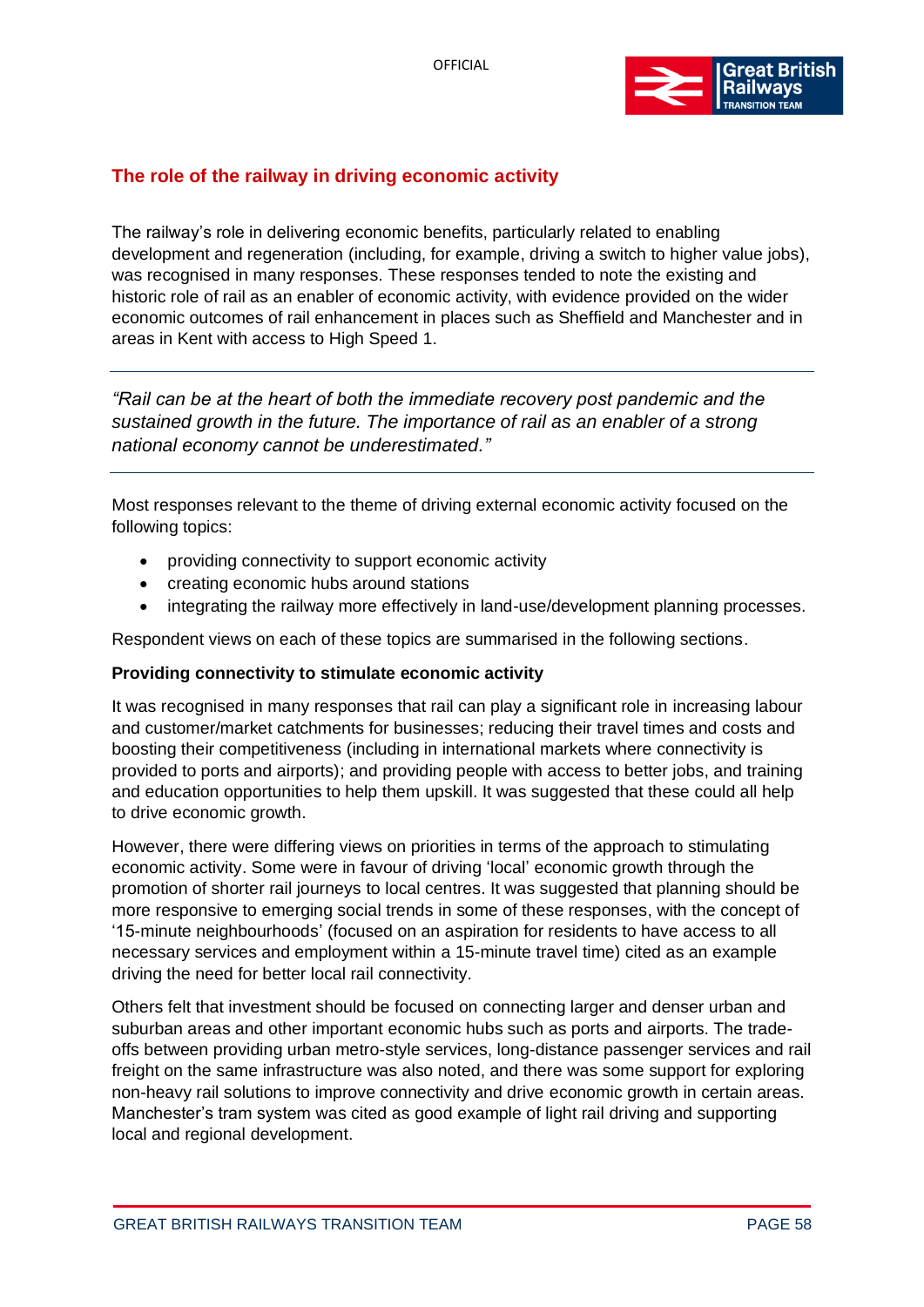

# **The role of the railway in driving economic activity**

The railway's role in delivering economic benefits, particularly related to enabling development and regeneration (including, for example, driving a switch to higher value jobs), was recognised in many responses. These responses tended to note the existing and historic role of rail as an enabler of economic activity, with evidence provided on the wider economic outcomes of rail enhancement in places such as Sheffield and Manchester and in areas in Kent with access to High Speed 1.

*"Rail can be at the heart of both the immediate recovery post pandemic and the sustained growth in the future. The importance of rail as an enabler of a strong national economy cannot be underestimated."*

Most responses relevant to the theme of driving external economic activity focused on the following topics:

- providing connectivity to support economic activity
- creating economic hubs around stations
- integrating the railway more effectively in land-use/development planning processes.

Respondent views on each of these topics are summarised in the following sections.

## **Providing connectivity to stimulate economic activity**

It was recognised in many responses that rail can play a significant role in increasing labour and customer/market catchments for businesses; reducing their travel times and costs and boosting their competitiveness (including in international markets where connectivity is provided to ports and airports); and providing people with access to better jobs, and training and education opportunities to help them upskill. It was suggested that these could all help to drive economic growth.

However, there were differing views on priorities in terms of the approach to stimulating economic activity. Some were in favour of driving 'local' economic growth through the promotion of shorter rail journeys to local centres. It was suggested that planning should be more responsive to emerging social trends in some of these responses, with the concept of '15-minute neighbourhoods' (focused on an aspiration for residents to have access to all necessary services and employment within a 15-minute travel time) cited as an example driving the need for better local rail connectivity.

Others felt that investment should be focused on connecting larger and denser urban and suburban areas and other important economic hubs such as ports and airports. The tradeoffs between providing urban metro-style services, long-distance passenger services and rail freight on the same infrastructure was also noted, and there was some support for exploring non-heavy rail solutions to improve connectivity and drive economic growth in certain areas. Manchester's tram system was cited as good example of light rail driving and supporting local and regional development.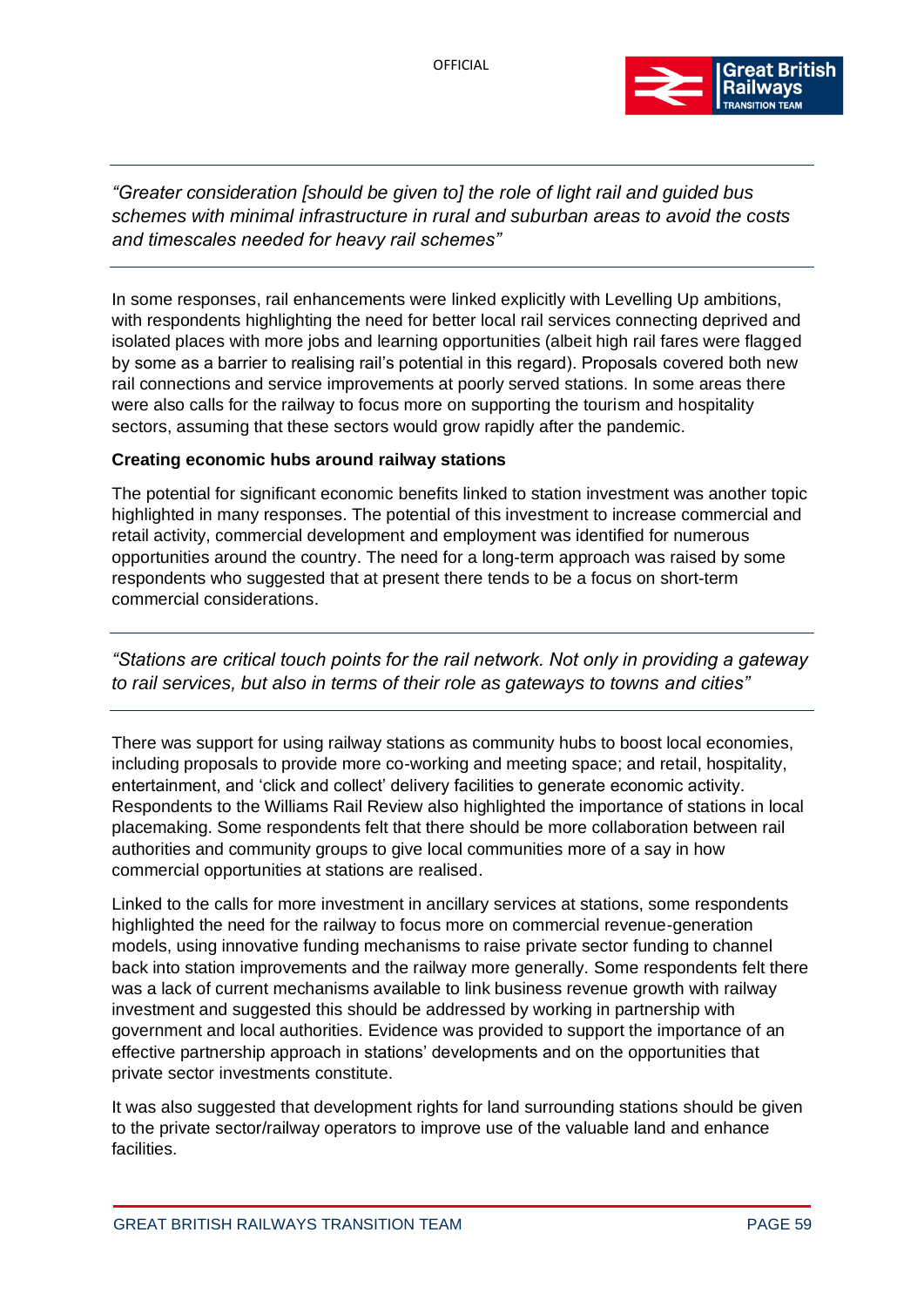

*"Greater consideration [should be given to] the role of light rail and guided bus schemes with minimal infrastructure in rural and suburban areas to avoid the costs and timescales needed for heavy rail schemes"*

In some responses, rail enhancements were linked explicitly with Levelling Up ambitions, with respondents highlighting the need for better local rail services connecting deprived and isolated places with more jobs and learning opportunities (albeit high rail fares were flagged by some as a barrier to realising rail's potential in this regard). Proposals covered both new rail connections and service improvements at poorly served stations. In some areas there were also calls for the railway to focus more on supporting the tourism and hospitality sectors, assuming that these sectors would grow rapidly after the pandemic.

## **Creating economic hubs around railway stations**

The potential for significant economic benefits linked to station investment was another topic highlighted in many responses. The potential of this investment to increase commercial and retail activity, commercial development and employment was identified for numerous opportunities around the country. The need for a long-term approach was raised by some respondents who suggested that at present there tends to be a focus on short-term commercial considerations.

*"Stations are critical touch points for the rail network. Not only in providing a gateway to rail services, but also in terms of their role as gateways to towns and cities"*

There was support for using railway stations as community hubs to boost local economies, including proposals to provide more co-working and meeting space; and retail, hospitality, entertainment, and 'click and collect' delivery facilities to generate economic activity. Respondents to the Williams Rail Review also highlighted the importance of stations in local placemaking. Some respondents felt that there should be more collaboration between rail authorities and community groups to give local communities more of a say in how commercial opportunities at stations are realised.

Linked to the calls for more investment in ancillary services at stations, some respondents highlighted the need for the railway to focus more on commercial revenue-generation models, using innovative funding mechanisms to raise private sector funding to channel back into station improvements and the railway more generally. Some respondents felt there was a lack of current mechanisms available to link business revenue growth with railway investment and suggested this should be addressed by working in partnership with government and local authorities. Evidence was provided to support the importance of an effective partnership approach in stations' developments and on the opportunities that private sector investments constitute.

It was also suggested that development rights for land surrounding stations should be given to the private sector/railway operators to improve use of the valuable land and enhance facilities.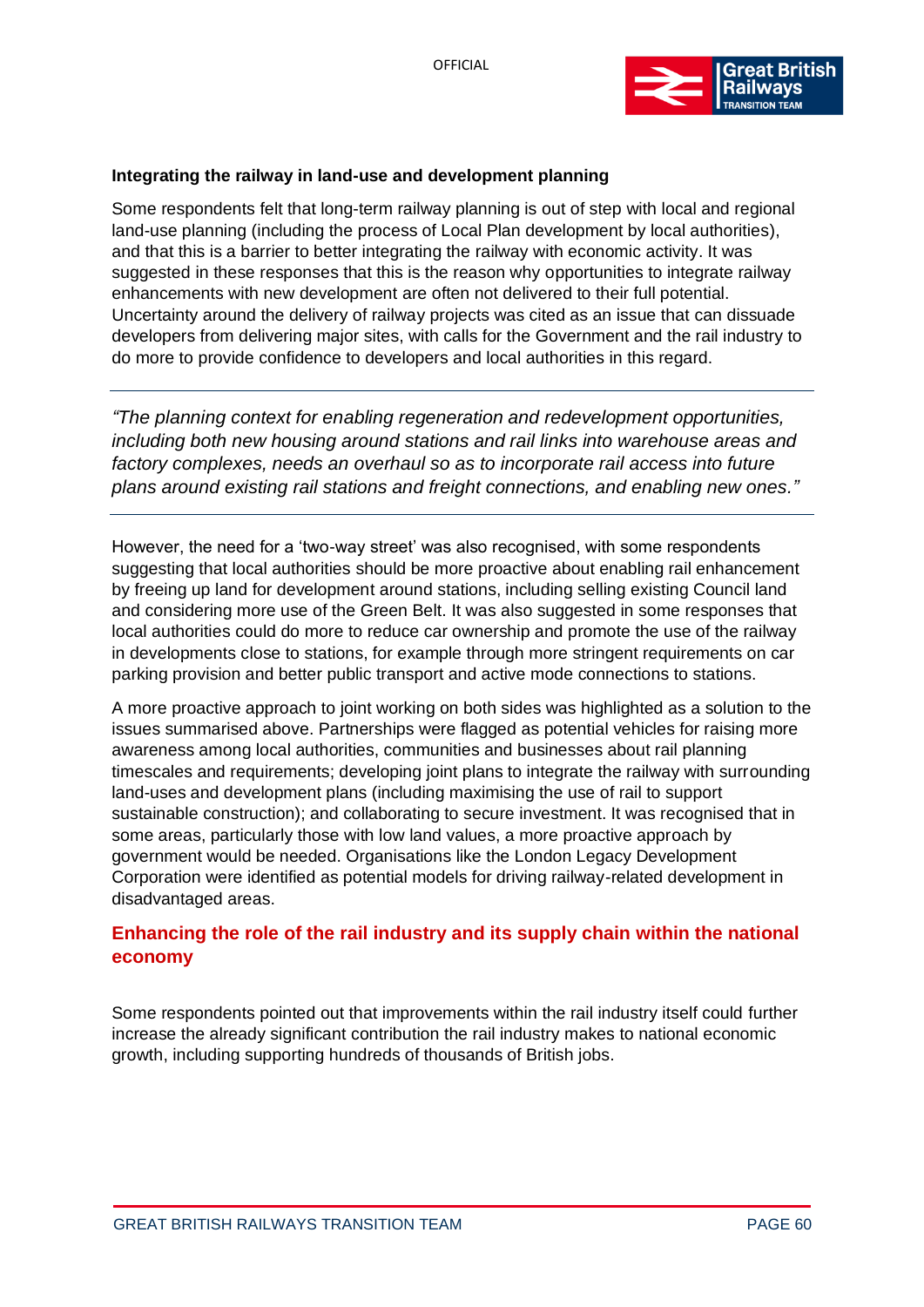

# **Integrating the railway in land-use and development planning**

Some respondents felt that long-term railway planning is out of step with local and regional land-use planning (including the process of Local Plan development by local authorities), and that this is a barrier to better integrating the railway with economic activity. It was suggested in these responses that this is the reason why opportunities to integrate railway enhancements with new development are often not delivered to their full potential. Uncertainty around the delivery of railway projects was cited as an issue that can dissuade developers from delivering major sites, with calls for the Government and the rail industry to do more to provide confidence to developers and local authorities in this regard.

*"The planning context for enabling regeneration and redevelopment opportunities, including both new housing around stations and rail links into warehouse areas and factory complexes, needs an overhaul so as to incorporate rail access into future plans around existing rail stations and freight connections, and enabling new ones."*

However, the need for a 'two-way street' was also recognised, with some respondents suggesting that local authorities should be more proactive about enabling rail enhancement by freeing up land for development around stations, including selling existing Council land and considering more use of the Green Belt. It was also suggested in some responses that local authorities could do more to reduce car ownership and promote the use of the railway in developments close to stations, for example through more stringent requirements on car parking provision and better public transport and active mode connections to stations.

A more proactive approach to joint working on both sides was highlighted as a solution to the issues summarised above. Partnerships were flagged as potential vehicles for raising more awareness among local authorities, communities and businesses about rail planning timescales and requirements; developing joint plans to integrate the railway with surrounding land-uses and development plans (including maximising the use of rail to support sustainable construction); and collaborating to secure investment. It was recognised that in some areas, particularly those with low land values, a more proactive approach by government would be needed. Organisations like the London Legacy Development Corporation were identified as potential models for driving railway-related development in disadvantaged areas.

# **Enhancing the role of the rail industry and its supply chain within the national economy**

Some respondents pointed out that improvements within the rail industry itself could further increase the already significant contribution the rail industry makes to national economic growth, including supporting hundreds of thousands of British jobs.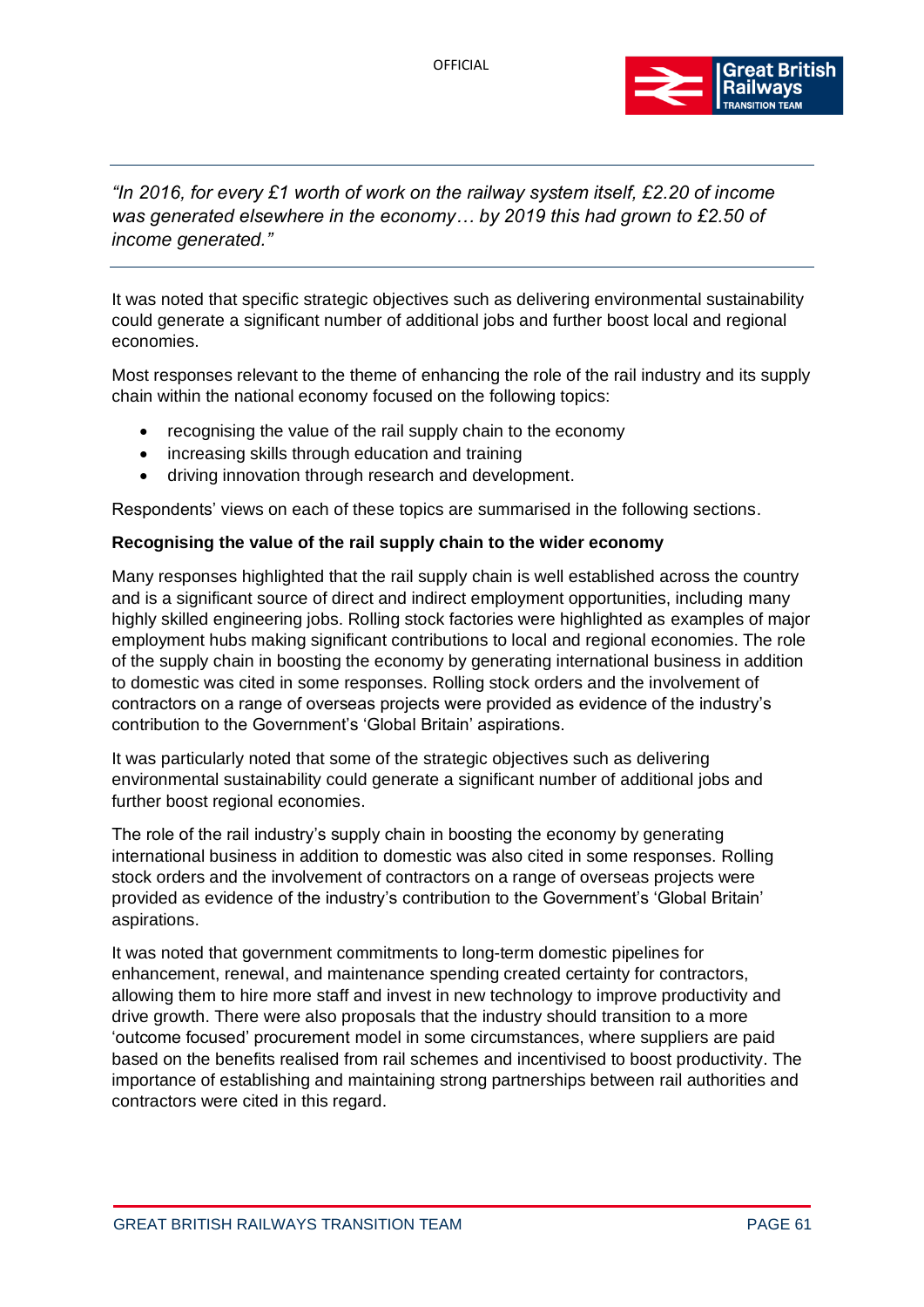

# *"In 2016, for every £1 worth of work on the railway system itself, £2.20 of income was generated elsewhere in the economy… by 2019 this had grown to £2.50 of income generated."*

It was noted that specific strategic objectives such as delivering environmental sustainability could generate a significant number of additional jobs and further boost local and regional economies.

Most responses relevant to the theme of enhancing the role of the rail industry and its supply chain within the national economy focused on the following topics:

- recognising the value of the rail supply chain to the economy
- increasing skills through education and training
- driving innovation through research and development.

Respondents' views on each of these topics are summarised in the following sections.

## **Recognising the value of the rail supply chain to the wider economy**

Many responses highlighted that the rail supply chain is well established across the country and is a significant source of direct and indirect employment opportunities, including many highly skilled engineering jobs. Rolling stock factories were highlighted as examples of major employment hubs making significant contributions to local and regional economies. The role of the supply chain in boosting the economy by generating international business in addition to domestic was cited in some responses. Rolling stock orders and the involvement of contractors on a range of overseas projects were provided as evidence of the industry's contribution to the Government's 'Global Britain' aspirations.

It was particularly noted that some of the strategic objectives such as delivering environmental sustainability could generate a significant number of additional jobs and further boost regional economies.

The role of the rail industry's supply chain in boosting the economy by generating international business in addition to domestic was also cited in some responses. Rolling stock orders and the involvement of contractors on a range of overseas projects were provided as evidence of the industry's contribution to the Government's 'Global Britain' aspirations.

It was noted that government commitments to long-term domestic pipelines for enhancement, renewal, and maintenance spending created certainty for contractors, allowing them to hire more staff and invest in new technology to improve productivity and drive growth. There were also proposals that the industry should transition to a more 'outcome focused' procurement model in some circumstances, where suppliers are paid based on the benefits realised from rail schemes and incentivised to boost productivity. The importance of establishing and maintaining strong partnerships between rail authorities and contractors were cited in this regard.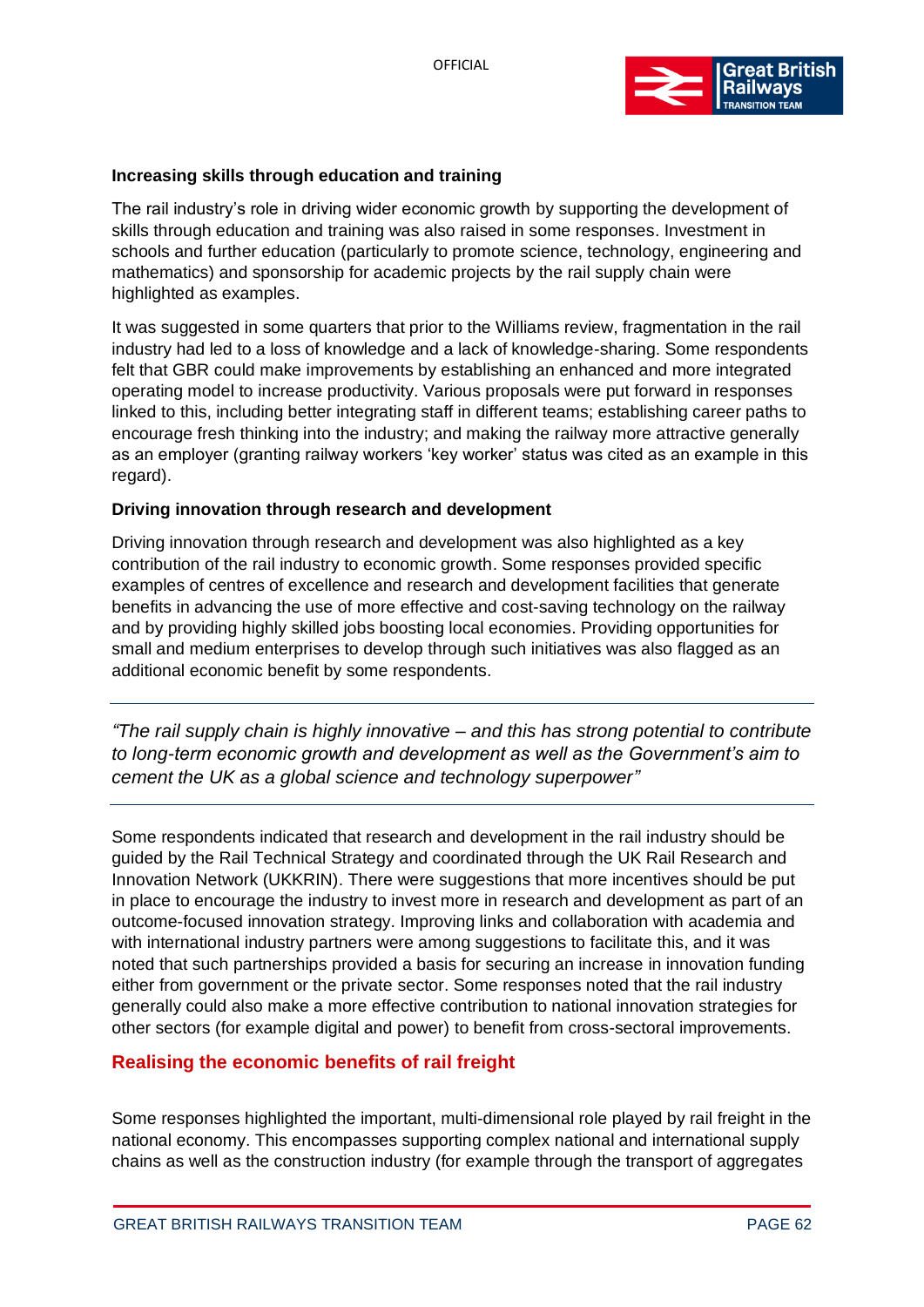

## **Increasing skills through education and training**

The rail industry's role in driving wider economic growth by supporting the development of skills through education and training was also raised in some responses. Investment in schools and further education (particularly to promote science, technology, engineering and mathematics) and sponsorship for academic projects by the rail supply chain were highlighted as examples.

It was suggested in some quarters that prior to the Williams review, fragmentation in the rail industry had led to a loss of knowledge and a lack of knowledge-sharing. Some respondents felt that GBR could make improvements by establishing an enhanced and more integrated operating model to increase productivity. Various proposals were put forward in responses linked to this, including better integrating staff in different teams; establishing career paths to encourage fresh thinking into the industry; and making the railway more attractive generally as an employer (granting railway workers 'key worker' status was cited as an example in this regard).

#### **Driving innovation through research and development**

Driving innovation through research and development was also highlighted as a key contribution of the rail industry to economic growth. Some responses provided specific examples of centres of excellence and research and development facilities that generate benefits in advancing the use of more effective and cost-saving technology on the railway and by providing highly skilled jobs boosting local economies. Providing opportunities for small and medium enterprises to develop through such initiatives was also flagged as an additional economic benefit by some respondents.

*"The rail supply chain is highly innovative – and this has strong potential to contribute to long-term economic growth and development as well as the Government's aim to cement the UK as a global science and technology superpower"*

Some respondents indicated that research and development in the rail industry should be guided by the Rail Technical Strategy and coordinated through the UK Rail Research and Innovation Network (UKKRIN). There were suggestions that more incentives should be put in place to encourage the industry to invest more in research and development as part of an outcome-focused innovation strategy. Improving links and collaboration with academia and with international industry partners were among suggestions to facilitate this, and it was noted that such partnerships provided a basis for securing an increase in innovation funding either from government or the private sector. Some responses noted that the rail industry generally could also make a more effective contribution to national innovation strategies for other sectors (for example digital and power) to benefit from cross-sectoral improvements.

# **Realising the economic benefits of rail freight**

Some responses highlighted the important, multi-dimensional role played by rail freight in the national economy. This encompasses supporting complex national and international supply chains as well as the construction industry (for example through the transport of aggregates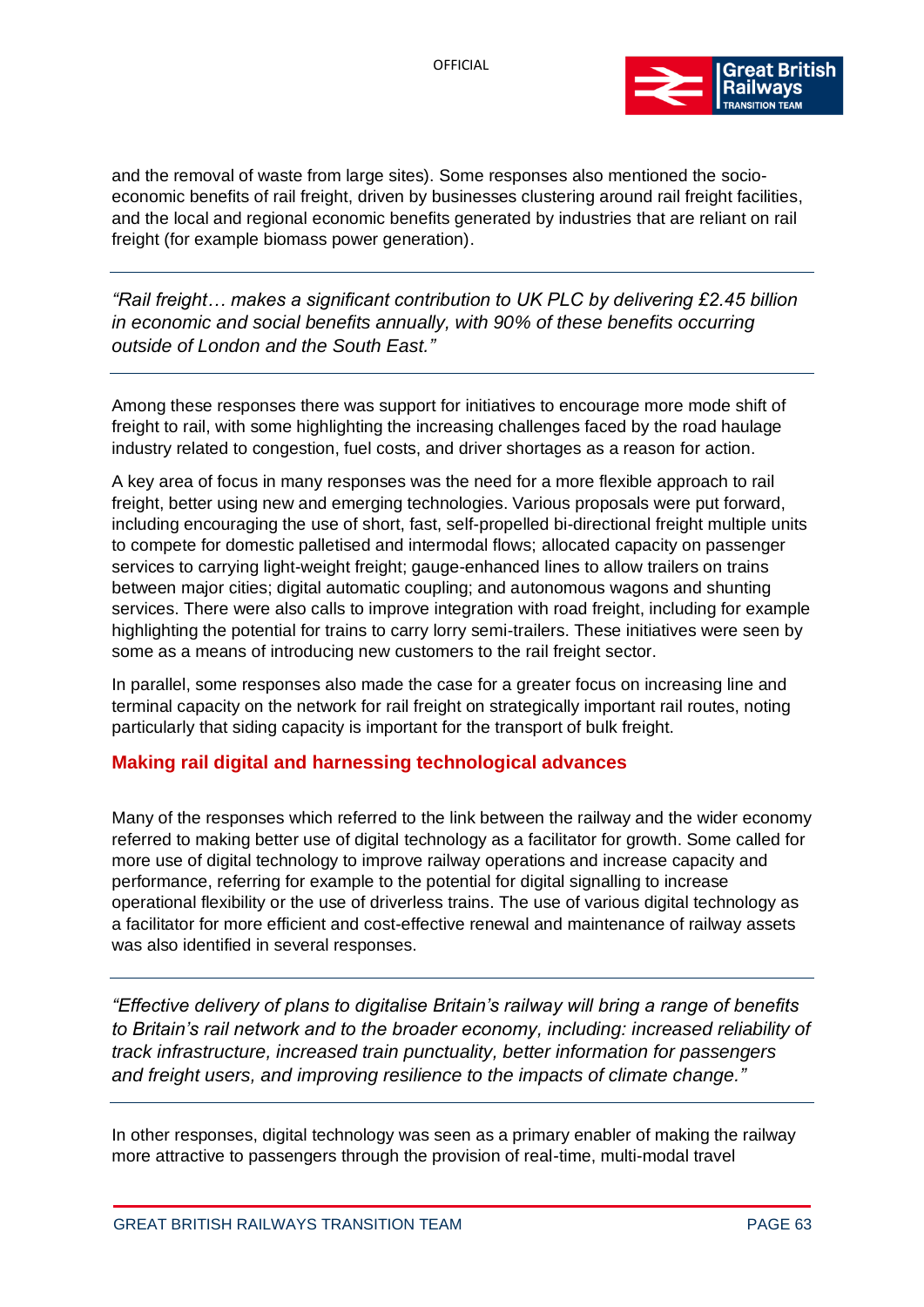

and the removal of waste from large sites). Some responses also mentioned the socioeconomic benefits of rail freight, driven by businesses clustering around rail freight facilities, and the local and regional economic benefits generated by industries that are reliant on rail freight (for example biomass power generation).

*"Rail freight… makes a significant contribution to UK PLC by delivering £2.45 billion in economic and social benefits annually, with 90% of these benefits occurring outside of London and the South East."*

Among these responses there was support for initiatives to encourage more mode shift of freight to rail, with some highlighting the increasing challenges faced by the road haulage industry related to congestion, fuel costs, and driver shortages as a reason for action.

A key area of focus in many responses was the need for a more flexible approach to rail freight, better using new and emerging technologies. Various proposals were put forward, including encouraging the use of short, fast, self-propelled bi-directional freight multiple units to compete for domestic palletised and intermodal flows; allocated capacity on passenger services to carrying light-weight freight; gauge-enhanced lines to allow trailers on trains between major cities; digital automatic coupling; and autonomous wagons and shunting services. There were also calls to improve integration with road freight, including for example highlighting the potential for trains to carry lorry semi-trailers. These initiatives were seen by some as a means of introducing new customers to the rail freight sector.

In parallel, some responses also made the case for a greater focus on increasing line and terminal capacity on the network for rail freight on strategically important rail routes, noting particularly that siding capacity is important for the transport of bulk freight.

## **Making rail digital and harnessing technological advances**

Many of the responses which referred to the link between the railway and the wider economy referred to making better use of digital technology as a facilitator for growth. Some called for more use of digital technology to improve railway operations and increase capacity and performance, referring for example to the potential for digital signalling to increase operational flexibility or the use of driverless trains. The use of various digital technology as a facilitator for more efficient and cost-effective renewal and maintenance of railway assets was also identified in several responses.

*"Effective delivery of plans to digitalise Britain's railway will bring a range of benefits to Britain's rail network and to the broader economy, including: increased reliability of track infrastructure, increased train punctuality, better information for passengers and freight users, and improving resilience to the impacts of climate change."*

In other responses, digital technology was seen as a primary enabler of making the railway more attractive to passengers through the provision of real-time, multi-modal travel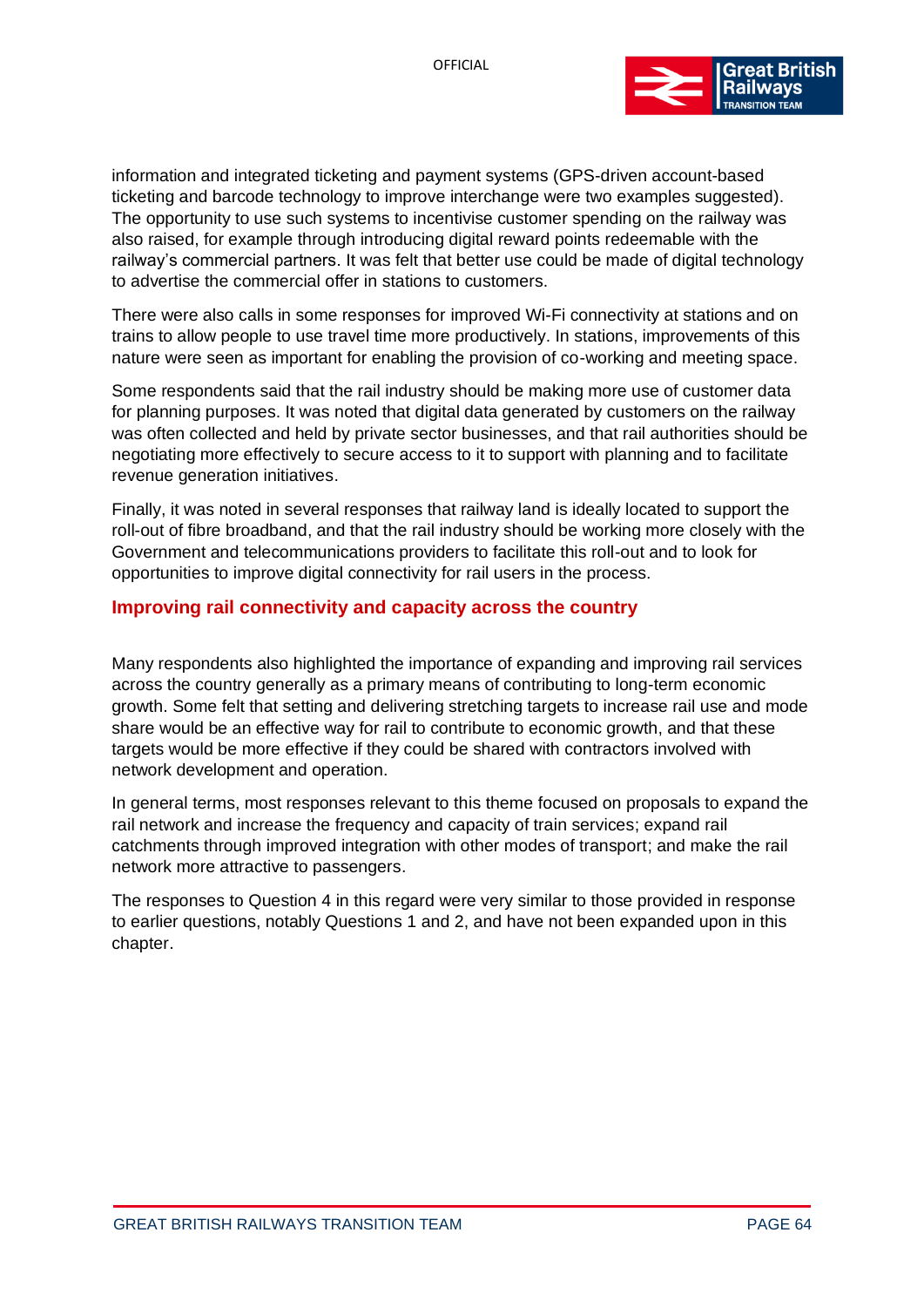

information and integrated ticketing and payment systems (GPS-driven account-based ticketing and barcode technology to improve interchange were two examples suggested). The opportunity to use such systems to incentivise customer spending on the railway was also raised, for example through introducing digital reward points redeemable with the railway's commercial partners. It was felt that better use could be made of digital technology to advertise the commercial offer in stations to customers.

There were also calls in some responses for improved Wi-Fi connectivity at stations and on trains to allow people to use travel time more productively. In stations, improvements of this nature were seen as important for enabling the provision of co-working and meeting space.

Some respondents said that the rail industry should be making more use of customer data for planning purposes. It was noted that digital data generated by customers on the railway was often collected and held by private sector businesses, and that rail authorities should be negotiating more effectively to secure access to it to support with planning and to facilitate revenue generation initiatives.

Finally, it was noted in several responses that railway land is ideally located to support the roll-out of fibre broadband, and that the rail industry should be working more closely with the Government and telecommunications providers to facilitate this roll-out and to look for opportunities to improve digital connectivity for rail users in the process.

# **Improving rail connectivity and capacity across the country**

Many respondents also highlighted the importance of expanding and improving rail services across the country generally as a primary means of contributing to long-term economic growth. Some felt that setting and delivering stretching targets to increase rail use and mode share would be an effective way for rail to contribute to economic growth, and that these targets would be more effective if they could be shared with contractors involved with network development and operation.

In general terms, most responses relevant to this theme focused on proposals to expand the rail network and increase the frequency and capacity of train services; expand rail catchments through improved integration with other modes of transport; and make the rail network more attractive to passengers.

The responses to Question 4 in this regard were very similar to those provided in response to earlier questions, notably Questions 1 and 2, and have not been expanded upon in this chapter.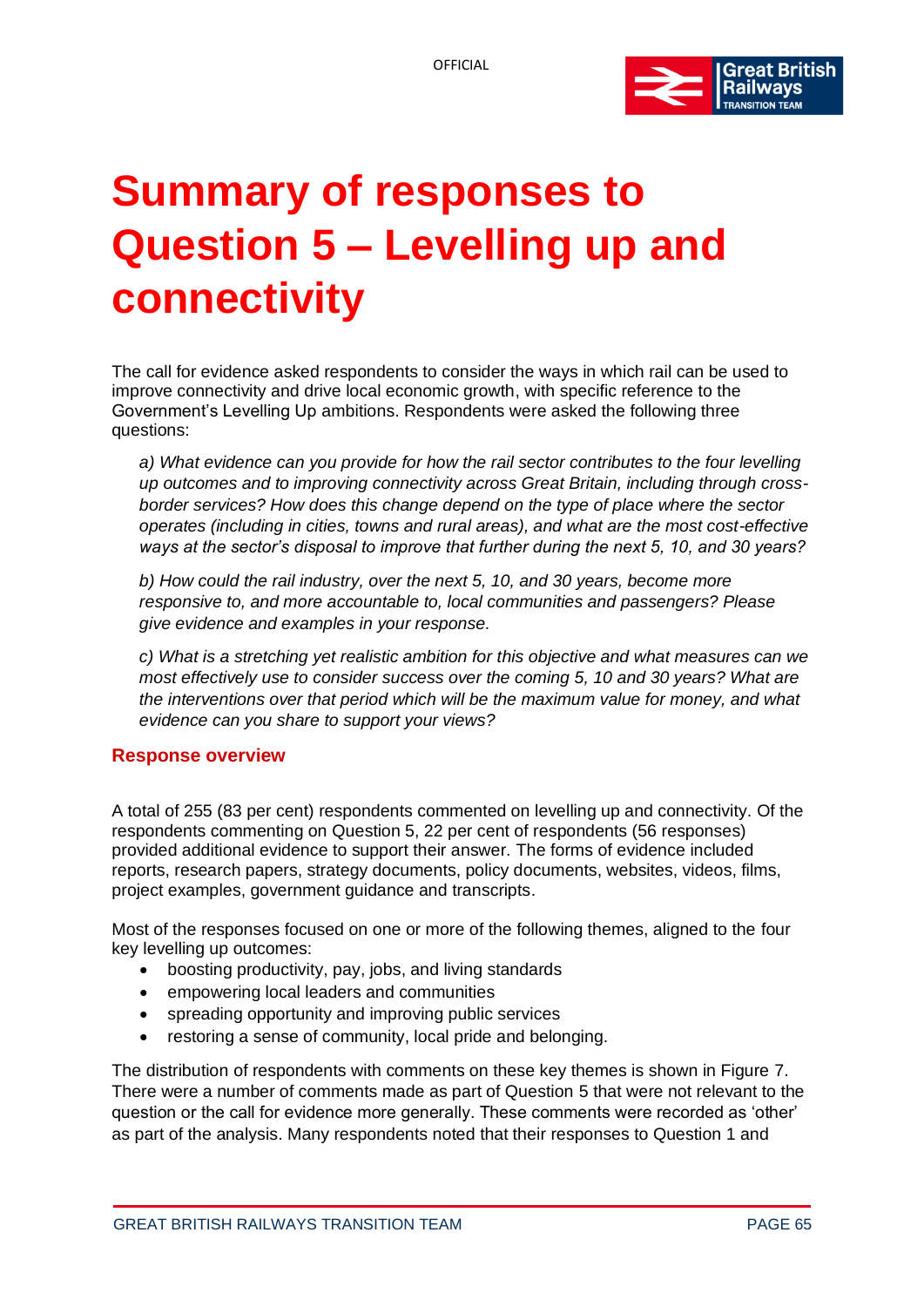

# **Summary of responses to Question 5 – Levelling up and connectivity**

The call for evidence asked respondents to consider the ways in which rail can be used to improve connectivity and drive local economic growth, with specific reference to the Government's Levelling Up ambitions. Respondents were asked the following three questions:

*a) What evidence can you provide for how the rail sector contributes to the four levelling up outcomes and to improving connectivity across Great Britain, including through crossborder services? How does this change depend on the type of place where the sector operates (including in cities, towns and rural areas), and what are the most cost-effective ways at the sector's disposal to improve that further during the next 5, 10, and 30 years?*

*b) How could the rail industry, over the next 5, 10, and 30 years, become more responsive to, and more accountable to, local communities and passengers? Please give evidence and examples in your response.*

*c) What is a stretching yet realistic ambition for this objective and what measures can we most effectively use to consider success over the coming 5, 10 and 30 years? What are the interventions over that period which will be the maximum value for money, and what evidence can you share to support your views?*

## **Response overview**

A total of 255 (83 per cent) respondents commented on levelling up and connectivity. Of the respondents commenting on Question 5, 22 per cent of respondents (56 responses) provided additional evidence to support their answer. The forms of evidence included reports, research papers, strategy documents, policy documents, websites, videos, films, project examples, government guidance and transcripts.

Most of the responses focused on one or more of the following themes, aligned to the four key levelling up outcomes:

- boosting productivity, pay, jobs, and living standards
- empowering local leaders and communities
- spreading opportunity and improving public services
- restoring a sense of community, local pride and belonging.

The distribution of respondents with comments on these key themes is shown in Figure 7. There were a number of comments made as part of Question 5 that were not relevant to the question or the call for evidence more generally. These comments were recorded as 'other' as part of the analysis. Many respondents noted that their responses to Question 1 and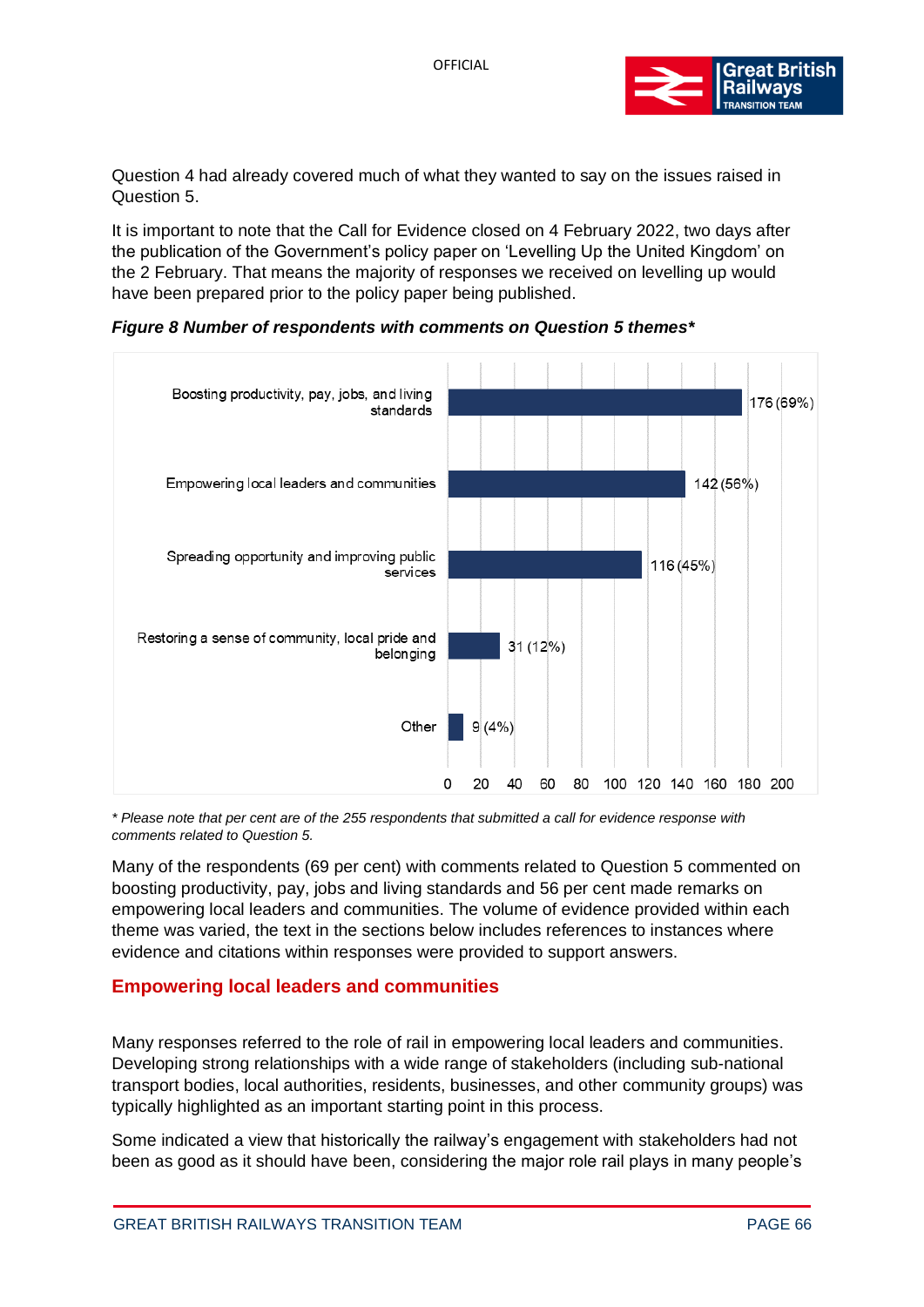

Question 4 had already covered much of what they wanted to say on the issues raised in Question 5.

It is important to note that the Call for Evidence closed on 4 February 2022, two days after the publication of the Government's policy paper on 'Levelling Up the United Kingdom' on the 2 February. That means the majority of responses we received on levelling up would have been prepared prior to the policy paper being published.

*Figure 8 Number of respondents with comments on Question 5 themes\**



*\* Please note that per cent are of the 255 respondents that submitted a call for evidence response with comments related to Question 5.*

Many of the respondents (69 per cent) with comments related to Question 5 commented on boosting productivity, pay, jobs and living standards and 56 per cent made remarks on empowering local leaders and communities. The volume of evidence provided within each theme was varied, the text in the sections below includes references to instances where evidence and citations within responses were provided to support answers.

## **Empowering local leaders and communities**

Many responses referred to the role of rail in empowering local leaders and communities. Developing strong relationships with a wide range of stakeholders (including sub-national transport bodies, local authorities, residents, businesses, and other community groups) was typically highlighted as an important starting point in this process.

Some indicated a view that historically the railway's engagement with stakeholders had not been as good as it should have been, considering the major role rail plays in many people's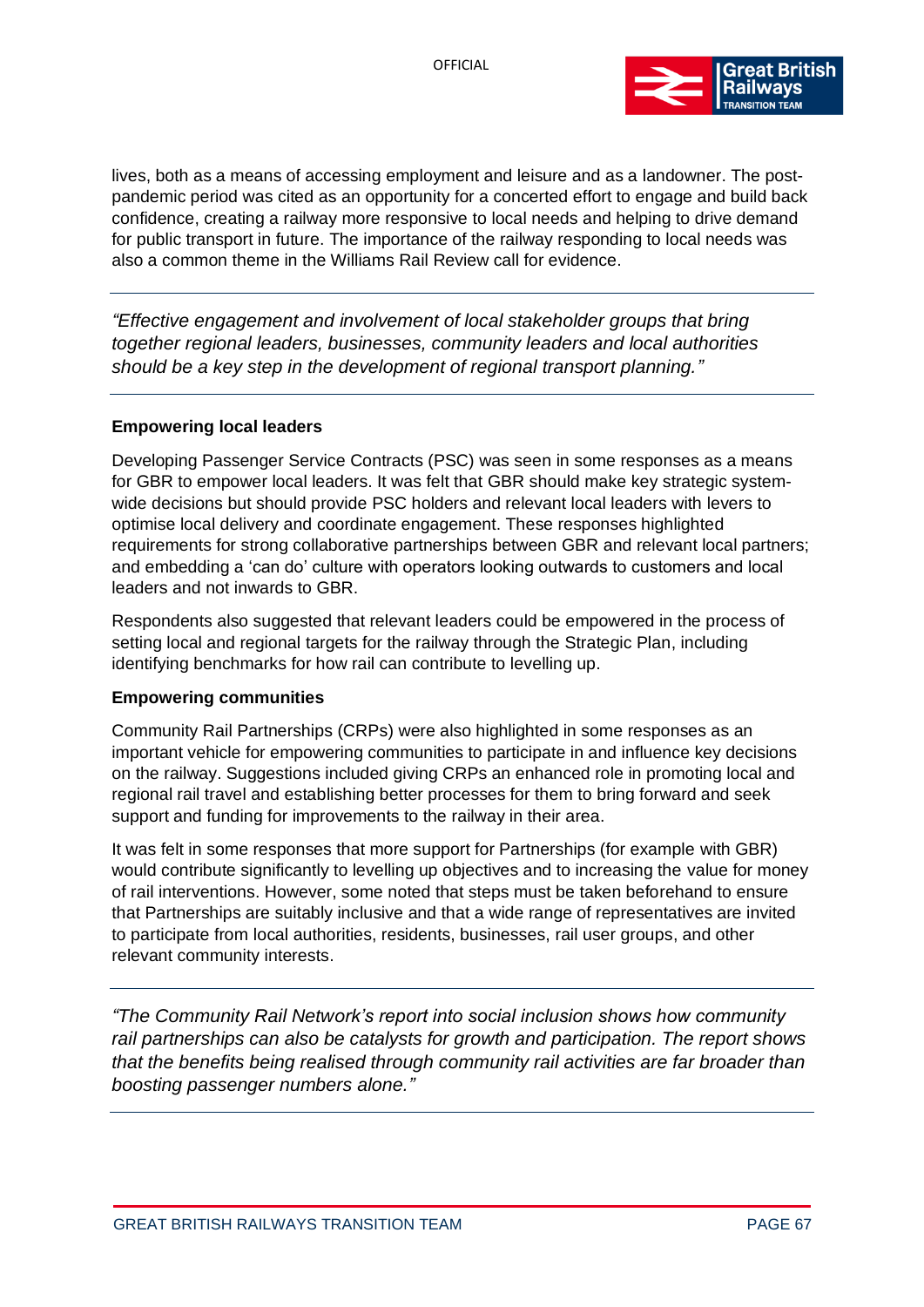

lives, both as a means of accessing employment and leisure and as a landowner. The postpandemic period was cited as an opportunity for a concerted effort to engage and build back confidence, creating a railway more responsive to local needs and helping to drive demand for public transport in future. The importance of the railway responding to local needs was also a common theme in the Williams Rail Review call for evidence.

*"Effective engagement and involvement of local stakeholder groups that bring together regional leaders, businesses, community leaders and local authorities should be a key step in the development of regional transport planning."*

#### **Empowering local leaders**

Developing Passenger Service Contracts (PSC) was seen in some responses as a means for GBR to empower local leaders. It was felt that GBR should make key strategic systemwide decisions but should provide PSC holders and relevant local leaders with levers to optimise local delivery and coordinate engagement. These responses highlighted requirements for strong collaborative partnerships between GBR and relevant local partners; and embedding a 'can do' culture with operators looking outwards to customers and local leaders and not inwards to GBR.

Respondents also suggested that relevant leaders could be empowered in the process of setting local and regional targets for the railway through the Strategic Plan, including identifying benchmarks for how rail can contribute to levelling up.

#### **Empowering communities**

Community Rail Partnerships (CRPs) were also highlighted in some responses as an important vehicle for empowering communities to participate in and influence key decisions on the railway. Suggestions included giving CRPs an enhanced role in promoting local and regional rail travel and establishing better processes for them to bring forward and seek support and funding for improvements to the railway in their area.

It was felt in some responses that more support for Partnerships (for example with GBR) would contribute significantly to levelling up objectives and to increasing the value for money of rail interventions. However, some noted that steps must be taken beforehand to ensure that Partnerships are suitably inclusive and that a wide range of representatives are invited to participate from local authorities, residents, businesses, rail user groups, and other relevant community interests.

*"The Community Rail Network's report into social inclusion shows how community rail partnerships can also be catalysts for growth and participation. The report shows that the benefits being realised through community rail activities are far broader than boosting passenger numbers alone."*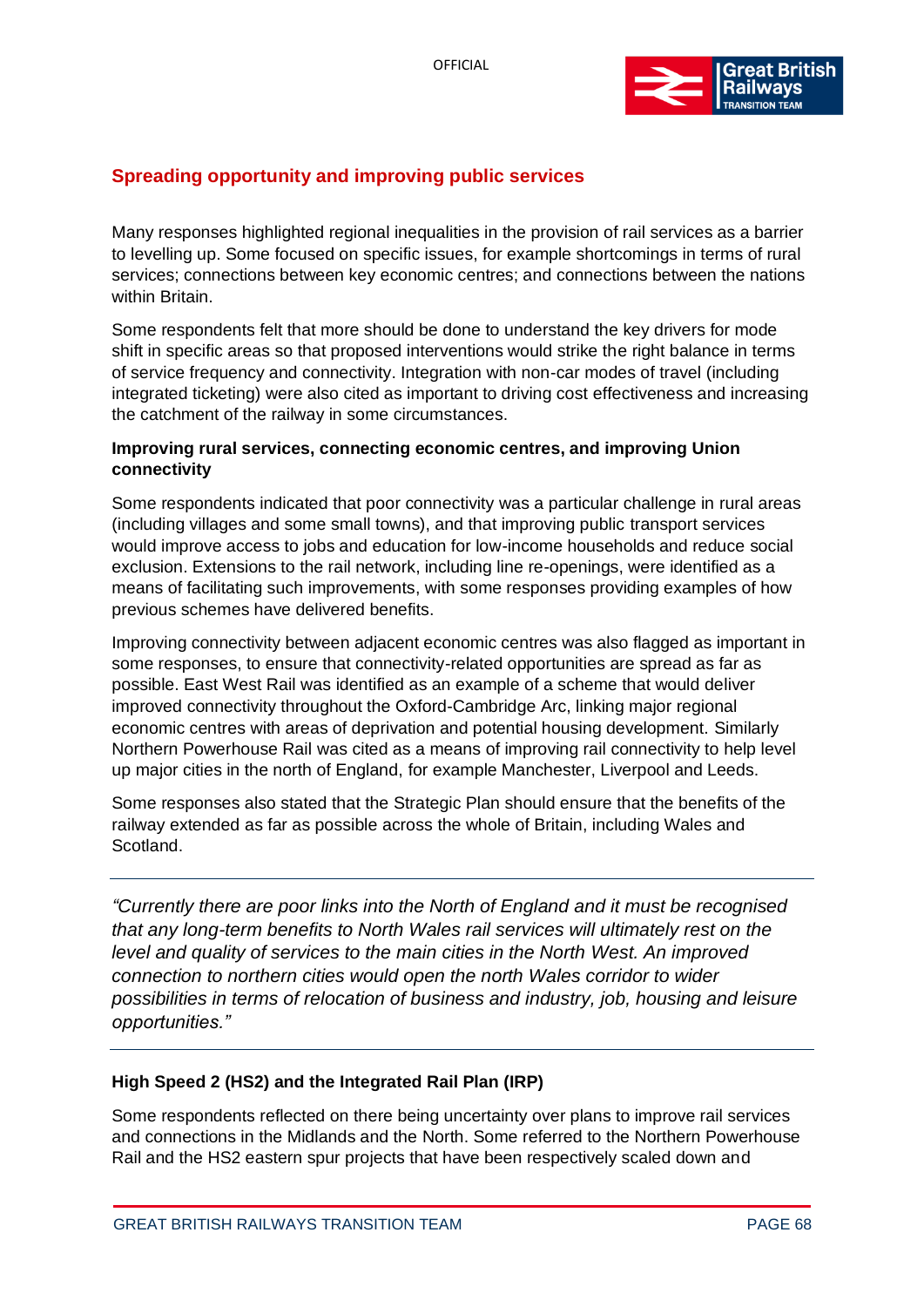

# **Spreading opportunity and improving public services**

Many responses highlighted regional inequalities in the provision of rail services as a barrier to levelling up. Some focused on specific issues, for example shortcomings in terms of rural services; connections between key economic centres; and connections between the nations within Britain.

Some respondents felt that more should be done to understand the key drivers for mode shift in specific areas so that proposed interventions would strike the right balance in terms of service frequency and connectivity. Integration with non-car modes of travel (including integrated ticketing) were also cited as important to driving cost effectiveness and increasing the catchment of the railway in some circumstances.

# **Improving rural services, connecting economic centres, and improving Union connectivity**

Some respondents indicated that poor connectivity was a particular challenge in rural areas (including villages and some small towns), and that improving public transport services would improve access to jobs and education for low-income households and reduce social exclusion. Extensions to the rail network, including line re-openings, were identified as a means of facilitating such improvements, with some responses providing examples of how previous schemes have delivered benefits.

Improving connectivity between adjacent economic centres was also flagged as important in some responses, to ensure that connectivity-related opportunities are spread as far as possible. East West Rail was identified as an example of a scheme that would deliver improved connectivity throughout the Oxford-Cambridge Arc, linking major regional economic centres with areas of deprivation and potential housing development. Similarly Northern Powerhouse Rail was cited as a means of improving rail connectivity to help level up major cities in the north of England, for example Manchester, Liverpool and Leeds.

Some responses also stated that the Strategic Plan should ensure that the benefits of the railway extended as far as possible across the whole of Britain, including Wales and Scotland.

*"Currently there are poor links into the North of England and it must be recognised that any long-term benefits to North Wales rail services will ultimately rest on the level and quality of services to the main cities in the North West. An improved connection to northern cities would open the north Wales corridor to wider possibilities in terms of relocation of business and industry, job, housing and leisure opportunities."* 

## **High Speed 2 (HS2) and the Integrated Rail Plan (IRP)**

Some respondents reflected on there being uncertainty over plans to improve rail services and connections in the Midlands and the North. Some referred to the Northern Powerhouse Rail and the HS2 eastern spur projects that have been respectively scaled down and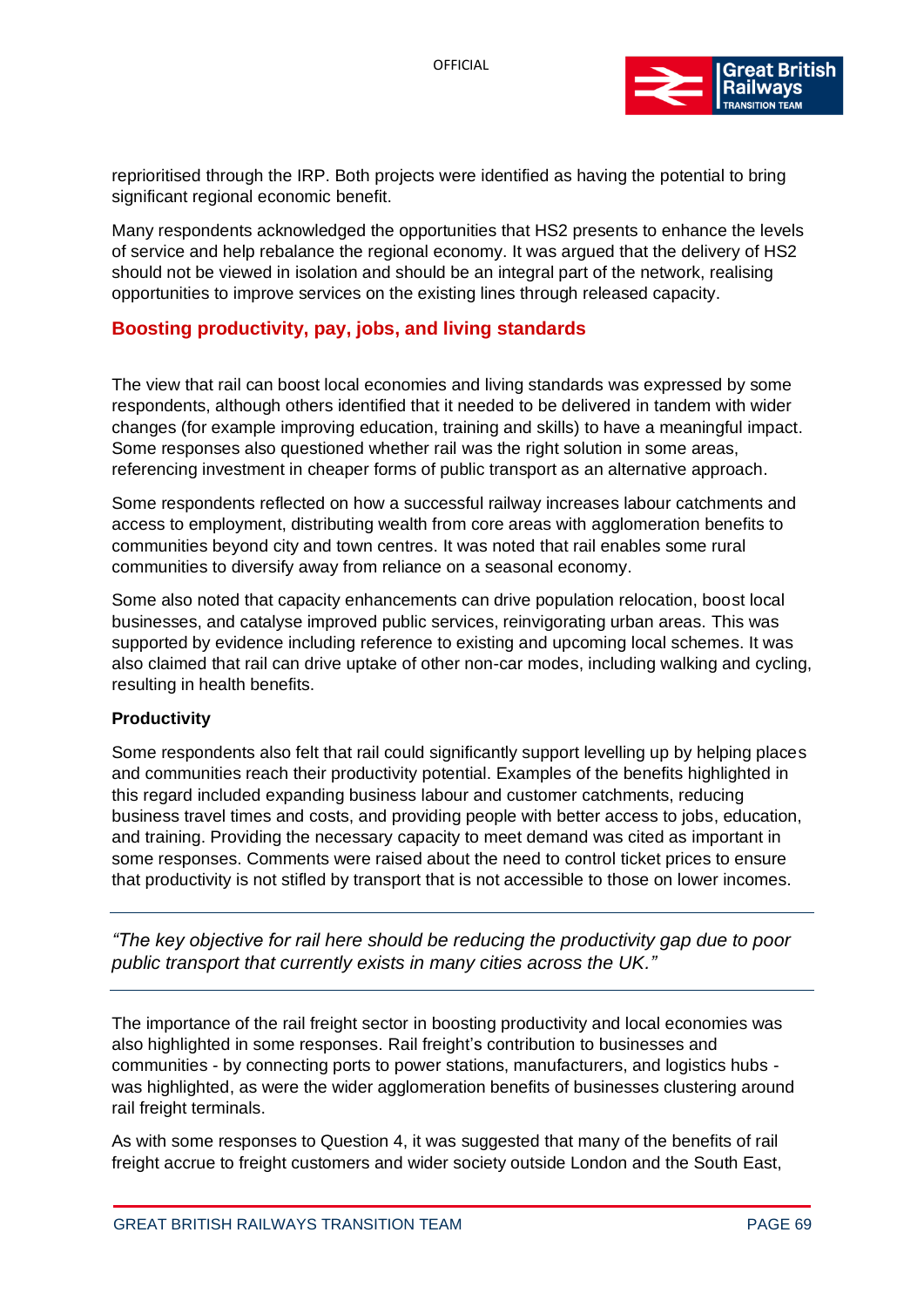

reprioritised through the IRP. Both projects were identified as having the potential to bring significant regional economic benefit.

Many respondents acknowledged the opportunities that HS2 presents to enhance the levels of service and help rebalance the regional economy. It was argued that the delivery of HS2 should not be viewed in isolation and should be an integral part of the network, realising opportunities to improve services on the existing lines through released capacity.

# **Boosting productivity, pay, jobs, and living standards**

The view that rail can boost local economies and living standards was expressed by some respondents, although others identified that it needed to be delivered in tandem with wider changes (for example improving education, training and skills) to have a meaningful impact. Some responses also questioned whether rail was the right solution in some areas, referencing investment in cheaper forms of public transport as an alternative approach.

Some respondents reflected on how a successful railway increases labour catchments and access to employment, distributing wealth from core areas with agglomeration benefits to communities beyond city and town centres. It was noted that rail enables some rural communities to diversify away from reliance on a seasonal economy.

Some also noted that capacity enhancements can drive population relocation, boost local businesses, and catalyse improved public services, reinvigorating urban areas. This was supported by evidence including reference to existing and upcoming local schemes. It was also claimed that rail can drive uptake of other non-car modes, including walking and cycling, resulting in health benefits.

## **Productivity**

Some respondents also felt that rail could significantly support levelling up by helping places and communities reach their productivity potential. Examples of the benefits highlighted in this regard included expanding business labour and customer catchments, reducing business travel times and costs, and providing people with better access to jobs, education, and training. Providing the necessary capacity to meet demand was cited as important in some responses. Comments were raised about the need to control ticket prices to ensure that productivity is not stifled by transport that is not accessible to those on lower incomes.

*"The key objective for rail here should be reducing the productivity gap due to poor public transport that currently exists in many cities across the UK."*

The importance of the rail freight sector in boosting productivity and local economies was also highlighted in some responses. Rail freight's contribution to businesses and communities - by connecting ports to power stations, manufacturers, and logistics hubs was highlighted, as were the wider agglomeration benefits of businesses clustering around rail freight terminals.

As with some responses to Question 4, it was suggested that many of the benefits of rail freight accrue to freight customers and wider society outside London and the South East,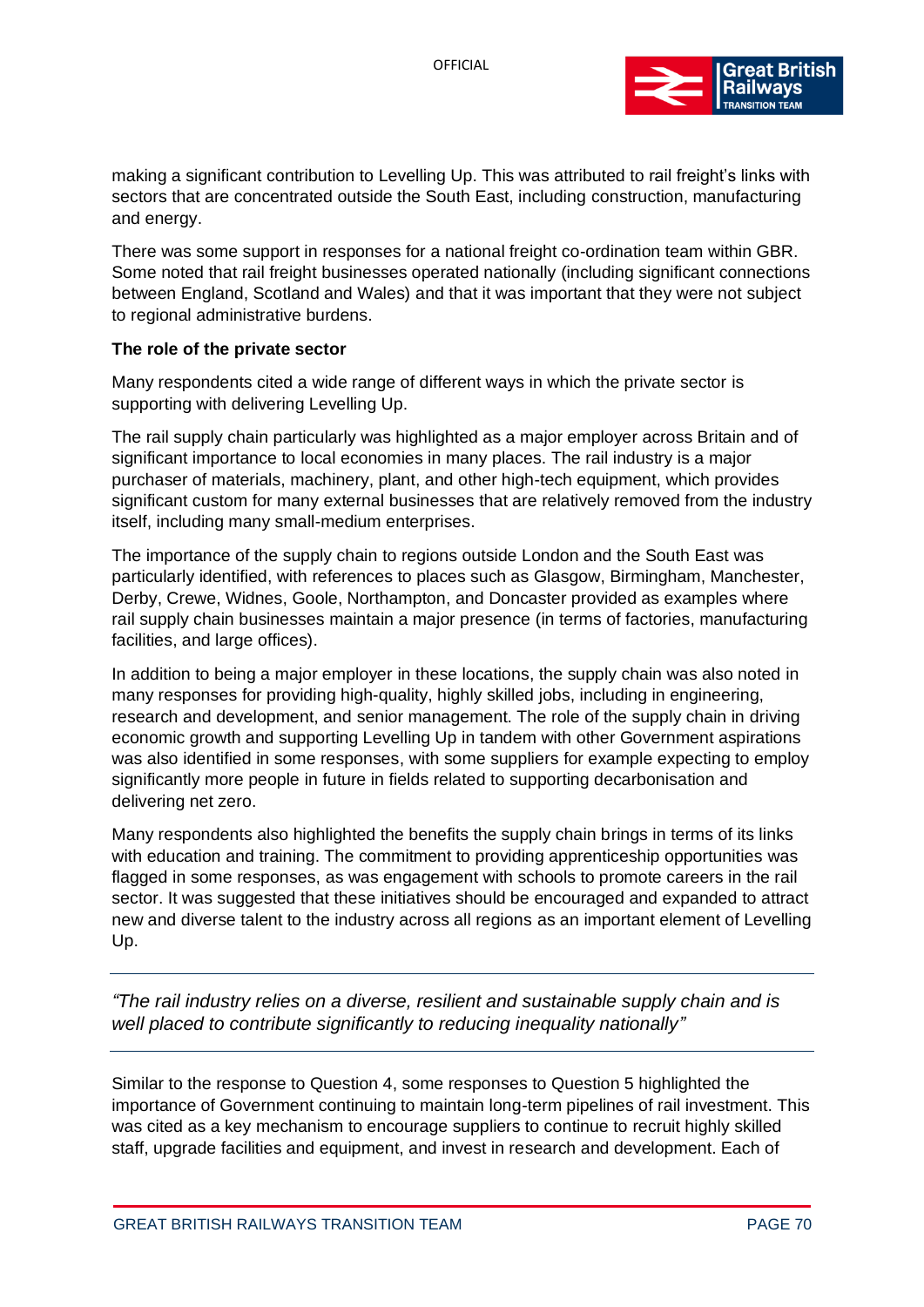

making a significant contribution to Levelling Up. This was attributed to rail freight's links with sectors that are concentrated outside the South East, including construction, manufacturing and energy.

There was some support in responses for a national freight co-ordination team within GBR. Some noted that rail freight businesses operated nationally (including significant connections between England, Scotland and Wales) and that it was important that they were not subject to regional administrative burdens.

#### **The role of the private sector**

Many respondents cited a wide range of different ways in which the private sector is supporting with delivering Levelling Up.

The rail supply chain particularly was highlighted as a major employer across Britain and of significant importance to local economies in many places. The rail industry is a major purchaser of materials, machinery, plant, and other high-tech equipment, which provides significant custom for many external businesses that are relatively removed from the industry itself, including many small-medium enterprises.

The importance of the supply chain to regions outside London and the South East was particularly identified, with references to places such as Glasgow, Birmingham, Manchester, Derby, Crewe, Widnes, Goole, Northampton, and Doncaster provided as examples where rail supply chain businesses maintain a major presence (in terms of factories, manufacturing facilities, and large offices).

In addition to being a major employer in these locations, the supply chain was also noted in many responses for providing high-quality, highly skilled jobs, including in engineering, research and development, and senior management. The role of the supply chain in driving economic growth and supporting Levelling Up in tandem with other Government aspirations was also identified in some responses, with some suppliers for example expecting to employ significantly more people in future in fields related to supporting decarbonisation and delivering net zero.

Many respondents also highlighted the benefits the supply chain brings in terms of its links with education and training. The commitment to providing apprenticeship opportunities was flagged in some responses, as was engagement with schools to promote careers in the rail sector. It was suggested that these initiatives should be encouraged and expanded to attract new and diverse talent to the industry across all regions as an important element of Levelling Up.

*"The rail industry relies on a diverse, resilient and sustainable supply chain and is well placed to contribute significantly to reducing inequality nationally"*

Similar to the response to Question 4, some responses to Question 5 highlighted the importance of Government continuing to maintain long-term pipelines of rail investment. This was cited as a key mechanism to encourage suppliers to continue to recruit highly skilled staff, upgrade facilities and equipment, and invest in research and development. Each of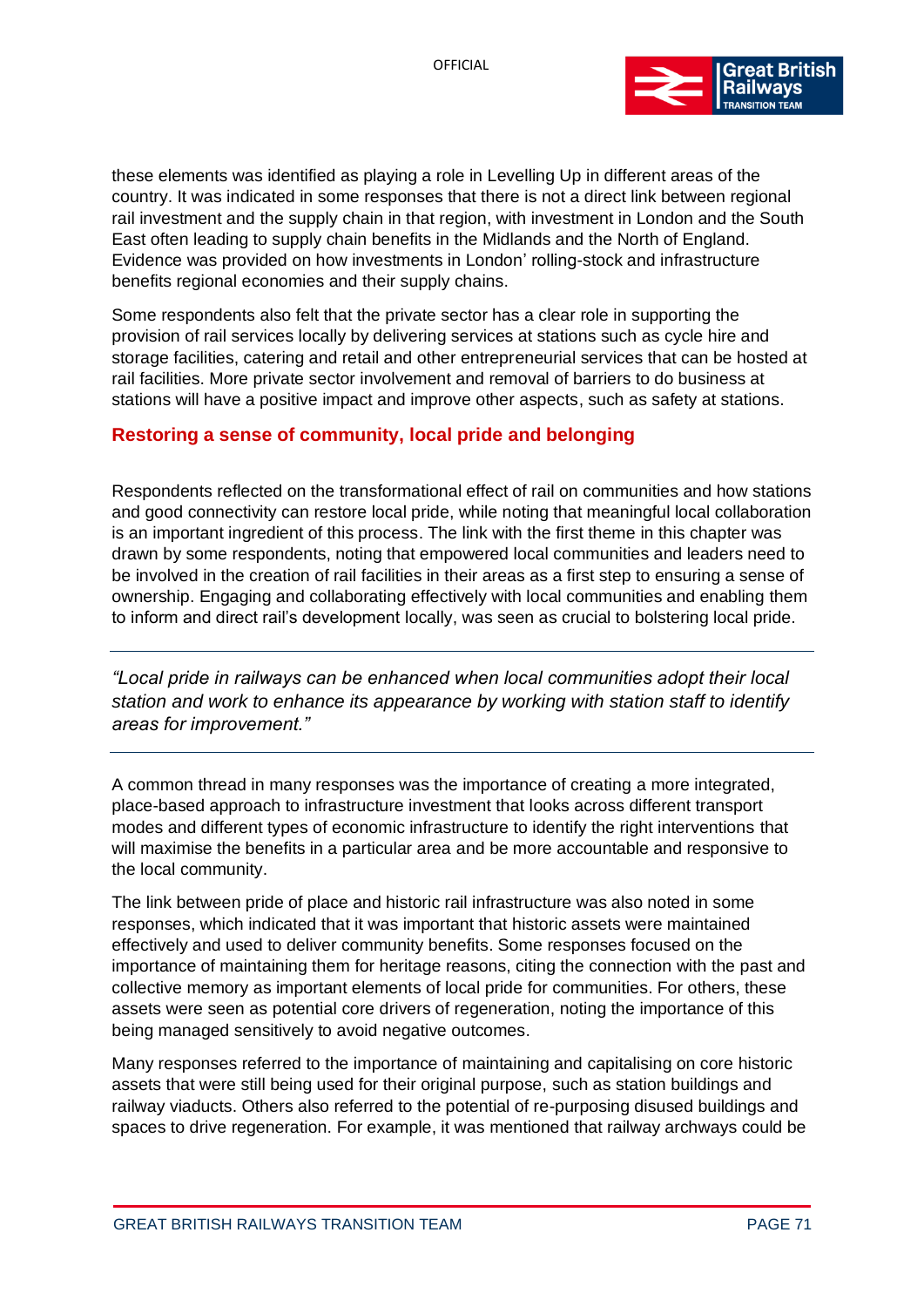

these elements was identified as playing a role in Levelling Up in different areas of the country. It was indicated in some responses that there is not a direct link between regional rail investment and the supply chain in that region, with investment in London and the South East often leading to supply chain benefits in the Midlands and the North of England. Evidence was provided on how investments in London' rolling-stock and infrastructure benefits regional economies and their supply chains.

Some respondents also felt that the private sector has a clear role in supporting the provision of rail services locally by delivering services at stations such as cycle hire and storage facilities, catering and retail and other entrepreneurial services that can be hosted at rail facilities. More private sector involvement and removal of barriers to do business at stations will have a positive impact and improve other aspects, such as safety at stations.

# **Restoring a sense of community, local pride and belonging**

Respondents reflected on the transformational effect of rail on communities and how stations and good connectivity can restore local pride, while noting that meaningful local collaboration is an important ingredient of this process. The link with the first theme in this chapter was drawn by some respondents, noting that empowered local communities and leaders need to be involved in the creation of rail facilities in their areas as a first step to ensuring a sense of ownership. Engaging and collaborating effectively with local communities and enabling them to inform and direct rail's development locally, was seen as crucial to bolstering local pride.

*"Local pride in railways can be enhanced when local communities adopt their local station and work to enhance its appearance by working with station staff to identify areas for improvement."*

A common thread in many responses was the importance of creating a more integrated, place-based approach to infrastructure investment that looks across different transport modes and different types of economic infrastructure to identify the right interventions that will maximise the benefits in a particular area and be more accountable and responsive to the local community.

The link between pride of place and historic rail infrastructure was also noted in some responses, which indicated that it was important that historic assets were maintained effectively and used to deliver community benefits. Some responses focused on the importance of maintaining them for heritage reasons, citing the connection with the past and collective memory as important elements of local pride for communities. For others, these assets were seen as potential core drivers of regeneration, noting the importance of this being managed sensitively to avoid negative outcomes.

Many responses referred to the importance of maintaining and capitalising on core historic assets that were still being used for their original purpose, such as station buildings and railway viaducts. Others also referred to the potential of re-purposing disused buildings and spaces to drive regeneration. For example, it was mentioned that railway archways could be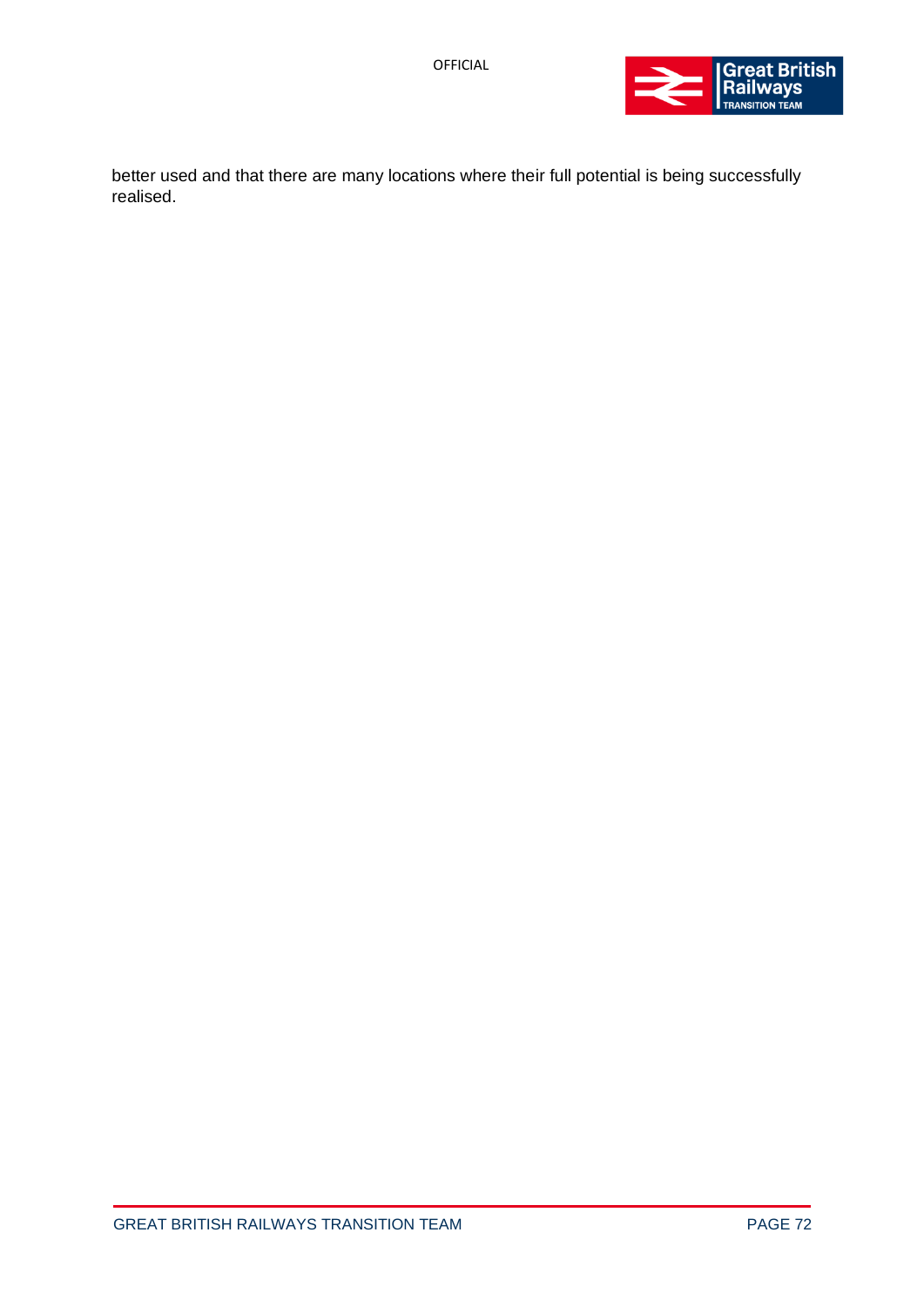

better used and that there are many locations where their full potential is being successfully realised.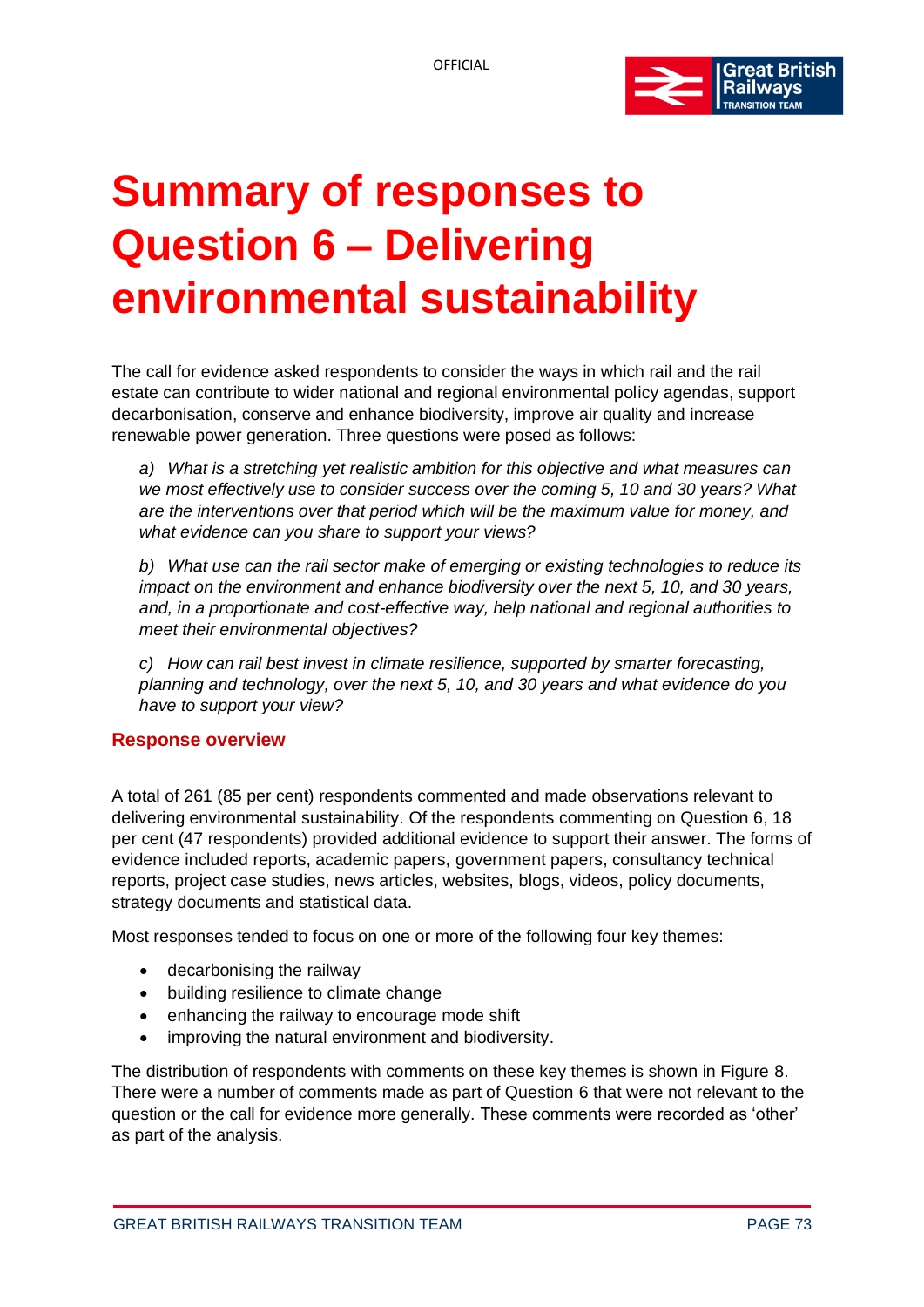

# **Summary of responses to Question 6 – Delivering environmental sustainability**

The call for evidence asked respondents to consider the ways in which rail and the rail estate can contribute to wider national and regional environmental policy agendas, support decarbonisation, conserve and enhance biodiversity, improve air quality and increase renewable power generation. Three questions were posed as follows:

*a) What is a stretching yet realistic ambition for this objective and what measures can we most effectively use to consider success over the coming 5, 10 and 30 years? What are the interventions over that period which will be the maximum value for money, and what evidence can you share to support your views?*

*b) What use can the rail sector make of emerging or existing technologies to reduce its impact on the environment and enhance biodiversity over the next 5, 10, and 30 years, and, in a proportionate and cost-effective way, help national and regional authorities to meet their environmental objectives?*

*c) How can rail best invest in climate resilience, supported by smarter forecasting, planning and technology, over the next 5, 10, and 30 years and what evidence do you have to support your view?*

#### **Response overview**

A total of 261 (85 per cent) respondents commented and made observations relevant to delivering environmental sustainability. Of the respondents commenting on Question 6, 18 per cent (47 respondents) provided additional evidence to support their answer. The forms of evidence included reports, academic papers, government papers, consultancy technical reports, project case studies, news articles, websites, blogs, videos, policy documents, strategy documents and statistical data.

Most responses tended to focus on one or more of the following four key themes:

- decarbonising the railway
- building resilience to climate change
- enhancing the railway to encourage mode shift
- improving the natural environment and biodiversity.

The distribution of respondents with comments on these key themes is shown in Figure 8. There were a number of comments made as part of Question 6 that were not relevant to the question or the call for evidence more generally. These comments were recorded as 'other' as part of the analysis.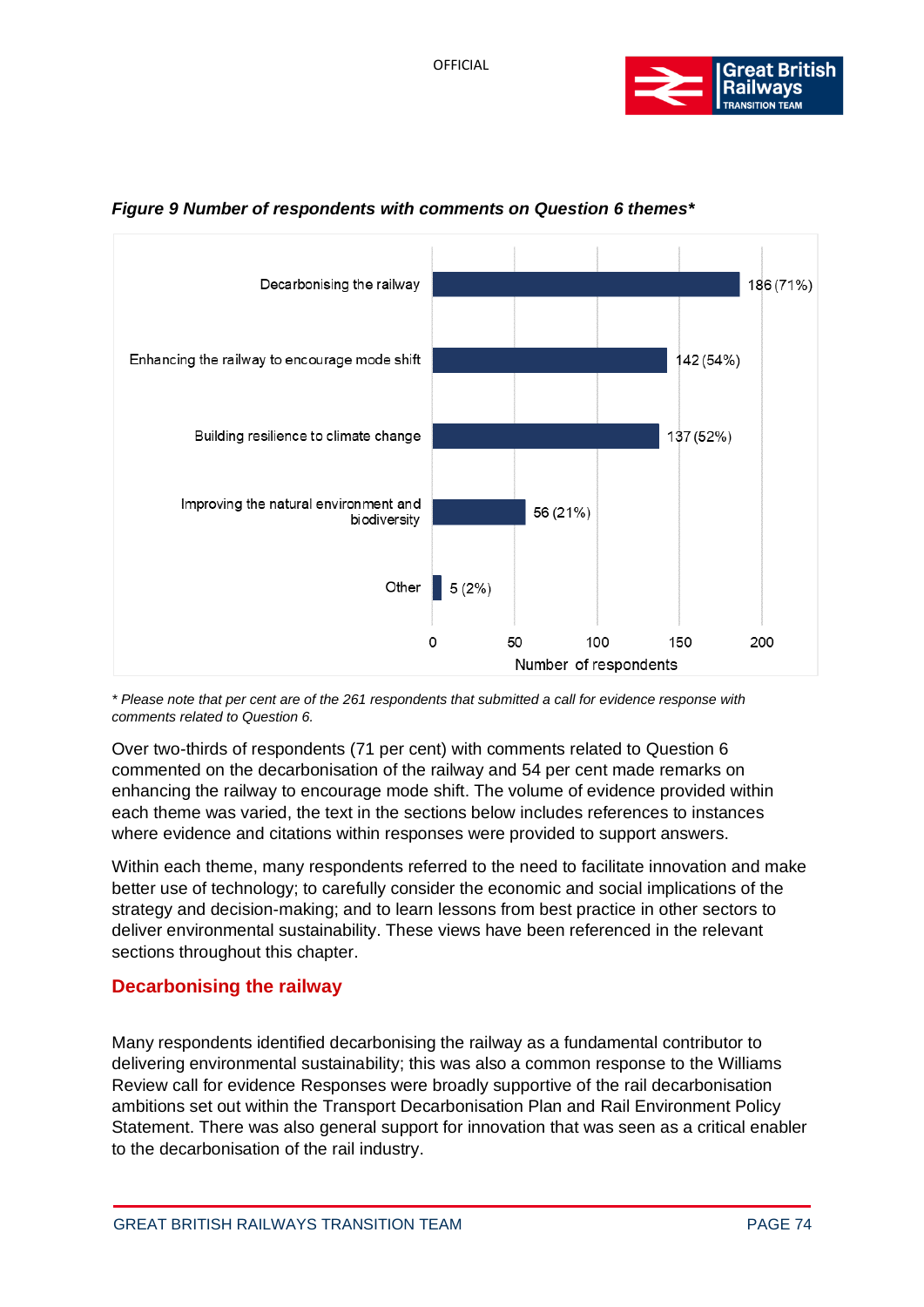



#### *Figure 9 Number of respondents with comments on Question 6 themes\**

*\* Please note that per cent are of the 261 respondents that submitted a call for evidence response with comments related to Question 6.*

Over two-thirds of respondents (71 per cent) with comments related to Question 6 commented on the decarbonisation of the railway and 54 per cent made remarks on enhancing the railway to encourage mode shift. The volume of evidence provided within each theme was varied, the text in the sections below includes references to instances where evidence and citations within responses were provided to support answers.

Within each theme, many respondents referred to the need to facilitate innovation and make better use of technology; to carefully consider the economic and social implications of the strategy and decision-making; and to learn lessons from best practice in other sectors to deliver environmental sustainability. These views have been referenced in the relevant sections throughout this chapter.

#### **Decarbonising the railway**

Many respondents identified decarbonising the railway as a fundamental contributor to delivering environmental sustainability; this was also a common response to the Williams Review call for evidence Responses were broadly supportive of the rail decarbonisation ambitions set out within the Transport Decarbonisation Plan and Rail Environment Policy Statement. There was also general support for innovation that was seen as a critical enabler to the decarbonisation of the rail industry.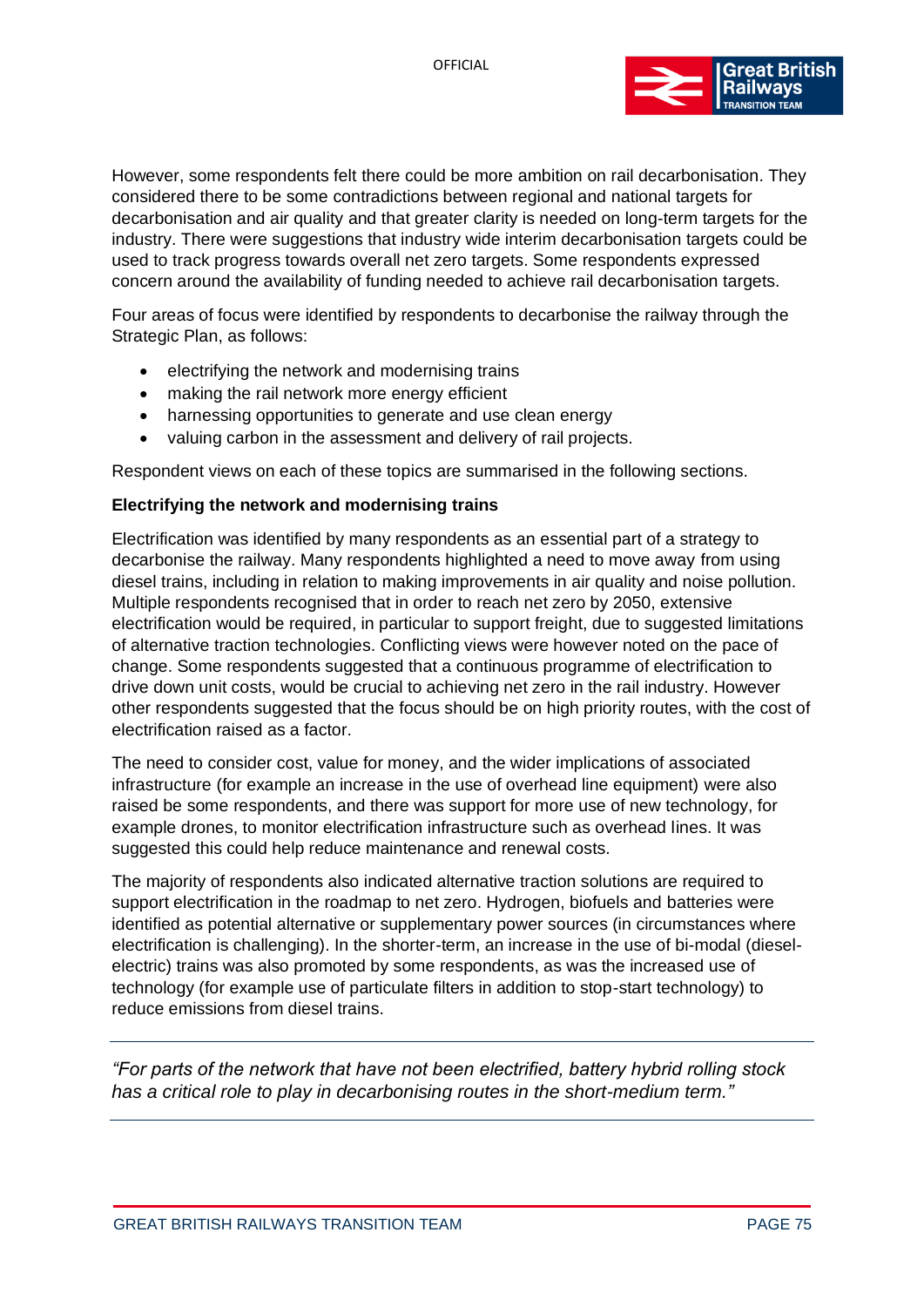

However, some respondents felt there could be more ambition on rail decarbonisation. They considered there to be some contradictions between regional and national targets for decarbonisation and air quality and that greater clarity is needed on long-term targets for the industry. There were suggestions that industry wide interim decarbonisation targets could be used to track progress towards overall net zero targets. Some respondents expressed concern around the availability of funding needed to achieve rail decarbonisation targets.

Four areas of focus were identified by respondents to decarbonise the railway through the Strategic Plan, as follows:

- electrifying the network and modernising trains
- making the rail network more energy efficient
- harnessing opportunities to generate and use clean energy
- valuing carbon in the assessment and delivery of rail projects.

Respondent views on each of these topics are summarised in the following sections.

#### **Electrifying the network and modernising trains**

Electrification was identified by many respondents as an essential part of a strategy to decarbonise the railway. Many respondents highlighted a need to move away from using diesel trains, including in relation to making improvements in air quality and noise pollution. Multiple respondents recognised that in order to reach net zero by 2050, extensive electrification would be required, in particular to support freight, due to suggested limitations of alternative traction technologies. Conflicting views were however noted on the pace of change. Some respondents suggested that a continuous programme of electrification to drive down unit costs, would be crucial to achieving net zero in the rail industry. However other respondents suggested that the focus should be on high priority routes, with the cost of electrification raised as a factor.

The need to consider cost, value for money, and the wider implications of associated infrastructure (for example an increase in the use of overhead line equipment) were also raised be some respondents, and there was support for more use of new technology, for example drones, to monitor electrification infrastructure such as overhead lines. It was suggested this could help reduce maintenance and renewal costs.

The majority of respondents also indicated alternative traction solutions are required to support electrification in the roadmap to net zero. Hydrogen, biofuels and batteries were identified as potential alternative or supplementary power sources (in circumstances where electrification is challenging). In the shorter-term, an increase in the use of bi-modal (dieselelectric) trains was also promoted by some respondents, as was the increased use of technology (for example use of particulate filters in addition to stop-start technology) to reduce emissions from diesel trains.

*"For parts of the network that have not been electrified, battery hybrid rolling stock has a critical role to play in decarbonising routes in the short-medium term."*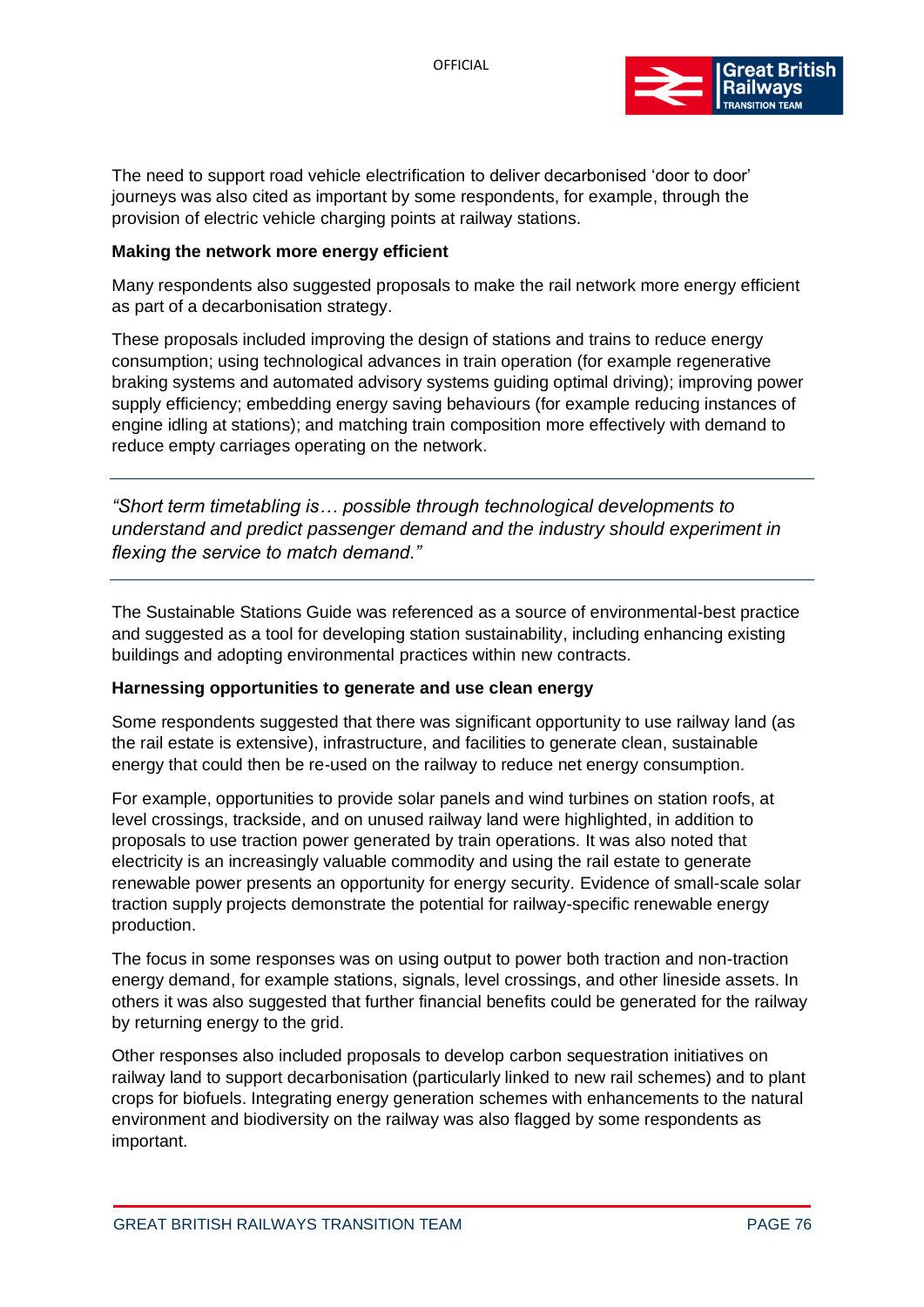

The need to support road vehicle electrification to deliver decarbonised 'door to door' journeys was also cited as important by some respondents, for example, through the provision of electric vehicle charging points at railway stations.

#### **Making the network more energy efficient**

Many respondents also suggested proposals to make the rail network more energy efficient as part of a decarbonisation strategy.

These proposals included improving the design of stations and trains to reduce energy consumption; using technological advances in train operation (for example regenerative braking systems and automated advisory systems guiding optimal driving); improving power supply efficiency; embedding energy saving behaviours (for example reducing instances of engine idling at stations); and matching train composition more effectively with demand to reduce empty carriages operating on the network.

*"Short term timetabling is… possible through technological developments to understand and predict passenger demand and the industry should experiment in flexing the service to match demand."*

The Sustainable Stations Guide was referenced as a source of environmental-best practice and suggested as a tool for developing station sustainability, including enhancing existing buildings and adopting environmental practices within new contracts.

#### **Harnessing opportunities to generate and use clean energy**

Some respondents suggested that there was significant opportunity to use railway land (as the rail estate is extensive), infrastructure, and facilities to generate clean, sustainable energy that could then be re-used on the railway to reduce net energy consumption.

For example, opportunities to provide solar panels and wind turbines on station roofs, at level crossings, trackside, and on unused railway land were highlighted, in addition to proposals to use traction power generated by train operations. It was also noted that electricity is an increasingly valuable commodity and using the rail estate to generate renewable power presents an opportunity for energy security. Evidence of small-scale solar traction supply projects demonstrate the potential for railway-specific renewable energy production.

The focus in some responses was on using output to power both traction and non-traction energy demand, for example stations, signals, level crossings, and other lineside assets. In others it was also suggested that further financial benefits could be generated for the railway by returning energy to the grid.

Other responses also included proposals to develop carbon sequestration initiatives on railway land to support decarbonisation (particularly linked to new rail schemes) and to plant crops for biofuels. Integrating energy generation schemes with enhancements to the natural environment and biodiversity on the railway was also flagged by some respondents as important.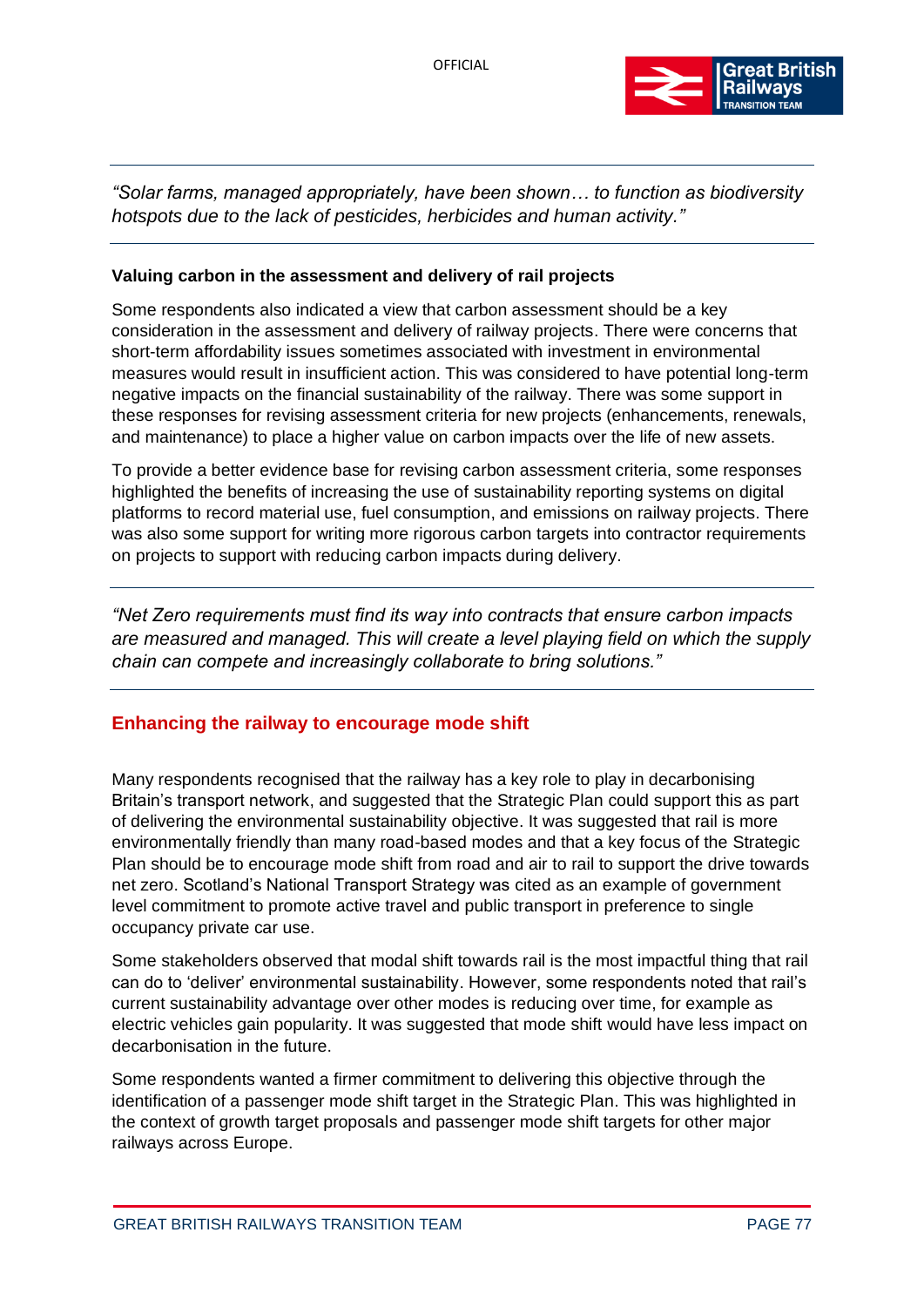

*"Solar farms, managed appropriately, have been shown… to function as biodiversity hotspots due to the lack of pesticides, herbicides and human activity."*

#### **Valuing carbon in the assessment and delivery of rail projects**

Some respondents also indicated a view that carbon assessment should be a key consideration in the assessment and delivery of railway projects. There were concerns that short-term affordability issues sometimes associated with investment in environmental measures would result in insufficient action. This was considered to have potential long-term negative impacts on the financial sustainability of the railway. There was some support in these responses for revising assessment criteria for new projects (enhancements, renewals, and maintenance) to place a higher value on carbon impacts over the life of new assets.

To provide a better evidence base for revising carbon assessment criteria, some responses highlighted the benefits of increasing the use of sustainability reporting systems on digital platforms to record material use, fuel consumption, and emissions on railway projects. There was also some support for writing more rigorous carbon targets into contractor requirements on projects to support with reducing carbon impacts during delivery.

*"Net Zero requirements must find its way into contracts that ensure carbon impacts are measured and managed. This will create a level playing field on which the supply chain can compete and increasingly collaborate to bring solutions."*

#### **Enhancing the railway to encourage mode shift**

Many respondents recognised that the railway has a key role to play in decarbonising Britain's transport network, and suggested that the Strategic Plan could support this as part of delivering the environmental sustainability objective. It was suggested that rail is more environmentally friendly than many road-based modes and that a key focus of the Strategic Plan should be to encourage mode shift from road and air to rail to support the drive towards net zero. Scotland's National Transport Strategy was cited as an example of government level commitment to promote active travel and public transport in preference to single occupancy private car use.

Some stakeholders observed that modal shift towards rail is the most impactful thing that rail can do to 'deliver' environmental sustainability. However, some respondents noted that rail's current sustainability advantage over other modes is reducing over time, for example as electric vehicles gain popularity. It was suggested that mode shift would have less impact on decarbonisation in the future.

Some respondents wanted a firmer commitment to delivering this objective through the identification of a passenger mode shift target in the Strategic Plan. This was highlighted in the context of growth target proposals and passenger mode shift targets for other major railways across Europe.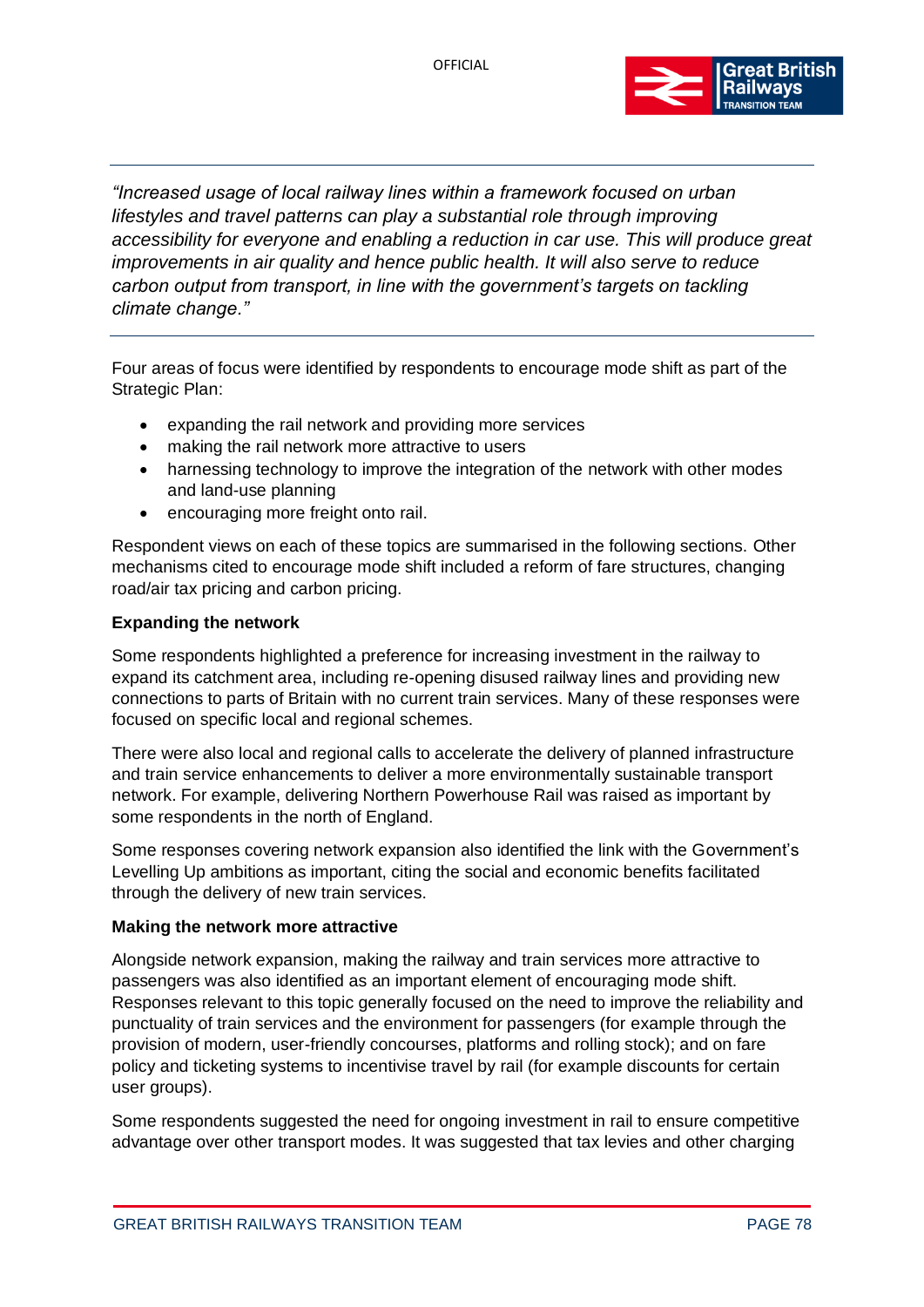

*"Increased usage of local railway lines within a framework focused on urban lifestyles and travel patterns can play a substantial role through improving accessibility for everyone and enabling a reduction in car use. This will produce great improvements in air quality and hence public health. It will also serve to reduce carbon output from transport, in line with the government's targets on tackling climate change."*

Four areas of focus were identified by respondents to encourage mode shift as part of the Strategic Plan:

- expanding the rail network and providing more services
- making the rail network more attractive to users
- harnessing technology to improve the integration of the network with other modes and land-use planning
- encouraging more freight onto rail.

Respondent views on each of these topics are summarised in the following sections. Other mechanisms cited to encourage mode shift included a reform of fare structures, changing road/air tax pricing and carbon pricing.

#### **Expanding the network**

Some respondents highlighted a preference for increasing investment in the railway to expand its catchment area, including re-opening disused railway lines and providing new connections to parts of Britain with no current train services. Many of these responses were focused on specific local and regional schemes.

There were also local and regional calls to accelerate the delivery of planned infrastructure and train service enhancements to deliver a more environmentally sustainable transport network. For example, delivering Northern Powerhouse Rail was raised as important by some respondents in the north of England.

Some responses covering network expansion also identified the link with the Government's Levelling Up ambitions as important, citing the social and economic benefits facilitated through the delivery of new train services.

#### **Making the network more attractive**

Alongside network expansion, making the railway and train services more attractive to passengers was also identified as an important element of encouraging mode shift. Responses relevant to this topic generally focused on the need to improve the reliability and punctuality of train services and the environment for passengers (for example through the provision of modern, user-friendly concourses, platforms and rolling stock); and on fare policy and ticketing systems to incentivise travel by rail (for example discounts for certain user groups).

Some respondents suggested the need for ongoing investment in rail to ensure competitive advantage over other transport modes. It was suggested that tax levies and other charging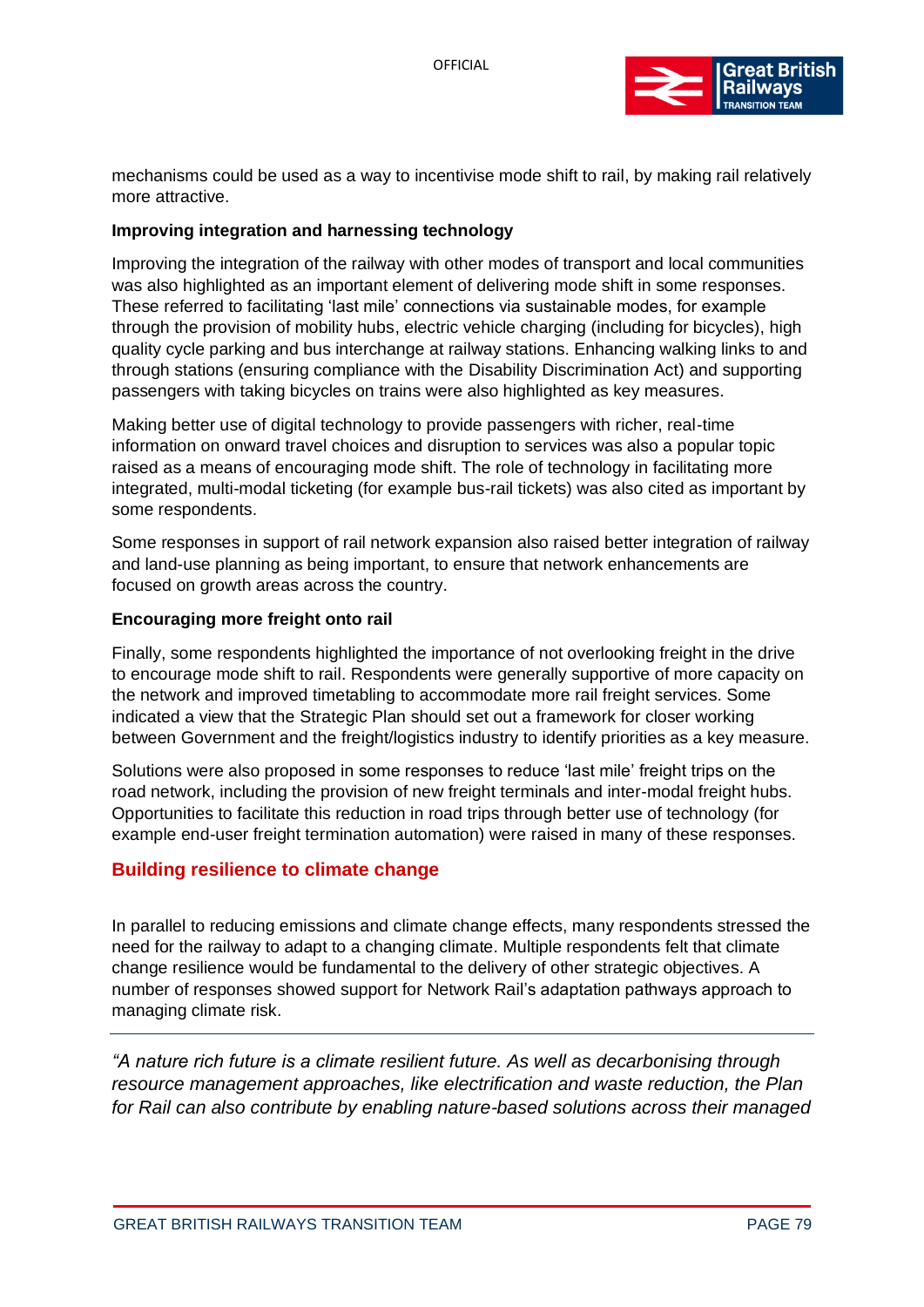

mechanisms could be used as a way to incentivise mode shift to rail, by making rail relatively more attractive.

#### **Improving integration and harnessing technology**

Improving the integration of the railway with other modes of transport and local communities was also highlighted as an important element of delivering mode shift in some responses. These referred to facilitating 'last mile' connections via sustainable modes, for example through the provision of mobility hubs, electric vehicle charging (including for bicycles), high quality cycle parking and bus interchange at railway stations. Enhancing walking links to and through stations (ensuring compliance with the Disability Discrimination Act) and supporting passengers with taking bicycles on trains were also highlighted as key measures.

Making better use of digital technology to provide passengers with richer, real-time information on onward travel choices and disruption to services was also a popular topic raised as a means of encouraging mode shift. The role of technology in facilitating more integrated, multi-modal ticketing (for example bus-rail tickets) was also cited as important by some respondents.

Some responses in support of rail network expansion also raised better integration of railway and land-use planning as being important, to ensure that network enhancements are focused on growth areas across the country.

#### **Encouraging more freight onto rail**

Finally, some respondents highlighted the importance of not overlooking freight in the drive to encourage mode shift to rail. Respondents were generally supportive of more capacity on the network and improved timetabling to accommodate more rail freight services. Some indicated a view that the Strategic Plan should set out a framework for closer working between Government and the freight/logistics industry to identify priorities as a key measure.

Solutions were also proposed in some responses to reduce 'last mile' freight trips on the road network, including the provision of new freight terminals and inter-modal freight hubs. Opportunities to facilitate this reduction in road trips through better use of technology (for example end-user freight termination automation) were raised in many of these responses.

#### **Building resilience to climate change**

In parallel to reducing emissions and climate change effects, many respondents stressed the need for the railway to adapt to a changing climate. Multiple respondents felt that climate change resilience would be fundamental to the delivery of other strategic objectives. A number of responses showed support for Network Rail's adaptation pathways approach to managing climate risk.

*"A nature rich future is a climate resilient future. As well as decarbonising through resource management approaches, like electrification and waste reduction, the Plan for Rail can also contribute by enabling nature-based solutions across their managed*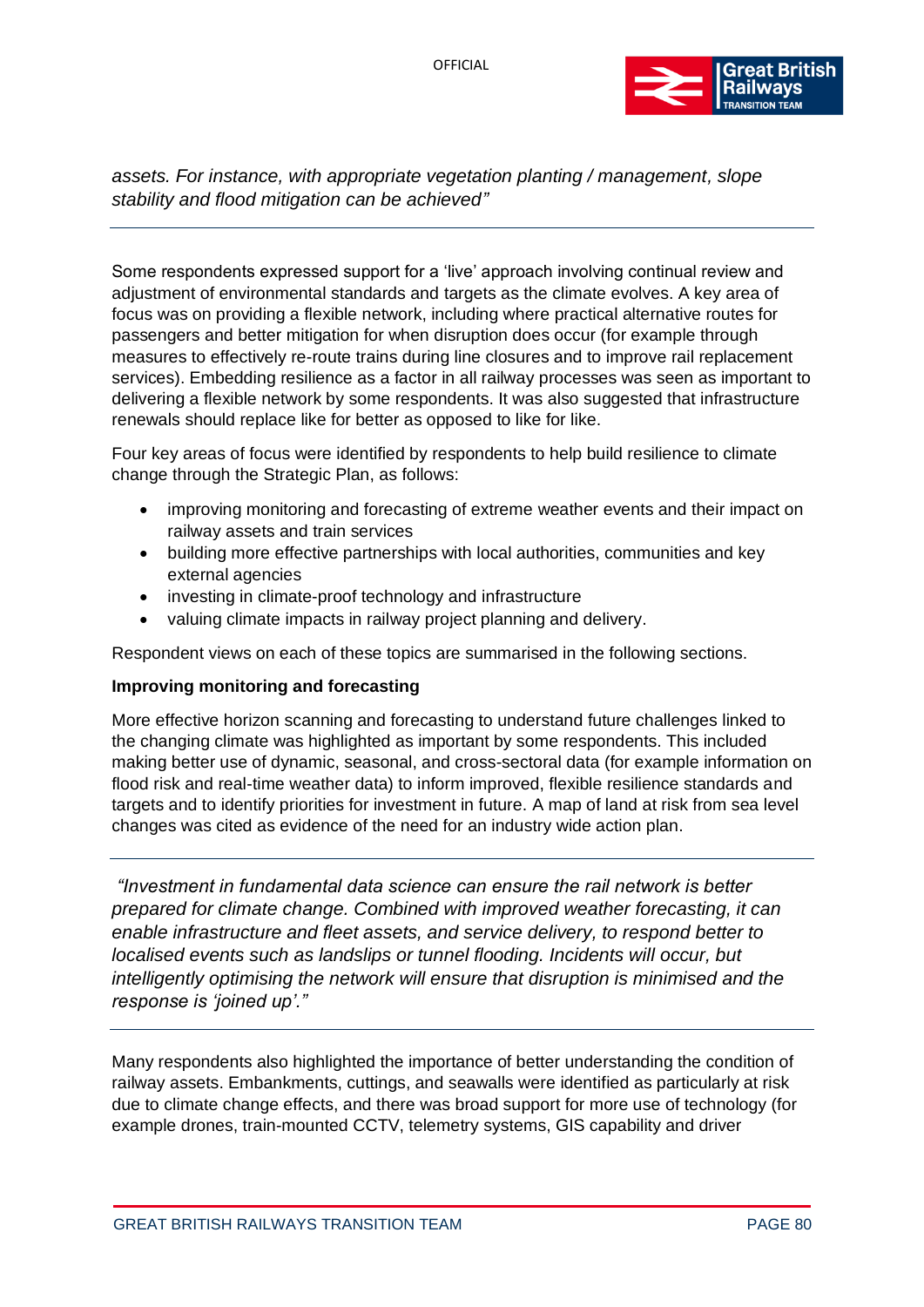

*assets. For instance, with appropriate vegetation planting / management, slope stability and flood mitigation can be achieved"* 

Some respondents expressed support for a 'live' approach involving continual review and adjustment of environmental standards and targets as the climate evolves. A key area of focus was on providing a flexible network, including where practical alternative routes for passengers and better mitigation for when disruption does occur (for example through measures to effectively re-route trains during line closures and to improve rail replacement services). Embedding resilience as a factor in all railway processes was seen as important to delivering a flexible network by some respondents. It was also suggested that infrastructure renewals should replace like for better as opposed to like for like.

Four key areas of focus were identified by respondents to help build resilience to climate change through the Strategic Plan, as follows:

- improving monitoring and forecasting of extreme weather events and their impact on railway assets and train services
- building more effective partnerships with local authorities, communities and key external agencies
- investing in climate-proof technology and infrastructure
- valuing climate impacts in railway project planning and delivery.

Respondent views on each of these topics are summarised in the following sections.

#### **Improving monitoring and forecasting**

More effective horizon scanning and forecasting to understand future challenges linked to the changing climate was highlighted as important by some respondents. This included making better use of dynamic, seasonal, and cross-sectoral data (for example information on flood risk and real-time weather data) to inform improved, flexible resilience standards and targets and to identify priorities for investment in future. A map of land at risk from sea level changes was cited as evidence of the need for an industry wide action plan.

*"Investment in fundamental data science can ensure the rail network is better prepared for climate change. Combined with improved weather forecasting, it can enable infrastructure and fleet assets, and service delivery, to respond better to localised events such as landslips or tunnel flooding. Incidents will occur, but intelligently optimising the network will ensure that disruption is minimised and the response is 'joined up'."*

Many respondents also highlighted the importance of better understanding the condition of railway assets. Embankments, cuttings, and seawalls were identified as particularly at risk due to climate change effects, and there was broad support for more use of technology (for example drones, train-mounted CCTV, telemetry systems, GIS capability and driver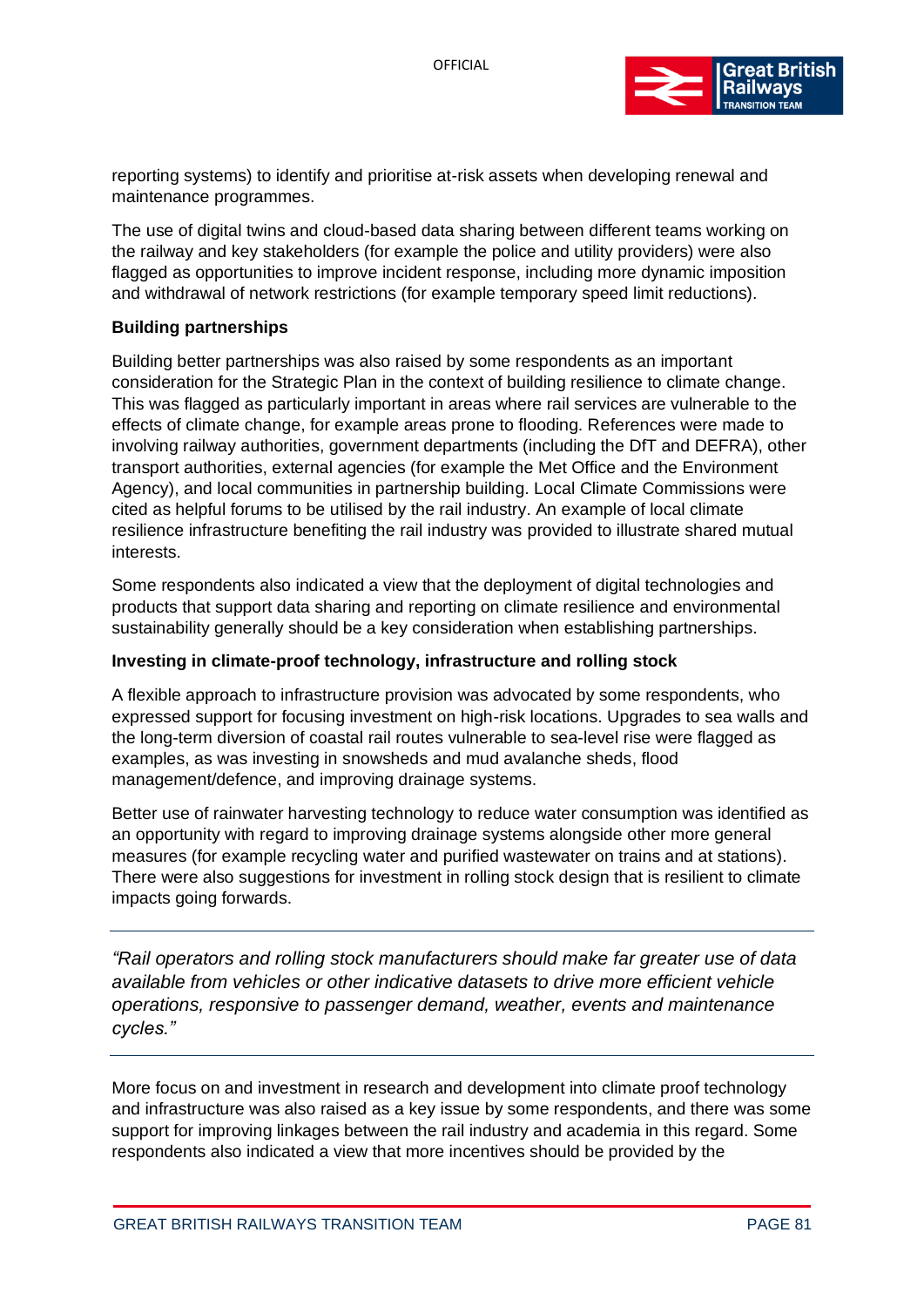

reporting systems) to identify and prioritise at-risk assets when developing renewal and maintenance programmes.

The use of digital twins and cloud-based data sharing between different teams working on the railway and key stakeholders (for example the police and utility providers) were also flagged as opportunities to improve incident response, including more dynamic imposition and withdrawal of network restrictions (for example temporary speed limit reductions).

#### **Building partnerships**

Building better partnerships was also raised by some respondents as an important consideration for the Strategic Plan in the context of building resilience to climate change. This was flagged as particularly important in areas where rail services are vulnerable to the effects of climate change, for example areas prone to flooding. References were made to involving railway authorities, government departments (including the DfT and DEFRA), other transport authorities, external agencies (for example the Met Office and the Environment Agency), and local communities in partnership building. Local Climate Commissions were cited as helpful forums to be utilised by the rail industry. An example of local climate resilience infrastructure benefiting the rail industry was provided to illustrate shared mutual interests.

Some respondents also indicated a view that the deployment of digital technologies and products that support data sharing and reporting on climate resilience and environmental sustainability generally should be a key consideration when establishing partnerships.

#### **Investing in climate-proof technology, infrastructure and rolling stock**

A flexible approach to infrastructure provision was advocated by some respondents, who expressed support for focusing investment on high-risk locations. Upgrades to sea walls and the long-term diversion of coastal rail routes vulnerable to sea-level rise were flagged as examples, as was investing in snowsheds and mud avalanche sheds, flood management/defence, and improving drainage systems.

Better use of rainwater harvesting technology to reduce water consumption was identified as an opportunity with regard to improving drainage systems alongside other more general measures (for example recycling water and purified wastewater on trains and at stations). There were also suggestions for investment in rolling stock design that is resilient to climate impacts going forwards.

*"Rail operators and rolling stock manufacturers should make far greater use of data available from vehicles or other indicative datasets to drive more efficient vehicle operations, responsive to passenger demand, weather, events and maintenance cycles."*

More focus on and investment in research and development into climate proof technology and infrastructure was also raised as a key issue by some respondents, and there was some support for improving linkages between the rail industry and academia in this regard. Some respondents also indicated a view that more incentives should be provided by the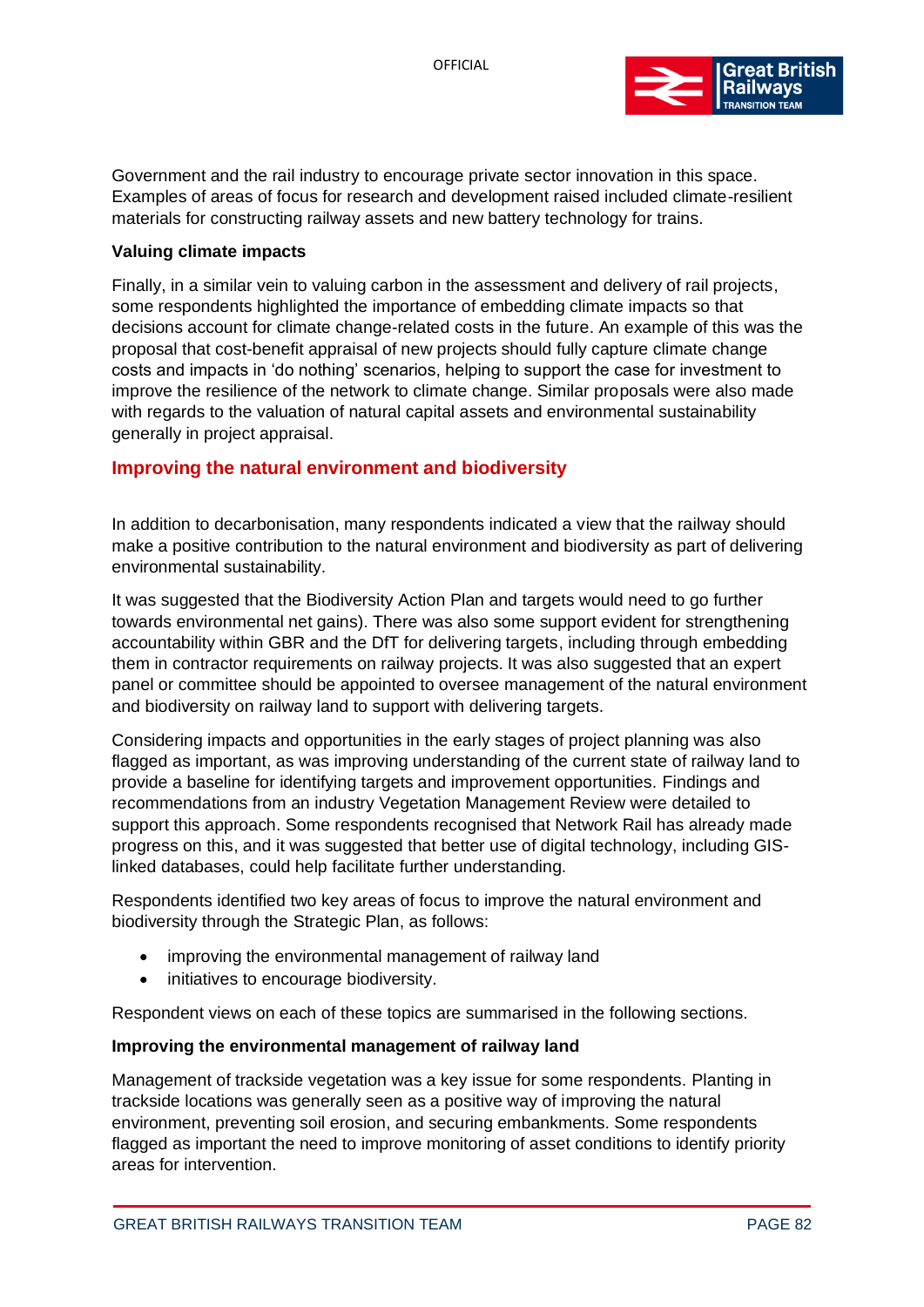

Government and the rail industry to encourage private sector innovation in this space. Examples of areas of focus for research and development raised included climate-resilient materials for constructing railway assets and new battery technology for trains.

#### **Valuing climate impacts**

Finally, in a similar vein to valuing carbon in the assessment and delivery of rail projects, some respondents highlighted the importance of embedding climate impacts so that decisions account for climate change-related costs in the future. An example of this was the proposal that cost-benefit appraisal of new projects should fully capture climate change costs and impacts in 'do nothing' scenarios, helping to support the case for investment to improve the resilience of the network to climate change. Similar proposals were also made with regards to the valuation of natural capital assets and environmental sustainability generally in project appraisal.

#### **Improving the natural environment and biodiversity**

In addition to decarbonisation, many respondents indicated a view that the railway should make a positive contribution to the natural environment and biodiversity as part of delivering environmental sustainability.

It was suggested that the Biodiversity Action Plan and targets would need to go further towards environmental net gains). There was also some support evident for strengthening accountability within GBR and the DfT for delivering targets, including through embedding them in contractor requirements on railway projects. It was also suggested that an expert panel or committee should be appointed to oversee management of the natural environment and biodiversity on railway land to support with delivering targets.

Considering impacts and opportunities in the early stages of project planning was also flagged as important, as was improving understanding of the current state of railway land to provide a baseline for identifying targets and improvement opportunities. Findings and recommendations from an industry Vegetation Management Review were detailed to support this approach. Some respondents recognised that Network Rail has already made progress on this, and it was suggested that better use of digital technology, including GISlinked databases, could help facilitate further understanding.

Respondents identified two key areas of focus to improve the natural environment and biodiversity through the Strategic Plan, as follows:

- improving the environmental management of railway land
- initiatives to encourage biodiversity.

Respondent views on each of these topics are summarised in the following sections.

#### **Improving the environmental management of railway land**

Management of trackside vegetation was a key issue for some respondents. Planting in trackside locations was generally seen as a positive way of improving the natural environment, preventing soil erosion, and securing embankments. Some respondents flagged as important the need to improve monitoring of asset conditions to identify priority areas for intervention.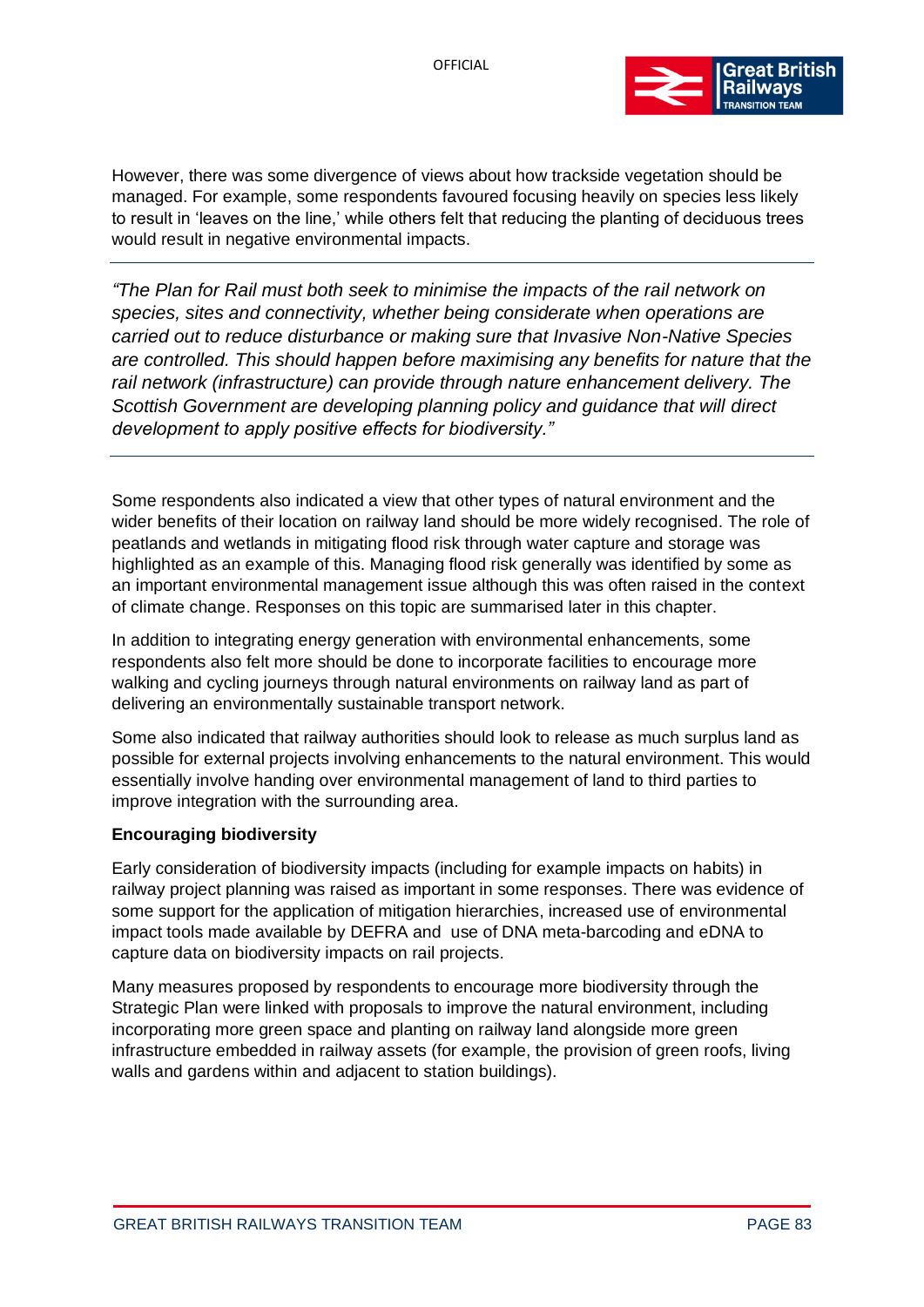

However, there was some divergence of views about how trackside vegetation should be managed. For example, some respondents favoured focusing heavily on species less likely to result in 'leaves on the line,' while others felt that reducing the planting of deciduous trees would result in negative environmental impacts.

*"The Plan for Rail must both seek to minimise the impacts of the rail network on species, sites and connectivity, whether being considerate when operations are carried out to reduce disturbance or making sure that Invasive Non-Native Species are controlled. This should happen before maximising any benefits for nature that the rail network (infrastructure) can provide through nature enhancement delivery. The Scottish Government are developing planning policy and guidance that will direct development to apply positive effects for biodiversity."* 

Some respondents also indicated a view that other types of natural environment and the wider benefits of their location on railway land should be more widely recognised. The role of peatlands and wetlands in mitigating flood risk through water capture and storage was highlighted as an example of this. Managing flood risk generally was identified by some as an important environmental management issue although this was often raised in the context of climate change. Responses on this topic are summarised later in this chapter.

In addition to integrating energy generation with environmental enhancements, some respondents also felt more should be done to incorporate facilities to encourage more walking and cycling journeys through natural environments on railway land as part of delivering an environmentally sustainable transport network.

Some also indicated that railway authorities should look to release as much surplus land as possible for external projects involving enhancements to the natural environment. This would essentially involve handing over environmental management of land to third parties to improve integration with the surrounding area.

#### **Encouraging biodiversity**

Early consideration of biodiversity impacts (including for example impacts on habits) in railway project planning was raised as important in some responses. There was evidence of some support for the application of mitigation hierarchies, increased use of environmental impact tools made available by DEFRA and use of DNA meta-barcoding and eDNA to capture data on biodiversity impacts on rail projects.

Many measures proposed by respondents to encourage more biodiversity through the Strategic Plan were linked with proposals to improve the natural environment, including incorporating more green space and planting on railway land alongside more green infrastructure embedded in railway assets (for example, the provision of green roofs, living walls and gardens within and adjacent to station buildings).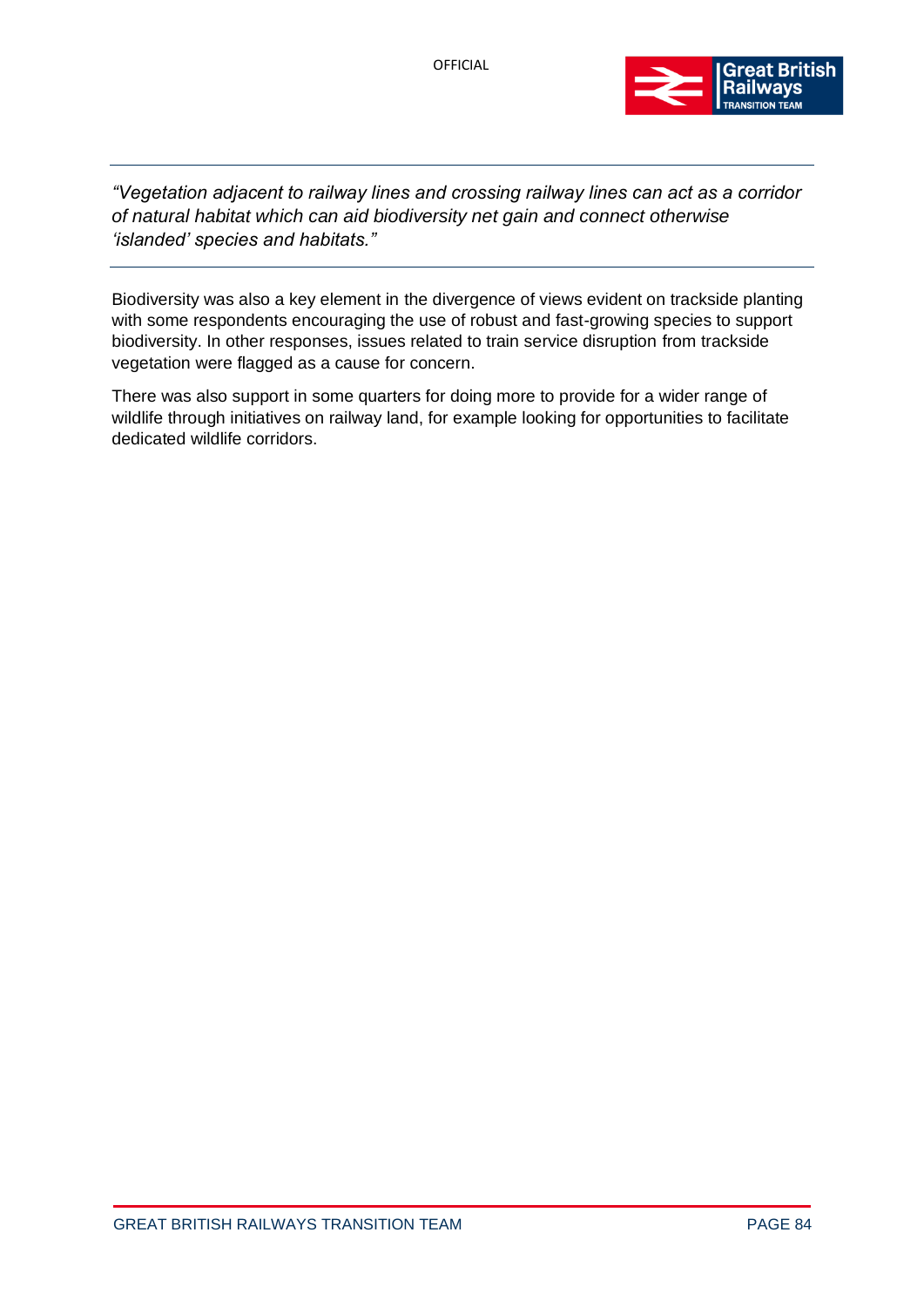

*"Vegetation adjacent to railway lines and crossing railway lines can act as a corridor of natural habitat which can aid biodiversity net gain and connect otherwise 'islanded' species and habitats."* 

Biodiversity was also a key element in the divergence of views evident on trackside planting with some respondents encouraging the use of robust and fast-growing species to support biodiversity. In other responses, issues related to train service disruption from trackside vegetation were flagged as a cause for concern.

There was also support in some quarters for doing more to provide for a wider range of wildlife through initiatives on railway land, for example looking for opportunities to facilitate dedicated wildlife corridors.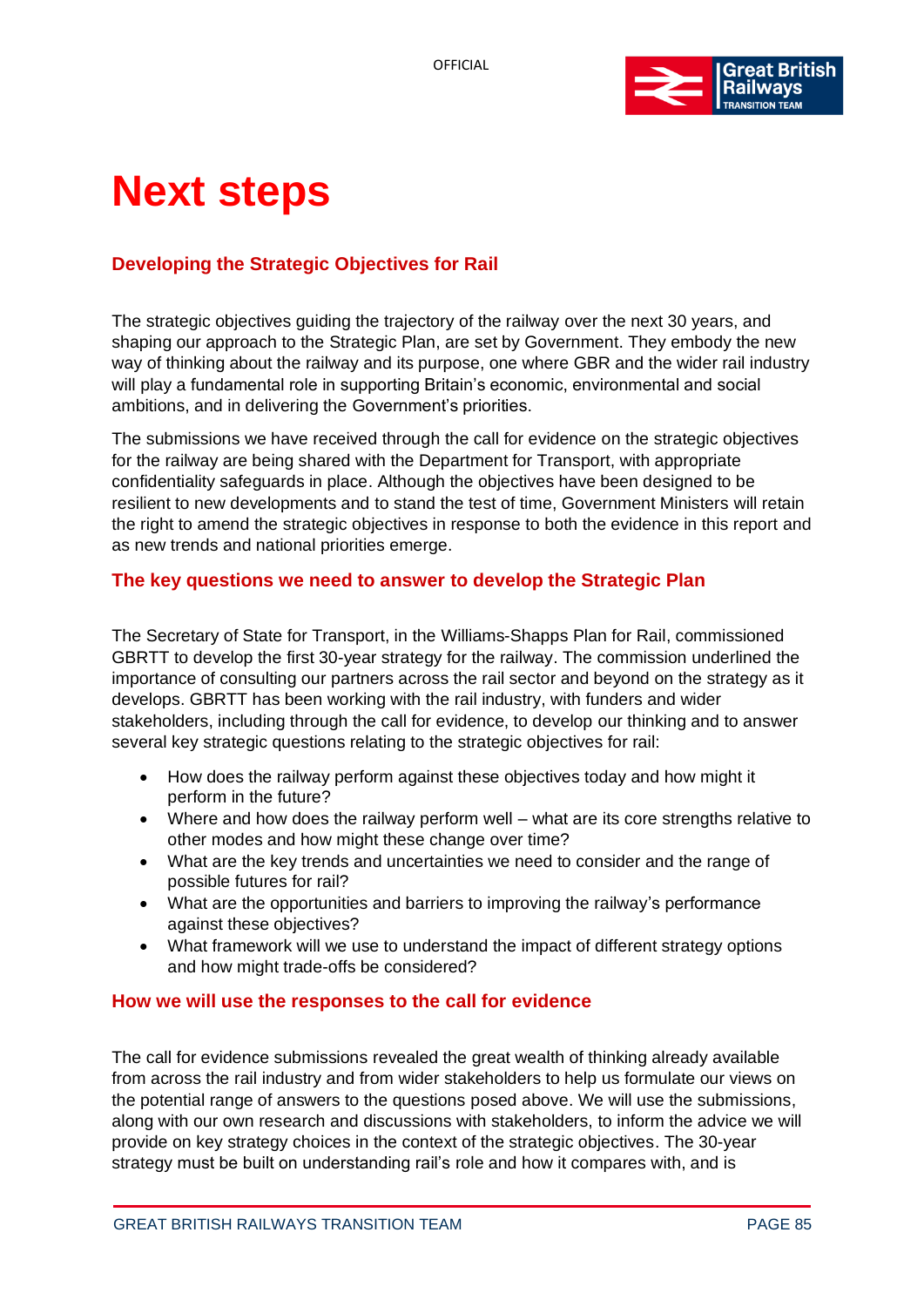

## **Next steps**

### **Developing the Strategic Objectives for Rail**

The strategic objectives guiding the trajectory of the railway over the next 30 years, and shaping our approach to the Strategic Plan, are set by Government. They embody the new way of thinking about the railway and its purpose, one where GBR and the wider rail industry will play a fundamental role in supporting Britain's economic, environmental and social ambitions, and in delivering the Government's priorities.

The submissions we have received through the call for evidence on the strategic objectives for the railway are being shared with the Department for Transport, with appropriate confidentiality safeguards in place. Although the objectives have been designed to be resilient to new developments and to stand the test of time, Government Ministers will retain the right to amend the strategic objectives in response to both the evidence in this report and as new trends and national priorities emerge.

#### **The key questions we need to answer to develop the Strategic Plan**

The Secretary of State for Transport, in the Williams-Shapps Plan for Rail, commissioned GBRTT to develop the first 30-year strategy for the railway. The commission underlined the importance of consulting our partners across the rail sector and beyond on the strategy as it develops. GBRTT has been working with the rail industry, with funders and wider stakeholders, including through the call for evidence, to develop our thinking and to answer several key strategic questions relating to the strategic objectives for rail:

- How does the railway perform against these objectives today and how might it perform in the future?
- Where and how does the railway perform well what are its core strengths relative to other modes and how might these change over time?
- What are the key trends and uncertainties we need to consider and the range of possible futures for rail?
- What are the opportunities and barriers to improving the railway's performance against these objectives?
- What framework will we use to understand the impact of different strategy options and how might trade-offs be considered?

#### **How we will use the responses to the call for evidence**

The call for evidence submissions revealed the great wealth of thinking already available from across the rail industry and from wider stakeholders to help us formulate our views on the potential range of answers to the questions posed above. We will use the submissions, along with our own research and discussions with stakeholders, to inform the advice we will provide on key strategy choices in the context of the strategic objectives. The 30-year strategy must be built on understanding rail's role and how it compares with, and is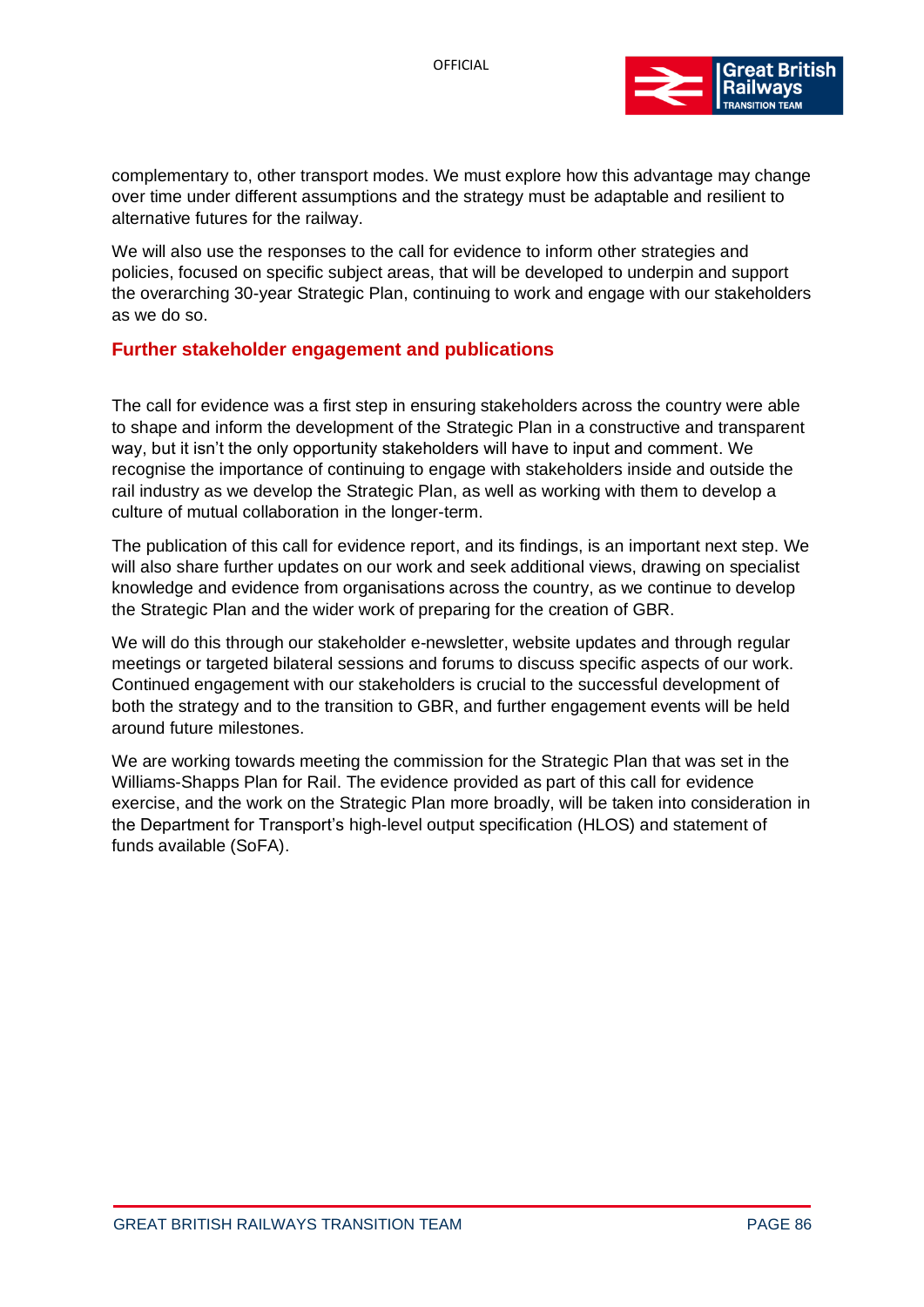

complementary to, other transport modes. We must explore how this advantage may change over time under different assumptions and the strategy must be adaptable and resilient to alternative futures for the railway.

We will also use the responses to the call for evidence to inform other strategies and policies, focused on specific subject areas, that will be developed to underpin and support the overarching 30-year Strategic Plan, continuing to work and engage with our stakeholders as we do so.

#### **Further stakeholder engagement and publications**

The call for evidence was a first step in ensuring stakeholders across the country were able to shape and inform the development of the Strategic Plan in a constructive and transparent way, but it isn't the only opportunity stakeholders will have to input and comment. We recognise the importance of continuing to engage with stakeholders inside and outside the rail industry as we develop the Strategic Plan, as well as working with them to develop a culture of mutual collaboration in the longer-term.

The publication of this call for evidence report, and its findings, is an important next step. We will also share further updates on our work and seek additional views, drawing on specialist knowledge and evidence from organisations across the country, as we continue to develop the Strategic Plan and the wider work of preparing for the creation of GBR.

We will do this through our stakeholder e-newsletter, website updates and through regular meetings or targeted bilateral sessions and forums to discuss specific aspects of our work. Continued engagement with our stakeholders is crucial to the successful development of both the strategy and to the transition to GBR, and further engagement events will be held around future milestones.

We are working towards meeting the commission for the Strategic Plan that was set in the Williams-Shapps Plan for Rail. The evidence provided as part of this call for evidence exercise, and the work on the Strategic Plan more broadly, will be taken into consideration in the Department for Transport's high-level output specification (HLOS) and statement of funds available (SoFA).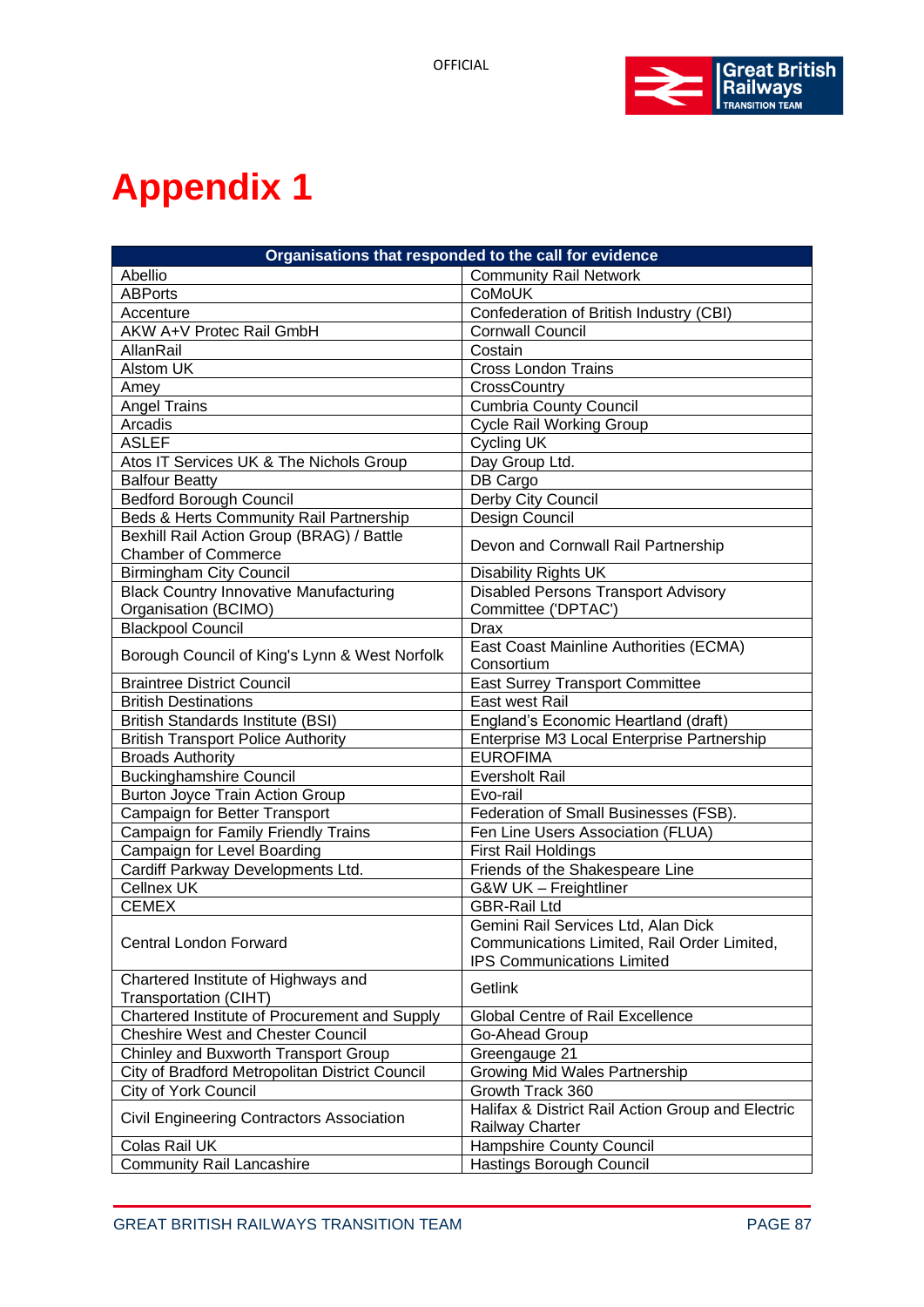

### **Appendix 1**

| Organisations that responded to the call for evidence |                                                   |
|-------------------------------------------------------|---------------------------------------------------|
| Abellio                                               | <b>Community Rail Network</b>                     |
| <b>ABPorts</b>                                        | CoMoUK                                            |
| Accenture                                             | Confederation of British Industry (CBI)           |
| AKW A+V Protec Rail GmbH                              | <b>Cornwall Council</b>                           |
| <b>AllanRail</b>                                      | Costain                                           |
| Alstom UK                                             | <b>Cross London Trains</b>                        |
| Amey                                                  | CrossCountry                                      |
| <b>Angel Trains</b>                                   | <b>Cumbria County Council</b>                     |
| Arcadis                                               | <b>Cycle Rail Working Group</b>                   |
| <b>ASLEF</b>                                          | <b>Cycling UK</b>                                 |
| Atos IT Services UK & The Nichols Group               | Day Group Ltd.                                    |
| <b>Balfour Beatty</b>                                 | DB Cargo                                          |
| <b>Bedford Borough Council</b>                        | Derby City Council                                |
| Beds & Herts Community Rail Partnership               | Design Council                                    |
| Bexhill Rail Action Group (BRAG) / Battle             |                                                   |
| <b>Chamber of Commerce</b>                            | Devon and Cornwall Rail Partnership               |
| <b>Birmingham City Council</b>                        | <b>Disability Rights UK</b>                       |
| <b>Black Country Innovative Manufacturing</b>         | <b>Disabled Persons Transport Advisory</b>        |
| Organisation (BCIMO)                                  | Committee ('DPTAC')                               |
| <b>Blackpool Council</b>                              | <b>Drax</b>                                       |
|                                                       | East Coast Mainline Authorities (ECMA)            |
| Borough Council of King's Lynn & West Norfolk         | Consortium                                        |
| <b>Braintree District Council</b>                     | <b>East Surrey Transport Committee</b>            |
| <b>British Destinations</b>                           | East west Rail                                    |
| <b>British Standards Institute (BSI)</b>              | England's Economic Heartland (draft)              |
| <b>British Transport Police Authority</b>             | Enterprise M3 Local Enterprise Partnership        |
| <b>Broads Authority</b>                               | <b>EUROFIMA</b>                                   |
| <b>Buckinghamshire Council</b>                        | <b>Eversholt Rail</b>                             |
| Burton Joyce Train Action Group                       | Evo-rail                                          |
| Campaign for Better Transport                         | Federation of Small Businesses (FSB).             |
| Campaign for Family Friendly Trains                   | Fen Line Users Association (FLUA)                 |
| Campaign for Level Boarding                           | <b>First Rail Holdings</b>                        |
| Cardiff Parkway Developments Ltd.                     | Friends of the Shakespeare Line                   |
| Cellnex UK                                            | G&W UK - Freightliner                             |
| <b>CEMEX</b>                                          | <b>GBR-Rail Ltd</b>                               |
| Central London Forward                                | Gemini Rail Services Ltd, Alan Dick               |
|                                                       | Communications Limited, Rail Order Limited,       |
|                                                       | <b>IPS Communications Limited</b>                 |
| Chartered Institute of Highways and                   | Getlink                                           |
| Transportation (CIHT)                                 |                                                   |
| Chartered Institute of Procurement and Supply         | Global Centre of Rail Excellence                  |
| <b>Cheshire West and Chester Council</b>              | Go-Ahead Group                                    |
| Chinley and Buxworth Transport Group                  | Greengauge 21                                     |
| City of Bradford Metropolitan District Council        | Growing Mid Wales Partnership                     |
| City of York Council                                  | Growth Track 360                                  |
| Civil Engineering Contractors Association             | Halifax & District Rail Action Group and Electric |
|                                                       | Railway Charter                                   |
| Colas Rail UK                                         | Hampshire County Council                          |
| <b>Community Rail Lancashire</b>                      | Hastings Borough Council                          |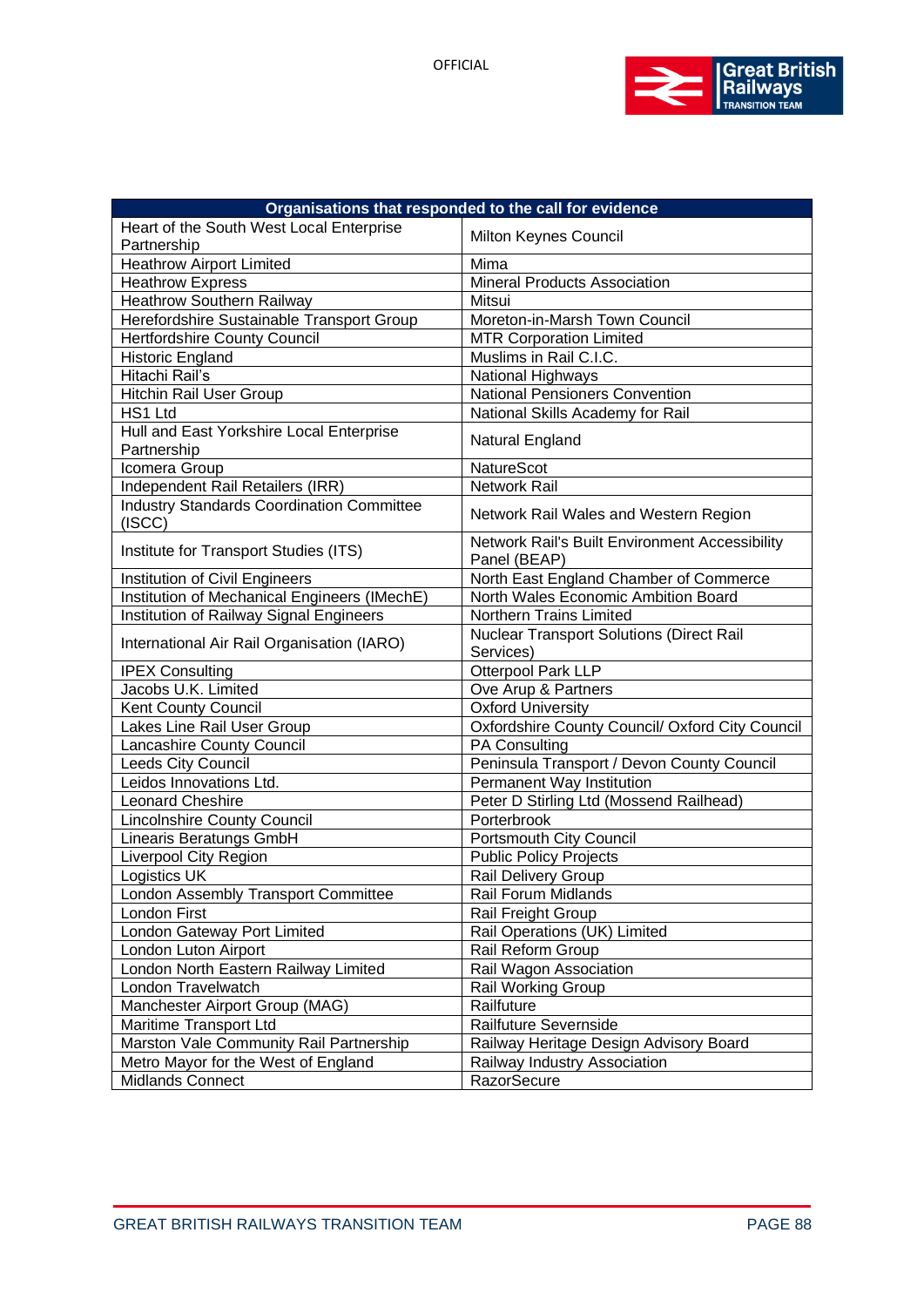

| Organisations that responded to the call for evidence      |                                                                |
|------------------------------------------------------------|----------------------------------------------------------------|
| Heart of the South West Local Enterprise<br>Partnership    | Milton Keynes Council                                          |
| <b>Heathrow Airport Limited</b>                            | Mima                                                           |
| <b>Heathrow Express</b>                                    | Mineral Products Association                                   |
| <b>Heathrow Southern Railway</b>                           | Mitsui                                                         |
| Herefordshire Sustainable Transport Group                  | Moreton-in-Marsh Town Council                                  |
| <b>Hertfordshire County Council</b>                        | <b>MTR Corporation Limited</b>                                 |
| Historic England                                           | Muslims in Rail C.I.C.                                         |
| Hitachi Rail's                                             | National Highways                                              |
| <b>Hitchin Rail User Group</b>                             | <b>National Pensioners Convention</b>                          |
| HS1 Ltd                                                    | National Skills Academy for Rail                               |
| Hull and East Yorkshire Local Enterprise<br>Partnership    | Natural England                                                |
| Icomera Group                                              | NatureScot                                                     |
| Independent Rail Retailers (IRR)                           | Network Rail                                                   |
| <b>Industry Standards Coordination Committee</b><br>(ISCC) | Network Rail Wales and Western Region                          |
| Institute for Transport Studies (ITS)                      | Network Rail's Built Environment Accessibility<br>Panel (BEAP) |
| Institution of Civil Engineers                             | North East England Chamber of Commerce                         |
| Institution of Mechanical Engineers (IMechE)               | North Wales Economic Ambition Board                            |
| Institution of Railway Signal Engineers                    | Northern Trains Limited                                        |
| International Air Rail Organisation (IARO)                 | <b>Nuclear Transport Solutions (Direct Rail</b><br>Services)   |
| <b>IPEX Consulting</b>                                     | Otterpool Park LLP                                             |
| Jacobs U.K. Limited                                        | Ove Arup & Partners                                            |
| Kent County Council                                        | <b>Oxford University</b>                                       |
| Lakes Line Rail User Group                                 | Oxfordshire County Council/ Oxford City Council                |
| Lancashire County Council                                  | <b>PA Consulting</b>                                           |
| Leeds City Council                                         | Peninsula Transport / Devon County Council                     |
| Leidos Innovations Ltd.                                    | Permanent Way Institution                                      |
| <b>Leonard Cheshire</b>                                    | Peter D Stirling Ltd (Mossend Railhead)                        |
| Lincolnshire County Council                                | Porterbrook                                                    |
| Linearis Beratungs GmbH                                    | Portsmouth City Council                                        |
| Liverpool City Region                                      | <b>Public Policy Projects</b>                                  |
| Logistics UK                                               | Rail Delivery Group                                            |
| London Assembly Transport Committee                        | <b>Rail Forum Midlands</b>                                     |
| London First                                               | Rail Freight Group                                             |
| London Gateway Port Limited                                | Rail Operations (UK) Limited                                   |
| London Luton Airport                                       | Rail Reform Group                                              |
| London North Eastern Railway Limited                       | Rail Wagon Association                                         |
| London Travelwatch                                         | Rail Working Group                                             |
| Manchester Airport Group (MAG)                             | Railfuture                                                     |
| Maritime Transport Ltd                                     | Railfuture Severnside                                          |
| Marston Vale Community Rail Partnership                    | Railway Heritage Design Advisory Board                         |
| Metro Mayor for the West of England                        | Railway Industry Association                                   |
| Midlands Connect                                           | <b>RazorSecure</b>                                             |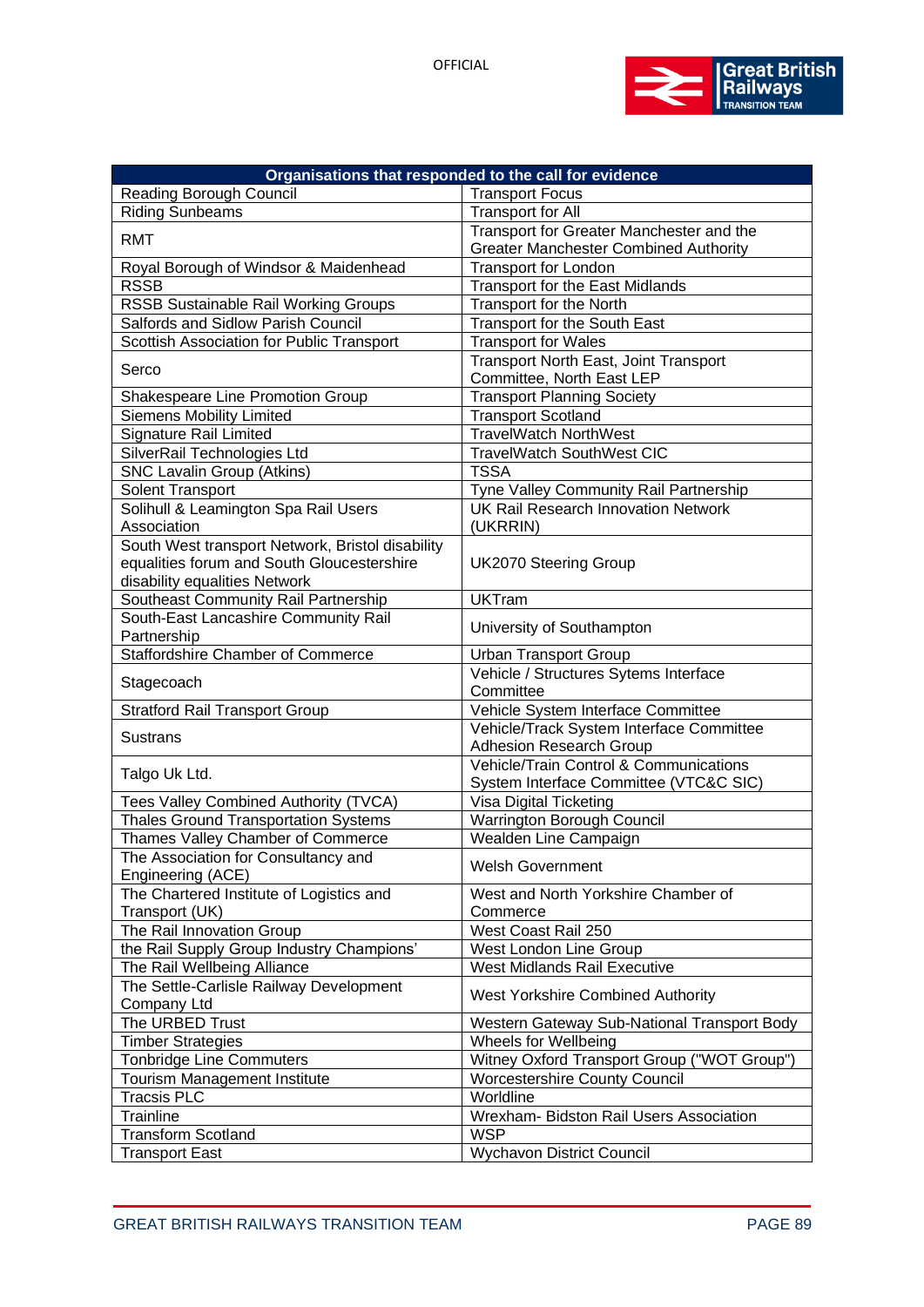

| Organisations that responded to the call for evidence                                                                           |                                                                                  |  |
|---------------------------------------------------------------------------------------------------------------------------------|----------------------------------------------------------------------------------|--|
| <b>Reading Borough Council</b>                                                                                                  | <b>Transport Focus</b>                                                           |  |
| <b>Riding Sunbeams</b>                                                                                                          | <b>Transport for All</b>                                                         |  |
| <b>RMT</b>                                                                                                                      | Transport for Greater Manchester and the                                         |  |
|                                                                                                                                 | <b>Greater Manchester Combined Authority</b>                                     |  |
| Royal Borough of Windsor & Maidenhead                                                                                           | <b>Transport for London</b>                                                      |  |
| <b>RSSB</b>                                                                                                                     | <b>Transport for the East Midlands</b>                                           |  |
| RSSB Sustainable Rail Working Groups                                                                                            | Transport for the North                                                          |  |
| Salfords and Sidlow Parish Council                                                                                              | Transport for the South East                                                     |  |
| Scottish Association for Public Transport                                                                                       | <b>Transport for Wales</b>                                                       |  |
| Serco                                                                                                                           | Transport North East, Joint Transport<br>Committee, North East LEP               |  |
| Shakespeare Line Promotion Group                                                                                                | <b>Transport Planning Society</b>                                                |  |
| <b>Siemens Mobility Limited</b>                                                                                                 | <b>Transport Scotland</b>                                                        |  |
| <b>Signature Rail Limited</b>                                                                                                   | <b>TravelWatch NorthWest</b>                                                     |  |
| SilverRail Technologies Ltd                                                                                                     | <b>TravelWatch SouthWest CIC</b>                                                 |  |
| <b>SNC Lavalin Group (Atkins)</b>                                                                                               | <b>TSSA</b>                                                                      |  |
| Solent Transport                                                                                                                | Tyne Valley Community Rail Partnership                                           |  |
| Solihull & Leamington Spa Rail Users                                                                                            | <b>UK Rail Research Innovation Network</b>                                       |  |
| Association                                                                                                                     | (UKRRIN)                                                                         |  |
| South West transport Network, Bristol disability<br>equalities forum and South Gloucestershire<br>disability equalities Network | <b>UK2070 Steering Group</b>                                                     |  |
| Southeast Community Rail Partnership                                                                                            | <b>UKTram</b>                                                                    |  |
| South-East Lancashire Community Rail<br>Partnership                                                                             | University of Southampton                                                        |  |
| <b>Staffordshire Chamber of Commerce</b>                                                                                        | <b>Urban Transport Group</b>                                                     |  |
| Stagecoach                                                                                                                      | Vehicle / Structures Sytems Interface<br>Committee                               |  |
| <b>Stratford Rail Transport Group</b>                                                                                           | Vehicle System Interface Committee                                               |  |
| Sustrans                                                                                                                        | Vehicle/Track System Interface Committee<br>Adhesion Research Group              |  |
| Talgo Uk Ltd.                                                                                                                   | Vehicle/Train Control & Communications<br>System Interface Committee (VTC&C SIC) |  |
| Tees Valley Combined Authority (TVCA)                                                                                           | Visa Digital Ticketing                                                           |  |
| <b>Thales Ground Transportation Systems</b>                                                                                     | Warrington Borough Council                                                       |  |
| Thames Valley Chamber of Commerce                                                                                               | Wealden Line Campaign                                                            |  |
| The Association for Consultancy and<br>Engineering (ACE)                                                                        | <b>Welsh Government</b>                                                          |  |
| The Chartered Institute of Logistics and<br>Transport (UK)                                                                      | West and North Yorkshire Chamber of<br>Commerce                                  |  |
| The Rail Innovation Group                                                                                                       | West Coast Rail 250                                                              |  |
| the Rail Supply Group Industry Champions'                                                                                       | West London Line Group                                                           |  |
| The Rail Wellbeing Alliance                                                                                                     | <b>West Midlands Rail Executive</b>                                              |  |
| The Settle-Carlisle Railway Development                                                                                         |                                                                                  |  |
| Company Ltd                                                                                                                     | <b>West Yorkshire Combined Authority</b>                                         |  |
| The URBED Trust                                                                                                                 | Western Gateway Sub-National Transport Body                                      |  |
| <b>Timber Strategies</b>                                                                                                        | Wheels for Wellbeing                                                             |  |
| <b>Tonbridge Line Commuters</b>                                                                                                 | Witney Oxford Transport Group ("WOT Group")                                      |  |
| <b>Tourism Management Institute</b>                                                                                             | <b>Worcestershire County Council</b>                                             |  |
| <b>Tracsis PLC</b>                                                                                                              | Worldline                                                                        |  |
| Trainline                                                                                                                       | Wrexham- Bidston Rail Users Association                                          |  |
| <b>Transform Scotland</b>                                                                                                       | <b>WSP</b>                                                                       |  |
| <b>Transport East</b>                                                                                                           | <b>Wychavon District Council</b>                                                 |  |